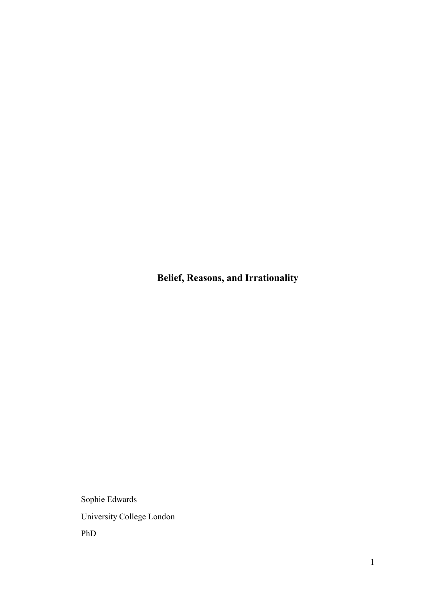**Belief, Reasons, and Irrationality** 

Sophie Edwards University College London PhD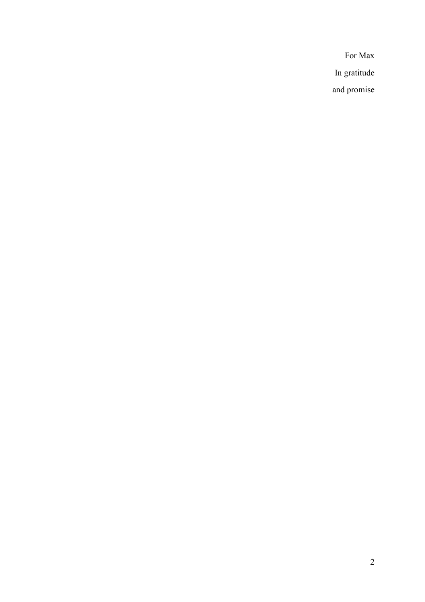For Max In gratitude and promise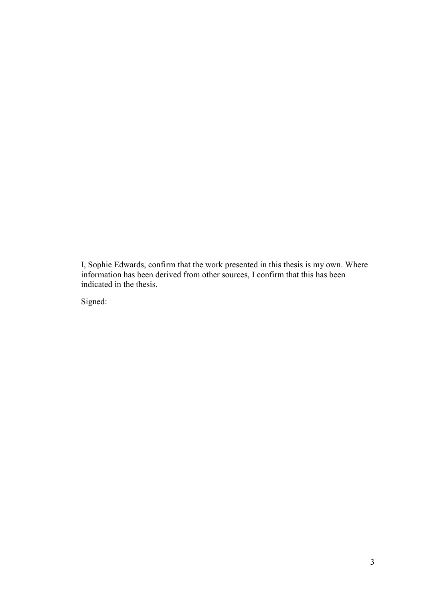I, Sophie Edwards, confirm that the work presented in this thesis is my own. Where information has been derived from other sources, I confirm that this has been indicated in the thesis.

Signed: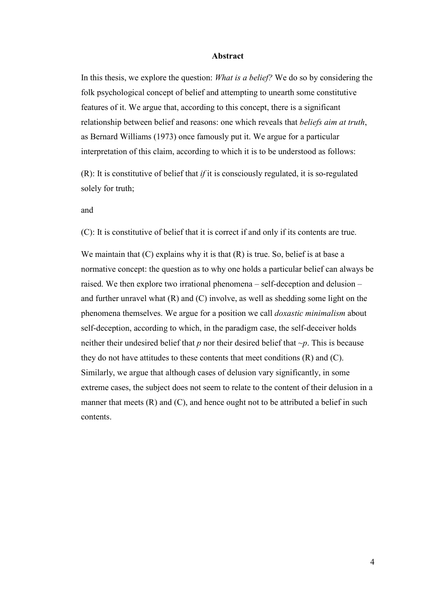## **Abstract**

In this thesis, we explore the question: *What is a belief?* We do so by considering the folk psychological concept of belief and attempting to unearth some constitutive features of it. We argue that, according to this concept, there is a significant relationship between belief and reasons: one which reveals that *beliefs aim at truth*, as Bernard Williams (1973) once famously put it. We argue for a particular interpretation of this claim, according to which it is to be understood as follows:

(R): It is constitutive of belief that *if* it is consciously regulated, it is so-regulated solely for truth;

and

(C): It is constitutive of belief that it is correct if and only if its contents are true.

We maintain that  $(C)$  explains why it is that  $(R)$  is true. So, belief is at base a normative concept: the question as to why one holds a particular belief can always be raised. We then explore two irrational phenomena – self-deception and delusion – and further unravel what  $(R)$  and  $(C)$  involve, as well as shedding some light on the phenomena themselves. We argue for a position we call *doxastic minimalism* about self-deception, according to which, in the paradigm case, the self-deceiver holds neither their undesired belief that *p* nor their desired belief that *~p*. This is because they do not have attitudes to these contents that meet conditions (R) and (C). Similarly, we argue that although cases of delusion vary significantly, in some extreme cases, the subject does not seem to relate to the content of their delusion in a manner that meets  $(R)$  and  $(C)$ , and hence ought not to be attributed a belief in such contents.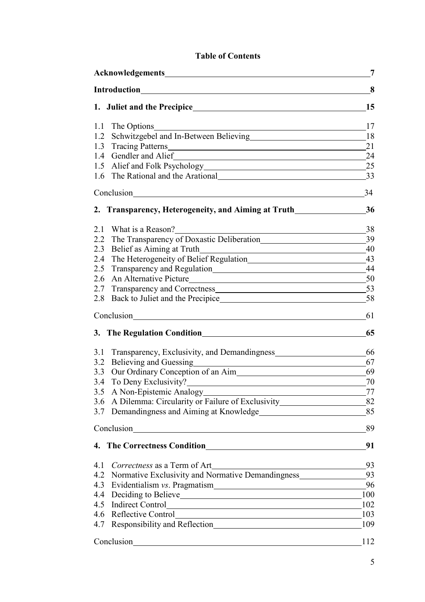# **Table of Contents**

| Acknowledgements<br><u> 1980 - Johann Stein, fransk politik (d. 1980)</u>                                                                              | 7    |
|--------------------------------------------------------------------------------------------------------------------------------------------------------|------|
| <b>Introduction</b>                                                                                                                                    |      |
|                                                                                                                                                        | 15   |
| The Options<br>1.1                                                                                                                                     | 17   |
| Schwitzgebel and In-Between Believing<br>1.2                                                                                                           | 18   |
| 1.3                                                                                                                                                    | 21   |
| Gendler and Alief<br>1.4<br><u> 1989 - Johann Stoff, deutscher Stoffen und der Stoffen und der Stoffen und der Stoffen und der Stoffen und der</u>     | 24   |
| 1.5                                                                                                                                                    | 25   |
| The Rational and the Arational<br><u>Letter and the Arational</u><br>1.6                                                                               | 33   |
| Conclusion<br><u> 1980 - Jan Stein Stein Stein Stein Stein Stein Stein Stein Stein Stein Stein Stein Stein Stein Stein Stein S</u>                     | 34   |
| 2. Transparency, Heterogeneity, and Aiming at Truth                                                                                                    | 36   |
| 2.1                                                                                                                                                    | 38   |
| 2.2                                                                                                                                                    | 39   |
| 2.3                                                                                                                                                    | - 40 |
| The Heterogeneity of Belief Regulation <sup>43</sup><br>2.4                                                                                            |      |
| 2.5                                                                                                                                                    | - 44 |
| An Alternative Picture<br>2.6                                                                                                                          | - 50 |
| 2.7                                                                                                                                                    | 53   |
| 2.8                                                                                                                                                    | 58   |
| Conclusion<br><u> 1989 - Andrea Andrew Maria (h. 1989).</u>                                                                                            | 61   |
|                                                                                                                                                        | 65   |
| 3.1<br>Transparency, Exclusivity, and Demandingness                                                                                                    | 66   |
| Believing and Guessing https://www.archive.com/<br>3.2                                                                                                 | 67   |
| 3.3                                                                                                                                                    | - 69 |
| To Deny Exclusivity?<br>3.4                                                                                                                            | 70   |
| A Non-Epistemic Analogy<br>3.5<br><u> 1980 - Johann Barn, mars ann an t-Amhain Aonaich an t-Aonaich an t-Aonaich ann an t-Aonaich ann an t-Aonaich</u> | 77   |
| 3.6                                                                                                                                                    |      |
| Demandingness and Aiming at Knowledge<br>3.7                                                                                                           | 85   |
| Conclusion                                                                                                                                             | 89   |
| 4. The Correctness Condition <b>Condition</b>                                                                                                          | 91   |
| Correctness as a Term of Art<br><u>Letter and the correctness</u> as a Term of Art<br>4.1                                                              | 93   |
| Normative Exclusivity and Normative Demandingness<br>4.2                                                                                               | 93   |
| 4.3                                                                                                                                                    | - 96 |
| 4.4                                                                                                                                                    | 100  |
| 4.5                                                                                                                                                    | 102  |
| 4.6                                                                                                                                                    | 103  |
| Responsibility and Reflection<br>4.7                                                                                                                   | 109  |
| Conclusion                                                                                                                                             | 112  |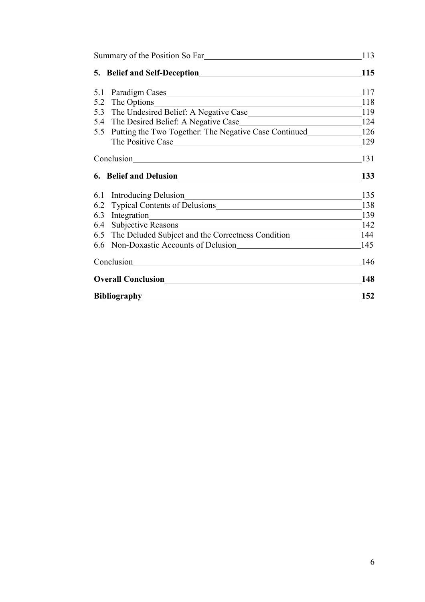| Summary of the Position So Far |                                                               | 113 |
|--------------------------------|---------------------------------------------------------------|-----|
|                                |                                                               | 115 |
| 5.1                            |                                                               | 117 |
| 5.2                            | The Options 118                                               |     |
|                                |                                                               |     |
|                                |                                                               |     |
|                                | 5.5 Putting the Two Together: The Negative Case Continued 126 |     |
|                                | The Positive Case 129                                         |     |
|                                |                                                               | 131 |
|                                |                                                               | 133 |
|                                | 6.1 Introducing Delusion 135                                  |     |
|                                | 6.2 Typical Contents of Delusions 138                         |     |
|                                | 6.3 Integration 139                                           |     |
|                                | 6.4 Subjective Reasons 142                                    |     |
|                                | 6.5 The Deluded Subject and the Correctness Condition 144     |     |
| 6.6                            | Non-Doxastic Accounts of Delusion                             | 145 |
| Conclusion                     |                                                               | 146 |
|                                |                                                               | 148 |
| Bibliography                   |                                                               | 152 |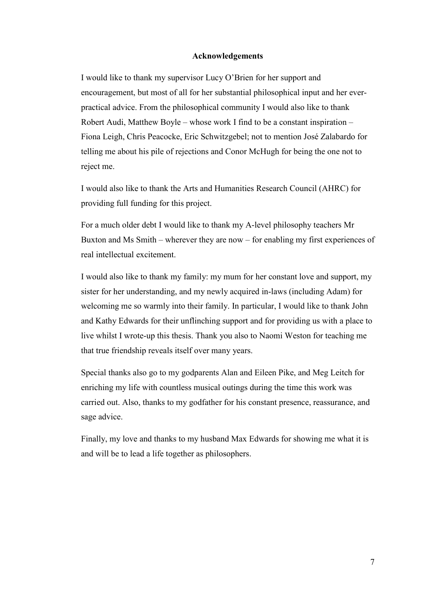## **Acknowledgements**

I would like to thank my supervisor Lucy O'Brien for her support and encouragement, but most of all for her substantial philosophical input and her everpractical advice. From the philosophical community I would also like to thank Robert Audi, Matthew Boyle – whose work I find to be a constant inspiration – Fiona Leigh, Chris Peacocke, Eric Schwitzgebel; not to mention José Zalabardo for telling me about his pile of rejections and Conor McHugh for being the one not to reject me.

I would also like to thank the Arts and Humanities Research Council (AHRC) for providing full funding for this project.

For a much older debt I would like to thank my A-level philosophy teachers Mr Buxton and Ms Smith – wherever they are now – for enabling my first experiences of real intellectual excitement.

I would also like to thank my family: my mum for her constant love and support, my sister for her understanding, and my newly acquired in-laws (including Adam) for welcoming me so warmly into their family. In particular, I would like to thank John and Kathy Edwards for their unflinching support and for providing us with a place to live whilst I wrote-up this thesis. Thank you also to Naomi Weston for teaching me that true friendship reveals itself over many years.

Special thanks also go to my godparents Alan and Eileen Pike, and Meg Leitch for enriching my life with countless musical outings during the time this work was carried out. Also, thanks to my godfather for his constant presence, reassurance, and sage advice.

Finally, my love and thanks to my husband Max Edwards for showing me what it is and will be to lead a life together as philosophers.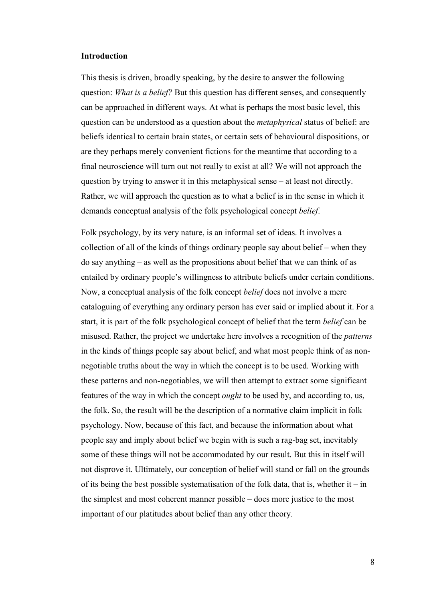### **Introduction**

This thesis is driven, broadly speaking, by the desire to answer the following question: *What is a belief?* But this question has different senses, and consequently can be approached in different ways. At what is perhaps the most basic level, this question can be understood as a question about the *metaphysical* status of belief: are beliefs identical to certain brain states, or certain sets of behavioural dispositions, or are they perhaps merely convenient fictions for the meantime that according to a final neuroscience will turn out not really to exist at all? We will not approach the question by trying to answer it in this metaphysical sense – at least not directly. Rather, we will approach the question as to what a belief is in the sense in which it demands conceptual analysis of the folk psychological concept *belief*.

Folk psychology, by its very nature, is an informal set of ideas. It involves a collection of all of the kinds of things ordinary people say about belief – when they do say anything – as well as the propositions about belief that we can think of as entailed by ordinary people's willingness to attribute beliefs under certain conditions. Now, a conceptual analysis of the folk concept *belief* does not involve a mere cataloguing of everything any ordinary person has ever said or implied about it. For a start, it is part of the folk psychological concept of belief that the term *belief* can be misused. Rather, the project we undertake here involves a recognition of the *patterns* in the kinds of things people say about belief, and what most people think of as nonnegotiable truths about the way in which the concept is to be used. Working with these patterns and non-negotiables, we will then attempt to extract some significant features of the way in which the concept *ought* to be used by, and according to, us, the folk. So, the result will be the description of a normative claim implicit in folk psychology. Now, because of this fact, and because the information about what people say and imply about belief we begin with is such a rag-bag set, inevitably some of these things will not be accommodated by our result. But this in itself will not disprove it. Ultimately, our conception of belief will stand or fall on the grounds of its being the best possible systematisation of the folk data, that is, whether it – in the simplest and most coherent manner possible – does more justice to the most important of our platitudes about belief than any other theory.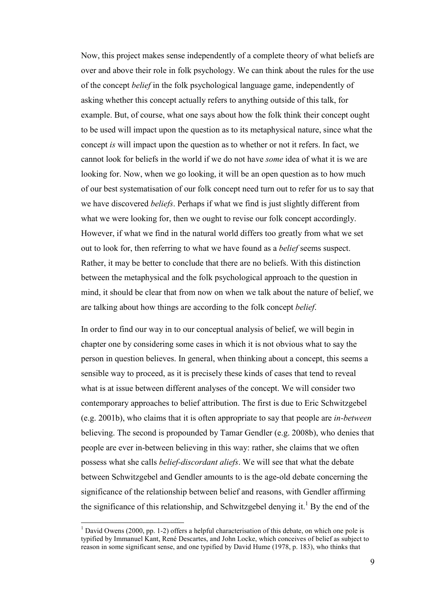Now, this project makes sense independently of a complete theory of what beliefs are over and above their role in folk psychology. We can think about the rules for the use of the concept *belief* in the folk psychological language game, independently of asking whether this concept actually refers to anything outside of this talk, for example. But, of course, what one says about how the folk think their concept ought to be used will impact upon the question as to its metaphysical nature, since what the concept *is* will impact upon the question as to whether or not it refers. In fact, we cannot look for beliefs in the world if we do not have *some* idea of what it is we are looking for. Now, when we go looking, it will be an open question as to how much of our best systematisation of our folk concept need turn out to refer for us to say that we have discovered *beliefs*. Perhaps if what we find is just slightly different from what we were looking for, then we ought to revise our folk concept accordingly. However, if what we find in the natural world differs too greatly from what we set out to look for, then referring to what we have found as a *belief* seems suspect. Rather, it may be better to conclude that there are no beliefs. With this distinction between the metaphysical and the folk psychological approach to the question in mind, it should be clear that from now on when we talk about the nature of belief, we are talking about how things are according to the folk concept *belief*.

In order to find our way in to our conceptual analysis of belief, we will begin in chapter one by considering some cases in which it is not obvious what to say the person in question believes. In general, when thinking about a concept, this seems a sensible way to proceed, as it is precisely these kinds of cases that tend to reveal what is at issue between different analyses of the concept. We will consider two contemporary approaches to belief attribution. The first is due to Eric Schwitzgebel (e.g. 2001b), who claims that it is often appropriate to say that people are *in-between*  believing. The second is propounded by Tamar Gendler (e.g. 2008b), who denies that people are ever in-between believing in this way: rather, she claims that we often possess what she calls *belief-discordant aliefs*. We will see that what the debate between Schwitzgebel and Gendler amounts to is the age-old debate concerning the significance of the relationship between belief and reasons, with Gendler affirming the significance of this relationship, and Schwitzgebel denying it.<sup>1</sup> By the end of the

l

<sup>&</sup>lt;sup>1</sup> David Owens (2000, pp. 1-2) offers a helpful characterisation of this debate, on which one pole is typified by Immanuel Kant, René Descartes, and John Locke, which conceives of belief as subject to reason in some significant sense, and one typified by David Hume (1978, p. 183), who thinks that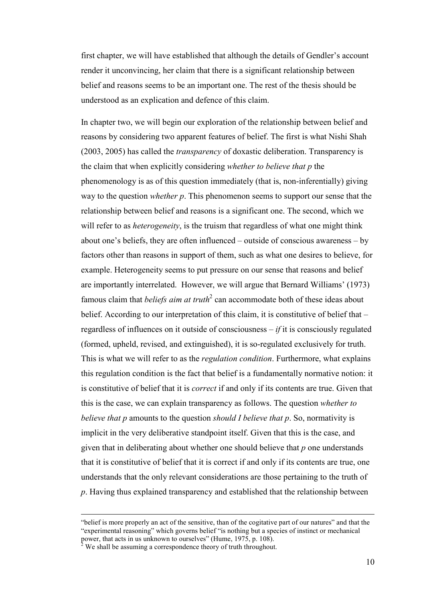first chapter, we will have established that although the details of Gendler's account render it unconvincing, her claim that there is a significant relationship between belief and reasons seems to be an important one. The rest of the thesis should be understood as an explication and defence of this claim.

In chapter two, we will begin our exploration of the relationship between belief and reasons by considering two apparent features of belief. The first is what Nishi Shah (2003, 2005) has called the *transparency* of doxastic deliberation. Transparency is the claim that when explicitly considering *whether to believe that p* the phenomenology is as of this question immediately (that is, non-inferentially) giving way to the question *whether p*. This phenomenon seems to support our sense that the relationship between belief and reasons is a significant one. The second, which we will refer to as *heterogeneity*, is the truism that regardless of what one might think about one's beliefs, they are often influenced – outside of conscious awareness – by factors other than reasons in support of them, such as what one desires to believe, for example. Heterogeneity seems to put pressure on our sense that reasons and belief are importantly interrelated. However, we will argue that Bernard Williams' (1973) famous claim that *beliefs aim at truth*<sup>2</sup> can accommodate both of these ideas about belief. According to our interpretation of this claim, it is constitutive of belief that – regardless of influences on it outside of consciousness – *if* it is consciously regulated (formed, upheld, revised, and extinguished), it is so-regulated exclusively for truth. This is what we will refer to as the *regulation condition*. Furthermore, what explains this regulation condition is the fact that belief is a fundamentally normative notion: it is constitutive of belief that it is *correct* if and only if its contents are true. Given that this is the case, we can explain transparency as follows. The question *whether to believe that p* amounts to the question *should I believe that p*. So, normativity is implicit in the very deliberative standpoint itself. Given that this is the case, and given that in deliberating about whether one should believe that *p* one understands that it is constitutive of belief that it is correct if and only if its contents are true, one understands that the only relevant considerations are those pertaining to the truth of *p*. Having thus explained transparency and established that the relationship between

 $\overline{a}$ 

<sup>&</sup>quot;belief is more properly an act of the sensitive, than of the cogitative part of our natures" and that the "experimental reasoning" which governs belief "is nothing but a species of instinct or mechanical power, that acts in us unknown to ourselves" (Hume, 1975, p. 108).

 $2$  We shall be assuming a correspondence theory of truth throughout.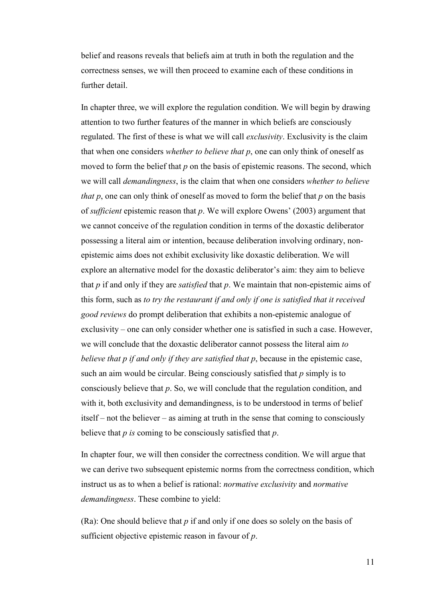belief and reasons reveals that beliefs aim at truth in both the regulation and the correctness senses, we will then proceed to examine each of these conditions in further detail.

In chapter three, we will explore the regulation condition. We will begin by drawing attention to two further features of the manner in which beliefs are consciously regulated. The first of these is what we will call *exclusivity*. Exclusivity is the claim that when one considers *whether to believe that p*, one can only think of oneself as moved to form the belief that p on the basis of epistemic reasons. The second, which we will call *demandingness*, is the claim that when one considers *whether to believe that p*, one can only think of oneself as moved to form the belief that *p* on the basis of *sufficient* epistemic reason that *p*. We will explore Owens' (2003) argument that we cannot conceive of the regulation condition in terms of the doxastic deliberator possessing a literal aim or intention, because deliberation involving ordinary, nonepistemic aims does not exhibit exclusivity like doxastic deliberation. We will explore an alternative model for the doxastic deliberator's aim: they aim to believe that *p* if and only if they are *satisfied* that *p*. We maintain that non-epistemic aims of this form, such as *to try the restaurant if and only if one is satisfied that it received good reviews* do prompt deliberation that exhibits a non-epistemic analogue of exclusivity – one can only consider whether one is satisfied in such a case. However, we will conclude that the doxastic deliberator cannot possess the literal aim *to believe that p if and only if they are satisfied that p*, because in the epistemic case, such an aim would be circular. Being consciously satisfied that *p* simply is to consciously believe that *p*. So, we will conclude that the regulation condition, and with it, both exclusivity and demandingness, is to be understood in terms of belief itself – not the believer – as aiming at truth in the sense that coming to consciously believe that *p is* coming to be consciously satisfied that *p*.

In chapter four, we will then consider the correctness condition. We will argue that we can derive two subsequent epistemic norms from the correctness condition, which instruct us as to when a belief is rational: *normative exclusivity* and *normative demandingness*. These combine to yield:

(Ra): One should believe that *p* if and only if one does so solely on the basis of sufficient objective epistemic reason in favour of *p*.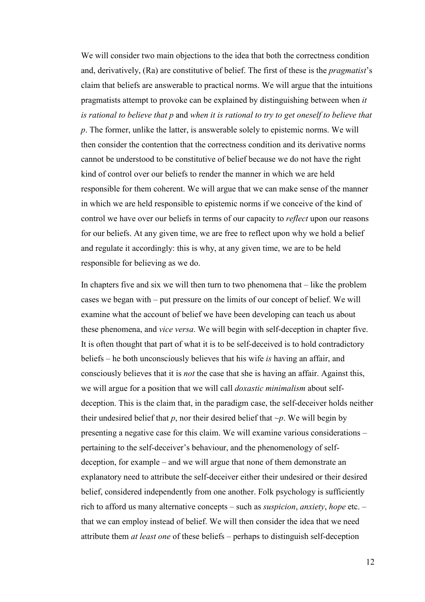We will consider two main objections to the idea that both the correctness condition and, derivatively, (Ra) are constitutive of belief. The first of these is the *pragmatist*'s claim that beliefs are answerable to practical norms. We will argue that the intuitions pragmatists attempt to provoke can be explained by distinguishing between when *it is rational to believe that p* and *when it is rational to try to get oneself to believe that p*. The former, unlike the latter, is answerable solely to epistemic norms. We will then consider the contention that the correctness condition and its derivative norms cannot be understood to be constitutive of belief because we do not have the right kind of control over our beliefs to render the manner in which we are held responsible for them coherent. We will argue that we can make sense of the manner in which we are held responsible to epistemic norms if we conceive of the kind of control we have over our beliefs in terms of our capacity to *reflect* upon our reasons for our beliefs. At any given time, we are free to reflect upon why we hold a belief and regulate it accordingly: this is why, at any given time, we are to be held responsible for believing as we do.

In chapters five and six we will then turn to two phenomena that – like the problem cases we began with – put pressure on the limits of our concept of belief. We will examine what the account of belief we have been developing can teach us about these phenomena, and *vice versa*. We will begin with self-deception in chapter five. It is often thought that part of what it is to be self-deceived is to hold contradictory beliefs – he both unconsciously believes that his wife *is* having an affair, and consciously believes that it is *not* the case that she is having an affair. Against this, we will argue for a position that we will call *doxastic minimalism* about selfdeception. This is the claim that, in the paradigm case, the self-deceiver holds neither their undesired belief that  $p$ , nor their desired belief that  $\neg p$ . We will begin by presenting a negative case for this claim. We will examine various considerations – pertaining to the self-deceiver's behaviour, and the phenomenology of selfdeception, for example – and we will argue that none of them demonstrate an explanatory need to attribute the self-deceiver either their undesired or their desired belief, considered independently from one another. Folk psychology is sufficiently rich to afford us many alternative concepts – such as *suspicion*, *anxiety*, *hope* etc. – that we can employ instead of belief. We will then consider the idea that we need attribute them *at least one* of these beliefs – perhaps to distinguish self-deception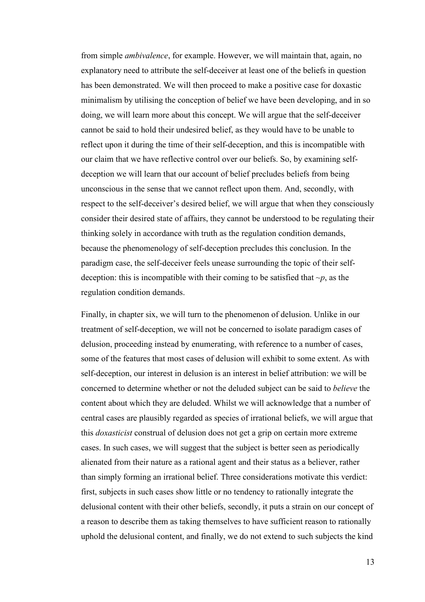from simple *ambivalence*, for example. However, we will maintain that, again, no explanatory need to attribute the self-deceiver at least one of the beliefs in question has been demonstrated. We will then proceed to make a positive case for doxastic minimalism by utilising the conception of belief we have been developing, and in so doing, we will learn more about this concept. We will argue that the self-deceiver cannot be said to hold their undesired belief, as they would have to be unable to reflect upon it during the time of their self-deception, and this is incompatible with our claim that we have reflective control over our beliefs. So, by examining selfdeception we will learn that our account of belief precludes beliefs from being unconscious in the sense that we cannot reflect upon them. And, secondly, with respect to the self-deceiver's desired belief, we will argue that when they consciously consider their desired state of affairs, they cannot be understood to be regulating their thinking solely in accordance with truth as the regulation condition demands, because the phenomenology of self-deception precludes this conclusion. In the paradigm case, the self-deceiver feels unease surrounding the topic of their selfdeception: this is incompatible with their coming to be satisfied that  $\neg p$ , as the regulation condition demands.

Finally, in chapter six, we will turn to the phenomenon of delusion. Unlike in our treatment of self-deception, we will not be concerned to isolate paradigm cases of delusion, proceeding instead by enumerating, with reference to a number of cases, some of the features that most cases of delusion will exhibit to some extent. As with self-deception, our interest in delusion is an interest in belief attribution: we will be concerned to determine whether or not the deluded subject can be said to *believe* the content about which they are deluded. Whilst we will acknowledge that a number of central cases are plausibly regarded as species of irrational beliefs, we will argue that this *doxasticist* construal of delusion does not get a grip on certain more extreme cases. In such cases, we will suggest that the subject is better seen as periodically alienated from their nature as a rational agent and their status as a believer, rather than simply forming an irrational belief. Three considerations motivate this verdict: first, subjects in such cases show little or no tendency to rationally integrate the delusional content with their other beliefs, secondly, it puts a strain on our concept of a reason to describe them as taking themselves to have sufficient reason to rationally uphold the delusional content, and finally, we do not extend to such subjects the kind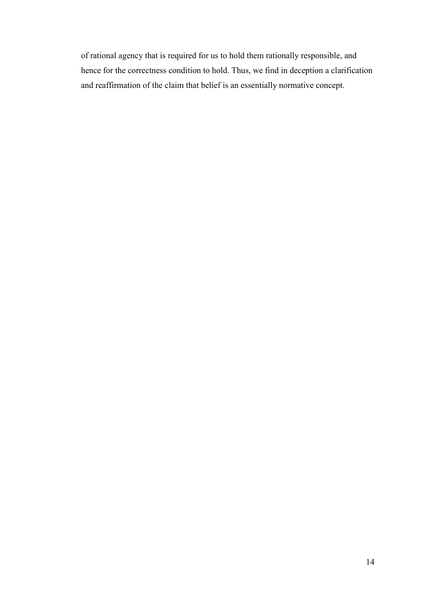of rational agency that is required for us to hold them rationally responsible, and hence for the correctness condition to hold. Thus, we find in deception a clarification and reaffirmation of the claim that belief is an essentially normative concept.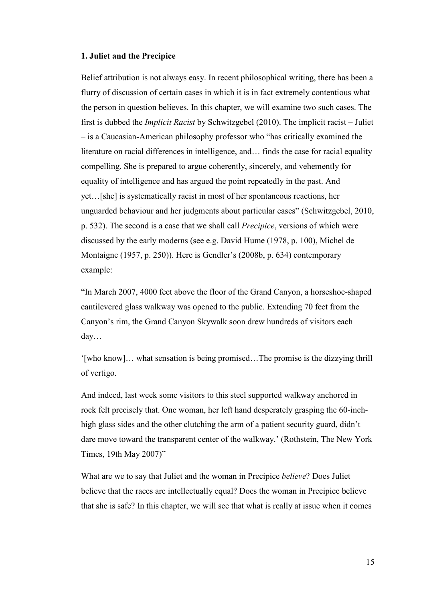## **1. Juliet and the Precipice**

Belief attribution is not always easy. In recent philosophical writing, there has been a flurry of discussion of certain cases in which it is in fact extremely contentious what the person in question believes. In this chapter, we will examine two such cases. The first is dubbed the *Implicit Racist* by Schwitzgebel (2010). The implicit racist – Juliet – is a Caucasian-American philosophy professor who "has critically examined the literature on racial differences in intelligence, and… finds the case for racial equality compelling. She is prepared to argue coherently, sincerely, and vehemently for equality of intelligence and has argued the point repeatedly in the past. And yet…[she] is systematically racist in most of her spontaneous reactions, her unguarded behaviour and her judgments about particular cases" (Schwitzgebel, 2010, p. 532). The second is a case that we shall call *Precipice*, versions of which were discussed by the early moderns (see e.g. David Hume (1978, p. 100), Michel de Montaigne (1957, p. 250)). Here is Gendler's (2008b, p. 634) contemporary example:

"In March 2007, 4000 feet above the floor of the Grand Canyon, a horseshoe-shaped cantilevered glass walkway was opened to the public. Extending 70 feet from the Canyon's rim, the Grand Canyon Skywalk soon drew hundreds of visitors each day…

'[who know]… what sensation is being promised…The promise is the dizzying thrill of vertigo.

And indeed, last week some visitors to this steel supported walkway anchored in rock felt precisely that. One woman, her left hand desperately grasping the 60-inchhigh glass sides and the other clutching the arm of a patient security guard, didn't dare move toward the transparent center of the walkway.' (Rothstein, The New York Times, 19th May 2007)"

What are we to say that Juliet and the woman in Precipice *believe*? Does Juliet believe that the races are intellectually equal? Does the woman in Precipice believe that she is safe? In this chapter, we will see that what is really at issue when it comes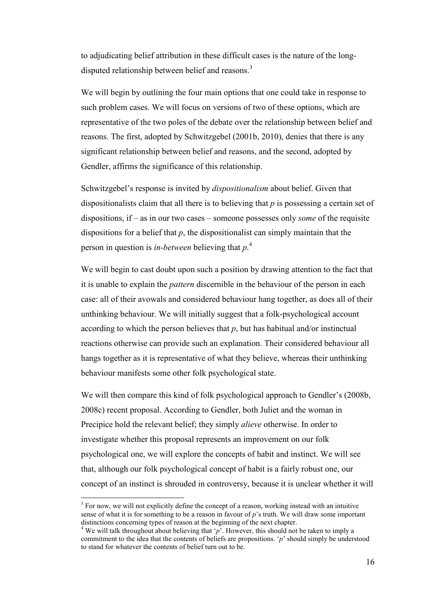to adjudicating belief attribution in these difficult cases is the nature of the longdisputed relationship between belief and reasons.<sup>3</sup>

We will begin by outlining the four main options that one could take in response to such problem cases. We will focus on versions of two of these options, which are representative of the two poles of the debate over the relationship between belief and reasons. The first, adopted by Schwitzgebel (2001b, 2010), denies that there is any significant relationship between belief and reasons, and the second, adopted by Gendler, affirms the significance of this relationship.

Schwitzgebel's response is invited by *dispositionalism* about belief. Given that dispositionalists claim that all there is to believing that *p* is possessing a certain set of dispositions, if – as in our two cases – someone possesses only *some* of the requisite dispositions for a belief that *p*, the dispositionalist can simply maintain that the person in question is *in-between* believing that *p*. 4

We will begin to cast doubt upon such a position by drawing attention to the fact that it is unable to explain the *pattern* discernible in the behaviour of the person in each case: all of their avowals and considered behaviour hang together, as does all of their unthinking behaviour. We will initially suggest that a folk-psychological account according to which the person believes that  $p$ , but has habitual and/or instinctual reactions otherwise can provide such an explanation. Their considered behaviour all hangs together as it is representative of what they believe, whereas their unthinking behaviour manifests some other folk psychological state.

We will then compare this kind of folk psychological approach to Gendler's (2008b, 2008c) recent proposal. According to Gendler, both Juliet and the woman in Precipice hold the relevant belief; they simply *alieve* otherwise. In order to investigate whether this proposal represents an improvement on our folk psychological one, we will explore the concepts of habit and instinct. We will see that, although our folk psychological concept of habit is a fairly robust one, our concept of an instinct is shrouded in controversy, because it is unclear whether it will

l

 $3$  For now, we will not explicitly define the concept of a reason, working instead with an intuitive sense of what it is for something to be a reason in favour of *p*'s truth. We will draw some important distinctions concerning types of reason at the beginning of the next chapter.

<sup>&</sup>lt;sup>4</sup> We will talk throughout about believing that 'p'. However, this should not be taken to imply a commitment to the idea that the contents of beliefs are propositions. '*p*' should simply be understood to stand for whatever the contents of belief turn out to be.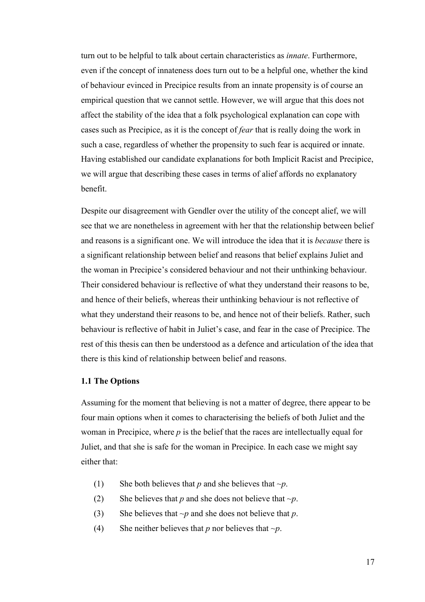turn out to be helpful to talk about certain characteristics as *innate*. Furthermore, even if the concept of innateness does turn out to be a helpful one, whether the kind of behaviour evinced in Precipice results from an innate propensity is of course an empirical question that we cannot settle. However, we will argue that this does not affect the stability of the idea that a folk psychological explanation can cope with cases such as Precipice, as it is the concept of *fear* that is really doing the work in such a case, regardless of whether the propensity to such fear is acquired or innate. Having established our candidate explanations for both Implicit Racist and Precipice, we will argue that describing these cases in terms of alief affords no explanatory benefit.

Despite our disagreement with Gendler over the utility of the concept alief, we will see that we are nonetheless in agreement with her that the relationship between belief and reasons is a significant one. We will introduce the idea that it is *because* there is a significant relationship between belief and reasons that belief explains Juliet and the woman in Precipice's considered behaviour and not their unthinking behaviour. Their considered behaviour is reflective of what they understand their reasons to be, and hence of their beliefs, whereas their unthinking behaviour is not reflective of what they understand their reasons to be, and hence not of their beliefs. Rather, such behaviour is reflective of habit in Juliet's case, and fear in the case of Precipice. The rest of this thesis can then be understood as a defence and articulation of the idea that there is this kind of relationship between belief and reasons.

# **1.1 The Options**

Assuming for the moment that believing is not a matter of degree, there appear to be four main options when it comes to characterising the beliefs of both Juliet and the woman in Precipice, where *p* is the belief that the races are intellectually equal for Juliet, and that she is safe for the woman in Precipice. In each case we might say either that:

- (1) She both believes that *p* and she believes that  $\neg p$ .
- (2) She believes that *p* and she does not believe that  $\neg p$ .
- (3) She believes that *~p* and she does not believe that *p*.
- (4) She neither believes that *p* nor believes that *~p*.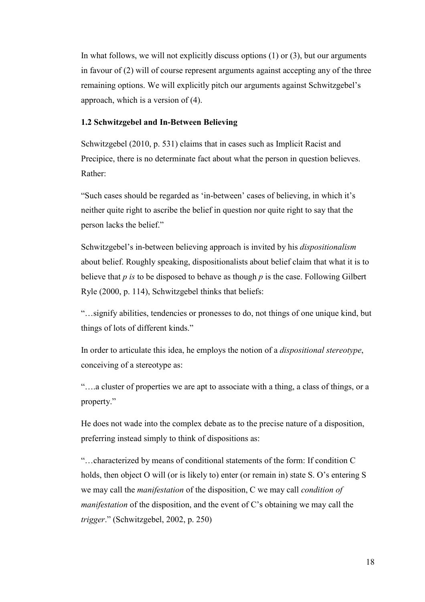In what follows, we will not explicitly discuss options  $(1)$  or  $(3)$ , but our arguments in favour of (2) will of course represent arguments against accepting any of the three remaining options. We will explicitly pitch our arguments against Schwitzgebel's approach, which is a version of (4).

# **1.2 Schwitzgebel and In-Between Believing**

Schwitzgebel (2010, p. 531) claims that in cases such as Implicit Racist and Precipice, there is no determinate fact about what the person in question believes. Rather:

"Such cases should be regarded as 'in-between' cases of believing, in which it's neither quite right to ascribe the belief in question nor quite right to say that the person lacks the belief."

Schwitzgebel's in-between believing approach is invited by his *dispositionalism* about belief. Roughly speaking, dispositionalists about belief claim that what it is to believe that *p is* to be disposed to behave as though *p* is the case. Following Gilbert Ryle (2000, p. 114), Schwitzgebel thinks that beliefs:

"…signify abilities, tendencies or pronesses to do, not things of one unique kind, but things of lots of different kinds."

In order to articulate this idea, he employs the notion of a *dispositional stereotype*, conceiving of a stereotype as:

"….a cluster of properties we are apt to associate with a thing, a class of things, or a property."

He does not wade into the complex debate as to the precise nature of a disposition, preferring instead simply to think of dispositions as:

"…characterized by means of conditional statements of the form: If condition C holds, then object O will (or is likely to) enter (or remain in) state S. O's entering S we may call the *manifestation* of the disposition, C we may call *condition of manifestation* of the disposition, and the event of C's obtaining we may call the *trigger*." (Schwitzgebel, 2002, p. 250)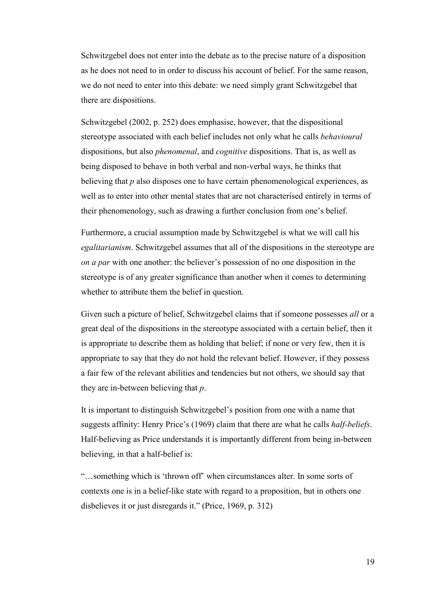Schwitzgebel does not enter into the debate as to the precise nature of a disposition as he does not need to in order to discuss his account of belief. For the same reason, we do not need to enter into this debate: we need simply grant Schwitzgebel that there are dispositions.

Schwitzgebel (2002, p. 252) does emphasise, however, that the dispositional stereotype associated with each belief includes not only what he calls *behavioural* dispositions, but also *phenomenal*, and *cognitive* dispositions. That is, as well as being disposed to behave in both verbal and non-verbal ways, he thinks that believing that *p* also disposes one to have certain phenomenological experiences, as well as to enter into other mental states that are not characterised entirely in terms of their phenomenology, such as drawing a further conclusion from one's belief.

Furthermore, a crucial assumption made by Schwitzgebel is what we will call his *egalitarianism*. Schwitzgebel assumes that all of the dispositions in the stereotype are *on a par* with one another: the believer's possession of no one disposition in the stereotype is of any greater significance than another when it comes to determining whether to attribute them the belief in question.

Given such a picture of belief, Schwitzgebel claims that if someone possesses *all* or a great deal of the dispositions in the stereotype associated with a certain belief, then it is appropriate to describe them as holding that belief; if none or very few, then it is appropriate to say that they do not hold the relevant belief. However, if they possess a fair few of the relevant abilities and tendencies but not others, we should say that they are in-between believing that *p*.

It is important to distinguish Schwitzgebel's position from one with a name that suggests affinity: Henry Price's (1969) claim that there are what he calls *half-beliefs*. Half-believing as Price understands it is importantly different from being in-between believing, in that a half-belief is:

"…something which is 'thrown off' when circumstances alter. In some sorts of contexts one is in a belief-like state with regard to a proposition, but in others one disbelieves it or just disregards it." (Price, 1969, p. 312)

19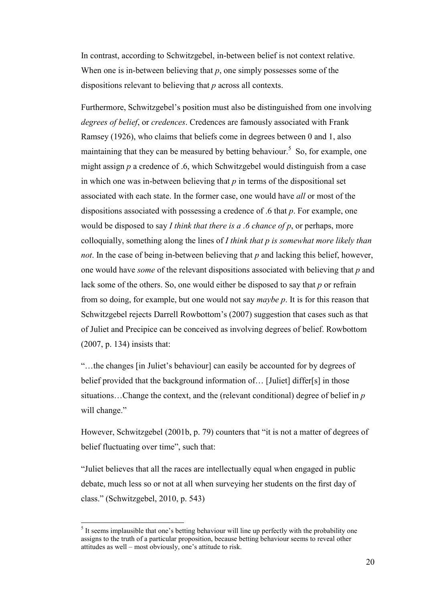In contrast, according to Schwitzgebel, in-between belief is not context relative. When one is in-between believing that p, one simply possesses some of the dispositions relevant to believing that *p* across all contexts.

Furthermore, Schwitzgebel's position must also be distinguished from one involving *degrees of belief*, or *credences*. Credences are famously associated with Frank Ramsey (1926), who claims that beliefs come in degrees between 0 and 1, also maintaining that they can be measured by betting behaviour.<sup>5</sup> So, for example, one might assign *p* a credence of .6, which Schwitzgebel would distinguish from a case in which one was in-between believing that *p* in terms of the dispositional set associated with each state. In the former case, one would have *all* or most of the dispositions associated with possessing a credence of .6 that *p*. For example, one would be disposed to say *I think that there is a .6 chance of p*, or perhaps, more colloquially, something along the lines of *I think that p is somewhat more likely than not*. In the case of being in-between believing that *p* and lacking this belief, however, one would have *some* of the relevant dispositions associated with believing that *p* and lack some of the others. So, one would either be disposed to say that *p* or refrain from so doing, for example, but one would not say *maybe p*. It is for this reason that Schwitzgebel rejects Darrell Rowbottom's (2007) suggestion that cases such as that of Juliet and Precipice can be conceived as involving degrees of belief. Rowbottom (2007, p. 134) insists that:

"…the changes [in Juliet's behaviour] can easily be accounted for by degrees of belief provided that the background information of… [Juliet] differ[s] in those situations…Change the context, and the (relevant conditional) degree of belief in *p*  will change."

However, Schwitzgebel (2001b, p. 79) counters that "it is not a matter of degrees of belief fluctuating over time", such that:

"Juliet believes that all the races are intellectually equal when engaged in public debate, much less so or not at all when surveying her students on the first day of class." (Schwitzgebel, 2010, p. 543)

l

 $<sup>5</sup>$  It seems implausible that one's betting behaviour will line up perfectly with the probability one</sup> assigns to the truth of a particular proposition, because betting behaviour seems to reveal other attitudes as well – most obviously, one's attitude to risk.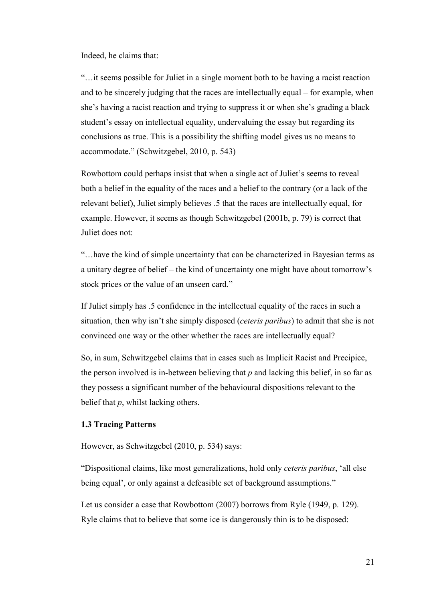Indeed, he claims that:

"…it seems possible for Juliet in a single moment both to be having a racist reaction and to be sincerely judging that the races are intellectually equal – for example, when she's having a racist reaction and trying to suppress it or when she's grading a black student's essay on intellectual equality, undervaluing the essay but regarding its conclusions as true. This is a possibility the shifting model gives us no means to accommodate." (Schwitzgebel, 2010, p. 543)

Rowbottom could perhaps insist that when a single act of Juliet's seems to reveal both a belief in the equality of the races and a belief to the contrary (or a lack of the relevant belief), Juliet simply believes .5 that the races are intellectually equal, for example. However, it seems as though Schwitzgebel (2001b, p. 79) is correct that Juliet does not:

"…have the kind of simple uncertainty that can be characterized in Bayesian terms as a unitary degree of belief – the kind of uncertainty one might have about tomorrow's stock prices or the value of an unseen card."

If Juliet simply has .5 confidence in the intellectual equality of the races in such a situation, then why isn't she simply disposed (*ceteris paribus*) to admit that she is not convinced one way or the other whether the races are intellectually equal?

So, in sum, Schwitzgebel claims that in cases such as Implicit Racist and Precipice, the person involved is in-between believing that *p* and lacking this belief, in so far as they possess a significant number of the behavioural dispositions relevant to the belief that *p*, whilst lacking others.

## **1.3 Tracing Patterns**

However, as Schwitzgebel (2010, p. 534) says:

"Dispositional claims, like most generalizations, hold only *ceteris paribus*, 'all else being equal', or only against a defeasible set of background assumptions."

Let us consider a case that Rowbottom (2007) borrows from Ryle (1949, p. 129). Ryle claims that to believe that some ice is dangerously thin is to be disposed: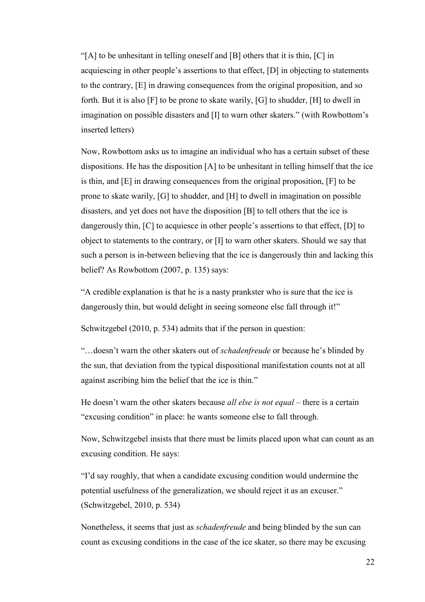"[A] to be unhesitant in telling oneself and [B] others that it is thin, [C] in acquiescing in other people's assertions to that effect, [D] in objecting to statements to the contrary, [E] in drawing consequences from the original proposition, and so forth. But it is also [F] to be prone to skate warily, [G] to shudder, [H] to dwell in imagination on possible disasters and [I] to warn other skaters." (with Rowbottom's inserted letters)

Now, Rowbottom asks us to imagine an individual who has a certain subset of these dispositions. He has the disposition [A] to be unhesitant in telling himself that the ice is thin, and [E] in drawing consequences from the original proposition, [F] to be prone to skate warily, [G] to shudder, and [H] to dwell in imagination on possible disasters, and yet does not have the disposition [B] to tell others that the ice is dangerously thin, [C] to acquiesce in other people's assertions to that effect, [D] to object to statements to the contrary, or [I] to warn other skaters. Should we say that such a person is in-between believing that the ice is dangerously thin and lacking this belief? As Rowbottom (2007, p. 135) says:

"A credible explanation is that he is a nasty prankster who is sure that the ice is dangerously thin, but would delight in seeing someone else fall through it!"

Schwitzgebel (2010, p. 534) admits that if the person in question:

"…doesn't warn the other skaters out of *schadenfreude* or because he's blinded by the sun, that deviation from the typical dispositional manifestation counts not at all against ascribing him the belief that the ice is thin."

He doesn't warn the other skaters because *all else is not equal* – there is a certain "excusing condition" in place: he wants someone else to fall through.

Now, Schwitzgebel insists that there must be limits placed upon what can count as an excusing condition. He says:

"I'd say roughly, that when a candidate excusing condition would undermine the potential usefulness of the generalization, we should reject it as an excuser." (Schwitzgebel, 2010, p. 534)

Nonetheless, it seems that just as *schadenfreude* and being blinded by the sun can count as excusing conditions in the case of the ice skater, so there may be excusing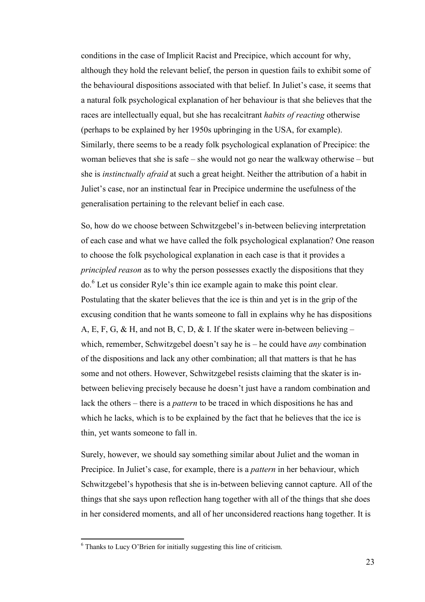conditions in the case of Implicit Racist and Precipice, which account for why, although they hold the relevant belief, the person in question fails to exhibit some of the behavioural dispositions associated with that belief. In Juliet's case, it seems that a natural folk psychological explanation of her behaviour is that she believes that the races are intellectually equal, but she has recalcitrant *habits of reacting* otherwise (perhaps to be explained by her 1950s upbringing in the USA, for example). Similarly, there seems to be a ready folk psychological explanation of Precipice: the woman believes that she is safe – she would not go near the walkway otherwise – but she is *instinctually afraid* at such a great height. Neither the attribution of a habit in Juliet's case, nor an instinctual fear in Precipice undermine the usefulness of the generalisation pertaining to the relevant belief in each case.

So, how do we choose between Schwitzgebel's in-between believing interpretation of each case and what we have called the folk psychological explanation? One reason to choose the folk psychological explanation in each case is that it provides a *principled reason* as to why the person possesses exactly the dispositions that they do.<sup>6</sup> Let us consider Ryle's thin ice example again to make this point clear. Postulating that the skater believes that the ice is thin and yet is in the grip of the excusing condition that he wants someone to fall in explains why he has dispositions A, E, F, G, & H, and not B, C, D, & I. If the skater were in-between believing – which, remember, Schwitzgebel doesn't say he is – he could have *any* combination of the dispositions and lack any other combination; all that matters is that he has some and not others. However, Schwitzgebel resists claiming that the skater is inbetween believing precisely because he doesn't just have a random combination and lack the others – there is a *pattern* to be traced in which dispositions he has and which he lacks, which is to be explained by the fact that he believes that the ice is thin, yet wants someone to fall in.

Surely, however, we should say something similar about Juliet and the woman in Precipice. In Juliet's case, for example, there is a *pattern* in her behaviour, which Schwitzgebel's hypothesis that she is in-between believing cannot capture. All of the things that she says upon reflection hang together with all of the things that she does in her considered moments, and all of her unconsidered reactions hang together. It is

l

<sup>6</sup> Thanks to Lucy O'Brien for initially suggesting this line of criticism.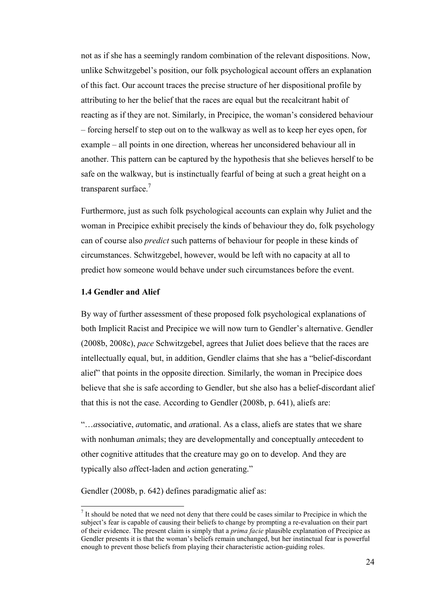not as if she has a seemingly random combination of the relevant dispositions. Now, unlike Schwitzgebel's position, our folk psychological account offers an explanation of this fact. Our account traces the precise structure of her dispositional profile by attributing to her the belief that the races are equal but the recalcitrant habit of reacting as if they are not. Similarly, in Precipice, the woman's considered behaviour – forcing herself to step out on to the walkway as well as to keep her eyes open, for example – all points in one direction, whereas her unconsidered behaviour all in another. This pattern can be captured by the hypothesis that she believes herself to be safe on the walkway, but is instinctually fearful of being at such a great height on a transparent surface.<sup>7</sup>

Furthermore, just as such folk psychological accounts can explain why Juliet and the woman in Precipice exhibit precisely the kinds of behaviour they do, folk psychology can of course also *predict* such patterns of behaviour for people in these kinds of circumstances. Schwitzgebel, however, would be left with no capacity at all to predict how someone would behave under such circumstances before the event.

#### **1.4 Gendler and Alief**

 $\overline{a}$ 

By way of further assessment of these proposed folk psychological explanations of both Implicit Racist and Precipice we will now turn to Gendler's alternative. Gendler (2008b, 2008c), *pace* Schwitzgebel, agrees that Juliet does believe that the races are intellectually equal, but, in addition, Gendler claims that she has a "belief-discordant alief" that points in the opposite direction. Similarly, the woman in Precipice does believe that she is safe according to Gendler, but she also has a belief-discordant alief that this is not the case. According to Gendler (2008b, p. 641), aliefs are:

"…*a*ssociative, *a*utomatic, and *a*rational. As a class, aliefs are states that we share with nonhuman *a*nimals; they are developmentally and conceptually *a*ntecedent to other cognitive attitudes that the creature may go on to develop. And they are typically also *a*ffect-laden and *a*ction generating."

Gendler (2008b, p. 642) defines paradigmatic alief as:

 $<sup>7</sup>$  It should be noted that we need not deny that there could be cases similar to Precipice in which the</sup> subject's fear is capable of causing their beliefs to change by prompting a re-evaluation on their part of their evidence. The present claim is simply that a *prima facie* plausible explanation of Precipice as Gendler presents it is that the woman's beliefs remain unchanged, but her instinctual fear is powerful enough to prevent those beliefs from playing their characteristic action-guiding roles.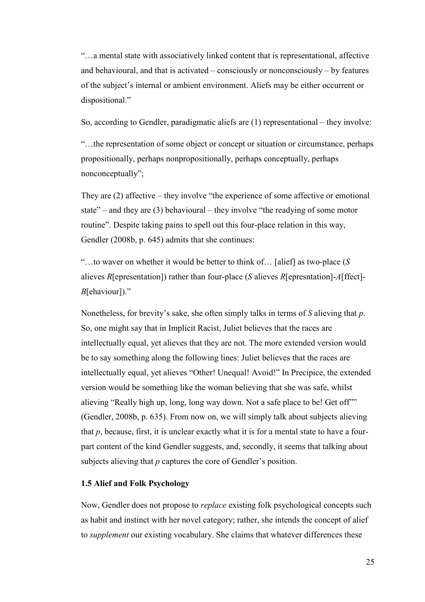"…a mental state with associatively linked content that is representational, affective and behavioural, and that is activated – consciously or nonconsciously – by features of the subject's internal or ambient environment. Aliefs may be either occurrent or dispositional."

So, according to Gendler, paradigmatic aliefs are (1) representational – they involve:

"…the representation of some object or concept or situation or circumstance, perhaps propositionally, perhaps nonpropositionally, perhaps conceptually, perhaps nonconceptually";

They are (2) affective – they involve "the experience of some affective or emotional state" – and they are  $(3)$  behavioural – they involve "the readying of some motor routine". Despite taking pains to spell out this four-place relation in this way, Gendler (2008b, p. 645) admits that she continues:

"…to waver on whether it would be better to think of… [alief] as two-place (*S* alieves *R*[epresentation]) rather than four-place (*S* alieves *R*[epresntation]-*A*[ffect]- *B*[ehaviour])."

Nonetheless, for brevity's sake, she often simply talks in terms of *S* alieving that *p*. So, one might say that in Implicit Racist, Juliet believes that the races are intellectually equal, yet alieves that they are not. The more extended version would be to say something along the following lines: Juliet believes that the races are intellectually equal, yet alieves "Other! Unequal! Avoid!" In Precipice, the extended version would be something like the woman believing that she was safe, whilst alieving "Really high up, long, long way down. Not a safe place to be! Get off"" (Gendler, 2008b, p. 635). From now on, we will simply talk about subjects alieving that *p*, because, first, it is unclear exactly what it is for a mental state to have a fourpart content of the kind Gendler suggests, and, secondly, it seems that talking about subjects alieving that *p* captures the core of Gendler's position.

# **1.5 Alief and Folk Psychology**

Now, Gendler does not propose to *replace* existing folk psychological concepts such as habit and instinct with her novel category; rather, she intends the concept of alief to *supplement* our existing vocabulary. She claims that whatever differences these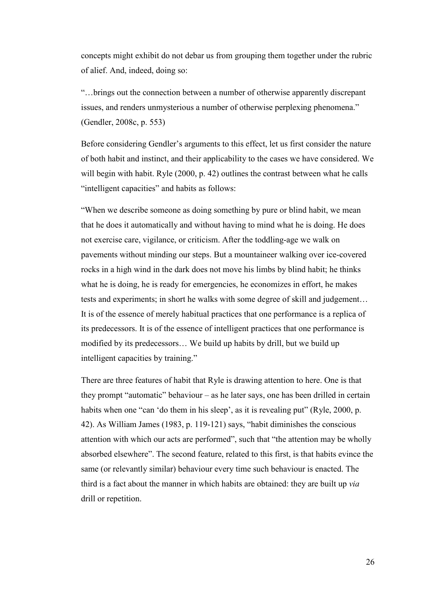concepts might exhibit do not debar us from grouping them together under the rubric of alief. And, indeed, doing so:

"…brings out the connection between a number of otherwise apparently discrepant issues, and renders unmysterious a number of otherwise perplexing phenomena." (Gendler, 2008c, p. 553)

Before considering Gendler's arguments to this effect, let us first consider the nature of both habit and instinct, and their applicability to the cases we have considered. We will begin with habit. Ryle (2000, p. 42) outlines the contrast between what he calls "intelligent capacities" and habits as follows:

"When we describe someone as doing something by pure or blind habit, we mean that he does it automatically and without having to mind what he is doing. He does not exercise care, vigilance, or criticism. After the toddling-age we walk on pavements without minding our steps. But a mountaineer walking over ice-covered rocks in a high wind in the dark does not move his limbs by blind habit; he thinks what he is doing, he is ready for emergencies, he economizes in effort, he makes tests and experiments; in short he walks with some degree of skill and judgement… It is of the essence of merely habitual practices that one performance is a replica of its predecessors. It is of the essence of intelligent practices that one performance is modified by its predecessors… We build up habits by drill, but we build up intelligent capacities by training."

There are three features of habit that Ryle is drawing attention to here. One is that they prompt "automatic" behaviour – as he later says, one has been drilled in certain habits when one "can 'do them in his sleep', as it is revealing put" (Ryle, 2000, p. 42). As William James (1983, p. 119-121) says, "habit diminishes the conscious attention with which our acts are performed", such that "the attention may be wholly absorbed elsewhere". The second feature, related to this first, is that habits evince the same (or relevantly similar) behaviour every time such behaviour is enacted. The third is a fact about the manner in which habits are obtained: they are built up *via* drill or repetition.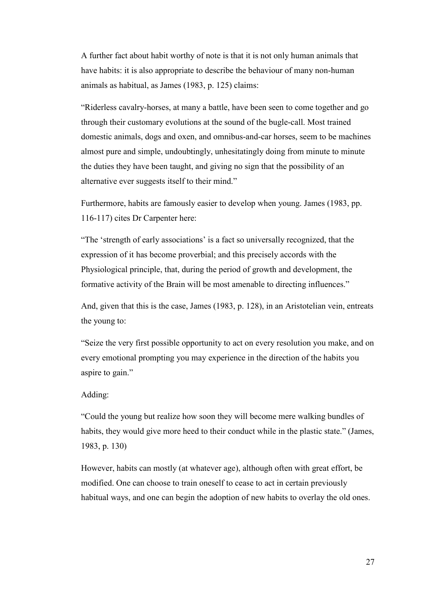A further fact about habit worthy of note is that it is not only human animals that have habits: it is also appropriate to describe the behaviour of many non-human animals as habitual, as James (1983, p. 125) claims:

"Riderless cavalry-horses, at many a battle, have been seen to come together and go through their customary evolutions at the sound of the bugle-call. Most trained domestic animals, dogs and oxen, and omnibus-and-car horses, seem to be machines almost pure and simple, undoubtingly, unhesitatingly doing from minute to minute the duties they have been taught, and giving no sign that the possibility of an alternative ever suggests itself to their mind."

Furthermore, habits are famously easier to develop when young. James (1983, pp. 116-117) cites Dr Carpenter here:

"The 'strength of early associations' is a fact so universally recognized, that the expression of it has become proverbial; and this precisely accords with the Physiological principle, that, during the period of growth and development, the formative activity of the Brain will be most amenable to directing influences."

And, given that this is the case, James (1983, p. 128), in an Aristotelian vein, entreats the young to:

"Seize the very first possible opportunity to act on every resolution you make, and on every emotional prompting you may experience in the direction of the habits you aspire to gain."

# Adding:

"Could the young but realize how soon they will become mere walking bundles of habits, they would give more heed to their conduct while in the plastic state." (James, 1983, p. 130)

However, habits can mostly (at whatever age), although often with great effort, be modified. One can choose to train oneself to cease to act in certain previously habitual ways, and one can begin the adoption of new habits to overlay the old ones.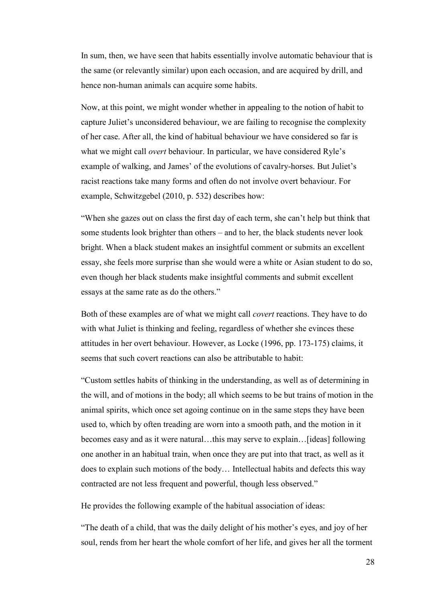In sum, then, we have seen that habits essentially involve automatic behaviour that is the same (or relevantly similar) upon each occasion, and are acquired by drill, and hence non-human animals can acquire some habits.

Now, at this point, we might wonder whether in appealing to the notion of habit to capture Juliet's unconsidered behaviour, we are failing to recognise the complexity of her case. After all, the kind of habitual behaviour we have considered so far is what we might call *overt* behaviour. In particular, we have considered Ryle's example of walking, and James' of the evolutions of cavalry-horses. But Juliet's racist reactions take many forms and often do not involve overt behaviour. For example, Schwitzgebel (2010, p. 532) describes how:

"When she gazes out on class the first day of each term, she can't help but think that some students look brighter than others – and to her, the black students never look bright. When a black student makes an insightful comment or submits an excellent essay, she feels more surprise than she would were a white or Asian student to do so, even though her black students make insightful comments and submit excellent essays at the same rate as do the others."

Both of these examples are of what we might call *covert* reactions. They have to do with what Juliet is thinking and feeling, regardless of whether she evinces these attitudes in her overt behaviour. However, as Locke (1996, pp. 173-175) claims, it seems that such covert reactions can also be attributable to habit:

"Custom settles habits of thinking in the understanding, as well as of determining in the will, and of motions in the body; all which seems to be but trains of motion in the animal spirits, which once set agoing continue on in the same steps they have been used to, which by often treading are worn into a smooth path, and the motion in it becomes easy and as it were natural…this may serve to explain…[ideas] following one another in an habitual train, when once they are put into that tract, as well as it does to explain such motions of the body… Intellectual habits and defects this way contracted are not less frequent and powerful, though less observed."

He provides the following example of the habitual association of ideas:

"The death of a child, that was the daily delight of his mother's eyes, and joy of her soul, rends from her heart the whole comfort of her life, and gives her all the torment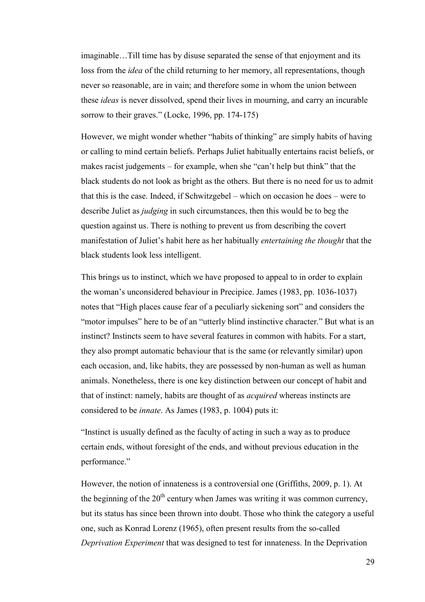imaginable…Till time has by disuse separated the sense of that enjoyment and its loss from the *idea* of the child returning to her memory, all representations, though never so reasonable, are in vain; and therefore some in whom the union between these *ideas* is never dissolved, spend their lives in mourning, and carry an incurable sorrow to their graves." (Locke, 1996, pp. 174-175)

However, we might wonder whether "habits of thinking" are simply habits of having or calling to mind certain beliefs. Perhaps Juliet habitually entertains racist beliefs, or makes racist judgements – for example, when she "can't help but think" that the black students do not look as bright as the others. But there is no need for us to admit that this is the case. Indeed, if Schwitzgebel – which on occasion he does – were to describe Juliet as *judging* in such circumstances, then this would be to beg the question against us. There is nothing to prevent us from describing the covert manifestation of Juliet's habit here as her habitually *entertaining the thought* that the black students look less intelligent.

This brings us to instinct, which we have proposed to appeal to in order to explain the woman's unconsidered behaviour in Precipice. James (1983, pp. 1036-1037) notes that "High places cause fear of a peculiarly sickening sort" and considers the "motor impulses" here to be of an "utterly blind instinctive character." But what is an instinct? Instincts seem to have several features in common with habits. For a start, they also prompt automatic behaviour that is the same (or relevantly similar) upon each occasion, and, like habits, they are possessed by non-human as well as human animals. Nonetheless, there is one key distinction between our concept of habit and that of instinct: namely, habits are thought of as *acquired* whereas instincts are considered to be *innate*. As James (1983, p. 1004) puts it:

"Instinct is usually defined as the faculty of acting in such a way as to produce certain ends, without foresight of the ends, and without previous education in the performance."

However, the notion of innateness is a controversial one (Griffiths, 2009, p. 1). At the beginning of the  $20<sup>th</sup>$  century when James was writing it was common currency, but its status has since been thrown into doubt. Those who think the category a useful one, such as Konrad Lorenz (1965), often present results from the so-called *Deprivation Experiment* that was designed to test for innateness. In the Deprivation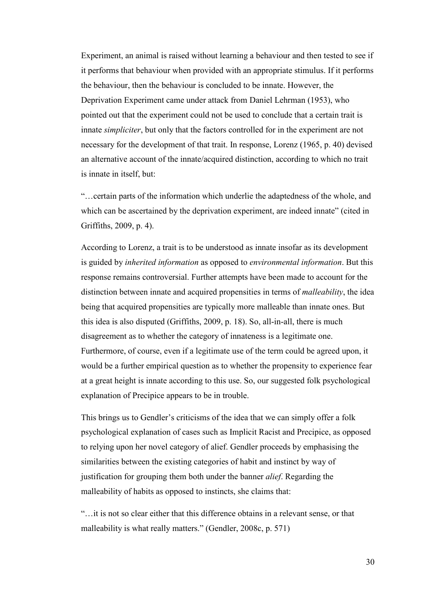Experiment, an animal is raised without learning a behaviour and then tested to see if it performs that behaviour when provided with an appropriate stimulus. If it performs the behaviour, then the behaviour is concluded to be innate. However, the Deprivation Experiment came under attack from Daniel Lehrman (1953), who pointed out that the experiment could not be used to conclude that a certain trait is innate *simpliciter*, but only that the factors controlled for in the experiment are not necessary for the development of that trait. In response, Lorenz (1965, p. 40) devised an alternative account of the innate/acquired distinction, according to which no trait is innate in itself, but:

"…certain parts of the information which underlie the adaptedness of the whole, and which can be ascertained by the deprivation experiment, are indeed innate" (cited in Griffiths, 2009, p. 4).

According to Lorenz, a trait is to be understood as innate insofar as its development is guided by *inherited information* as opposed to *environmental information*. But this response remains controversial. Further attempts have been made to account for the distinction between innate and acquired propensities in terms of *malleability*, the idea being that acquired propensities are typically more malleable than innate ones. But this idea is also disputed (Griffiths, 2009, p. 18). So, all-in-all, there is much disagreement as to whether the category of innateness is a legitimate one. Furthermore, of course, even if a legitimate use of the term could be agreed upon, it would be a further empirical question as to whether the propensity to experience fear at a great height is innate according to this use. So, our suggested folk psychological explanation of Precipice appears to be in trouble.

This brings us to Gendler's criticisms of the idea that we can simply offer a folk psychological explanation of cases such as Implicit Racist and Precipice, as opposed to relying upon her novel category of alief. Gendler proceeds by emphasising the similarities between the existing categories of habit and instinct by way of justification for grouping them both under the banner *alief*. Regarding the malleability of habits as opposed to instincts, she claims that:

"…it is not so clear either that this difference obtains in a relevant sense, or that malleability is what really matters." (Gendler, 2008c, p. 571)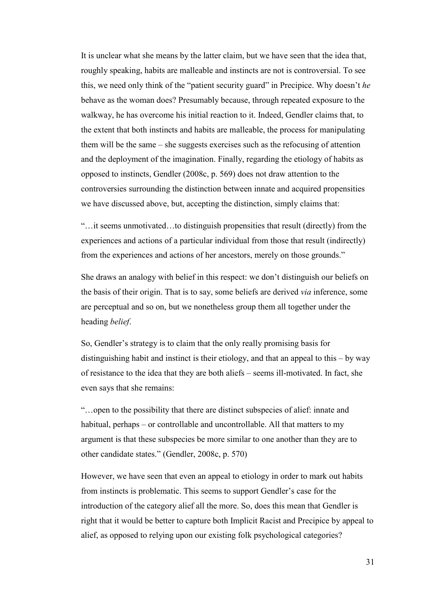It is unclear what she means by the latter claim, but we have seen that the idea that, roughly speaking, habits are malleable and instincts are not is controversial. To see this, we need only think of the "patient security guard" in Precipice. Why doesn't *he* behave as the woman does? Presumably because, through repeated exposure to the walkway, he has overcome his initial reaction to it. Indeed, Gendler claims that, to the extent that both instincts and habits are malleable, the process for manipulating them will be the same – she suggests exercises such as the refocusing of attention and the deployment of the imagination. Finally, regarding the etiology of habits as opposed to instincts, Gendler (2008c, p. 569) does not draw attention to the controversies surrounding the distinction between innate and acquired propensities we have discussed above, but, accepting the distinction, simply claims that:

"…it seems unmotivated…to distinguish propensities that result (directly) from the experiences and actions of a particular individual from those that result (indirectly) from the experiences and actions of her ancestors, merely on those grounds."

She draws an analogy with belief in this respect: we don't distinguish our beliefs on the basis of their origin. That is to say, some beliefs are derived *via* inference, some are perceptual and so on, but we nonetheless group them all together under the heading *belief*.

So, Gendler's strategy is to claim that the only really promising basis for distinguishing habit and instinct is their etiology, and that an appeal to this – by way of resistance to the idea that they are both aliefs – seems ill-motivated. In fact, she even says that she remains:

"…open to the possibility that there are distinct subspecies of alief: innate and habitual, perhaps – or controllable and uncontrollable. All that matters to my argument is that these subspecies be more similar to one another than they are to other candidate states." (Gendler, 2008c, p. 570)

However, we have seen that even an appeal to etiology in order to mark out habits from instincts is problematic. This seems to support Gendler's case for the introduction of the category alief all the more. So, does this mean that Gendler is right that it would be better to capture both Implicit Racist and Precipice by appeal to alief, as opposed to relying upon our existing folk psychological categories?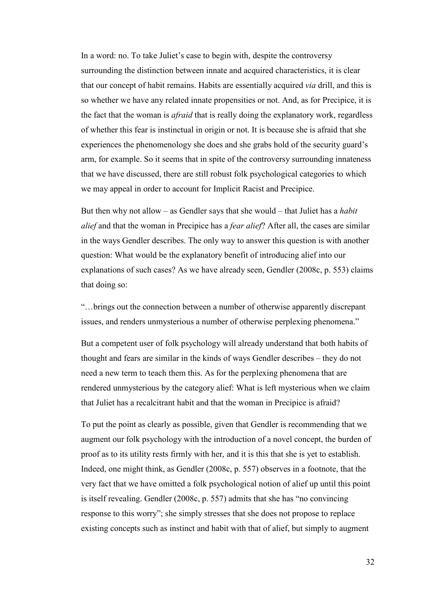In a word: no. To take Juliet's case to begin with, despite the controversy surrounding the distinction between innate and acquired characteristics, it is clear that our concept of habit remains. Habits are essentially acquired *via* drill, and this is so whether we have any related innate propensities or not. And, as for Precipice, it is the fact that the woman is *afraid* that is really doing the explanatory work, regardless of whether this fear is instinctual in origin or not. It is because she is afraid that she experiences the phenomenology she does and she grabs hold of the security guard's arm, for example. So it seems that in spite of the controversy surrounding innateness that we have discussed, there are still robust folk psychological categories to which we may appeal in order to account for Implicit Racist and Precipice.

But then why not allow – as Gendler says that she would – that Juliet has a *habit alief* and that the woman in Precipice has a *fear alief*? After all, the cases are similar in the ways Gendler describes. The only way to answer this question is with another question: What would be the explanatory benefit of introducing alief into our explanations of such cases? As we have already seen, Gendler (2008c, p. 553) claims that doing so:

"…brings out the connection between a number of otherwise apparently discrepant issues, and renders unmysterious a number of otherwise perplexing phenomena."

But a competent user of folk psychology will already understand that both habits of thought and fears are similar in the kinds of ways Gendler describes – they do not need a new term to teach them this. As for the perplexing phenomena that are rendered unmysterious by the category alief: What is left mysterious when we claim that Juliet has a recalcitrant habit and that the woman in Precipice is afraid?

To put the point as clearly as possible, given that Gendler is recommending that we augment our folk psychology with the introduction of a novel concept, the burden of proof as to its utility rests firmly with her, and it is this that she is yet to establish. Indeed, one might think, as Gendler (2008c, p. 557) observes in a footnote, that the very fact that we have omitted a folk psychological notion of alief up until this point is itself revealing. Gendler (2008c, p. 557) admits that she has "no convincing response to this worry"; she simply stresses that she does not propose to replace existing concepts such as instinct and habit with that of alief, but simply to augment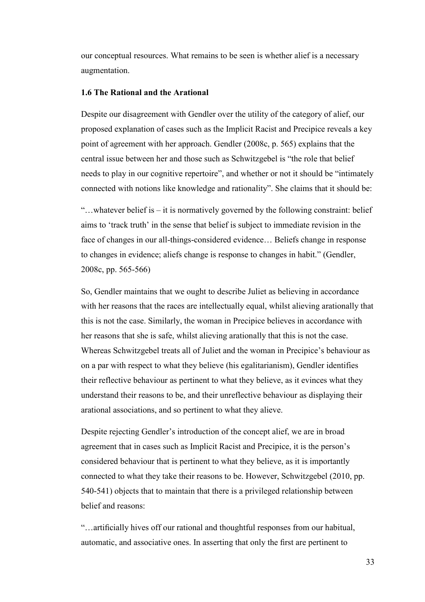our conceptual resources. What remains to be seen is whether alief is a necessary augmentation.

# **1.6 The Rational and the Arational**

Despite our disagreement with Gendler over the utility of the category of alief, our proposed explanation of cases such as the Implicit Racist and Precipice reveals a key point of agreement with her approach. Gendler (2008c, p. 565) explains that the central issue between her and those such as Schwitzgebel is "the role that belief needs to play in our cognitive repertoire", and whether or not it should be "intimately connected with notions like knowledge and rationality". She claims that it should be:

"...whatever belief is  $-$  it is normatively governed by the following constraint: belief aims to 'track truth' in the sense that belief is subject to immediate revision in the face of changes in our all-things-considered evidence… Beliefs change in response to changes in evidence; aliefs change is response to changes in habit." (Gendler, 2008c, pp. 565-566)

So, Gendler maintains that we ought to describe Juliet as believing in accordance with her reasons that the races are intellectually equal, whilst alieving arationally that this is not the case. Similarly, the woman in Precipice believes in accordance with her reasons that she is safe, whilst alieving arationally that this is not the case. Whereas Schwitzgebel treats all of Juliet and the woman in Precipice's behaviour as on a par with respect to what they believe (his egalitarianism), Gendler identifies their reflective behaviour as pertinent to what they believe, as it evinces what they understand their reasons to be, and their unreflective behaviour as displaying their arational associations, and so pertinent to what they alieve.

Despite rejecting Gendler's introduction of the concept alief, we are in broad agreement that in cases such as Implicit Racist and Precipice, it is the person's considered behaviour that is pertinent to what they believe, as it is importantly connected to what they take their reasons to be. However, Schwitzgebel (2010, pp. 540-541) objects that to maintain that there is a privileged relationship between belief and reasons:

"…artificially hives off our rational and thoughtful responses from our habitual, automatic, and associative ones. In asserting that only the first are pertinent to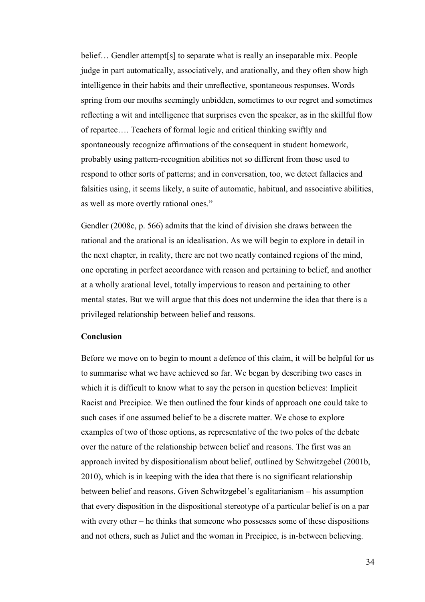belief... Gendler attempt[s] to separate what is really an inseparable mix. People judge in part automatically, associatively, and arationally, and they often show high intelligence in their habits and their unreflective, spontaneous responses. Words spring from our mouths seemingly unbidden, sometimes to our regret and sometimes reflecting a wit and intelligence that surprises even the speaker, as in the skillful flow of repartee…. Teachers of formal logic and critical thinking swiftly and spontaneously recognize affirmations of the consequent in student homework, probably using pattern-recognition abilities not so different from those used to respond to other sorts of patterns; and in conversation, too, we detect fallacies and falsities using, it seems likely, a suite of automatic, habitual, and associative abilities, as well as more overtly rational ones."

Gendler (2008c, p. 566) admits that the kind of division she draws between the rational and the arational is an idealisation. As we will begin to explore in detail in the next chapter, in reality, there are not two neatly contained regions of the mind, one operating in perfect accordance with reason and pertaining to belief, and another at a wholly arational level, totally impervious to reason and pertaining to other mental states. But we will argue that this does not undermine the idea that there is a privileged relationship between belief and reasons.

## **Conclusion**

Before we move on to begin to mount a defence of this claim, it will be helpful for us to summarise what we have achieved so far. We began by describing two cases in which it is difficult to know what to say the person in question believes: Implicit Racist and Precipice. We then outlined the four kinds of approach one could take to such cases if one assumed belief to be a discrete matter. We chose to explore examples of two of those options, as representative of the two poles of the debate over the nature of the relationship between belief and reasons. The first was an approach invited by dispositionalism about belief, outlined by Schwitzgebel (2001b, 2010), which is in keeping with the idea that there is no significant relationship between belief and reasons. Given Schwitzgebel's egalitarianism – his assumption that every disposition in the dispositional stereotype of a particular belief is on a par with every other – he thinks that someone who possesses some of these dispositions and not others, such as Juliet and the woman in Precipice, is in-between believing.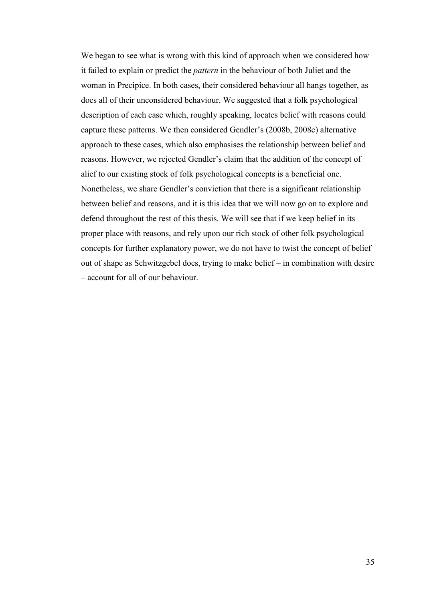We began to see what is wrong with this kind of approach when we considered how it failed to explain or predict the *pattern* in the behaviour of both Juliet and the woman in Precipice. In both cases, their considered behaviour all hangs together, as does all of their unconsidered behaviour. We suggested that a folk psychological description of each case which, roughly speaking, locates belief with reasons could capture these patterns. We then considered Gendler's (2008b, 2008c) alternative approach to these cases, which also emphasises the relationship between belief and reasons. However, we rejected Gendler's claim that the addition of the concept of alief to our existing stock of folk psychological concepts is a beneficial one. Nonetheless, we share Gendler's conviction that there is a significant relationship between belief and reasons, and it is this idea that we will now go on to explore and defend throughout the rest of this thesis. We will see that if we keep belief in its proper place with reasons, and rely upon our rich stock of other folk psychological concepts for further explanatory power, we do not have to twist the concept of belief out of shape as Schwitzgebel does, trying to make belief – in combination with desire – account for all of our behaviour.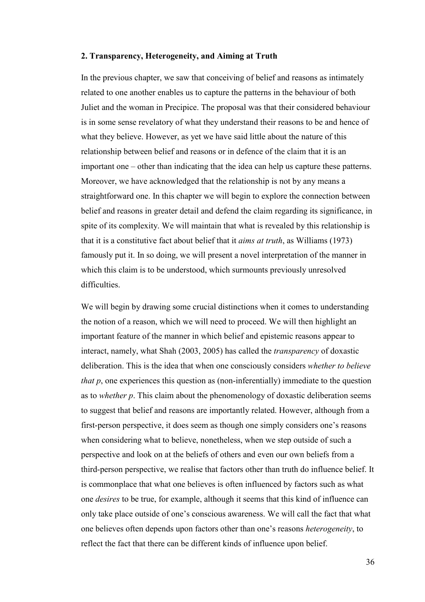## **2. Transparency, Heterogeneity, and Aiming at Truth**

In the previous chapter, we saw that conceiving of belief and reasons as intimately related to one another enables us to capture the patterns in the behaviour of both Juliet and the woman in Precipice. The proposal was that their considered behaviour is in some sense revelatory of what they understand their reasons to be and hence of what they believe. However, as yet we have said little about the nature of this relationship between belief and reasons or in defence of the claim that it is an important one – other than indicating that the idea can help us capture these patterns. Moreover, we have acknowledged that the relationship is not by any means a straightforward one. In this chapter we will begin to explore the connection between belief and reasons in greater detail and defend the claim regarding its significance, in spite of its complexity. We will maintain that what is revealed by this relationship is that it is a constitutive fact about belief that it *aims at truth*, as Williams (1973) famously put it. In so doing, we will present a novel interpretation of the manner in which this claim is to be understood, which surmounts previously unresolved difficulties.

We will begin by drawing some crucial distinctions when it comes to understanding the notion of a reason, which we will need to proceed. We will then highlight an important feature of the manner in which belief and epistemic reasons appear to interact, namely, what Shah (2003, 2005) has called the *transparency* of doxastic deliberation. This is the idea that when one consciously considers *whether to believe that p*, one experiences this question as (non-inferentially) immediate to the question as to *whether p*. This claim about the phenomenology of doxastic deliberation seems to suggest that belief and reasons are importantly related. However, although from a first-person perspective, it does seem as though one simply considers one's reasons when considering what to believe, nonetheless, when we step outside of such a perspective and look on at the beliefs of others and even our own beliefs from a third-person perspective, we realise that factors other than truth do influence belief. It is commonplace that what one believes is often influenced by factors such as what one *desires* to be true, for example, although it seems that this kind of influence can only take place outside of one's conscious awareness. We will call the fact that what one believes often depends upon factors other than one's reasons *heterogeneity*, to reflect the fact that there can be different kinds of influence upon belief.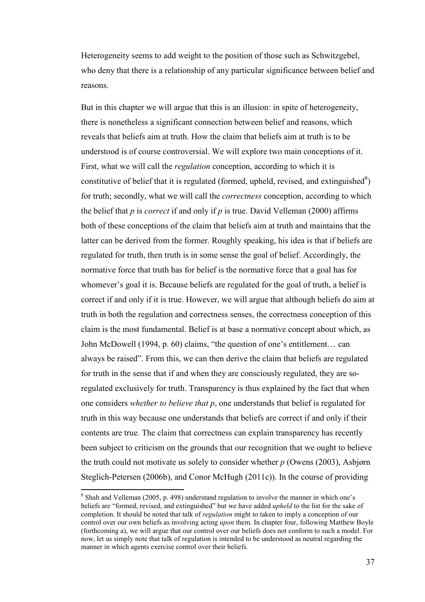Heterogeneity seems to add weight to the position of those such as Schwitzgebel, who deny that there is a relationship of any particular significance between belief and reasons.

But in this chapter we will argue that this is an illusion: in spite of heterogeneity, there is nonetheless a significant connection between belief and reasons, which reveals that beliefs aim at truth. How the claim that beliefs aim at truth is to be understood is of course controversial. We will explore two main conceptions of it. First, what we will call the *regulation* conception, according to which it is constitutive of belief that it is regulated (formed, upheld, revised, and extinguished $8$ ) for truth; secondly, what we will call the *correctness* conception, according to which the belief that *p* is *correct* if and only if *p* is true. David Velleman (2000) affirms both of these conceptions of the claim that beliefs aim at truth and maintains that the latter can be derived from the former. Roughly speaking, his idea is that if beliefs are regulated for truth, then truth is in some sense the goal of belief. Accordingly, the normative force that truth has for belief is the normative force that a goal has for whomever's goal it is. Because beliefs are regulated for the goal of truth, a belief is correct if and only if it is true. However, we will argue that although beliefs do aim at truth in both the regulation and correctness senses, the correctness conception of this claim is the most fundamental. Belief is at base a normative concept about which, as John McDowell (1994, p. 60) claims, "the question of one's entitlement… can always be raised". From this, we can then derive the claim that beliefs are regulated for truth in the sense that if and when they are consciously regulated, they are soregulated exclusively for truth. Transparency is thus explained by the fact that when one considers *whether to believe that p*, one understands that belief is regulated for truth in this way because one understands that beliefs are correct if and only if their contents are true. The claim that correctness can explain transparency has recently been subject to criticism on the grounds that our recognition that we ought to believe the truth could not motivate us solely to consider whether *p* (Owens (2003), Asbjørn Steglich-Petersen (2006b), and Conor McHugh (2011c)). In the course of providing

l

 $8$  Shah and Velleman (2005, p. 498) understand regulation to involve the manner in which one's beliefs are "formed, revised, and extinguished" but we have added *upheld* to the list for the sake of completion. It should be noted that talk of *regulation* might to taken to imply a conception of our control over our own beliefs as involving acting *upon* them. In chapter four, following Matthew Boyle (forthcoming a), we will argue that our control over our beliefs does not conform to such a model. For now, let us simply note that talk of regulation is intended to be understood as neutral regarding the manner in which agents exercise control over their beliefs.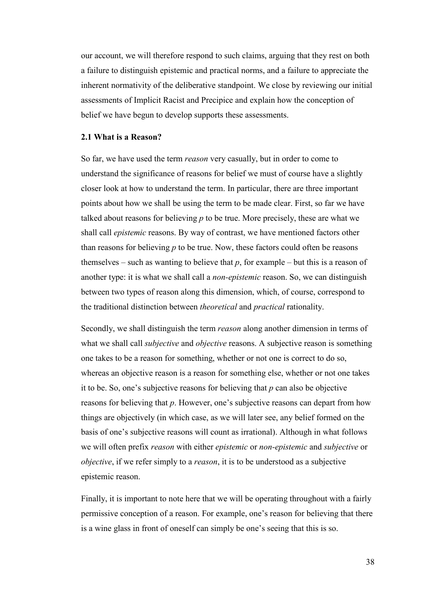our account, we will therefore respond to such claims, arguing that they rest on both a failure to distinguish epistemic and practical norms, and a failure to appreciate the inherent normativity of the deliberative standpoint. We close by reviewing our initial assessments of Implicit Racist and Precipice and explain how the conception of belief we have begun to develop supports these assessments.

## **2.1 What is a Reason?**

So far, we have used the term *reason* very casually, but in order to come to understand the significance of reasons for belief we must of course have a slightly closer look at how to understand the term. In particular, there are three important points about how we shall be using the term to be made clear. First, so far we have talked about reasons for believing *p* to be true. More precisely, these are what we shall call *epistemic* reasons. By way of contrast, we have mentioned factors other than reasons for believing *p* to be true. Now, these factors could often be reasons themselves – such as wanting to believe that  $p$ , for example – but this is a reason of another type: it is what we shall call a *non-epistemic* reason. So, we can distinguish between two types of reason along this dimension, which, of course, correspond to the traditional distinction between *theoretical* and *practical* rationality.

Secondly, we shall distinguish the term *reason* along another dimension in terms of what we shall call *subjective* and *objective* reasons. A subjective reason is something one takes to be a reason for something, whether or not one is correct to do so, whereas an objective reason is a reason for something else, whether or not one takes it to be. So, one's subjective reasons for believing that *p* can also be objective reasons for believing that *p*. However, one's subjective reasons can depart from how things are objectively (in which case, as we will later see, any belief formed on the basis of one's subjective reasons will count as irrational). Although in what follows we will often prefix *reason* with either *epistemic* or *non-epistemic* and *subjective* or *objective*, if we refer simply to a *reason*, it is to be understood as a subjective epistemic reason.

Finally, it is important to note here that we will be operating throughout with a fairly permissive conception of a reason. For example, one's reason for believing that there is a wine glass in front of oneself can simply be one's seeing that this is so.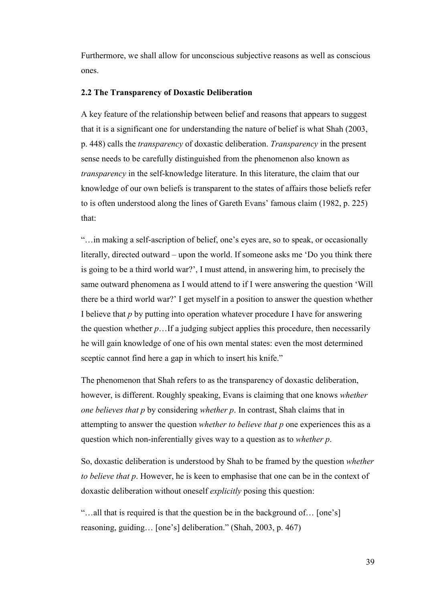Furthermore, we shall allow for unconscious subjective reasons as well as conscious ones.

## **2.2 The Transparency of Doxastic Deliberation**

A key feature of the relationship between belief and reasons that appears to suggest that it is a significant one for understanding the nature of belief is what Shah (2003, p. 448) calls the *transparency* of doxastic deliberation. *Transparency* in the present sense needs to be carefully distinguished from the phenomenon also known as *transparency* in the self-knowledge literature. In this literature, the claim that our knowledge of our own beliefs is transparent to the states of affairs those beliefs refer to is often understood along the lines of Gareth Evans' famous claim (1982, p. 225) that:

"…in making a self-ascription of belief, one's eyes are, so to speak, or occasionally literally, directed outward – upon the world. If someone asks me 'Do you think there is going to be a third world war?', I must attend, in answering him, to precisely the same outward phenomena as I would attend to if I were answering the question 'Will there be a third world war?' I get myself in a position to answer the question whether I believe that *p* by putting into operation whatever procedure I have for answering the question whether *p*…If a judging subject applies this procedure, then necessarily he will gain knowledge of one of his own mental states: even the most determined sceptic cannot find here a gap in which to insert his knife."

The phenomenon that Shah refers to as the transparency of doxastic deliberation, however, is different. Roughly speaking, Evans is claiming that one knows *whether one believes that p* by considering *whether p*. In contrast, Shah claims that in attempting to answer the question *whether to believe that p* one experiences this as a question which non-inferentially gives way to a question as to *whether p*.

So, doxastic deliberation is understood by Shah to be framed by the question *whether to believe that p*. However, he is keen to emphasise that one can be in the context of doxastic deliberation without oneself *explicitly* posing this question:

"…all that is required is that the question be in the background of… [one's] reasoning, guiding… [one's] deliberation." (Shah, 2003, p. 467)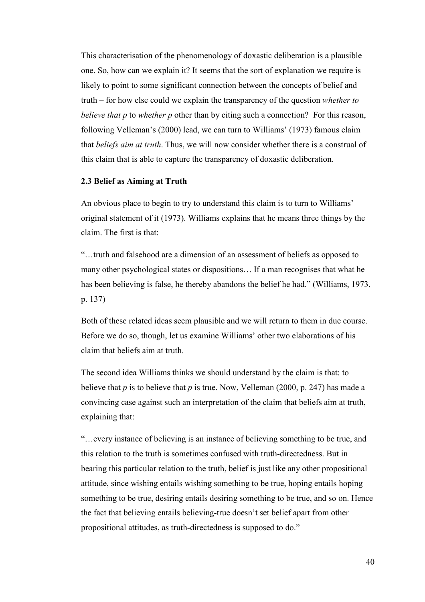This characterisation of the phenomenology of doxastic deliberation is a plausible one. So, how can we explain it? It seems that the sort of explanation we require is likely to point to some significant connection between the concepts of belief and truth – for how else could we explain the transparency of the question *whether to believe that p* to *whether p* other than by citing such a connection? For this reason, following Velleman's (2000) lead, we can turn to Williams' (1973) famous claim that *beliefs aim at truth*. Thus, we will now consider whether there is a construal of this claim that is able to capture the transparency of doxastic deliberation.

## **2.3 Belief as Aiming at Truth**

An obvious place to begin to try to understand this claim is to turn to Williams' original statement of it (1973). Williams explains that he means three things by the claim. The first is that:

"…truth and falsehood are a dimension of an assessment of beliefs as opposed to many other psychological states or dispositions… If a man recognises that what he has been believing is false, he thereby abandons the belief he had." (Williams, 1973, p. 137)

Both of these related ideas seem plausible and we will return to them in due course. Before we do so, though, let us examine Williams' other two elaborations of his claim that beliefs aim at truth.

The second idea Williams thinks we should understand by the claim is that: to believe that *p* is to believe that *p* is true. Now, Velleman (2000, p. 247) has made a convincing case against such an interpretation of the claim that beliefs aim at truth, explaining that:

"…every instance of believing is an instance of believing something to be true, and this relation to the truth is sometimes confused with truth-directedness. But in bearing this particular relation to the truth, belief is just like any other propositional attitude, since wishing entails wishing something to be true, hoping entails hoping something to be true, desiring entails desiring something to be true, and so on. Hence the fact that believing entails believing-true doesn't set belief apart from other propositional attitudes, as truth-directedness is supposed to do."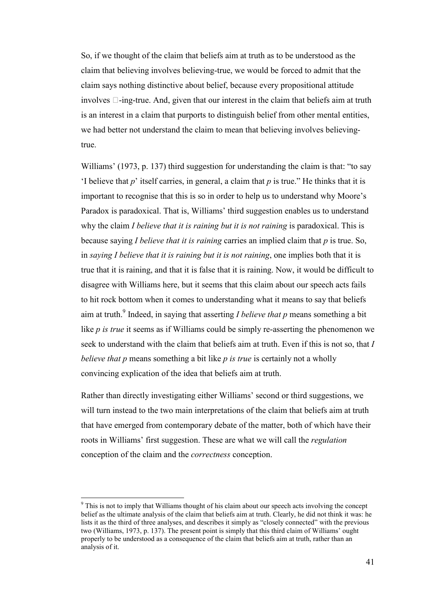So, if we thought of the claim that beliefs aim at truth as to be understood as the claim that believing involves believing-true, we would be forced to admit that the claim says nothing distinctive about belief, because every propositional attitude involves U-ing-true. And, given that our interest in the claim that beliefs aim at truth is an interest in a claim that purports to distinguish belief from other mental entities, we had better not understand the claim to mean that believing involves believingtrue.

Williams' (1973, p. 137) third suggestion for understanding the claim is that: "to say 'I believe that *p*' itself carries, in general, a claim that *p* is true." He thinks that it is important to recognise that this is so in order to help us to understand why Moore's Paradox is paradoxical. That is, Williams' third suggestion enables us to understand why the claim *I believe that it is raining but it is not raining* is paradoxical. This is because saying *I believe that it is raining* carries an implied claim that *p* is true. So, in *saying I believe that it is raining but it is not raining*, one implies both that it is true that it is raining, and that it is false that it is raining. Now, it would be difficult to disagree with Williams here, but it seems that this claim about our speech acts fails to hit rock bottom when it comes to understanding what it means to say that beliefs aim at truth.<sup>9</sup> Indeed, in saying that asserting *I believe that p* means something a bit like *p is true* it seems as if Williams could be simply re-asserting the phenomenon we seek to understand with the claim that beliefs aim at truth. Even if this is not so, that *I believe that p* means something a bit like *p is true* is certainly not a wholly convincing explication of the idea that beliefs aim at truth.

Rather than directly investigating either Williams' second or third suggestions, we will turn instead to the two main interpretations of the claim that beliefs aim at truth that have emerged from contemporary debate of the matter, both of which have their roots in Williams' first suggestion. These are what we will call the *regulation* conception of the claim and the *correctness* conception.

l

<sup>&</sup>lt;sup>9</sup> This is not to imply that Williams thought of his claim about our speech acts involving the concept belief as the ultimate analysis of the claim that beliefs aim at truth. Clearly, he did not think it was: he lists it as the third of three analyses, and describes it simply as "closely connected" with the previous two (Williams, 1973, p. 137). The present point is simply that this third claim of Williams' ought properly to be understood as a consequence of the claim that beliefs aim at truth, rather than an analysis of it.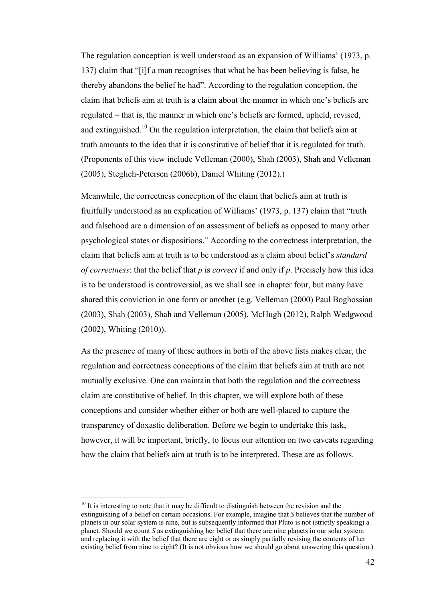The regulation conception is well understood as an expansion of Williams' (1973, p. 137) claim that "[i]f a man recognises that what he has been believing is false, he thereby abandons the belief he had". According to the regulation conception, the claim that beliefs aim at truth is a claim about the manner in which one's beliefs are regulated – that is, the manner in which one's beliefs are formed, upheld, revised, and extinguished.<sup>10</sup> On the regulation interpretation, the claim that beliefs aim at truth amounts to the idea that it is constitutive of belief that it is regulated for truth. (Proponents of this view include Velleman (2000), Shah (2003), Shah and Velleman (2005), Steglich-Petersen (2006b), Daniel Whiting (2012).)

Meanwhile, the correctness conception of the claim that beliefs aim at truth is fruitfully understood as an explication of Williams' (1973, p. 137) claim that "truth and falsehood are a dimension of an assessment of beliefs as opposed to many other psychological states or dispositions." According to the correctness interpretation, the claim that beliefs aim at truth is to be understood as a claim about belief's *standard of correctness*: that the belief that *p* is *correct* if and only if *p*. Precisely how this idea is to be understood is controversial, as we shall see in chapter four, but many have shared this conviction in one form or another (e.g. Velleman (2000) Paul Boghossian (2003), Shah (2003), Shah and Velleman (2005), McHugh (2012), Ralph Wedgwood (2002), Whiting (2010)).

As the presence of many of these authors in both of the above lists makes clear, the regulation and correctness conceptions of the claim that beliefs aim at truth are not mutually exclusive. One can maintain that both the regulation and the correctness claim are constitutive of belief. In this chapter, we will explore both of these conceptions and consider whether either or both are well-placed to capture the transparency of doxastic deliberation. Before we begin to undertake this task, however, it will be important, briefly, to focus our attention on two caveats regarding how the claim that beliefs aim at truth is to be interpreted. These are as follows.

l

 $10$  It is interesting to note that it may be difficult to distinguish between the revision and the extinguishing of a belief on certain occasions. For example, imagine that *S* believes that the number of planets in our solar system is nine, but is subsequently informed that Pluto is not (strictly speaking) a planet. Should we count *S* as extinguishing her belief that there are nine planets in our solar system and replacing it with the belief that there are eight or as simply partially revising the contents of her existing belief from nine to eight? (It is not obvious how we should go about answering this question.)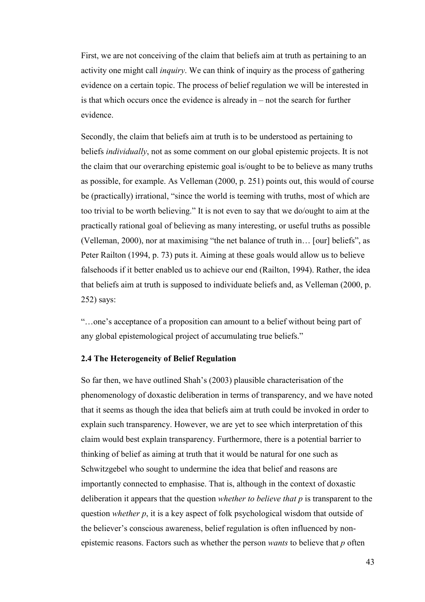First, we are not conceiving of the claim that beliefs aim at truth as pertaining to an activity one might call *inquiry*. We can think of inquiry as the process of gathering evidence on a certain topic. The process of belief regulation we will be interested in is that which occurs once the evidence is already in – not the search for further evidence.

Secondly, the claim that beliefs aim at truth is to be understood as pertaining to beliefs *individually*, not as some comment on our global epistemic projects. It is not the claim that our overarching epistemic goal is/ought to be to believe as many truths as possible, for example. As Velleman (2000, p. 251) points out, this would of course be (practically) irrational, "since the world is teeming with truths, most of which are too trivial to be worth believing." It is not even to say that we do/ought to aim at the practically rational goal of believing as many interesting, or useful truths as possible (Velleman, 2000), nor at maximising "the net balance of truth in… [our] beliefs", as Peter Railton (1994, p. 73) puts it. Aiming at these goals would allow us to believe falsehoods if it better enabled us to achieve our end (Railton, 1994). Rather, the idea that beliefs aim at truth is supposed to individuate beliefs and, as Velleman (2000, p. 252) says:

"…one's acceptance of a proposition can amount to a belief without being part of any global epistemological project of accumulating true beliefs."

# **2.4 The Heterogeneity of Belief Regulation**

So far then, we have outlined Shah's (2003) plausible characterisation of the phenomenology of doxastic deliberation in terms of transparency, and we have noted that it seems as though the idea that beliefs aim at truth could be invoked in order to explain such transparency. However, we are yet to see which interpretation of this claim would best explain transparency. Furthermore, there is a potential barrier to thinking of belief as aiming at truth that it would be natural for one such as Schwitzgebel who sought to undermine the idea that belief and reasons are importantly connected to emphasise. That is, although in the context of doxastic deliberation it appears that the question *whether to believe that p* is transparent to the question *whether p*, it is a key aspect of folk psychological wisdom that outside of the believer's conscious awareness, belief regulation is often influenced by nonepistemic reasons. Factors such as whether the person *wants* to believe that *p* often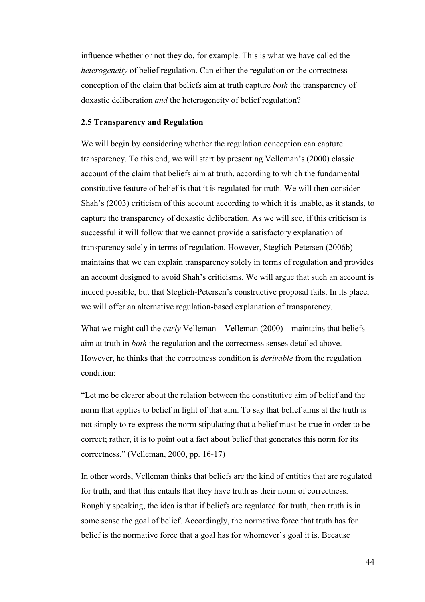influence whether or not they do, for example. This is what we have called the *heterogeneity* of belief regulation. Can either the regulation or the correctness conception of the claim that beliefs aim at truth capture *both* the transparency of doxastic deliberation *and* the heterogeneity of belief regulation?

## **2.5 Transparency and Regulation**

We will begin by considering whether the regulation conception can capture transparency. To this end, we will start by presenting Velleman's (2000) classic account of the claim that beliefs aim at truth, according to which the fundamental constitutive feature of belief is that it is regulated for truth. We will then consider Shah's (2003) criticism of this account according to which it is unable, as it stands, to capture the transparency of doxastic deliberation. As we will see, if this criticism is successful it will follow that we cannot provide a satisfactory explanation of transparency solely in terms of regulation. However, Steglich-Petersen (2006b) maintains that we can explain transparency solely in terms of regulation and provides an account designed to avoid Shah's criticisms. We will argue that such an account is indeed possible, but that Steglich-Petersen's constructive proposal fails. In its place, we will offer an alternative regulation-based explanation of transparency.

What we might call the *early* Velleman – Velleman (2000) – maintains that beliefs aim at truth in *both* the regulation and the correctness senses detailed above. However, he thinks that the correctness condition is *derivable* from the regulation condition:

"Let me be clearer about the relation between the constitutive aim of belief and the norm that applies to belief in light of that aim. To say that belief aims at the truth is not simply to re-express the norm stipulating that a belief must be true in order to be correct; rather, it is to point out a fact about belief that generates this norm for its correctness." (Velleman, 2000, pp. 16-17)

In other words, Velleman thinks that beliefs are the kind of entities that are regulated for truth, and that this entails that they have truth as their norm of correctness. Roughly speaking, the idea is that if beliefs are regulated for truth, then truth is in some sense the goal of belief. Accordingly, the normative force that truth has for belief is the normative force that a goal has for whomever's goal it is. Because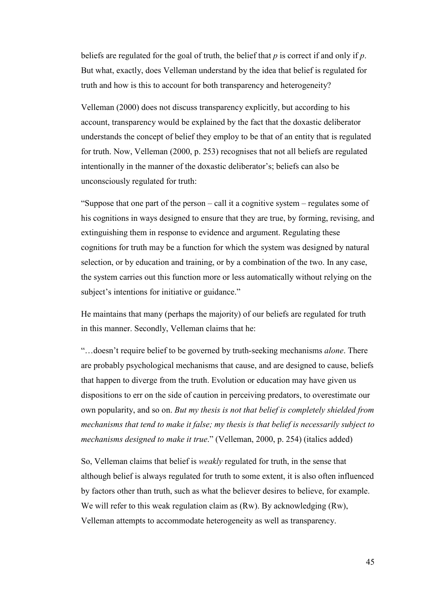beliefs are regulated for the goal of truth, the belief that *p* is correct if and only if *p*. But what, exactly, does Velleman understand by the idea that belief is regulated for truth and how is this to account for both transparency and heterogeneity?

Velleman (2000) does not discuss transparency explicitly, but according to his account, transparency would be explained by the fact that the doxastic deliberator understands the concept of belief they employ to be that of an entity that is regulated for truth. Now, Velleman (2000, p. 253) recognises that not all beliefs are regulated intentionally in the manner of the doxastic deliberator's; beliefs can also be unconsciously regulated for truth:

"Suppose that one part of the person – call it a cognitive system – regulates some of his cognitions in ways designed to ensure that they are true, by forming, revising, and extinguishing them in response to evidence and argument. Regulating these cognitions for truth may be a function for which the system was designed by natural selection, or by education and training, or by a combination of the two. In any case, the system carries out this function more or less automatically without relying on the subject's intentions for initiative or guidance."

He maintains that many (perhaps the majority) of our beliefs are regulated for truth in this manner. Secondly, Velleman claims that he:

"…doesn't require belief to be governed by truth-seeking mechanisms *alone*. There are probably psychological mechanisms that cause, and are designed to cause, beliefs that happen to diverge from the truth. Evolution or education may have given us dispositions to err on the side of caution in perceiving predators, to overestimate our own popularity, and so on. *But my thesis is not that belief is completely shielded from mechanisms that tend to make it false; my thesis is that belief is necessarily subject to mechanisms designed to make it true*." (Velleman, 2000, p. 254) (italics added)

So, Velleman claims that belief is *weakly* regulated for truth, in the sense that although belief is always regulated for truth to some extent, it is also often influenced by factors other than truth, such as what the believer desires to believe, for example. We will refer to this weak regulation claim as (Rw). By acknowledging (Rw), Velleman attempts to accommodate heterogeneity as well as transparency.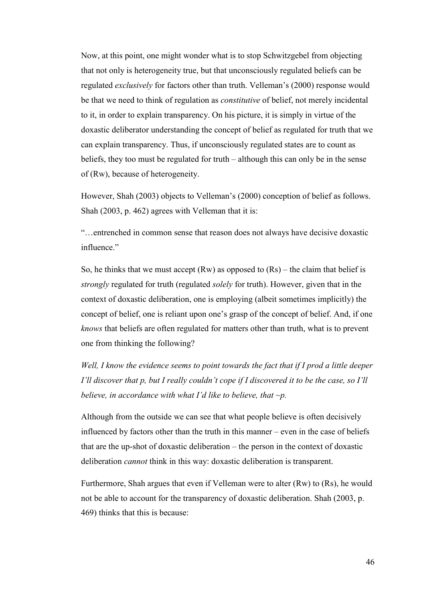Now, at this point, one might wonder what is to stop Schwitzgebel from objecting that not only is heterogeneity true, but that unconsciously regulated beliefs can be regulated *exclusively* for factors other than truth. Velleman's (2000) response would be that we need to think of regulation as *constitutive* of belief, not merely incidental to it, in order to explain transparency. On his picture, it is simply in virtue of the doxastic deliberator understanding the concept of belief as regulated for truth that we can explain transparency. Thus, if unconsciously regulated states are to count as beliefs, they too must be regulated for truth – although this can only be in the sense of (Rw), because of heterogeneity.

However, Shah (2003) objects to Velleman's (2000) conception of belief as follows. Shah (2003, p. 462) agrees with Velleman that it is:

"…entrenched in common sense that reason does not always have decisive doxastic influence"

So, he thinks that we must accept  $(Rw)$  as opposed to  $(Rs)$  – the claim that belief is *strongly* regulated for truth (regulated *solely* for truth). However, given that in the context of doxastic deliberation, one is employing (albeit sometimes implicitly) the concept of belief, one is reliant upon one's grasp of the concept of belief. And, if one *knows* that beliefs are often regulated for matters other than truth, what is to prevent one from thinking the following?

*Well, I know the evidence seems to point towards the fact that if I prod a little deeper I'll discover that p, but I really couldn't cope if I discovered it to be the case, so I'll believe, in accordance with what I'd like to believe, that ~p.*

Although from the outside we can see that what people believe is often decisively influenced by factors other than the truth in this manner – even in the case of beliefs that are the up-shot of doxastic deliberation – the person in the context of doxastic deliberation *cannot* think in this way: doxastic deliberation is transparent.

Furthermore, Shah argues that even if Velleman were to alter (Rw) to (Rs), he would not be able to account for the transparency of doxastic deliberation. Shah (2003, p. 469) thinks that this is because: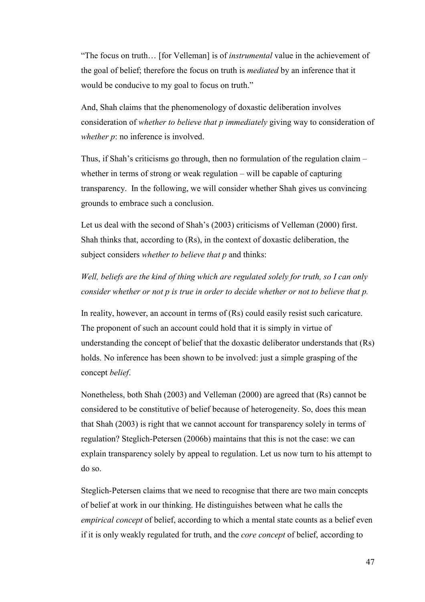"The focus on truth… [for Velleman] is of *instrumental* value in the achievement of the goal of belief; therefore the focus on truth is *mediated* by an inference that it would be conducive to my goal to focus on truth."

And, Shah claims that the phenomenology of doxastic deliberation involves consideration of *whether to believe that p immediately* giving way to consideration of *whether p*: no inference is involved.

Thus, if Shah's criticisms go through, then no formulation of the regulation claim – whether in terms of strong or weak regulation – will be capable of capturing transparency. In the following, we will consider whether Shah gives us convincing grounds to embrace such a conclusion.

Let us deal with the second of Shah's (2003) criticisms of Velleman (2000) first. Shah thinks that, according to (Rs), in the context of doxastic deliberation, the subject considers *whether to believe that p* and thinks:

*Well, beliefs are the kind of thing which are regulated solely for truth, so I can only consider whether or not p is true in order to decide whether or not to believe that p.* 

In reality, however, an account in terms of (Rs) could easily resist such caricature. The proponent of such an account could hold that it is simply in virtue of understanding the concept of belief that the doxastic deliberator understands that (Rs) holds. No inference has been shown to be involved: just a simple grasping of the concept *belief*.

Nonetheless, both Shah (2003) and Velleman (2000) are agreed that (Rs) cannot be considered to be constitutive of belief because of heterogeneity. So, does this mean that Shah (2003) is right that we cannot account for transparency solely in terms of regulation? Steglich-Petersen (2006b) maintains that this is not the case: we can explain transparency solely by appeal to regulation. Let us now turn to his attempt to do so.

Steglich-Petersen claims that we need to recognise that there are two main concepts of belief at work in our thinking. He distinguishes between what he calls the *empirical concept* of belief, according to which a mental state counts as a belief even if it is only weakly regulated for truth, and the *core concept* of belief, according to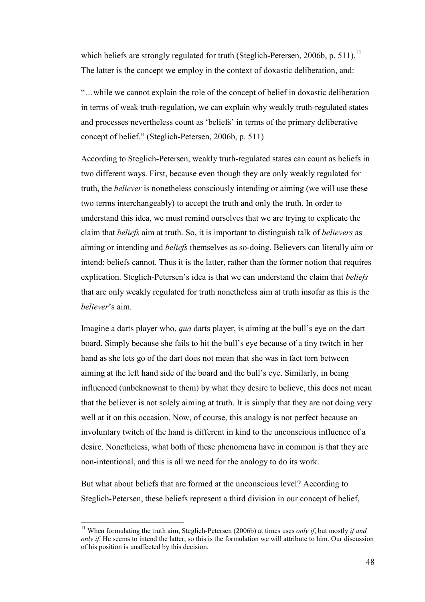which beliefs are strongly regulated for truth (Steglich-Petersen, 2006b, p. 511).<sup>11</sup> The latter is the concept we employ in the context of doxastic deliberation, and:

"…while we cannot explain the role of the concept of belief in doxastic deliberation in terms of weak truth-regulation, we can explain why weakly truth-regulated states and processes nevertheless count as 'beliefs' in terms of the primary deliberative concept of belief." (Steglich-Petersen, 2006b, p. 511)

According to Steglich-Petersen, weakly truth-regulated states can count as beliefs in two different ways. First, because even though they are only weakly regulated for truth, the *believer* is nonetheless consciously intending or aiming (we will use these two terms interchangeably) to accept the truth and only the truth. In order to understand this idea, we must remind ourselves that we are trying to explicate the claim that *beliefs* aim at truth. So, it is important to distinguish talk of *believers* as aiming or intending and *beliefs* themselves as so-doing. Believers can literally aim or intend; beliefs cannot. Thus it is the latter, rather than the former notion that requires explication. Steglich-Petersen's idea is that we can understand the claim that *beliefs* that are only weakly regulated for truth nonetheless aim at truth insofar as this is the *believer*'s aim.

Imagine a darts player who, *qua* darts player, is aiming at the bull's eye on the dart board. Simply because she fails to hit the bull's eye because of a tiny twitch in her hand as she lets go of the dart does not mean that she was in fact torn between aiming at the left hand side of the board and the bull's eye. Similarly, in being influenced (unbeknownst to them) by what they desire to believe, this does not mean that the believer is not solely aiming at truth. It is simply that they are not doing very well at it on this occasion. Now, of course, this analogy is not perfect because an involuntary twitch of the hand is different in kind to the unconscious influence of a desire. Nonetheless, what both of these phenomena have in common is that they are non-intentional, and this is all we need for the analogy to do its work.

But what about beliefs that are formed at the unconscious level? According to Steglich-Petersen, these beliefs represent a third division in our concept of belief,

l

<sup>11</sup> When formulating the truth aim, Steglich-Petersen (2006b) at times uses *only if*, but mostly *if and only if.* He seems to intend the latter, so this is the formulation we will attribute to him. Our discussion of his position is unaffected by this decision.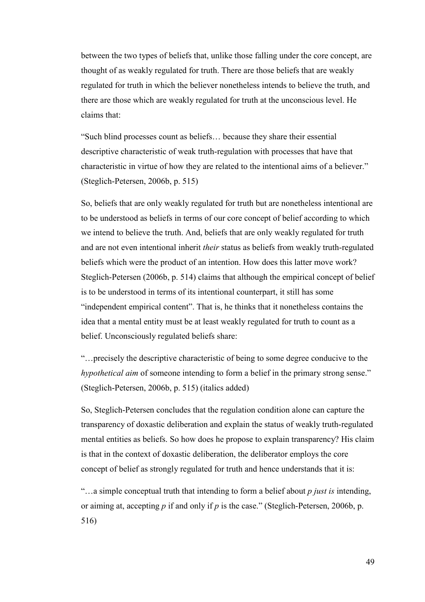between the two types of beliefs that, unlike those falling under the core concept, are thought of as weakly regulated for truth. There are those beliefs that are weakly regulated for truth in which the believer nonetheless intends to believe the truth, and there are those which are weakly regulated for truth at the unconscious level. He claims that:

"Such blind processes count as beliefs… because they share their essential descriptive characteristic of weak truth-regulation with processes that have that characteristic in virtue of how they are related to the intentional aims of a believer." (Steglich-Petersen, 2006b, p. 515)

So, beliefs that are only weakly regulated for truth but are nonetheless intentional are to be understood as beliefs in terms of our core concept of belief according to which we intend to believe the truth. And, beliefs that are only weakly regulated for truth and are not even intentional inherit *their* status as beliefs from weakly truth-regulated beliefs which were the product of an intention. How does this latter move work? Steglich-Petersen (2006b, p. 514) claims that although the empirical concept of belief is to be understood in terms of its intentional counterpart, it still has some "independent empirical content". That is, he thinks that it nonetheless contains the idea that a mental entity must be at least weakly regulated for truth to count as a belief. Unconsciously regulated beliefs share:

"…precisely the descriptive characteristic of being to some degree conducive to the *hypothetical aim* of someone intending to form a belief in the primary strong sense." (Steglich-Petersen, 2006b, p. 515) (italics added)

So, Steglich-Petersen concludes that the regulation condition alone can capture the transparency of doxastic deliberation and explain the status of weakly truth-regulated mental entities as beliefs. So how does he propose to explain transparency? His claim is that in the context of doxastic deliberation, the deliberator employs the core concept of belief as strongly regulated for truth and hence understands that it is:

"…a simple conceptual truth that intending to form a belief about *p just is* intending, or aiming at, accepting *p* if and only if *p* is the case." (Steglich-Petersen, 2006b, p. 516)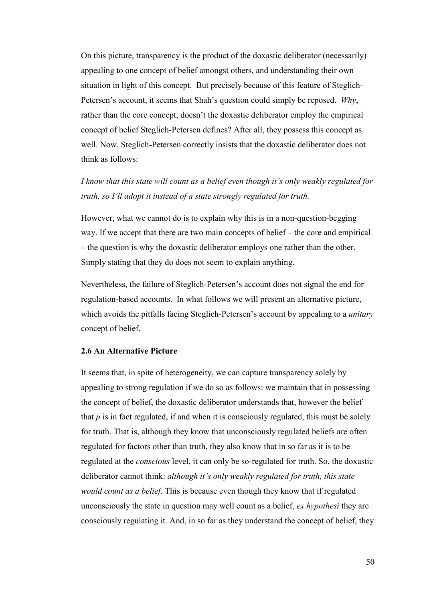On this picture, transparency is the product of the doxastic deliberator (necessarily) appealing to one concept of belief amongst others, and understanding their own situation in light of this concept. But precisely because of this feature of Steglich-Petersen's account, it seems that Shah's question could simply be reposed. *Why*, rather than the core concept, doesn't the doxastic deliberator employ the empirical concept of belief Steglich-Petersen defines? After all, they possess this concept as well. Now, Steglich-Petersen correctly insists that the doxastic deliberator does not think as follows:

# *I know that this state will count as a belief even though it's only weakly regulated for truth, so I'll adopt it instead of a state strongly regulated for truth.*

However, what we cannot do is to explain why this is in a non-question-begging way. If we accept that there are two main concepts of belief – the core and empirical – the question is why the doxastic deliberator employs one rather than the other. Simply stating that they do does not seem to explain anything.

Nevertheless, the failure of Steglich-Petersen's account does not signal the end for regulation-based accounts. In what follows we will present an alternative picture, which avoids the pitfalls facing Steglich-Petersen's account by appealing to a *unitary*  concept of belief.

## **2.6 An Alternative Picture**

It seems that, in spite of heterogeneity, we can capture transparency solely by appealing to strong regulation if we do so as follows: we maintain that in possessing the concept of belief, the doxastic deliberator understands that, however the belief that  $p$  is in fact regulated, if and when it is consciously regulated, this must be solely for truth. That is, although they know that unconsciously regulated beliefs are often regulated for factors other than truth, they also know that in so far as it is to be regulated at the *conscious* level, it can only be so-regulated for truth. So, the doxastic deliberator cannot think: *although it's only weakly regulated for truth, this state would count as a belief*. This is because even though they know that if regulated unconsciously the state in question may well count as a belief, *ex hypothesi* they are consciously regulating it. And, in so far as they understand the concept of belief, they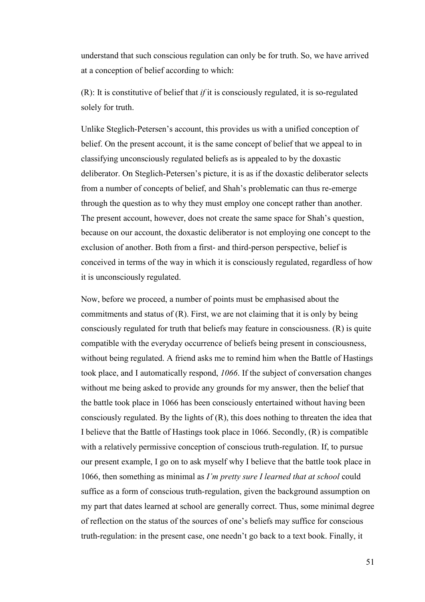understand that such conscious regulation can only be for truth. So, we have arrived at a conception of belief according to which:

(R): It is constitutive of belief that *if* it is consciously regulated, it is so-regulated solely for truth.

Unlike Steglich-Petersen's account, this provides us with a unified conception of belief. On the present account, it is the same concept of belief that we appeal to in classifying unconsciously regulated beliefs as is appealed to by the doxastic deliberator. On Steglich-Petersen's picture, it is as if the doxastic deliberator selects from a number of concepts of belief, and Shah's problematic can thus re-emerge through the question as to why they must employ one concept rather than another. The present account, however, does not create the same space for Shah's question, because on our account, the doxastic deliberator is not employing one concept to the exclusion of another. Both from a first- and third-person perspective, belief is conceived in terms of the way in which it is consciously regulated, regardless of how it is unconsciously regulated.

Now, before we proceed, a number of points must be emphasised about the commitments and status of  $(R)$ . First, we are not claiming that it is only by being consciously regulated for truth that beliefs may feature in consciousness. (R) is quite compatible with the everyday occurrence of beliefs being present in consciousness, without being regulated. A friend asks me to remind him when the Battle of Hastings took place, and I automatically respond, *1066*. If the subject of conversation changes without me being asked to provide any grounds for my answer, then the belief that the battle took place in 1066 has been consciously entertained without having been consciously regulated. By the lights of (R), this does nothing to threaten the idea that I believe that the Battle of Hastings took place in 1066. Secondly, (R) is compatible with a relatively permissive conception of conscious truth-regulation. If, to pursue our present example, I go on to ask myself why I believe that the battle took place in 1066, then something as minimal as *I'm pretty sure I learned that at school* could suffice as a form of conscious truth-regulation, given the background assumption on my part that dates learned at school are generally correct. Thus, some minimal degree of reflection on the status of the sources of one's beliefs may suffice for conscious truth-regulation: in the present case, one needn't go back to a text book. Finally, it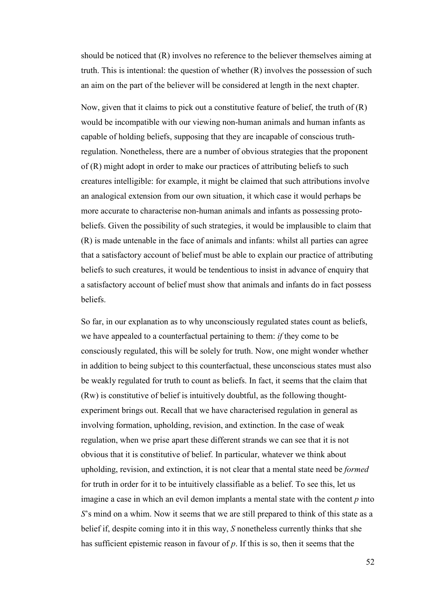should be noticed that (R) involves no reference to the believer themselves aiming at truth. This is intentional: the question of whether (R) involves the possession of such an aim on the part of the believer will be considered at length in the next chapter.

Now, given that it claims to pick out a constitutive feature of belief, the truth of (R) would be incompatible with our viewing non-human animals and human infants as capable of holding beliefs, supposing that they are incapable of conscious truthregulation. Nonetheless, there are a number of obvious strategies that the proponent of (R) might adopt in order to make our practices of attributing beliefs to such creatures intelligible: for example, it might be claimed that such attributions involve an analogical extension from our own situation, it which case it would perhaps be more accurate to characterise non-human animals and infants as possessing protobeliefs. Given the possibility of such strategies, it would be implausible to claim that (R) is made untenable in the face of animals and infants: whilst all parties can agree that a satisfactory account of belief must be able to explain our practice of attributing beliefs to such creatures, it would be tendentious to insist in advance of enquiry that a satisfactory account of belief must show that animals and infants do in fact possess beliefs.

So far, in our explanation as to why unconsciously regulated states count as beliefs, we have appealed to a counterfactual pertaining to them: *if* they come to be consciously regulated, this will be solely for truth. Now, one might wonder whether in addition to being subject to this counterfactual, these unconscious states must also be weakly regulated for truth to count as beliefs. In fact, it seems that the claim that (Rw) is constitutive of belief is intuitively doubtful, as the following thoughtexperiment brings out. Recall that we have characterised regulation in general as involving formation, upholding, revision, and extinction. In the case of weak regulation, when we prise apart these different strands we can see that it is not obvious that it is constitutive of belief. In particular, whatever we think about upholding, revision, and extinction, it is not clear that a mental state need be *formed* for truth in order for it to be intuitively classifiable as a belief. To see this, let us imagine a case in which an evil demon implants a mental state with the content *p* into *S*'s mind on a whim. Now it seems that we are still prepared to think of this state as a belief if, despite coming into it in this way, *S* nonetheless currently thinks that she has sufficient epistemic reason in favour of *p*. If this is so, then it seems that the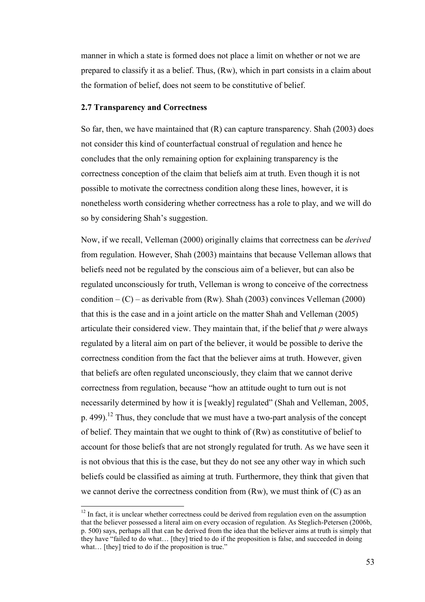manner in which a state is formed does not place a limit on whether or not we are prepared to classify it as a belief. Thus, (Rw), which in part consists in a claim about the formation of belief, does not seem to be constitutive of belief.

# **2.7 Transparency and Correctness**

 $\overline{a}$ 

So far, then, we have maintained that (R) can capture transparency. Shah (2003) does not consider this kind of counterfactual construal of regulation and hence he concludes that the only remaining option for explaining transparency is the correctness conception of the claim that beliefs aim at truth. Even though it is not possible to motivate the correctness condition along these lines, however, it is nonetheless worth considering whether correctness has a role to play, and we will do so by considering Shah's suggestion.

Now, if we recall, Velleman (2000) originally claims that correctness can be *derived* from regulation. However, Shah (2003) maintains that because Velleman allows that beliefs need not be regulated by the conscious aim of a believer, but can also be regulated unconsciously for truth, Velleman is wrong to conceive of the correctness condition  $-(C)$  – as derivable from (Rw). Shah (2003) convinces Velleman (2000) that this is the case and in a joint article on the matter Shah and Velleman (2005) articulate their considered view. They maintain that, if the belief that *p* were always regulated by a literal aim on part of the believer, it would be possible to derive the correctness condition from the fact that the believer aims at truth. However, given that beliefs are often regulated unconsciously, they claim that we cannot derive correctness from regulation, because "how an attitude ought to turn out is not necessarily determined by how it is [weakly] regulated" (Shah and Velleman, 2005, p. 499).<sup>12</sup> Thus, they conclude that we must have a two-part analysis of the concept of belief. They maintain that we ought to think of (Rw) as constitutive of belief to account for those beliefs that are not strongly regulated for truth. As we have seen it is not obvious that this is the case, but they do not see any other way in which such beliefs could be classified as aiming at truth. Furthermore, they think that given that we cannot derive the correctness condition from  $(Rw)$ , we must think of  $(C)$  as an

<sup>&</sup>lt;sup>12</sup> In fact, it is unclear whether correctness could be derived from regulation even on the assumption that the believer possessed a literal aim on every occasion of regulation. As Steglich-Petersen (2006b, p. 500) says, perhaps all that can be derived from the idea that the believer aims at truth is simply that they have "failed to do what… [they] tried to do if the proposition is false, and succeeded in doing what... [they] tried to do if the proposition is true."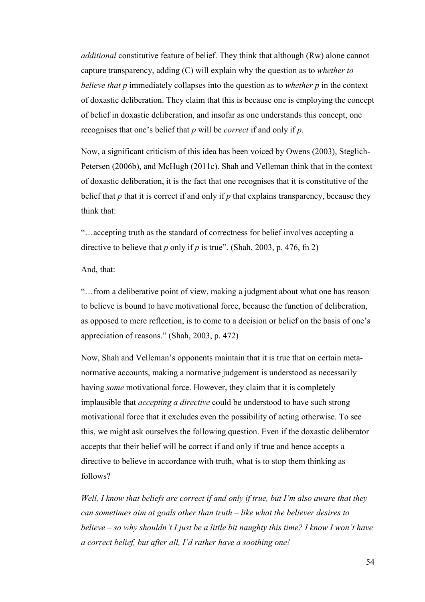*additional* constitutive feature of belief. They think that although (Rw) alone cannot capture transparency, adding (C) will explain why the question as to *whether to believe that p* immediately collapses into the question as to *whether p* in the context of doxastic deliberation. They claim that this is because one is employing the concept of belief in doxastic deliberation, and insofar as one understands this concept, one recognises that one's belief that *p* will be *correct* if and only if *p*.

Now, a significant criticism of this idea has been voiced by Owens (2003), Steglich-Petersen (2006b), and McHugh (2011c). Shah and Velleman think that in the context of doxastic deliberation, it is the fact that one recognises that it is constitutive of the belief that *p* that it is correct if and only if *p* that explains transparency, because they think that:

"…accepting truth as the standard of correctness for belief involves accepting a directive to believe that *p* only if *p* is true". (Shah, 2003, p. 476, fn 2)

# And, that:

"…from a deliberative point of view, making a judgment about what one has reason to believe is bound to have motivational force, because the function of deliberation, as opposed to mere reflection, is to come to a decision or belief on the basis of one's appreciation of reasons." (Shah, 2003, p. 472)

Now, Shah and Velleman's opponents maintain that it is true that on certain metanormative accounts, making a normative judgement is understood as necessarily having *some* motivational force. However, they claim that it is completely implausible that *accepting a directive* could be understood to have such strong motivational force that it excludes even the possibility of acting otherwise. To see this, we might ask ourselves the following question. Even if the doxastic deliberator accepts that their belief will be correct if and only if true and hence accepts a directive to believe in accordance with truth, what is to stop them thinking as follows?

*Well, I know that beliefs are correct if and only if true, but I'm also aware that they can sometimes aim at goals other than truth – like what the believer desires to believe – so why shouldn't I just be a little bit naughty this time? I know I won't have a correct belief, but after all, I'd rather have a soothing one!*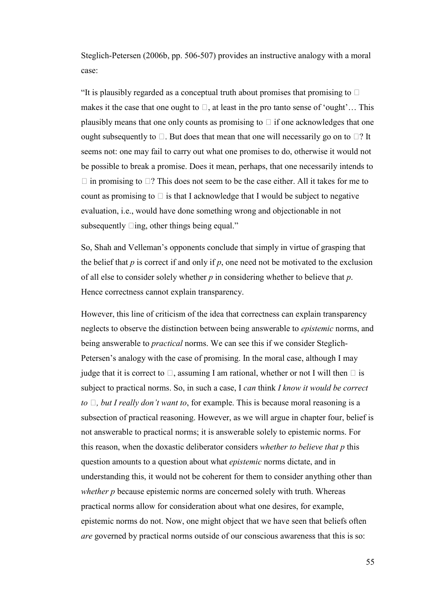Steglich-Petersen (2006b, pp. 506-507) provides an instructive analogy with a moral case:

"It is plausibly regarded as a conceptual truth about promises that promising to U makes it the case that one ought to U, at least in the pro tanto sense of 'ought'… This plausibly means that one only counts as promising to U if one acknowledges that one ought subsequently to U. But does that mean that one will necessarily go on to U? It seems not: one may fail to carry out what one promises to do, otherwise it would not be possible to break a promise. Does it mean, perhaps, that one necessarily intends to U in promising to U? This does not seem to be the case either. All it takes for me to count as promising to U is that I acknowledge that I would be subject to negative evaluation, i.e., would have done something wrong and objectionable in not subsequently Uing, other things being equal."

So, Shah and Velleman's opponents conclude that simply in virtue of grasping that the belief that *p* is correct if and only if *p*, one need not be motivated to the exclusion of all else to consider solely whether *p* in considering whether to believe that *p*. Hence correctness cannot explain transparency.

However, this line of criticism of the idea that correctness can explain transparency neglects to observe the distinction between being answerable to *epistemic* norms, and being answerable to *practical* norms. We can see this if we consider Steglich-Petersen's analogy with the case of promising. In the moral case, although I may judge that it is correct to U, assuming I am rational, whether or not I will then U is subject to practical norms. So, in such a case, I *can* think *I know it would be correct to 2, but I really don't want to*, for example. This is because moral reasoning is a subsection of practical reasoning. However, as we will argue in chapter four, belief is not answerable to practical norms; it is answerable solely to epistemic norms. For this reason, when the doxastic deliberator considers *whether to believe that p* this question amounts to a question about what *epistemic* norms dictate, and in understanding this, it would not be coherent for them to consider anything other than *whether p* because epistemic norms are concerned solely with truth. Whereas practical norms allow for consideration about what one desires, for example, epistemic norms do not. Now, one might object that we have seen that beliefs often *are* governed by practical norms outside of our conscious awareness that this is so: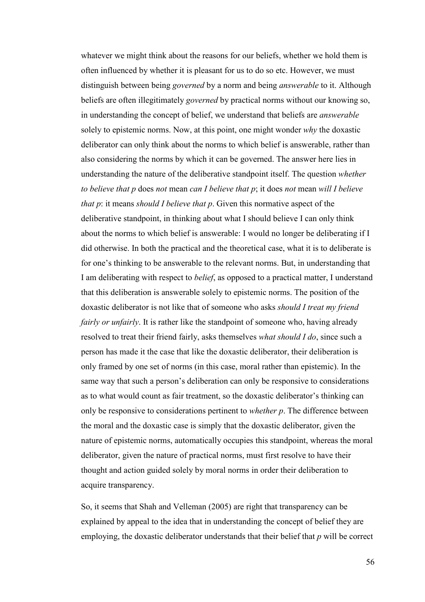whatever we might think about the reasons for our beliefs, whether we hold them is often influenced by whether it is pleasant for us to do so etc. However, we must distinguish between being *governed* by a norm and being *answerable* to it. Although beliefs are often illegitimately *governed* by practical norms without our knowing so, in understanding the concept of belief, we understand that beliefs are *answerable* solely to epistemic norms. Now, at this point, one might wonder *why* the doxastic deliberator can only think about the norms to which belief is answerable, rather than also considering the norms by which it can be governed. The answer here lies in understanding the nature of the deliberative standpoint itself. The question *whether to believe that p* does *not* mean *can I believe that p*; it does *not* mean *will I believe that p*: it means *should I believe that p*. Given this normative aspect of the deliberative standpoint, in thinking about what I should believe I can only think about the norms to which belief is answerable: I would no longer be deliberating if I did otherwise. In both the practical and the theoretical case, what it is to deliberate is for one's thinking to be answerable to the relevant norms. But, in understanding that I am deliberating with respect to *belief*, as opposed to a practical matter, I understand that this deliberation is answerable solely to epistemic norms. The position of the doxastic deliberator is not like that of someone who asks *should I treat my friend fairly or unfairly*. It is rather like the standpoint of someone who, having already resolved to treat their friend fairly, asks themselves *what should I do*, since such a person has made it the case that like the doxastic deliberator, their deliberation is only framed by one set of norms (in this case, moral rather than epistemic). In the same way that such a person's deliberation can only be responsive to considerations as to what would count as fair treatment, so the doxastic deliberator's thinking can only be responsive to considerations pertinent to *whether p*. The difference between the moral and the doxastic case is simply that the doxastic deliberator, given the nature of epistemic norms, automatically occupies this standpoint, whereas the moral deliberator, given the nature of practical norms, must first resolve to have their thought and action guided solely by moral norms in order their deliberation to acquire transparency.

So, it seems that Shah and Velleman (2005) are right that transparency can be explained by appeal to the idea that in understanding the concept of belief they are employing, the doxastic deliberator understands that their belief that *p* will be correct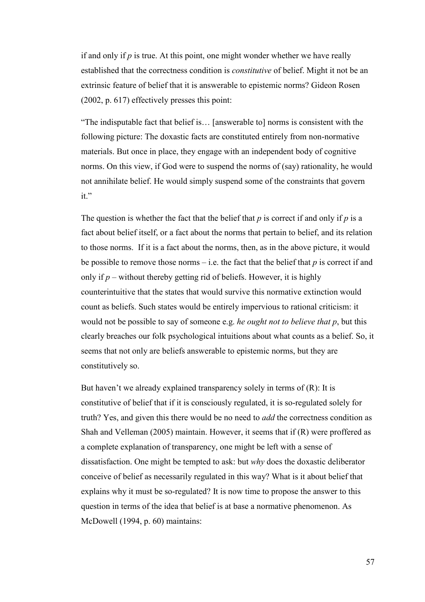if and only if *p* is true. At this point, one might wonder whether we have really established that the correctness condition is *constitutive* of belief. Might it not be an extrinsic feature of belief that it is answerable to epistemic norms? Gideon Rosen (2002, p. 617) effectively presses this point:

"The indisputable fact that belief is… [answerable to] norms is consistent with the following picture: The doxastic facts are constituted entirely from non-normative materials. But once in place, they engage with an independent body of cognitive norms. On this view, if God were to suspend the norms of (say) rationality, he would not annihilate belief. He would simply suspend some of the constraints that govern it."

The question is whether the fact that the belief that  $p$  is correct if and only if  $p$  is a fact about belief itself, or a fact about the norms that pertain to belief, and its relation to those norms. If it is a fact about the norms, then, as in the above picture, it would be possible to remove those norms – i.e. the fact that the belief that *p* is correct if and only if  $p$  – without thereby getting rid of beliefs. However, it is highly counterintuitive that the states that would survive this normative extinction would count as beliefs. Such states would be entirely impervious to rational criticism: it would not be possible to say of someone e.g. *he ought not to believe that p*, but this clearly breaches our folk psychological intuitions about what counts as a belief. So, it seems that not only are beliefs answerable to epistemic norms, but they are constitutively so.

But haven't we already explained transparency solely in terms of (R): It is constitutive of belief that if it is consciously regulated, it is so-regulated solely for truth? Yes, and given this there would be no need to *add* the correctness condition as Shah and Velleman (2005) maintain. However, it seems that if (R) were proffered as a complete explanation of transparency, one might be left with a sense of dissatisfaction. One might be tempted to ask: but *why* does the doxastic deliberator conceive of belief as necessarily regulated in this way? What is it about belief that explains why it must be so-regulated? It is now time to propose the answer to this question in terms of the idea that belief is at base a normative phenomenon. As McDowell (1994, p. 60) maintains: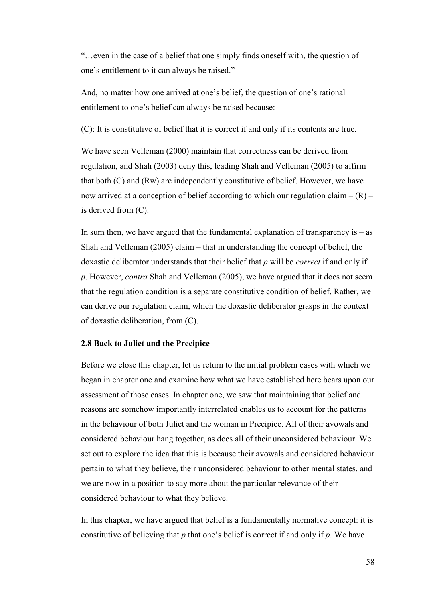"…even in the case of a belief that one simply finds oneself with, the question of one's entitlement to it can always be raised."

And, no matter how one arrived at one's belief, the question of one's rational entitlement to one's belief can always be raised because:

(C): It is constitutive of belief that it is correct if and only if its contents are true.

We have seen Velleman (2000) maintain that correctness can be derived from regulation, and Shah (2003) deny this, leading Shah and Velleman (2005) to affirm that both (C) and (Rw) are independently constitutive of belief. However, we have now arrived at a conception of belief according to which our regulation claim  $- (R)$ is derived from (C).

In sum then, we have argued that the fundamental explanation of transparency is  $-$  as Shah and Velleman (2005) claim – that in understanding the concept of belief, the doxastic deliberator understands that their belief that *p* will be *correct* if and only if *p*. However, *contra* Shah and Velleman (2005), we have argued that it does not seem that the regulation condition is a separate constitutive condition of belief. Rather, we can derive our regulation claim, which the doxastic deliberator grasps in the context of doxastic deliberation, from (C).

#### **2.8 Back to Juliet and the Precipice**

Before we close this chapter, let us return to the initial problem cases with which we began in chapter one and examine how what we have established here bears upon our assessment of those cases. In chapter one, we saw that maintaining that belief and reasons are somehow importantly interrelated enables us to account for the patterns in the behaviour of both Juliet and the woman in Precipice. All of their avowals and considered behaviour hang together, as does all of their unconsidered behaviour. We set out to explore the idea that this is because their avowals and considered behaviour pertain to what they believe, their unconsidered behaviour to other mental states, and we are now in a position to say more about the particular relevance of their considered behaviour to what they believe.

In this chapter, we have argued that belief is a fundamentally normative concept: it is constitutive of believing that *p* that one's belief is correct if and only if *p*. We have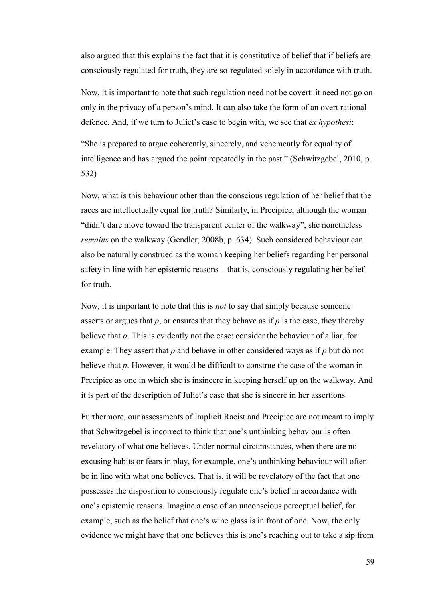also argued that this explains the fact that it is constitutive of belief that if beliefs are consciously regulated for truth, they are so-regulated solely in accordance with truth.

Now, it is important to note that such regulation need not be covert: it need not go on only in the privacy of a person's mind. It can also take the form of an overt rational defence. And, if we turn to Juliet's case to begin with, we see that *ex hypothesi*:

"She is prepared to argue coherently, sincerely, and vehemently for equality of intelligence and has argued the point repeatedly in the past." (Schwitzgebel, 2010, p. 532)

Now, what is this behaviour other than the conscious regulation of her belief that the races are intellectually equal for truth? Similarly, in Precipice, although the woman "didn't dare move toward the transparent center of the walkway", she nonetheless *remains* on the walkway (Gendler, 2008b, p. 634). Such considered behaviour can also be naturally construed as the woman keeping her beliefs regarding her personal safety in line with her epistemic reasons – that is, consciously regulating her belief for truth.

Now, it is important to note that this is *not* to say that simply because someone asserts or argues that  $p$ , or ensures that they behave as if  $p$  is the case, they thereby believe that *p*. This is evidently not the case: consider the behaviour of a liar, for example. They assert that *p* and behave in other considered ways as if *p* but do not believe that *p*. However, it would be difficult to construe the case of the woman in Precipice as one in which she is insincere in keeping herself up on the walkway. And it is part of the description of Juliet's case that she is sincere in her assertions.

Furthermore, our assessments of Implicit Racist and Precipice are not meant to imply that Schwitzgebel is incorrect to think that one's unthinking behaviour is often revelatory of what one believes. Under normal circumstances, when there are no excusing habits or fears in play, for example, one's unthinking behaviour will often be in line with what one believes. That is, it will be revelatory of the fact that one possesses the disposition to consciously regulate one's belief in accordance with one's epistemic reasons. Imagine a case of an unconscious perceptual belief, for example, such as the belief that one's wine glass is in front of one. Now, the only evidence we might have that one believes this is one's reaching out to take a sip from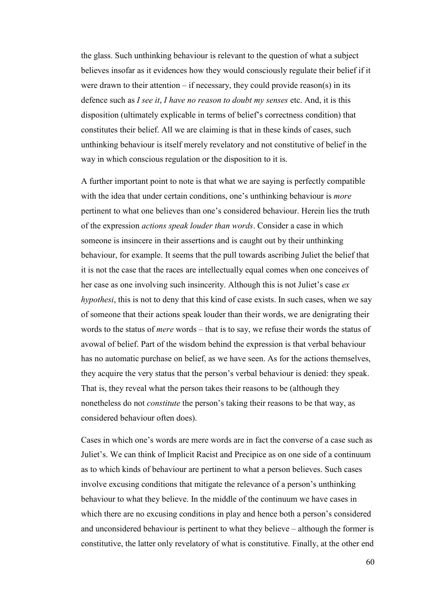the glass. Such unthinking behaviour is relevant to the question of what a subject believes insofar as it evidences how they would consciously regulate their belief if it were drawn to their attention  $-$  if necessary, they could provide reason(s) in its defence such as *I see it*, *I have no reason to doubt my senses* etc. And, it is this disposition (ultimately explicable in terms of belief's correctness condition) that constitutes their belief. All we are claiming is that in these kinds of cases, such unthinking behaviour is itself merely revelatory and not constitutive of belief in the way in which conscious regulation or the disposition to it is.

A further important point to note is that what we are saying is perfectly compatible with the idea that under certain conditions, one's unthinking behaviour is *more* pertinent to what one believes than one's considered behaviour. Herein lies the truth of the expression *actions speak louder than words*. Consider a case in which someone is insincere in their assertions and is caught out by their unthinking behaviour, for example. It seems that the pull towards ascribing Juliet the belief that it is not the case that the races are intellectually equal comes when one conceives of her case as one involving such insincerity. Although this is not Juliet's case *ex hypothesi*, this is not to deny that this kind of case exists. In such cases, when we say of someone that their actions speak louder than their words, we are denigrating their words to the status of *mere* words – that is to say, we refuse their words the status of avowal of belief. Part of the wisdom behind the expression is that verbal behaviour has no automatic purchase on belief, as we have seen. As for the actions themselves, they acquire the very status that the person's verbal behaviour is denied: they speak. That is, they reveal what the person takes their reasons to be (although they nonetheless do not *constitute* the person's taking their reasons to be that way, as considered behaviour often does).

Cases in which one's words are mere words are in fact the converse of a case such as Juliet's. We can think of Implicit Racist and Precipice as on one side of a continuum as to which kinds of behaviour are pertinent to what a person believes. Such cases involve excusing conditions that mitigate the relevance of a person's unthinking behaviour to what they believe. In the middle of the continuum we have cases in which there are no excusing conditions in play and hence both a person's considered and unconsidered behaviour is pertinent to what they believe – although the former is constitutive, the latter only revelatory of what is constitutive. Finally, at the other end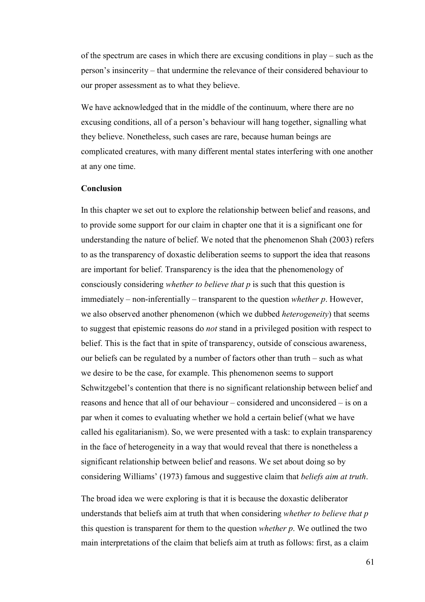of the spectrum are cases in which there are excusing conditions in play – such as the person's insincerity – that undermine the relevance of their considered behaviour to our proper assessment as to what they believe.

We have acknowledged that in the middle of the continuum, where there are no excusing conditions, all of a person's behaviour will hang together, signalling what they believe. Nonetheless, such cases are rare, because human beings are complicated creatures, with many different mental states interfering with one another at any one time.

## **Conclusion**

In this chapter we set out to explore the relationship between belief and reasons, and to provide some support for our claim in chapter one that it is a significant one for understanding the nature of belief. We noted that the phenomenon Shah (2003) refers to as the transparency of doxastic deliberation seems to support the idea that reasons are important for belief. Transparency is the idea that the phenomenology of consciously considering *whether to believe that p* is such that this question is immediately – non-inferentially – transparent to the question *whether p*. However, we also observed another phenomenon (which we dubbed *heterogeneity*) that seems to suggest that epistemic reasons do *not* stand in a privileged position with respect to belief. This is the fact that in spite of transparency, outside of conscious awareness, our beliefs can be regulated by a number of factors other than truth – such as what we desire to be the case, for example. This phenomenon seems to support Schwitzgebel's contention that there is no significant relationship between belief and reasons and hence that all of our behaviour – considered and unconsidered – is on a par when it comes to evaluating whether we hold a certain belief (what we have called his egalitarianism). So, we were presented with a task: to explain transparency in the face of heterogeneity in a way that would reveal that there is nonetheless a significant relationship between belief and reasons. We set about doing so by considering Williams' (1973) famous and suggestive claim that *beliefs aim at truth*.

The broad idea we were exploring is that it is because the doxastic deliberator understands that beliefs aim at truth that when considering *whether to believe that p* this question is transparent for them to the question *whether p*. We outlined the two main interpretations of the claim that beliefs aim at truth as follows: first, as a claim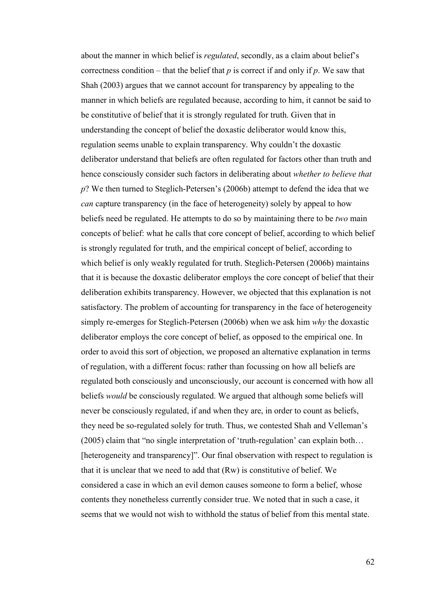about the manner in which belief is *regulated*, secondly, as a claim about belief's correctness condition – that the belief that *p* is correct if and only if *p*. We saw that Shah (2003) argues that we cannot account for transparency by appealing to the manner in which beliefs are regulated because, according to him, it cannot be said to be constitutive of belief that it is strongly regulated for truth. Given that in understanding the concept of belief the doxastic deliberator would know this, regulation seems unable to explain transparency. Why couldn't the doxastic deliberator understand that beliefs are often regulated for factors other than truth and hence consciously consider such factors in deliberating about *whether to believe that p*? We then turned to Steglich-Petersen's (2006b) attempt to defend the idea that we *can* capture transparency (in the face of heterogeneity) solely by appeal to how beliefs need be regulated. He attempts to do so by maintaining there to be *two* main concepts of belief: what he calls that core concept of belief, according to which belief is strongly regulated for truth, and the empirical concept of belief, according to which belief is only weakly regulated for truth. Steglich-Petersen (2006b) maintains that it is because the doxastic deliberator employs the core concept of belief that their deliberation exhibits transparency. However, we objected that this explanation is not satisfactory. The problem of accounting for transparency in the face of heterogeneity simply re-emerges for Steglich-Petersen (2006b) when we ask him *why* the doxastic deliberator employs the core concept of belief, as opposed to the empirical one. In order to avoid this sort of objection, we proposed an alternative explanation in terms of regulation, with a different focus: rather than focussing on how all beliefs are regulated both consciously and unconsciously, our account is concerned with how all beliefs *would* be consciously regulated. We argued that although some beliefs will never be consciously regulated, if and when they are, in order to count as beliefs, they need be so-regulated solely for truth. Thus, we contested Shah and Velleman's (2005) claim that "no single interpretation of 'truth-regulation' can explain both… [heterogeneity and transparency]". Our final observation with respect to regulation is that it is unclear that we need to add that (Rw) is constitutive of belief. We considered a case in which an evil demon causes someone to form a belief, whose contents they nonetheless currently consider true. We noted that in such a case, it seems that we would not wish to withhold the status of belief from this mental state.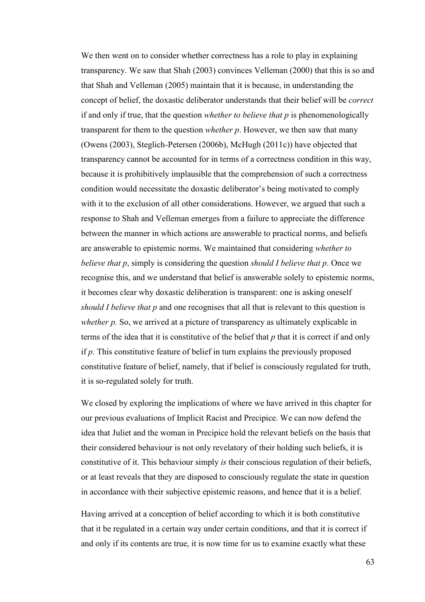We then went on to consider whether correctness has a role to play in explaining transparency. We saw that Shah (2003) convinces Velleman (2000) that this is so and that Shah and Velleman (2005) maintain that it is because, in understanding the concept of belief, the doxastic deliberator understands that their belief will be *correct* if and only if true, that the question *whether to believe that p* is phenomenologically transparent for them to the question *whether p*. However, we then saw that many (Owens (2003), Steglich-Petersen (2006b), McHugh (2011c)) have objected that transparency cannot be accounted for in terms of a correctness condition in this way, because it is prohibitively implausible that the comprehension of such a correctness condition would necessitate the doxastic deliberator's being motivated to comply with it to the exclusion of all other considerations. However, we argued that such a response to Shah and Velleman emerges from a failure to appreciate the difference between the manner in which actions are answerable to practical norms, and beliefs are answerable to epistemic norms. We maintained that considering *whether to believe that p*, simply is considering the question *should I believe that p*. Once we recognise this, and we understand that belief is answerable solely to epistemic norms, it becomes clear why doxastic deliberation is transparent: one is asking oneself *should I believe that p* and one recognises that all that is relevant to this question is *whether p*. So, we arrived at a picture of transparency as ultimately explicable in terms of the idea that it is constitutive of the belief that *p* that it is correct if and only if *p*. This constitutive feature of belief in turn explains the previously proposed constitutive feature of belief, namely, that if belief is consciously regulated for truth, it is so-regulated solely for truth.

We closed by exploring the implications of where we have arrived in this chapter for our previous evaluations of Implicit Racist and Precipice. We can now defend the idea that Juliet and the woman in Precipice hold the relevant beliefs on the basis that their considered behaviour is not only revelatory of their holding such beliefs, it is constitutive of it. This behaviour simply *is* their conscious regulation of their beliefs, or at least reveals that they are disposed to consciously regulate the state in question in accordance with their subjective epistemic reasons, and hence that it is a belief.

Having arrived at a conception of belief according to which it is both constitutive that it be regulated in a certain way under certain conditions, and that it is correct if and only if its contents are true, it is now time for us to examine exactly what these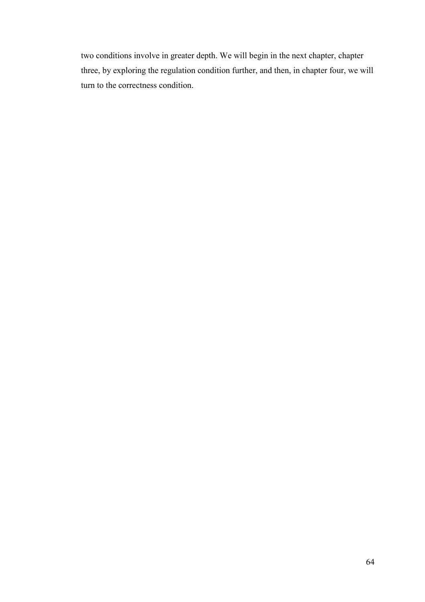two conditions involve in greater depth. We will begin in the next chapter, chapter three, by exploring the regulation condition further, and then, in chapter four, we will turn to the correctness condition.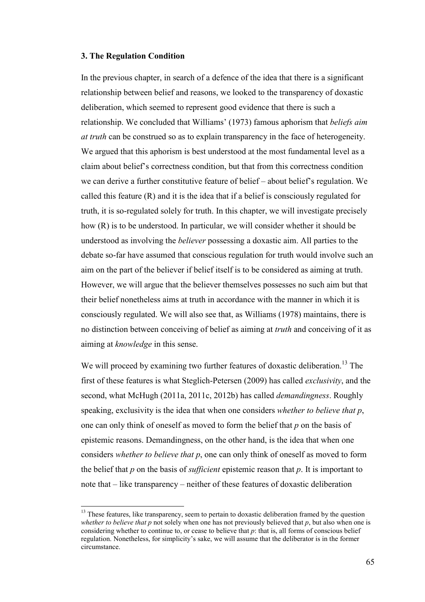## **3. The Regulation Condition**

 $\overline{a}$ 

In the previous chapter, in search of a defence of the idea that there is a significant relationship between belief and reasons, we looked to the transparency of doxastic deliberation, which seemed to represent good evidence that there is such a relationship. We concluded that Williams' (1973) famous aphorism that *beliefs aim at truth* can be construed so as to explain transparency in the face of heterogeneity. We argued that this aphorism is best understood at the most fundamental level as a claim about belief's correctness condition, but that from this correctness condition we can derive a further constitutive feature of belief – about belief's regulation. We called this feature  $(R)$  and it is the idea that if a belief is consciously regulated for truth, it is so-regulated solely for truth. In this chapter, we will investigate precisely how (R) is to be understood. In particular, we will consider whether it should be understood as involving the *believer* possessing a doxastic aim. All parties to the debate so-far have assumed that conscious regulation for truth would involve such an aim on the part of the believer if belief itself is to be considered as aiming at truth. However, we will argue that the believer themselves possesses no such aim but that their belief nonetheless aims at truth in accordance with the manner in which it is consciously regulated. We will also see that, as Williams (1978) maintains, there is no distinction between conceiving of belief as aiming at *truth* and conceiving of it as aiming at *knowledge* in this sense.

We will proceed by examining two further features of doxastic deliberation.<sup>13</sup> The first of these features is what Steglich-Petersen (2009) has called *exclusivity*, and the second, what McHugh (2011a, 2011c, 2012b) has called *demandingness*. Roughly speaking, exclusivity is the idea that when one considers *whether to believe that p*, one can only think of oneself as moved to form the belief that *p* on the basis of epistemic reasons. Demandingness, on the other hand, is the idea that when one considers *whether to believe that p*, one can only think of oneself as moved to form the belief that *p* on the basis of *sufficient* epistemic reason that *p*. It is important to note that – like transparency – neither of these features of doxastic deliberation

<sup>&</sup>lt;sup>13</sup> These features, like transparency, seem to pertain to doxastic deliberation framed by the question *whether to believe that p* not solely when one has not previously believed that *p*, but also when one is considering whether to continue to, or cease to believe that *p*: that is, all forms of conscious belief regulation. Nonetheless, for simplicity's sake, we will assume that the deliberator is in the former circumstance.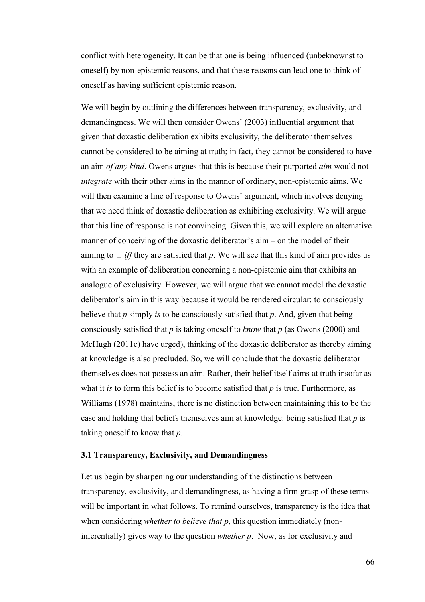conflict with heterogeneity. It can be that one is being influenced (unbeknownst to oneself) by non-epistemic reasons, and that these reasons can lead one to think of oneself as having sufficient epistemic reason.

We will begin by outlining the differences between transparency, exclusivity, and demandingness. We will then consider Owens' (2003) influential argument that given that doxastic deliberation exhibits exclusivity, the deliberator themselves cannot be considered to be aiming at truth; in fact, they cannot be considered to have an aim *of any kind*. Owens argues that this is because their purported *aim* would not *integrate* with their other aims in the manner of ordinary, non-epistemic aims. We will then examine a line of response to Owens' argument, which involves denying that we need think of doxastic deliberation as exhibiting exclusivity. We will argue that this line of response is not convincing. Given this, we will explore an alternative manner of conceiving of the doxastic deliberator's aim – on the model of their aiming to U *iff* they are satisfied that *p*. We will see that this kind of aim provides us with an example of deliberation concerning a non-epistemic aim that exhibits an analogue of exclusivity. However, we will argue that we cannot model the doxastic deliberator's aim in this way because it would be rendered circular: to consciously believe that *p* simply *is* to be consciously satisfied that *p*. And, given that being consciously satisfied that *p* is taking oneself to *know* that *p* (as Owens (2000) and McHugh (2011c) have urged), thinking of the doxastic deliberator as thereby aiming at knowledge is also precluded. So, we will conclude that the doxastic deliberator themselves does not possess an aim. Rather, their belief itself aims at truth insofar as what it *is* to form this belief is to become satisfied that *p* is true. Furthermore, as Williams (1978) maintains, there is no distinction between maintaining this to be the case and holding that beliefs themselves aim at knowledge: being satisfied that *p* is taking oneself to know that *p*.

#### **3.1 Transparency, Exclusivity, and Demandingness**

Let us begin by sharpening our understanding of the distinctions between transparency, exclusivity, and demandingness, as having a firm grasp of these terms will be important in what follows. To remind ourselves, transparency is the idea that when considering *whether to believe that p*, this question immediately (noninferentially) gives way to the question *whether p*. Now, as for exclusivity and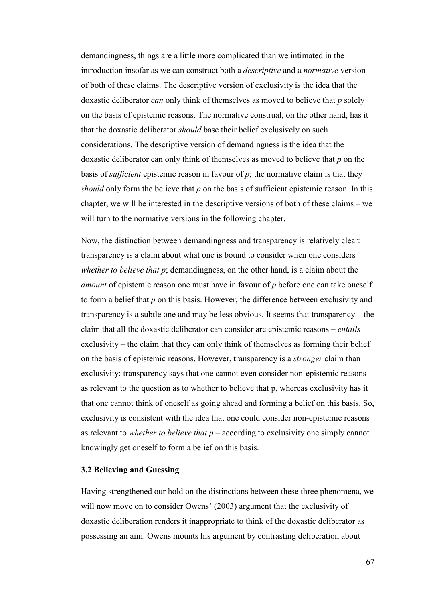demandingness, things are a little more complicated than we intimated in the introduction insofar as we can construct both a *descriptive* and a *normative* version of both of these claims. The descriptive version of exclusivity is the idea that the doxastic deliberator *can* only think of themselves as moved to believe that *p* solely on the basis of epistemic reasons. The normative construal, on the other hand, has it that the doxastic deliberator *should* base their belief exclusively on such considerations. The descriptive version of demandingness is the idea that the doxastic deliberator can only think of themselves as moved to believe that *p* on the basis of *sufficient* epistemic reason in favour of *p*; the normative claim is that they *should* only form the believe that *p* on the basis of sufficient epistemic reason. In this chapter, we will be interested in the descriptive versions of both of these claims – we will turn to the normative versions in the following chapter.

Now, the distinction between demandingness and transparency is relatively clear: transparency is a claim about what one is bound to consider when one considers *whether to believe that p*; demandingness, on the other hand, is a claim about the *amount* of epistemic reason one must have in favour of *p* before one can take oneself to form a belief that *p* on this basis. However, the difference between exclusivity and transparency is a subtle one and may be less obvious. It seems that transparency – the claim that all the doxastic deliberator can consider are epistemic reasons – *entails* exclusivity – the claim that they can only think of themselves as forming their belief on the basis of epistemic reasons. However, transparency is a *stronger* claim than exclusivity: transparency says that one cannot even consider non-epistemic reasons as relevant to the question as to whether to believe that p, whereas exclusivity has it that one cannot think of oneself as going ahead and forming a belief on this basis. So, exclusivity is consistent with the idea that one could consider non-epistemic reasons as relevant to *whether to believe that p* – according to exclusivity one simply cannot knowingly get oneself to form a belief on this basis.

#### **3.2 Believing and Guessing**

Having strengthened our hold on the distinctions between these three phenomena, we will now move on to consider Owens' (2003) argument that the exclusivity of doxastic deliberation renders it inappropriate to think of the doxastic deliberator as possessing an aim. Owens mounts his argument by contrasting deliberation about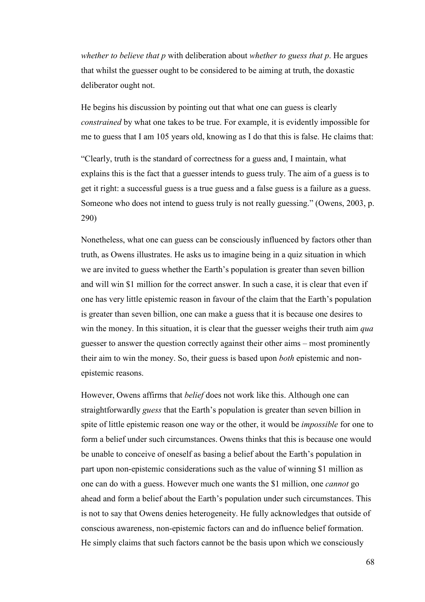*whether to believe that p* with deliberation about *whether to guess that p*. He argues that whilst the guesser ought to be considered to be aiming at truth, the doxastic deliberator ought not.

He begins his discussion by pointing out that what one can guess is clearly *constrained* by what one takes to be true. For example, it is evidently impossible for me to guess that I am 105 years old, knowing as I do that this is false. He claims that:

"Clearly, truth is the standard of correctness for a guess and, I maintain, what explains this is the fact that a guesser intends to guess truly. The aim of a guess is to get it right: a successful guess is a true guess and a false guess is a failure as a guess. Someone who does not intend to guess truly is not really guessing." (Owens, 2003, p. 290)

Nonetheless, what one can guess can be consciously influenced by factors other than truth, as Owens illustrates. He asks us to imagine being in a quiz situation in which we are invited to guess whether the Earth's population is greater than seven billion and will win \$1 million for the correct answer. In such a case, it is clear that even if one has very little epistemic reason in favour of the claim that the Earth's population is greater than seven billion, one can make a guess that it is because one desires to win the money. In this situation, it is clear that the guesser weighs their truth aim *qua* guesser to answer the question correctly against their other aims – most prominently their aim to win the money. So, their guess is based upon *both* epistemic and nonepistemic reasons.

However, Owens affirms that *belief* does not work like this. Although one can straightforwardly *guess* that the Earth's population is greater than seven billion in spite of little epistemic reason one way or the other, it would be *impossible* for one to form a belief under such circumstances. Owens thinks that this is because one would be unable to conceive of oneself as basing a belief about the Earth's population in part upon non-epistemic considerations such as the value of winning \$1 million as one can do with a guess. However much one wants the \$1 million, one *cannot* go ahead and form a belief about the Earth's population under such circumstances. This is not to say that Owens denies heterogeneity. He fully acknowledges that outside of conscious awareness, non-epistemic factors can and do influence belief formation. He simply claims that such factors cannot be the basis upon which we consciously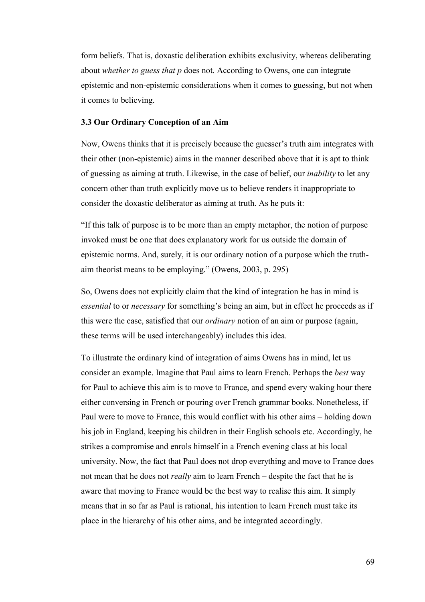form beliefs. That is, doxastic deliberation exhibits exclusivity, whereas deliberating about *whether to guess that p* does not. According to Owens, one can integrate epistemic and non-epistemic considerations when it comes to guessing, but not when it comes to believing.

## **3.3 Our Ordinary Conception of an Aim**

Now, Owens thinks that it is precisely because the guesser's truth aim integrates with their other (non-epistemic) aims in the manner described above that it is apt to think of guessing as aiming at truth. Likewise, in the case of belief, our *inability* to let any concern other than truth explicitly move us to believe renders it inappropriate to consider the doxastic deliberator as aiming at truth. As he puts it:

"If this talk of purpose is to be more than an empty metaphor, the notion of purpose invoked must be one that does explanatory work for us outside the domain of epistemic norms. And, surely, it is our ordinary notion of a purpose which the truthaim theorist means to be employing." (Owens, 2003, p. 295)

So, Owens does not explicitly claim that the kind of integration he has in mind is *essential* to or *necessary* for something's being an aim, but in effect he proceeds as if this were the case, satisfied that our *ordinary* notion of an aim or purpose (again, these terms will be used interchangeably) includes this idea.

To illustrate the ordinary kind of integration of aims Owens has in mind, let us consider an example. Imagine that Paul aims to learn French. Perhaps the *best* way for Paul to achieve this aim is to move to France, and spend every waking hour there either conversing in French or pouring over French grammar books. Nonetheless, if Paul were to move to France, this would conflict with his other aims – holding down his job in England, keeping his children in their English schools etc. Accordingly, he strikes a compromise and enrols himself in a French evening class at his local university. Now, the fact that Paul does not drop everything and move to France does not mean that he does not *really* aim to learn French – despite the fact that he is aware that moving to France would be the best way to realise this aim. It simply means that in so far as Paul is rational, his intention to learn French must take its place in the hierarchy of his other aims, and be integrated accordingly.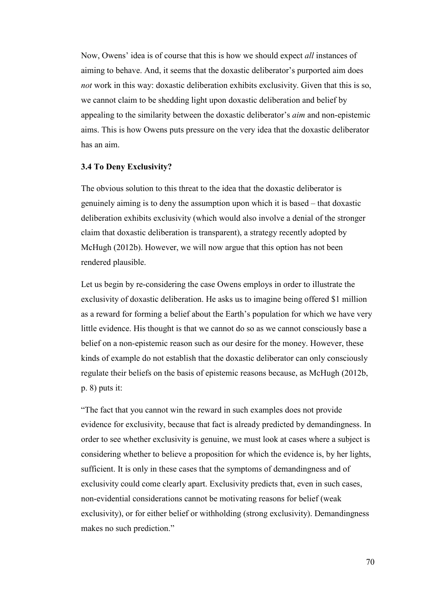Now, Owens' idea is of course that this is how we should expect *all* instances of aiming to behave. And, it seems that the doxastic deliberator's purported aim does *not* work in this way: doxastic deliberation exhibits exclusivity. Given that this is so, we cannot claim to be shedding light upon doxastic deliberation and belief by appealing to the similarity between the doxastic deliberator's *aim* and non-epistemic aims. This is how Owens puts pressure on the very idea that the doxastic deliberator has an aim.

## **3.4 To Deny Exclusivity?**

The obvious solution to this threat to the idea that the doxastic deliberator is genuinely aiming is to deny the assumption upon which it is based – that doxastic deliberation exhibits exclusivity (which would also involve a denial of the stronger claim that doxastic deliberation is transparent), a strategy recently adopted by McHugh (2012b). However, we will now argue that this option has not been rendered plausible.

Let us begin by re-considering the case Owens employs in order to illustrate the exclusivity of doxastic deliberation. He asks us to imagine being offered \$1 million as a reward for forming a belief about the Earth's population for which we have very little evidence. His thought is that we cannot do so as we cannot consciously base a belief on a non-epistemic reason such as our desire for the money. However, these kinds of example do not establish that the doxastic deliberator can only consciously regulate their beliefs on the basis of epistemic reasons because, as McHugh (2012b, p. 8) puts it:

"The fact that you cannot win the reward in such examples does not provide evidence for exclusivity, because that fact is already predicted by demandingness. In order to see whether exclusivity is genuine, we must look at cases where a subject is considering whether to believe a proposition for which the evidence is, by her lights, sufficient. It is only in these cases that the symptoms of demandingness and of exclusivity could come clearly apart. Exclusivity predicts that, even in such cases, non-evidential considerations cannot be motivating reasons for belief (weak exclusivity), or for either belief or withholding (strong exclusivity). Demandingness makes no such prediction."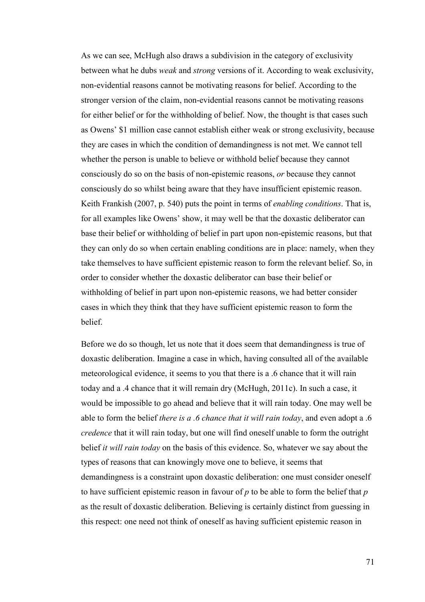As we can see, McHugh also draws a subdivision in the category of exclusivity between what he dubs *weak* and *strong* versions of it. According to weak exclusivity, non-evidential reasons cannot be motivating reasons for belief. According to the stronger version of the claim, non-evidential reasons cannot be motivating reasons for either belief or for the withholding of belief. Now, the thought is that cases such as Owens' \$1 million case cannot establish either weak or strong exclusivity, because they are cases in which the condition of demandingness is not met. We cannot tell whether the person is unable to believe or withhold belief because they cannot consciously do so on the basis of non-epistemic reasons, *or* because they cannot consciously do so whilst being aware that they have insufficient epistemic reason. Keith Frankish (2007, p. 540) puts the point in terms of *enabling conditions*. That is, for all examples like Owens' show, it may well be that the doxastic deliberator can base their belief or withholding of belief in part upon non-epistemic reasons, but that they can only do so when certain enabling conditions are in place: namely, when they take themselves to have sufficient epistemic reason to form the relevant belief. So, in order to consider whether the doxastic deliberator can base their belief or withholding of belief in part upon non-epistemic reasons, we had better consider cases in which they think that they have sufficient epistemic reason to form the belief.

Before we do so though, let us note that it does seem that demandingness is true of doxastic deliberation. Imagine a case in which, having consulted all of the available meteorological evidence, it seems to you that there is a .6 chance that it will rain today and a .4 chance that it will remain dry (McHugh, 2011c). In such a case, it would be impossible to go ahead and believe that it will rain today. One may well be able to form the belief *there is a .6 chance that it will rain today*, and even adopt a .6 *credence* that it will rain today, but one will find oneself unable to form the outright belief *it will rain today* on the basis of this evidence. So, whatever we say about the types of reasons that can knowingly move one to believe, it seems that demandingness is a constraint upon doxastic deliberation: one must consider oneself to have sufficient epistemic reason in favour of *p* to be able to form the belief that *p* as the result of doxastic deliberation. Believing is certainly distinct from guessing in this respect: one need not think of oneself as having sufficient epistemic reason in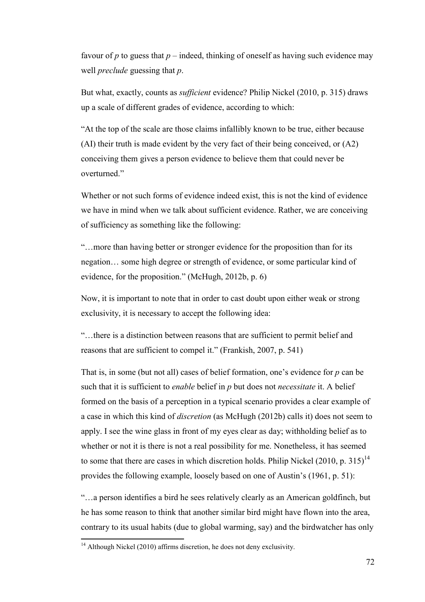favour of  $p$  to guess that  $p$  – indeed, thinking of oneself as having such evidence may well *preclude* guessing that *p*.

But what, exactly, counts as *sufficient* evidence? Philip Nickel (2010, p. 315) draws up a scale of different grades of evidence, according to which:

"At the top of the scale are those claims infallibly known to be true, either because (AI) their truth is made evident by the very fact of their being conceived, or (A2) conceiving them gives a person evidence to believe them that could never be overturned."

Whether or not such forms of evidence indeed exist, this is not the kind of evidence we have in mind when we talk about sufficient evidence. Rather, we are conceiving of sufficiency as something like the following:

"…more than having better or stronger evidence for the proposition than for its negation… some high degree or strength of evidence, or some particular kind of evidence, for the proposition." (McHugh, 2012b, p. 6)

Now, it is important to note that in order to cast doubt upon either weak or strong exclusivity, it is necessary to accept the following idea:

"…there is a distinction between reasons that are sufficient to permit belief and reasons that are sufficient to compel it." (Frankish, 2007, p. 541)

That is, in some (but not all) cases of belief formation, one's evidence for *p* can be such that it is sufficient to *enable* belief in *p* but does not *necessitate* it. A belief formed on the basis of a perception in a typical scenario provides a clear example of a case in which this kind of *discretion* (as McHugh (2012b) calls it) does not seem to apply. I see the wine glass in front of my eyes clear as day; withholding belief as to whether or not it is there is not a real possibility for me. Nonetheless, it has seemed to some that there are cases in which discretion holds. Philip Nickel (2010, p. 315)<sup>14</sup> provides the following example, loosely based on one of Austin's (1961, p. 51):

"…a person identifies a bird he sees relatively clearly as an American goldfinch, but he has some reason to think that another similar bird might have flown into the area, contrary to its usual habits (due to global warming, say) and the birdwatcher has only l

 $14$  Although Nickel (2010) affirms discretion, he does not deny exclusivity.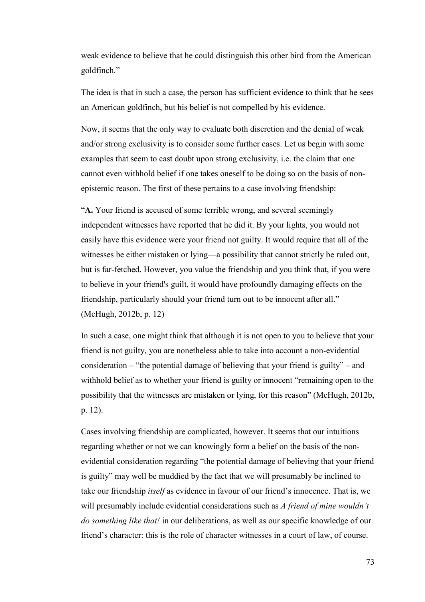weak evidence to believe that he could distinguish this other bird from the American goldfinch."

The idea is that in such a case, the person has sufficient evidence to think that he sees an American goldfinch, but his belief is not compelled by his evidence.

Now, it seems that the only way to evaluate both discretion and the denial of weak and/or strong exclusivity is to consider some further cases. Let us begin with some examples that seem to cast doubt upon strong exclusivity, i.e. the claim that one cannot even withhold belief if one takes oneself to be doing so on the basis of nonepistemic reason. The first of these pertains to a case involving friendship:

"**A.** Your friend is accused of some terrible wrong, and several seemingly independent witnesses have reported that he did it. By your lights, you would not easily have this evidence were your friend not guilty. It would require that all of the witnesses be either mistaken or lying—a possibility that cannot strictly be ruled out, but is far-fetched. However, you value the friendship and you think that, if you were to believe in your friend's guilt, it would have profoundly damaging effects on the friendship, particularly should your friend turn out to be innocent after all." (McHugh, 2012b, p. 12)

In such a case, one might think that although it is not open to you to believe that your friend is not guilty, you are nonetheless able to take into account a non-evidential consideration – "the potential damage of believing that your friend is guilty" – and withhold belief as to whether your friend is guilty or innocent "remaining open to the possibility that the witnesses are mistaken or lying, for this reason" (McHugh, 2012b, p. 12).

Cases involving friendship are complicated, however. It seems that our intuitions regarding whether or not we can knowingly form a belief on the basis of the nonevidential consideration regarding "the potential damage of believing that your friend is guilty" may well be muddied by the fact that we will presumably be inclined to take our friendship *itself* as evidence in favour of our friend's innocence. That is, we will presumably include evidential considerations such as *A friend of mine wouldn't do something like that!* in our deliberations, as well as our specific knowledge of our friend's character: this is the role of character witnesses in a court of law, of course.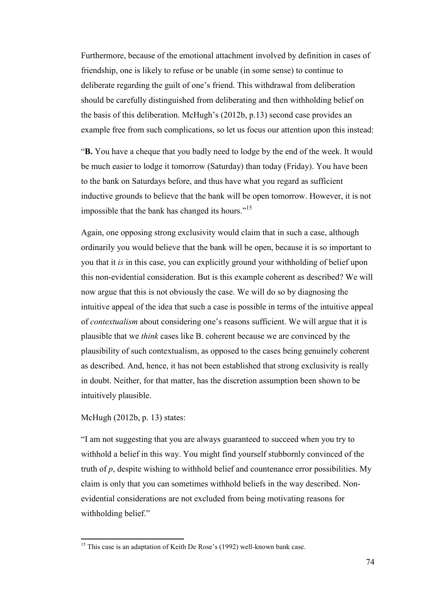Furthermore, because of the emotional attachment involved by definition in cases of friendship, one is likely to refuse or be unable (in some sense) to continue to deliberate regarding the guilt of one's friend. This withdrawal from deliberation should be carefully distinguished from deliberating and then withholding belief on the basis of this deliberation. McHugh's (2012b, p.13) second case provides an example free from such complications, so let us focus our attention upon this instead:

"**B.** You have a cheque that you badly need to lodge by the end of the week. It would be much easier to lodge it tomorrow (Saturday) than today (Friday). You have been to the bank on Saturdays before, and thus have what you regard as sufficient inductive grounds to believe that the bank will be open tomorrow. However, it is not impossible that the bank has changed its hours."<sup>15</sup>

Again, one opposing strong exclusivity would claim that in such a case, although ordinarily you would believe that the bank will be open, because it is so important to you that it *is* in this case, you can explicitly ground your withholding of belief upon this non-evidential consideration. But is this example coherent as described? We will now argue that this is not obviously the case. We will do so by diagnosing the intuitive appeal of the idea that such a case is possible in terms of the intuitive appeal of *contextualism* about considering one's reasons sufficient. We will argue that it is plausible that we *think* cases like B. coherent because we are convinced by the plausibility of such contextualism, as opposed to the cases being genuinely coherent as described. And, hence, it has not been established that strong exclusivity is really in doubt. Neither, for that matter, has the discretion assumption been shown to be intuitively plausible.

McHugh (2012b, p. 13) states:

l

"I am not suggesting that you are always guaranteed to succeed when you try to withhold a belief in this way. You might find yourself stubbornly convinced of the truth of *p*, despite wishing to withhold belief and countenance error possibilities. My claim is only that you can sometimes withhold beliefs in the way described. Nonevidential considerations are not excluded from being motivating reasons for withholding belief."

<sup>&</sup>lt;sup>15</sup> This case is an adaptation of Keith De Rose's (1992) well-known bank case.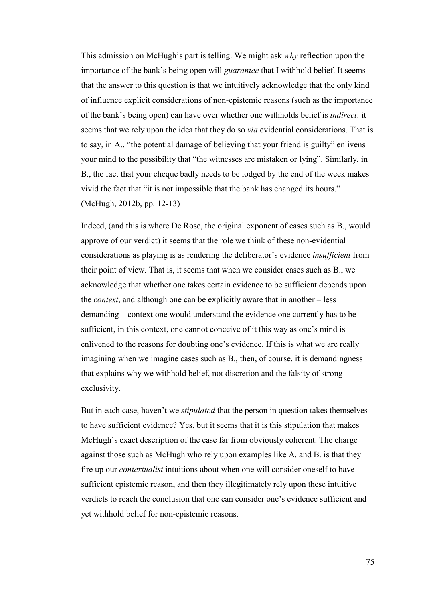This admission on McHugh's part is telling. We might ask *why* reflection upon the importance of the bank's being open will *guarantee* that I withhold belief. It seems that the answer to this question is that we intuitively acknowledge that the only kind of influence explicit considerations of non-epistemic reasons (such as the importance of the bank's being open) can have over whether one withholds belief is *indirect*: it seems that we rely upon the idea that they do so *via* evidential considerations. That is to say, in A., "the potential damage of believing that your friend is guilty" enlivens your mind to the possibility that "the witnesses are mistaken or lying". Similarly, in B., the fact that your cheque badly needs to be lodged by the end of the week makes vivid the fact that "it is not impossible that the bank has changed its hours." (McHugh, 2012b, pp. 12-13)

Indeed, (and this is where De Rose, the original exponent of cases such as B., would approve of our verdict) it seems that the role we think of these non-evidential considerations as playing is as rendering the deliberator's evidence *insufficient* from their point of view. That is, it seems that when we consider cases such as B., we acknowledge that whether one takes certain evidence to be sufficient depends upon the *context*, and although one can be explicitly aware that in another – less demanding – context one would understand the evidence one currently has to be sufficient, in this context, one cannot conceive of it this way as one's mind is enlivened to the reasons for doubting one's evidence. If this is what we are really imagining when we imagine cases such as B., then, of course, it is demandingness that explains why we withhold belief, not discretion and the falsity of strong exclusivity.

But in each case, haven't we *stipulated* that the person in question takes themselves to have sufficient evidence? Yes, but it seems that it is this stipulation that makes McHugh's exact description of the case far from obviously coherent. The charge against those such as McHugh who rely upon examples like A. and B. is that they fire up our *contextualist* intuitions about when one will consider oneself to have sufficient epistemic reason, and then they illegitimately rely upon these intuitive verdicts to reach the conclusion that one can consider one's evidence sufficient and yet withhold belief for non-epistemic reasons.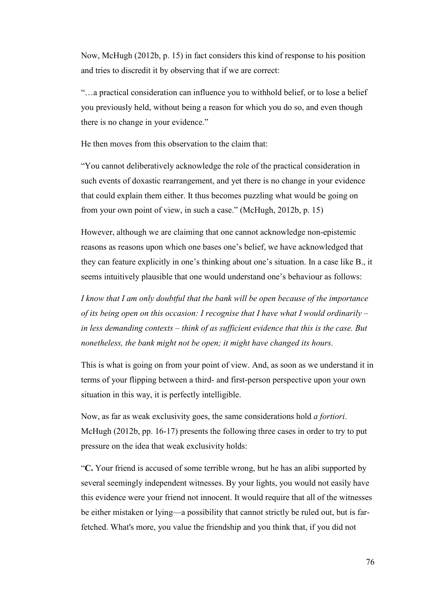Now, McHugh (2012b, p. 15) in fact considers this kind of response to his position and tries to discredit it by observing that if we are correct:

"…a practical consideration can influence you to withhold belief, or to lose a belief you previously held, without being a reason for which you do so, and even though there is no change in your evidence."

He then moves from this observation to the claim that:

"You cannot deliberatively acknowledge the role of the practical consideration in such events of doxastic rearrangement, and yet there is no change in your evidence that could explain them either. It thus becomes puzzling what would be going on from your own point of view, in such a case." (McHugh, 2012b, p. 15)

However, although we are claiming that one cannot acknowledge non-epistemic reasons as reasons upon which one bases one's belief, we have acknowledged that they can feature explicitly in one's thinking about one's situation. In a case like B., it seems intuitively plausible that one would understand one's behaviour as follows:

*I know that I am only doubtful that the bank will be open because of the importance of its being open on this occasion: I recognise that I have what I would ordinarily – in less demanding contexts – think of as sufficient evidence that this is the case. But nonetheless, the bank might not be open; it might have changed its hours.* 

This is what is going on from your point of view. And, as soon as we understand it in terms of your flipping between a third- and first-person perspective upon your own situation in this way, it is perfectly intelligible.

Now, as far as weak exclusivity goes, the same considerations hold *a fortiori*. McHugh (2012b, pp. 16-17) presents the following three cases in order to try to put pressure on the idea that weak exclusivity holds:

"**C.** Your friend is accused of some terrible wrong, but he has an alibi supported by several seemingly independent witnesses. By your lights, you would not easily have this evidence were your friend not innocent. It would require that all of the witnesses be either mistaken or lying—a possibility that cannot strictly be ruled out, but is farfetched. What's more, you value the friendship and you think that, if you did not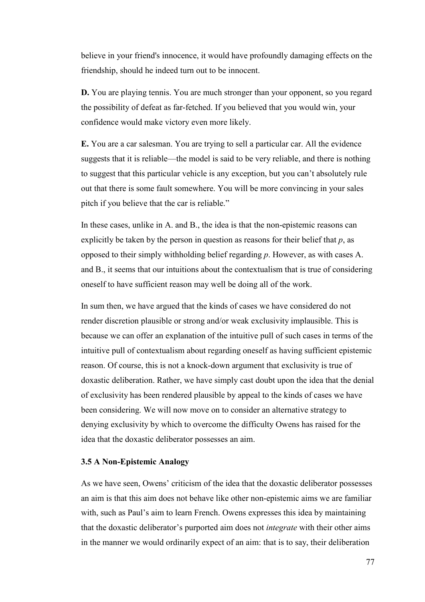believe in your friend's innocence, it would have profoundly damaging effects on the friendship, should he indeed turn out to be innocent.

**D.** You are playing tennis. You are much stronger than your opponent, so you regard the possibility of defeat as far-fetched. If you believed that you would win, your confidence would make victory even more likely.

**E.** You are a car salesman. You are trying to sell a particular car. All the evidence suggests that it is reliable—the model is said to be very reliable, and there is nothing to suggest that this particular vehicle is any exception, but you can't absolutely rule out that there is some fault somewhere. You will be more convincing in your sales pitch if you believe that the car is reliable."

In these cases, unlike in A. and B., the idea is that the non-epistemic reasons can explicitly be taken by the person in question as reasons for their belief that *p*, as opposed to their simply withholding belief regarding *p*. However, as with cases A. and B., it seems that our intuitions about the contextualism that is true of considering oneself to have sufficient reason may well be doing all of the work.

In sum then, we have argued that the kinds of cases we have considered do not render discretion plausible or strong and/or weak exclusivity implausible. This is because we can offer an explanation of the intuitive pull of such cases in terms of the intuitive pull of contextualism about regarding oneself as having sufficient epistemic reason. Of course, this is not a knock-down argument that exclusivity is true of doxastic deliberation. Rather, we have simply cast doubt upon the idea that the denial of exclusivity has been rendered plausible by appeal to the kinds of cases we have been considering. We will now move on to consider an alternative strategy to denying exclusivity by which to overcome the difficulty Owens has raised for the idea that the doxastic deliberator possesses an aim.

## **3.5 A Non-Epistemic Analogy**

As we have seen, Owens' criticism of the idea that the doxastic deliberator possesses an aim is that this aim does not behave like other non-epistemic aims we are familiar with, such as Paul's aim to learn French. Owens expresses this idea by maintaining that the doxastic deliberator's purported aim does not *integrate* with their other aims in the manner we would ordinarily expect of an aim: that is to say, their deliberation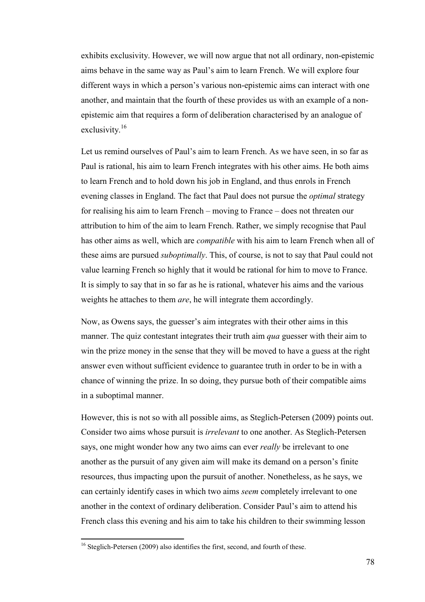exhibits exclusivity. However, we will now argue that not all ordinary, non-epistemic aims behave in the same way as Paul's aim to learn French. We will explore four different ways in which a person's various non-epistemic aims can interact with one another, and maintain that the fourth of these provides us with an example of a nonepistemic aim that requires a form of deliberation characterised by an analogue of exclusivity.<sup>16</sup>

Let us remind ourselves of Paul's aim to learn French. As we have seen, in so far as Paul is rational, his aim to learn French integrates with his other aims. He both aims to learn French and to hold down his job in England, and thus enrols in French evening classes in England. The fact that Paul does not pursue the *optimal* strategy for realising his aim to learn French – moving to France – does not threaten our attribution to him of the aim to learn French. Rather, we simply recognise that Paul has other aims as well, which are *compatible* with his aim to learn French when all of these aims are pursued *suboptimally*. This, of course, is not to say that Paul could not value learning French so highly that it would be rational for him to move to France. It is simply to say that in so far as he is rational, whatever his aims and the various weights he attaches to them *are*, he will integrate them accordingly.

Now, as Owens says, the guesser's aim integrates with their other aims in this manner. The quiz contestant integrates their truth aim *qua* guesser with their aim to win the prize money in the sense that they will be moved to have a guess at the right answer even without sufficient evidence to guarantee truth in order to be in with a chance of winning the prize. In so doing, they pursue both of their compatible aims in a suboptimal manner.

However, this is not so with all possible aims, as Steglich-Petersen (2009) points out. Consider two aims whose pursuit is *irrelevant* to one another. As Steglich-Petersen says, one might wonder how any two aims can ever *really* be irrelevant to one another as the pursuit of any given aim will make its demand on a person's finite resources, thus impacting upon the pursuit of another. Nonetheless, as he says, we can certainly identify cases in which two aims *seem* completely irrelevant to one another in the context of ordinary deliberation. Consider Paul's aim to attend his French class this evening and his aim to take his children to their swimming lesson

l

<sup>&</sup>lt;sup>16</sup> Steglich-Petersen (2009) also identifies the first, second, and fourth of these.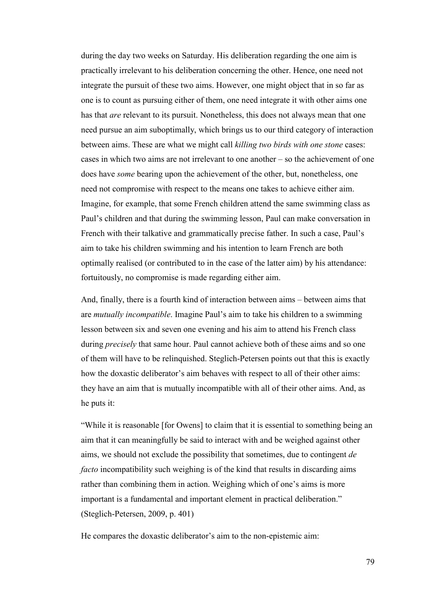during the day two weeks on Saturday. His deliberation regarding the one aim is practically irrelevant to his deliberation concerning the other. Hence, one need not integrate the pursuit of these two aims. However, one might object that in so far as one is to count as pursuing either of them, one need integrate it with other aims one has that *are* relevant to its pursuit. Nonetheless, this does not always mean that one need pursue an aim suboptimally, which brings us to our third category of interaction between aims. These are what we might call *killing two birds with one stone* cases: cases in which two aims are not irrelevant to one another – so the achievement of one does have *some* bearing upon the achievement of the other, but, nonetheless, one need not compromise with respect to the means one takes to achieve either aim. Imagine, for example, that some French children attend the same swimming class as Paul's children and that during the swimming lesson, Paul can make conversation in French with their talkative and grammatically precise father. In such a case, Paul's aim to take his children swimming and his intention to learn French are both optimally realised (or contributed to in the case of the latter aim) by his attendance: fortuitously, no compromise is made regarding either aim.

And, finally, there is a fourth kind of interaction between aims – between aims that are *mutually incompatible*. Imagine Paul's aim to take his children to a swimming lesson between six and seven one evening and his aim to attend his French class during *precisely* that same hour. Paul cannot achieve both of these aims and so one of them will have to be relinquished. Steglich-Petersen points out that this is exactly how the doxastic deliberator's aim behaves with respect to all of their other aims: they have an aim that is mutually incompatible with all of their other aims. And, as he puts it:

"While it is reasonable [for Owens] to claim that it is essential to something being an aim that it can meaningfully be said to interact with and be weighed against other aims, we should not exclude the possibility that sometimes, due to contingent *de facto* incompatibility such weighing is of the kind that results in discarding aims rather than combining them in action. Weighing which of one's aims is more important is a fundamental and important element in practical deliberation." (Steglich-Petersen, 2009, p. 401)

He compares the doxastic deliberator's aim to the non-epistemic aim: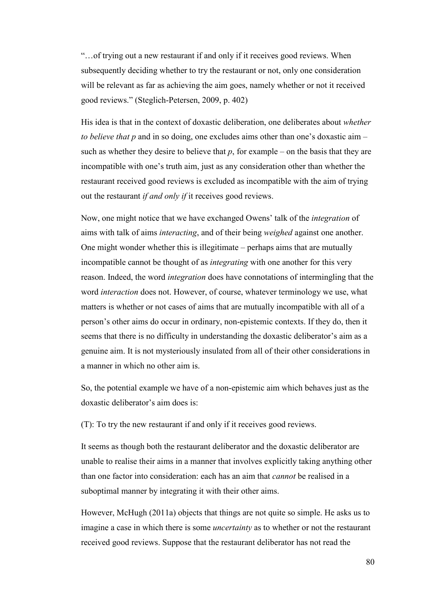"…of trying out a new restaurant if and only if it receives good reviews. When subsequently deciding whether to try the restaurant or not, only one consideration will be relevant as far as achieving the aim goes, namely whether or not it received good reviews." (Steglich-Petersen, 2009, p. 402)

His idea is that in the context of doxastic deliberation, one deliberates about *whether to believe that p* and in so doing, one excludes aims other than one's doxastic aim – such as whether they desire to believe that  $p$ , for example – on the basis that they are incompatible with one's truth aim, just as any consideration other than whether the restaurant received good reviews is excluded as incompatible with the aim of trying out the restaurant *if and only if* it receives good reviews.

Now, one might notice that we have exchanged Owens' talk of the *integration* of aims with talk of aims *interacting*, and of their being *weighed* against one another. One might wonder whether this is illegitimate – perhaps aims that are mutually incompatible cannot be thought of as *integrating* with one another for this very reason. Indeed, the word *integration* does have connotations of intermingling that the word *interaction* does not. However, of course, whatever terminology we use, what matters is whether or not cases of aims that are mutually incompatible with all of a person's other aims do occur in ordinary, non-epistemic contexts. If they do, then it seems that there is no difficulty in understanding the doxastic deliberator's aim as a genuine aim. It is not mysteriously insulated from all of their other considerations in a manner in which no other aim is.

So, the potential example we have of a non-epistemic aim which behaves just as the doxastic deliberator's aim does is:

(T): To try the new restaurant if and only if it receives good reviews.

It seems as though both the restaurant deliberator and the doxastic deliberator are unable to realise their aims in a manner that involves explicitly taking anything other than one factor into consideration: each has an aim that *cannot* be realised in a suboptimal manner by integrating it with their other aims.

However, McHugh (2011a) objects that things are not quite so simple. He asks us to imagine a case in which there is some *uncertainty* as to whether or not the restaurant received good reviews. Suppose that the restaurant deliberator has not read the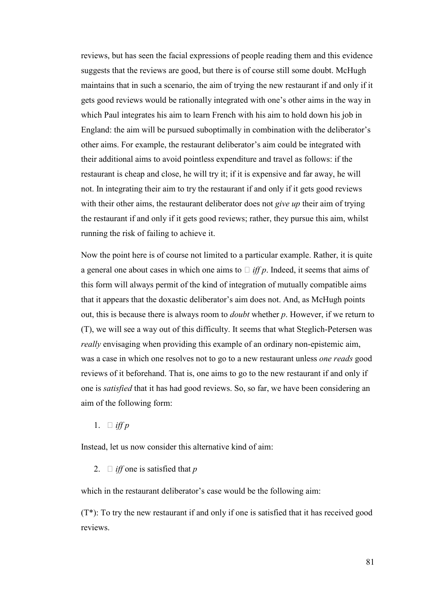reviews, but has seen the facial expressions of people reading them and this evidence suggests that the reviews are good, but there is of course still some doubt. McHugh maintains that in such a scenario, the aim of trying the new restaurant if and only if it gets good reviews would be rationally integrated with one's other aims in the way in which Paul integrates his aim to learn French with his aim to hold down his job in England: the aim will be pursued suboptimally in combination with the deliberator's other aims. For example, the restaurant deliberator's aim could be integrated with their additional aims to avoid pointless expenditure and travel as follows: if the restaurant is cheap and close, he will try it; if it is expensive and far away, he will not. In integrating their aim to try the restaurant if and only if it gets good reviews with their other aims, the restaurant deliberator does not *give up* their aim of trying the restaurant if and only if it gets good reviews; rather, they pursue this aim, whilst running the risk of failing to achieve it.

Now the point here is of course not limited to a particular example. Rather, it is quite a general one about cases in which one aims to U *iff p*. Indeed, it seems that aims of this form will always permit of the kind of integration of mutually compatible aims that it appears that the doxastic deliberator's aim does not. And, as McHugh points out, this is because there is always room to *doubt* whether *p*. However, if we return to (T), we will see a way out of this difficulty. It seems that what Steglich-Petersen was *really* envisaging when providing this example of an ordinary non-epistemic aim, was a case in which one resolves not to go to a new restaurant unless *one reads* good reviews of it beforehand. That is, one aims to go to the new restaurant if and only if one is *satisfied* that it has had good reviews. So, so far, we have been considering an aim of the following form:

1. U *iff p*

Instead, let us now consider this alternative kind of aim:

2. U *iff* one is satisfied that *p*

which in the restaurant deliberator's case would be the following aim:

(T\*): To try the new restaurant if and only if one is satisfied that it has received good reviews.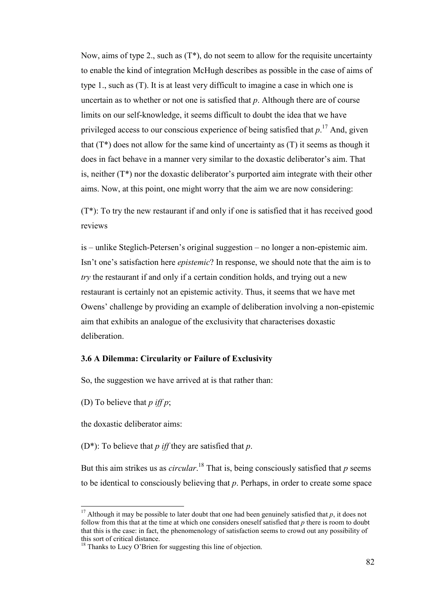Now, aims of type 2., such as  $(T^*)$ , do not seem to allow for the requisite uncertainty to enable the kind of integration McHugh describes as possible in the case of aims of type 1., such as (T). It is at least very difficult to imagine a case in which one is uncertain as to whether or not one is satisfied that *p*. Although there are of course limits on our self-knowledge, it seems difficult to doubt the idea that we have privileged access to our conscious experience of being satisfied that *p*. <sup>17</sup> And, given that  $(T^*)$  does not allow for the same kind of uncertainty as  $(T)$  it seems as though it does in fact behave in a manner very similar to the doxastic deliberator's aim. That is, neither (T\*) nor the doxastic deliberator's purported aim integrate with their other aims. Now, at this point, one might worry that the aim we are now considering:

(T\*): To try the new restaurant if and only if one is satisfied that it has received good reviews

is – unlike Steglich-Petersen's original suggestion – no longer a non-epistemic aim. Isn't one's satisfaction here *epistemic*? In response, we should note that the aim is to *try* the restaurant if and only if a certain condition holds, and trying out a new restaurant is certainly not an epistemic activity. Thus, it seems that we have met Owens' challenge by providing an example of deliberation involving a non-epistemic aim that exhibits an analogue of the exclusivity that characterises doxastic deliberation.

## **3.6 A Dilemma: Circularity or Failure of Exclusivity**

So, the suggestion we have arrived at is that rather than:

(D) To believe that *p iff p*;

 $\overline{a}$ 

the doxastic deliberator aims:

(D\*): To believe that *p iff* they are satisfied that *p*.

But this aim strikes us as *circular*. <sup>18</sup> That is, being consciously satisfied that *p* seems to be identical to consciously believing that *p*. Perhaps, in order to create some space

<sup>&</sup>lt;sup>17</sup> Although it may be possible to later doubt that one had been genuinely satisfied that *p*, it does not follow from this that at the time at which one considers oneself satisfied that *p* there is room to doubt that this is the case: in fact, the phenomenology of satisfaction seems to crowd out any possibility of this sort of critical distance.

<sup>&</sup>lt;sup>18</sup> Thanks to Lucy O'Brien for suggesting this line of objection.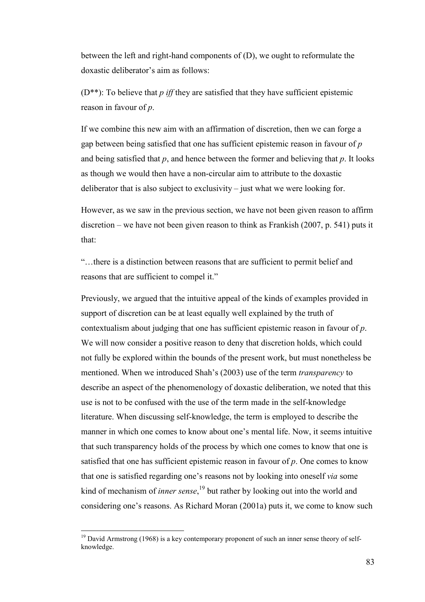between the left and right-hand components of (D), we ought to reformulate the doxastic deliberator's aim as follows:

(D\*\*): To believe that *p iff* they are satisfied that they have sufficient epistemic reason in favour of *p*.

If we combine this new aim with an affirmation of discretion, then we can forge a gap between being satisfied that one has sufficient epistemic reason in favour of *p* and being satisfied that *p*, and hence between the former and believing that *p*. It looks as though we would then have a non-circular aim to attribute to the doxastic deliberator that is also subject to exclusivity – just what we were looking for.

However, as we saw in the previous section, we have not been given reason to affirm discretion – we have not been given reason to think as Frankish (2007, p. 541) puts it that:

"…there is a distinction between reasons that are sufficient to permit belief and reasons that are sufficient to compel it."

Previously, we argued that the intuitive appeal of the kinds of examples provided in support of discretion can be at least equally well explained by the truth of contextualism about judging that one has sufficient epistemic reason in favour of *p*. We will now consider a positive reason to deny that discretion holds, which could not fully be explored within the bounds of the present work, but must nonetheless be mentioned. When we introduced Shah's (2003) use of the term *transparency* to describe an aspect of the phenomenology of doxastic deliberation, we noted that this use is not to be confused with the use of the term made in the self-knowledge literature. When discussing self-knowledge, the term is employed to describe the manner in which one comes to know about one's mental life. Now, it seems intuitive that such transparency holds of the process by which one comes to know that one is satisfied that one has sufficient epistemic reason in favour of *p*. One comes to know that one is satisfied regarding one's reasons not by looking into oneself *via* some kind of mechanism of *inner sense*, <sup>19</sup> but rather by looking out into the world and considering one's reasons. As Richard Moran (2001a) puts it, we come to know such

 $\overline{a}$ 

 $19$  David Armstrong (1968) is a key contemporary proponent of such an inner sense theory of selfknowledge.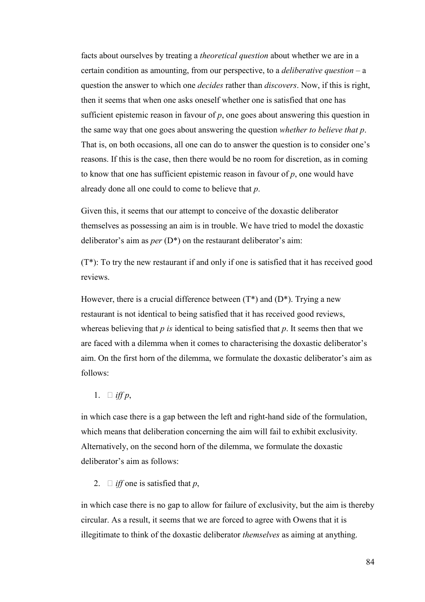facts about ourselves by treating a *theoretical question* about whether we are in a certain condition as amounting, from our perspective, to a *deliberative question* – a question the answer to which one *decides* rather than *discovers*. Now, if this is right, then it seems that when one asks oneself whether one is satisfied that one has sufficient epistemic reason in favour of *p*, one goes about answering this question in the same way that one goes about answering the question *whether to believe that p*. That is, on both occasions, all one can do to answer the question is to consider one's reasons. If this is the case, then there would be no room for discretion, as in coming to know that one has sufficient epistemic reason in favour of *p*, one would have already done all one could to come to believe that *p*.

Given this, it seems that our attempt to conceive of the doxastic deliberator themselves as possessing an aim is in trouble. We have tried to model the doxastic deliberator's aim as *per* (D\*) on the restaurant deliberator's aim:

(T\*): To try the new restaurant if and only if one is satisfied that it has received good reviews.

However, there is a crucial difference between  $(T^*)$  and  $(D^*)$ . Trying a new restaurant is not identical to being satisfied that it has received good reviews, whereas believing that *p is* identical to being satisfied that *p*. It seems then that we are faced with a dilemma when it comes to characterising the doxastic deliberator's aim. On the first horn of the dilemma, we formulate the doxastic deliberator's aim as follows:

1. U *iff p*,

in which case there is a gap between the left and right-hand side of the formulation, which means that deliberation concerning the aim will fail to exhibit exclusivity. Alternatively, on the second horn of the dilemma, we formulate the doxastic deliberator's aim as follows:

2. U *iff* one is satisfied that *p*,

in which case there is no gap to allow for failure of exclusivity, but the aim is thereby circular. As a result, it seems that we are forced to agree with Owens that it is illegitimate to think of the doxastic deliberator *themselves* as aiming at anything.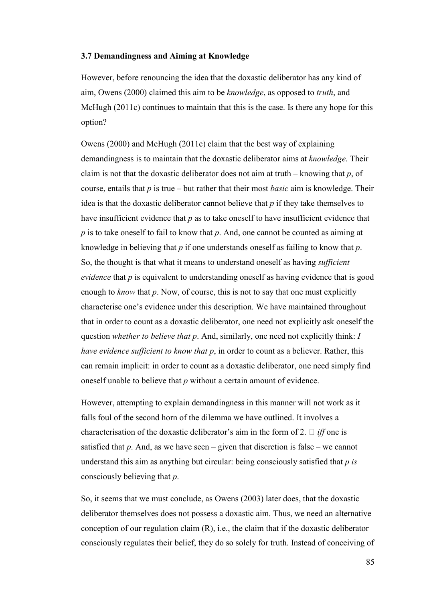# **3.7 Demandingness and Aiming at Knowledge**

However, before renouncing the idea that the doxastic deliberator has any kind of aim, Owens (2000) claimed this aim to be *knowledge*, as opposed to *truth*, and McHugh (2011c) continues to maintain that this is the case. Is there any hope for this option?

Owens (2000) and McHugh (2011c) claim that the best way of explaining demandingness is to maintain that the doxastic deliberator aims at *knowledge*. Their claim is not that the doxastic deliberator does not aim at truth – knowing that *p*, of course, entails that *p* is true – but rather that their most *basic* aim is knowledge. Their idea is that the doxastic deliberator cannot believe that *p* if they take themselves to have insufficient evidence that *p* as to take oneself to have insufficient evidence that *p* is to take oneself to fail to know that *p*. And, one cannot be counted as aiming at knowledge in believing that *p* if one understands oneself as failing to know that *p*. So, the thought is that what it means to understand oneself as having *sufficient evidence* that *p* is equivalent to understanding oneself as having evidence that is good enough to *know* that *p*. Now, of course, this is not to say that one must explicitly characterise one's evidence under this description. We have maintained throughout that in order to count as a doxastic deliberator, one need not explicitly ask oneself the question *whether to believe that p*. And, similarly, one need not explicitly think: *I have evidence sufficient to know that p*, in order to count as a believer. Rather, this can remain implicit: in order to count as a doxastic deliberator, one need simply find oneself unable to believe that *p* without a certain amount of evidence.

However, attempting to explain demandingness in this manner will not work as it falls foul of the second horn of the dilemma we have outlined. It involves a characterisation of the doxastic deliberator's aim in the form of 2. U *iff* one is satisfied that  $p$ . And, as we have seen – given that discretion is false – we cannot understand this aim as anything but circular: being consciously satisfied that *p is* consciously believing that *p*.

So, it seems that we must conclude, as Owens (2003) later does, that the doxastic deliberator themselves does not possess a doxastic aim. Thus, we need an alternative conception of our regulation claim (R), i.e., the claim that if the doxastic deliberator consciously regulates their belief, they do so solely for truth. Instead of conceiving of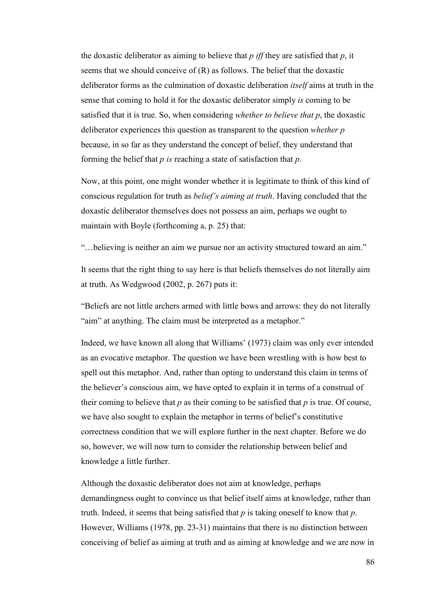the doxastic deliberator as aiming to believe that *p iff* they are satisfied that *p*, it seems that we should conceive of (R) as follows. The belief that the doxastic deliberator forms as the culmination of doxastic deliberation *itself* aims at truth in the sense that coming to hold it for the doxastic deliberator simply *is* coming to be satisfied that it is true. So, when considering *whether to believe that p*, the doxastic deliberator experiences this question as transparent to the question *whether p* because, in so far as they understand the concept of belief, they understand that forming the belief that *p is* reaching a state of satisfaction that *p*.

Now, at this point, one might wonder whether it is legitimate to think of this kind of conscious regulation for truth as *belief's aiming at truth*. Having concluded that the doxastic deliberator themselves does not possess an aim, perhaps we ought to maintain with Boyle (forthcoming a, p. 25) that:

"…believing is neither an aim we pursue nor an activity structured toward an aim."

It seems that the right thing to say here is that beliefs themselves do not literally aim at truth. As Wedgwood (2002, p. 267) puts it:

"Beliefs are not little archers armed with little bows and arrows: they do not literally "aim" at anything. The claim must be interpreted as a metaphor."

Indeed, we have known all along that Williams' (1973) claim was only ever intended as an evocative metaphor. The question we have been wrestling with is how best to spell out this metaphor. And, rather than opting to understand this claim in terms of the believer's conscious aim, we have opted to explain it in terms of a construal of their coming to believe that *p* as their coming to be satisfied that *p* is true. Of course, we have also sought to explain the metaphor in terms of belief's constitutive correctness condition that we will explore further in the next chapter. Before we do so, however, we will now turn to consider the relationship between belief and knowledge a little further.

Although the doxastic deliberator does not aim at knowledge, perhaps demandingness ought to convince us that belief itself aims at knowledge, rather than truth. Indeed, it seems that being satisfied that *p* is taking oneself to know that *p*. However, Williams (1978, pp. 23-31) maintains that there is no distinction between conceiving of belief as aiming at truth and as aiming at knowledge and we are now in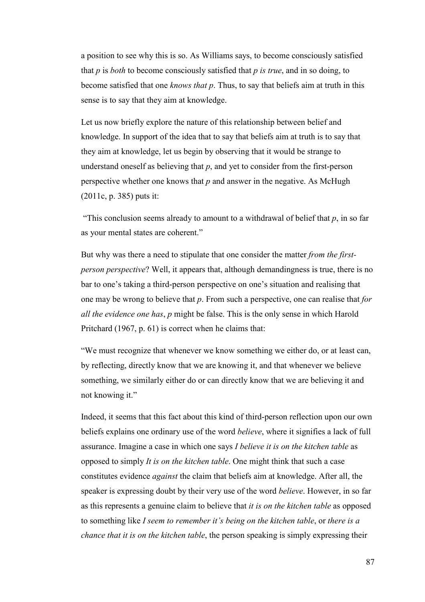a position to see why this is so. As Williams says, to become consciously satisfied that *p* is *both* to become consciously satisfied that *p is true*, and in so doing, to become satisfied that one *knows that p*. Thus, to say that beliefs aim at truth in this sense is to say that they aim at knowledge.

Let us now briefly explore the nature of this relationship between belief and knowledge. In support of the idea that to say that beliefs aim at truth is to say that they aim at knowledge, let us begin by observing that it would be strange to understand oneself as believing that *p*, and yet to consider from the first-person perspective whether one knows that *p* and answer in the negative. As McHugh (2011c, p. 385) puts it:

"This conclusion seems already to amount to a withdrawal of belief that  $p$ , in so far as your mental states are coherent."

But why was there a need to stipulate that one consider the matter *from the firstperson perspective*? Well, it appears that, although demandingness is true, there is no bar to one's taking a third-person perspective on one's situation and realising that one may be wrong to believe that *p*. From such a perspective, one can realise that *for all the evidence one has*, *p* might be false. This is the only sense in which Harold Pritchard (1967, p. 61) is correct when he claims that:

"We must recognize that whenever we know something we either do, or at least can, by reflecting, directly know that we are knowing it, and that whenever we believe something, we similarly either do or can directly know that we are believing it and not knowing it."

Indeed, it seems that this fact about this kind of third-person reflection upon our own beliefs explains one ordinary use of the word *believe*, where it signifies a lack of full assurance. Imagine a case in which one says *I believe it is on the kitchen table* as opposed to simply *It is on the kitchen table*. One might think that such a case constitutes evidence *against* the claim that beliefs aim at knowledge. After all, the speaker is expressing doubt by their very use of the word *believe*. However, in so far as this represents a genuine claim to believe that *it is on the kitchen table* as opposed to something like *I seem to remember it's being on the kitchen table*, or *there is a chance that it is on the kitchen table*, the person speaking is simply expressing their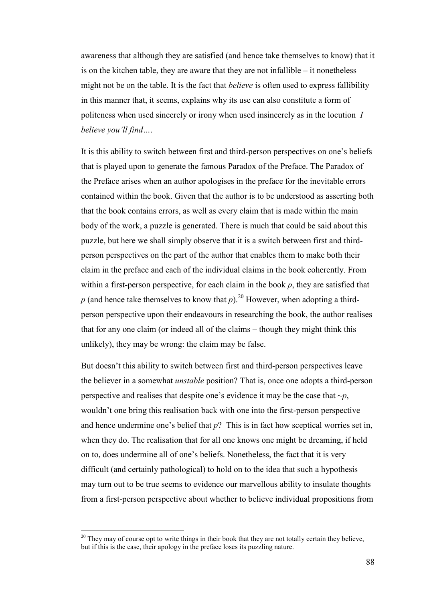awareness that although they are satisfied (and hence take themselves to know) that it is on the kitchen table, they are aware that they are not infallible – it nonetheless might not be on the table. It is the fact that *believe* is often used to express fallibility in this manner that, it seems, explains why its use can also constitute a form of politeness when used sincerely or irony when used insincerely as in the locution *I believe you'll find…*.

It is this ability to switch between first and third-person perspectives on one's beliefs that is played upon to generate the famous Paradox of the Preface. The Paradox of the Preface arises when an author apologises in the preface for the inevitable errors contained within the book. Given that the author is to be understood as asserting both that the book contains errors, as well as every claim that is made within the main body of the work, a puzzle is generated. There is much that could be said about this puzzle, but here we shall simply observe that it is a switch between first and thirdperson perspectives on the part of the author that enables them to make both their claim in the preface and each of the individual claims in the book coherently. From within a first-person perspective, for each claim in the book *p*, they are satisfied that *p* (and hence take themselves to know that *p*).<sup>20</sup> However, when adopting a thirdperson perspective upon their endeavours in researching the book, the author realises that for any one claim (or indeed all of the claims – though they might think this unlikely), they may be wrong: the claim may be false.

But doesn't this ability to switch between first and third-person perspectives leave the believer in a somewhat *unstable* position? That is, once one adopts a third-person perspective and realises that despite one's evidence it may be the case that *~p*, wouldn't one bring this realisation back with one into the first-person perspective and hence undermine one's belief that *p*? This is in fact how sceptical worries set in, when they do. The realisation that for all one knows one might be dreaming, if held on to, does undermine all of one's beliefs. Nonetheless, the fact that it is very difficult (and certainly pathological) to hold on to the idea that such a hypothesis may turn out to be true seems to evidence our marvellous ability to insulate thoughts from a first-person perspective about whether to believe individual propositions from

 $\overline{a}$ 

<sup>&</sup>lt;sup>20</sup> They may of course opt to write things in their book that they are not totally certain they believe, but if this is the case, their apology in the preface loses its puzzling nature.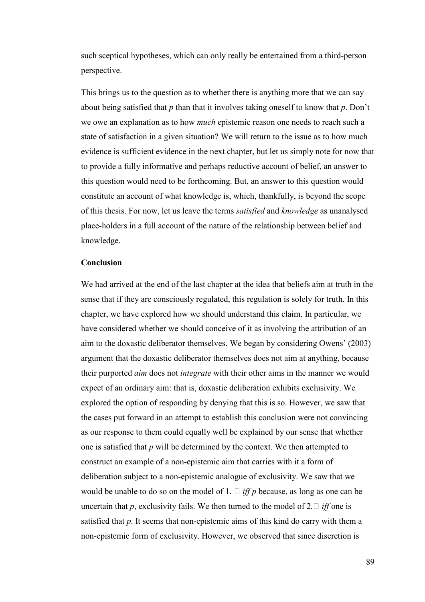such sceptical hypotheses, which can only really be entertained from a third-person perspective.

This brings us to the question as to whether there is anything more that we can say about being satisfied that *p* than that it involves taking oneself to know that *p*. Don't we owe an explanation as to how *much* epistemic reason one needs to reach such a state of satisfaction in a given situation? We will return to the issue as to how much evidence is sufficient evidence in the next chapter, but let us simply note for now that to provide a fully informative and perhaps reductive account of belief, an answer to this question would need to be forthcoming. But, an answer to this question would constitute an account of what knowledge is, which, thankfully, is beyond the scope of this thesis. For now, let us leave the terms *satisfied* and *knowledge* as unanalysed place-holders in a full account of the nature of the relationship between belief and knowledge.

#### **Conclusion**

We had arrived at the end of the last chapter at the idea that beliefs aim at truth in the sense that if they are consciously regulated, this regulation is solely for truth. In this chapter, we have explored how we should understand this claim. In particular, we have considered whether we should conceive of it as involving the attribution of an aim to the doxastic deliberator themselves. We began by considering Owens' (2003) argument that the doxastic deliberator themselves does not aim at anything, because their purported *aim* does not *integrate* with their other aims in the manner we would expect of an ordinary aim: that is, doxastic deliberation exhibits exclusivity. We explored the option of responding by denying that this is so. However, we saw that the cases put forward in an attempt to establish this conclusion were not convincing as our response to them could equally well be explained by our sense that whether one is satisfied that *p* will be determined by the context. We then attempted to construct an example of a non-epistemic aim that carries with it a form of deliberation subject to a non-epistemic analogue of exclusivity. We saw that we would be unable to do so on the model of 1. U *iff p* because, as long as one can be uncertain that  $p$ , exclusivity fails. We then turned to the model of 2.U *iff* one is satisfied that *p*. It seems that non-epistemic aims of this kind do carry with them a non-epistemic form of exclusivity. However, we observed that since discretion is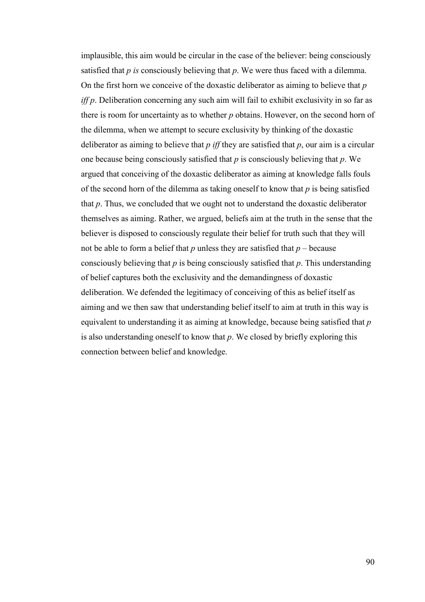implausible, this aim would be circular in the case of the believer: being consciously satisfied that *p is* consciously believing that *p*. We were thus faced with a dilemma. On the first horn we conceive of the doxastic deliberator as aiming to believe that *p iff p*. Deliberation concerning any such aim will fail to exhibit exclusivity in so far as there is room for uncertainty as to whether *p* obtains. However, on the second horn of the dilemma, when we attempt to secure exclusivity by thinking of the doxastic deliberator as aiming to believe that *p iff* they are satisfied that *p*, our aim is a circular one because being consciously satisfied that *p* is consciously believing that *p*. We argued that conceiving of the doxastic deliberator as aiming at knowledge falls fouls of the second horn of the dilemma as taking oneself to know that *p* is being satisfied that *p*. Thus, we concluded that we ought not to understand the doxastic deliberator themselves as aiming. Rather, we argued, beliefs aim at the truth in the sense that the believer is disposed to consciously regulate their belief for truth such that they will not be able to form a belief that  $p$  unless they are satisfied that  $p$  – because consciously believing that *p* is being consciously satisfied that *p*. This understanding of belief captures both the exclusivity and the demandingness of doxastic deliberation. We defended the legitimacy of conceiving of this as belief itself as aiming and we then saw that understanding belief itself to aim at truth in this way is equivalent to understanding it as aiming at knowledge, because being satisfied that *p* is also understanding oneself to know that *p*. We closed by briefly exploring this connection between belief and knowledge.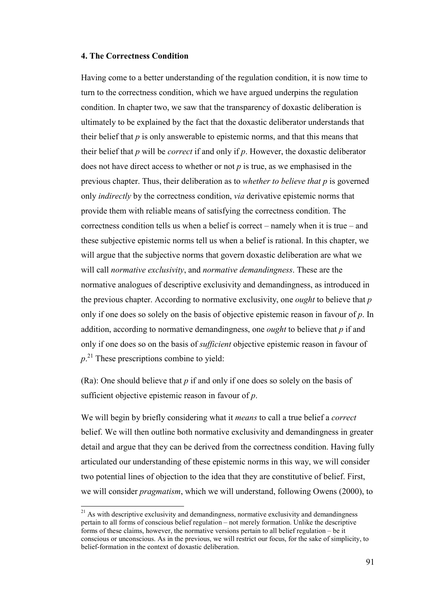## **4. The Correctness Condition**

 $\overline{a}$ 

Having come to a better understanding of the regulation condition, it is now time to turn to the correctness condition, which we have argued underpins the regulation condition. In chapter two, we saw that the transparency of doxastic deliberation is ultimately to be explained by the fact that the doxastic deliberator understands that their belief that *p* is only answerable to epistemic norms, and that this means that their belief that *p* will be *correct* if and only if *p*. However, the doxastic deliberator does not have direct access to whether or not *p* is true, as we emphasised in the previous chapter. Thus, their deliberation as to *whether to believe that p* is governed only *indirectly* by the correctness condition, *via* derivative epistemic norms that provide them with reliable means of satisfying the correctness condition. The correctness condition tells us when a belief is correct – namely when it is true – and these subjective epistemic norms tell us when a belief is rational. In this chapter, we will argue that the subjective norms that govern doxastic deliberation are what we will call *normative exclusivity*, and *normative demandingness*. These are the normative analogues of descriptive exclusivity and demandingness, as introduced in the previous chapter. According to normative exclusivity, one *ought* to believe that *p* only if one does so solely on the basis of objective epistemic reason in favour of *p*. In addition, according to normative demandingness, one *ought* to believe that *p* if and only if one does so on the basis of *sufficient* objective epistemic reason in favour of *p*. <sup>21</sup> These prescriptions combine to yield:

(Ra): One should believe that *p* if and only if one does so solely on the basis of sufficient objective epistemic reason in favour of *p*.

We will begin by briefly considering what it *means* to call a true belief a *correct* belief. We will then outline both normative exclusivity and demandingness in greater detail and argue that they can be derived from the correctness condition. Having fully articulated our understanding of these epistemic norms in this way, we will consider two potential lines of objection to the idea that they are constitutive of belief. First, we will consider *pragmatism*, which we will understand, following Owens (2000), to

 $21$  As with descriptive exclusivity and demandingness, normative exclusivity and demandingness pertain to all forms of conscious belief regulation – not merely formation. Unlike the descriptive forms of these claims, however, the normative versions pertain to all belief regulation – be it conscious or unconscious. As in the previous, we will restrict our focus, for the sake of simplicity, to belief-formation in the context of doxastic deliberation.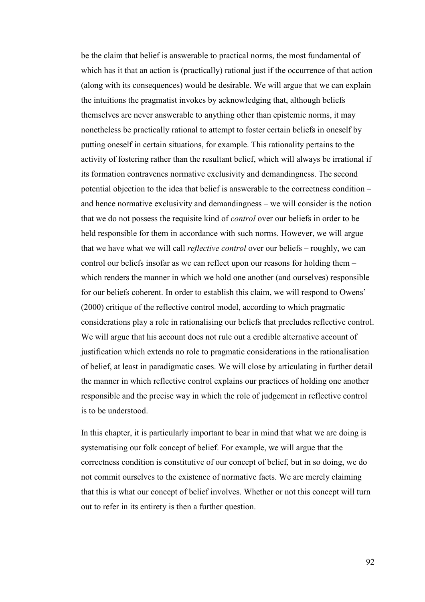be the claim that belief is answerable to practical norms, the most fundamental of which has it that an action is (practically) rational just if the occurrence of that action (along with its consequences) would be desirable. We will argue that we can explain the intuitions the pragmatist invokes by acknowledging that, although beliefs themselves are never answerable to anything other than epistemic norms, it may nonetheless be practically rational to attempt to foster certain beliefs in oneself by putting oneself in certain situations, for example. This rationality pertains to the activity of fostering rather than the resultant belief, which will always be irrational if its formation contravenes normative exclusivity and demandingness. The second potential objection to the idea that belief is answerable to the correctness condition – and hence normative exclusivity and demandingness – we will consider is the notion that we do not possess the requisite kind of *control* over our beliefs in order to be held responsible for them in accordance with such norms. However, we will argue that we have what we will call *reflective control* over our beliefs – roughly, we can control our beliefs insofar as we can reflect upon our reasons for holding them – which renders the manner in which we hold one another (and ourselves) responsible for our beliefs coherent. In order to establish this claim, we will respond to Owens' (2000) critique of the reflective control model, according to which pragmatic considerations play a role in rationalising our beliefs that precludes reflective control. We will argue that his account does not rule out a credible alternative account of justification which extends no role to pragmatic considerations in the rationalisation of belief, at least in paradigmatic cases. We will close by articulating in further detail the manner in which reflective control explains our practices of holding one another responsible and the precise way in which the role of judgement in reflective control is to be understood.

In this chapter, it is particularly important to bear in mind that what we are doing is systematising our folk concept of belief. For example, we will argue that the correctness condition is constitutive of our concept of belief, but in so doing, we do not commit ourselves to the existence of normative facts. We are merely claiming that this is what our concept of belief involves. Whether or not this concept will turn out to refer in its entirety is then a further question.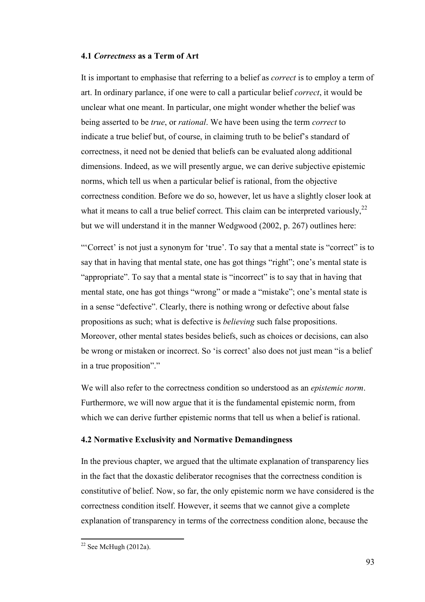# **4.1** *Correctness* **as a Term of Art**

It is important to emphasise that referring to a belief as *correct* is to employ a term of art. In ordinary parlance, if one were to call a particular belief *correct*, it would be unclear what one meant. In particular, one might wonder whether the belief was being asserted to be *true*, or *rational*. We have been using the term *correct* to indicate a true belief but, of course, in claiming truth to be belief's standard of correctness, it need not be denied that beliefs can be evaluated along additional dimensions. Indeed, as we will presently argue, we can derive subjective epistemic norms, which tell us when a particular belief is rational, from the objective correctness condition. Before we do so, however, let us have a slightly closer look at what it means to call a true belief correct. This claim can be interpreted variously,  $2^2$ but we will understand it in the manner Wedgwood (2002, p. 267) outlines here:

"'Correct' is not just a synonym for 'true'. To say that a mental state is "correct" is to say that in having that mental state, one has got things "right"; one's mental state is "appropriate". To say that a mental state is "incorrect" is to say that in having that mental state, one has got things "wrong" or made a "mistake"; one's mental state is in a sense "defective". Clearly, there is nothing wrong or defective about false propositions as such; what is defective is *believing* such false propositions. Moreover, other mental states besides beliefs, such as choices or decisions, can also be wrong or mistaken or incorrect. So 'is correct' also does not just mean "is a belief in a true proposition"."

We will also refer to the correctness condition so understood as an *epistemic norm*. Furthermore, we will now argue that it is the fundamental epistemic norm, from which we can derive further epistemic norms that tell us when a belief is rational.

#### **4.2 Normative Exclusivity and Normative Demandingness**

In the previous chapter, we argued that the ultimate explanation of transparency lies in the fact that the doxastic deliberator recognises that the correctness condition is constitutive of belief. Now, so far, the only epistemic norm we have considered is the correctness condition itself. However, it seems that we cannot give a complete explanation of transparency in terms of the correctness condition alone, because the

l

 $22$  See McHugh (2012a).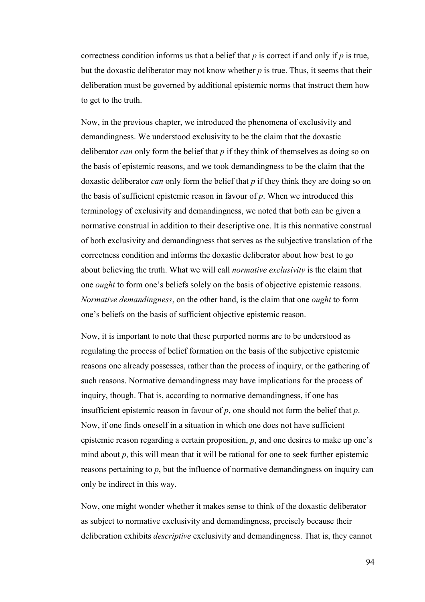correctness condition informs us that a belief that *p* is correct if and only if *p* is true, but the doxastic deliberator may not know whether *p* is true. Thus, it seems that their deliberation must be governed by additional epistemic norms that instruct them how to get to the truth.

Now, in the previous chapter, we introduced the phenomena of exclusivity and demandingness. We understood exclusivity to be the claim that the doxastic deliberator *can* only form the belief that *p* if they think of themselves as doing so on the basis of epistemic reasons, and we took demandingness to be the claim that the doxastic deliberator *can* only form the belief that *p* if they think they are doing so on the basis of sufficient epistemic reason in favour of *p*. When we introduced this terminology of exclusivity and demandingness, we noted that both can be given a normative construal in addition to their descriptive one. It is this normative construal of both exclusivity and demandingness that serves as the subjective translation of the correctness condition and informs the doxastic deliberator about how best to go about believing the truth. What we will call *normative exclusivity* is the claim that one *ought* to form one's beliefs solely on the basis of objective epistemic reasons. *Normative demandingness*, on the other hand, is the claim that one *ought* to form one's beliefs on the basis of sufficient objective epistemic reason.

Now, it is important to note that these purported norms are to be understood as regulating the process of belief formation on the basis of the subjective epistemic reasons one already possesses, rather than the process of inquiry, or the gathering of such reasons. Normative demandingness may have implications for the process of inquiry, though. That is, according to normative demandingness, if one has insufficient epistemic reason in favour of *p*, one should not form the belief that *p*. Now, if one finds oneself in a situation in which one does not have sufficient epistemic reason regarding a certain proposition, *p*, and one desires to make up one's mind about  $p$ , this will mean that it will be rational for one to seek further epistemic reasons pertaining to *p*, but the influence of normative demandingness on inquiry can only be indirect in this way.

Now, one might wonder whether it makes sense to think of the doxastic deliberator as subject to normative exclusivity and demandingness, precisely because their deliberation exhibits *descriptive* exclusivity and demandingness. That is, they cannot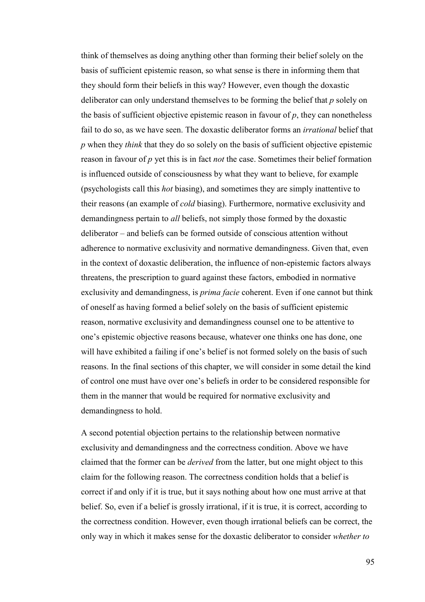think of themselves as doing anything other than forming their belief solely on the basis of sufficient epistemic reason, so what sense is there in informing them that they should form their beliefs in this way? However, even though the doxastic deliberator can only understand themselves to be forming the belief that *p* solely on the basis of sufficient objective epistemic reason in favour of  $p$ , they can nonetheless fail to do so, as we have seen. The doxastic deliberator forms an *irrational* belief that *p* when they *think* that they do so solely on the basis of sufficient objective epistemic reason in favour of *p* yet this is in fact *not* the case. Sometimes their belief formation is influenced outside of consciousness by what they want to believe, for example (psychologists call this *hot* biasing), and sometimes they are simply inattentive to their reasons (an example of *cold* biasing). Furthermore, normative exclusivity and demandingness pertain to *all* beliefs, not simply those formed by the doxastic deliberator – and beliefs can be formed outside of conscious attention without adherence to normative exclusivity and normative demandingness. Given that, even in the context of doxastic deliberation, the influence of non-epistemic factors always threatens, the prescription to guard against these factors, embodied in normative exclusivity and demandingness, is *prima facie* coherent. Even if one cannot but think of oneself as having formed a belief solely on the basis of sufficient epistemic reason, normative exclusivity and demandingness counsel one to be attentive to one's epistemic objective reasons because, whatever one thinks one has done, one will have exhibited a failing if one's belief is not formed solely on the basis of such reasons. In the final sections of this chapter, we will consider in some detail the kind of control one must have over one's beliefs in order to be considered responsible for them in the manner that would be required for normative exclusivity and demandingness to hold.

A second potential objection pertains to the relationship between normative exclusivity and demandingness and the correctness condition. Above we have claimed that the former can be *derived* from the latter, but one might object to this claim for the following reason. The correctness condition holds that a belief is correct if and only if it is true, but it says nothing about how one must arrive at that belief. So, even if a belief is grossly irrational, if it is true, it is correct, according to the correctness condition. However, even though irrational beliefs can be correct, the only way in which it makes sense for the doxastic deliberator to consider *whether to*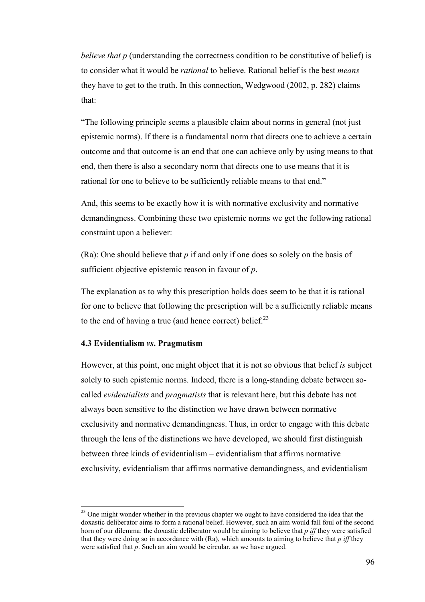*believe that p* (understanding the correctness condition to be constitutive of belief) is to consider what it would be *rational* to believe. Rational belief is the best *means* they have to get to the truth. In this connection, Wedgwood (2002, p. 282) claims that:

"The following principle seems a plausible claim about norms in general (not just epistemic norms). If there is a fundamental norm that directs one to achieve a certain outcome and that outcome is an end that one can achieve only by using means to that end, then there is also a secondary norm that directs one to use means that it is rational for one to believe to be sufficiently reliable means to that end."

And, this seems to be exactly how it is with normative exclusivity and normative demandingness. Combining these two epistemic norms we get the following rational constraint upon a believer:

(Ra): One should believe that *p* if and only if one does so solely on the basis of sufficient objective epistemic reason in favour of *p*.

The explanation as to why this prescription holds does seem to be that it is rational for one to believe that following the prescription will be a sufficiently reliable means to the end of having a true (and hence correct) belief. $^{23}$ 

# **4.3 Evidentialism** *vs***. Pragmatism**

 $\overline{a}$ 

However, at this point, one might object that it is not so obvious that belief *is* subject solely to such epistemic norms. Indeed, there is a long-standing debate between socalled *evidentialists* and *pragmatists* that is relevant here, but this debate has not always been sensitive to the distinction we have drawn between normative exclusivity and normative demandingness. Thus, in order to engage with this debate through the lens of the distinctions we have developed, we should first distinguish between three kinds of evidentialism – evidentialism that affirms normative exclusivity, evidentialism that affirms normative demandingness, and evidentialism

<sup>&</sup>lt;sup>23</sup> One might wonder whether in the previous chapter we ought to have considered the idea that the doxastic deliberator aims to form a rational belief. However, such an aim would fall foul of the second horn of our dilemma: the doxastic deliberator would be aiming to believe that *p iff* they were satisfied that they were doing so in accordance with (Ra), which amounts to aiming to believe that *p iff* they were satisfied that *p*. Such an aim would be circular, as we have argued.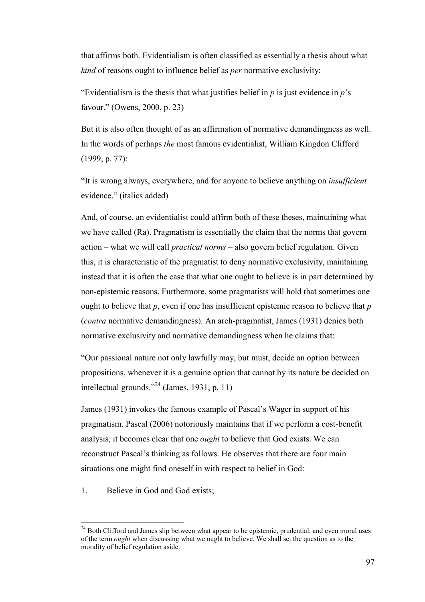that affirms both. Evidentialism is often classified as essentially a thesis about what *kind* of reasons ought to influence belief as *per* normative exclusivity:

"Evidentialism is the thesis that what justifies belief in  $p$  is just evidence in  $p$ 's favour." (Owens, 2000, p. 23)

But it is also often thought of as an affirmation of normative demandingness as well. In the words of perhaps *the* most famous evidentialist, William Kingdon Clifford (1999, p. 77):

"It is wrong always, everywhere, and for anyone to believe anything on *insufficient* evidence." (italics added)

And, of course, an evidentialist could affirm both of these theses, maintaining what we have called (Ra). Pragmatism is essentially the claim that the norms that govern action – what we will call *practical norms* – also govern belief regulation. Given this, it is characteristic of the pragmatist to deny normative exclusivity, maintaining instead that it is often the case that what one ought to believe is in part determined by non-epistemic reasons. Furthermore, some pragmatists will hold that sometimes one ought to believe that *p*, even if one has insufficient epistemic reason to believe that *p* (*contra* normative demandingness). An arch-pragmatist, James (1931) denies both normative exclusivity and normative demandingness when he claims that:

"Our passional nature not only lawfully may, but must, decide an option between propositions, whenever it is a genuine option that cannot by its nature be decided on intellectual grounds."<sup>24</sup> (James, 1931, p. 11)

James (1931) invokes the famous example of Pascal's Wager in support of his pragmatism. Pascal (2006) notoriously maintains that if we perform a cost-benefit analysis, it becomes clear that one *ought* to believe that God exists. We can reconstruct Pascal's thinking as follows. He observes that there are four main situations one might find oneself in with respect to belief in God:

1. Believe in God and God exists;

l

 $24$  Both Clifford and James slip between what appear to be epistemic, prudential, and even moral uses of the term *ought* when discussing what we ought to believe. We shall set the question as to the morality of belief regulation aside.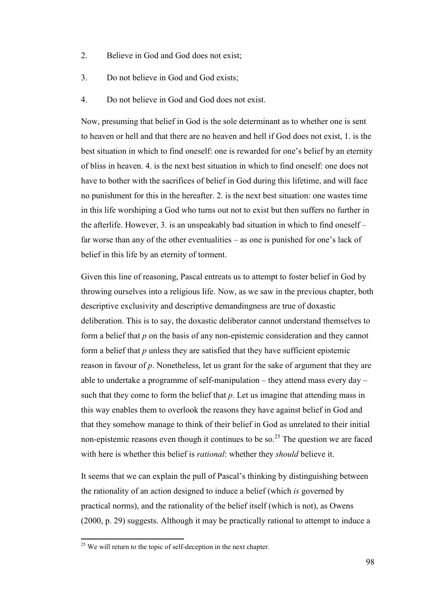- 2. Believe in God and God does not exist;
- 3. Do not believe in God and God exists;
- 4. Do not believe in God and God does not exist.

Now, presuming that belief in God is the sole determinant as to whether one is sent to heaven or hell and that there are no heaven and hell if God does not exist, 1. is the best situation in which to find oneself: one is rewarded for one's belief by an eternity of bliss in heaven. 4. is the next best situation in which to find oneself: one does not have to bother with the sacrifices of belief in God during this lifetime, and will face no punishment for this in the hereafter. 2. is the next best situation: one wastes time in this life worshiping a God who turns out not to exist but then suffers no further in the afterlife. However, 3. is an unspeakably bad situation in which to find oneself – far worse than any of the other eventualities – as one is punished for one's lack of belief in this life by an eternity of torment.

Given this line of reasoning, Pascal entreats us to attempt to foster belief in God by throwing ourselves into a religious life. Now, as we saw in the previous chapter, both descriptive exclusivity and descriptive demandingness are true of doxastic deliberation. This is to say, the doxastic deliberator cannot understand themselves to form a belief that *p* on the basis of any non-epistemic consideration and they cannot form a belief that *p* unless they are satisfied that they have sufficient epistemic reason in favour of *p*. Nonetheless, let us grant for the sake of argument that they are able to undertake a programme of self-manipulation – they attend mass every day – such that they come to form the belief that *p*. Let us imagine that attending mass in this way enables them to overlook the reasons they have against belief in God and that they somehow manage to think of their belief in God as unrelated to their initial non-epistemic reasons even though it continues to be so.<sup>25</sup> The question we are faced with here is whether this belief is *rational*: whether they *should* believe it.

It seems that we can explain the pull of Pascal's thinking by distinguishing between the rationality of an action designed to induce a belief (which *is* governed by practical norms), and the rationality of the belief itself (which is not), as Owens (2000, p. 29) suggests. Although it may be practically rational to attempt to induce a

l

 $25$  We will return to the topic of self-deception in the next chapter.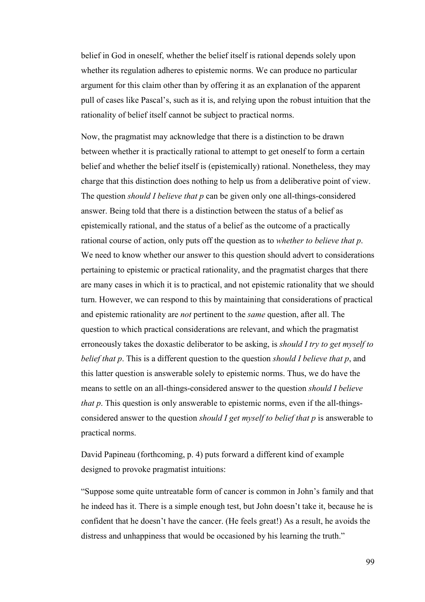belief in God in oneself, whether the belief itself is rational depends solely upon whether its regulation adheres to epistemic norms. We can produce no particular argument for this claim other than by offering it as an explanation of the apparent pull of cases like Pascal's, such as it is, and relying upon the robust intuition that the rationality of belief itself cannot be subject to practical norms.

Now, the pragmatist may acknowledge that there is a distinction to be drawn between whether it is practically rational to attempt to get oneself to form a certain belief and whether the belief itself is (epistemically) rational. Nonetheless, they may charge that this distinction does nothing to help us from a deliberative point of view. The question *should I believe that p* can be given only one all-things-considered answer. Being told that there is a distinction between the status of a belief as epistemically rational, and the status of a belief as the outcome of a practically rational course of action, only puts off the question as to *whether to believe that p*. We need to know whether our answer to this question should advert to considerations pertaining to epistemic or practical rationality, and the pragmatist charges that there are many cases in which it is to practical, and not epistemic rationality that we should turn. However, we can respond to this by maintaining that considerations of practical and epistemic rationality are *not* pertinent to the *same* question, after all. The question to which practical considerations are relevant, and which the pragmatist erroneously takes the doxastic deliberator to be asking, is *should I try to get myself to belief that p*. This is a different question to the question *should I believe that p*, and this latter question is answerable solely to epistemic norms. Thus, we do have the means to settle on an all-things-considered answer to the question *should I believe that p*. This question is only answerable to epistemic norms, even if the all-thingsconsidered answer to the question *should I get myself to belief that p* is answerable to practical norms.

David Papineau (forthcoming, p. 4) puts forward a different kind of example designed to provoke pragmatist intuitions:

"Suppose some quite untreatable form of cancer is common in John's family and that he indeed has it. There is a simple enough test, but John doesn't take it, because he is confident that he doesn't have the cancer. (He feels great!) As a result, he avoids the distress and unhappiness that would be occasioned by his learning the truth."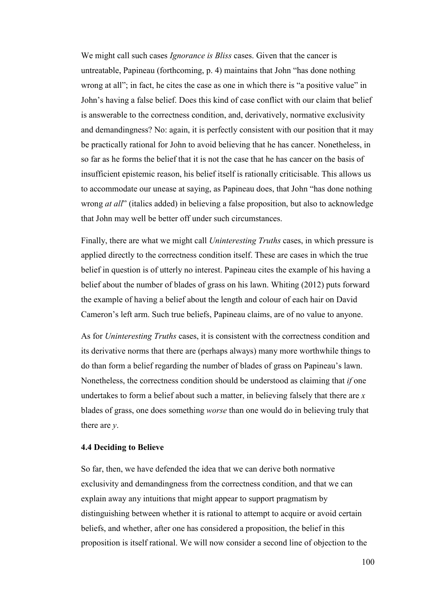We might call such cases *Ignorance is Bliss* cases. Given that the cancer is untreatable, Papineau (forthcoming, p. 4) maintains that John "has done nothing wrong at all"; in fact, he cites the case as one in which there is "a positive value" in John's having a false belief. Does this kind of case conflict with our claim that belief is answerable to the correctness condition, and, derivatively, normative exclusivity and demandingness? No: again, it is perfectly consistent with our position that it may be practically rational for John to avoid believing that he has cancer. Nonetheless, in so far as he forms the belief that it is not the case that he has cancer on the basis of insufficient epistemic reason, his belief itself is rationally criticisable. This allows us to accommodate our unease at saying, as Papineau does, that John "has done nothing wrong *at all*" (italics added) in believing a false proposition, but also to acknowledge that John may well be better off under such circumstances.

Finally, there are what we might call *Uninteresting Truths* cases, in which pressure is applied directly to the correctness condition itself. These are cases in which the true belief in question is of utterly no interest. Papineau cites the example of his having a belief about the number of blades of grass on his lawn. Whiting (2012) puts forward the example of having a belief about the length and colour of each hair on David Cameron's left arm. Such true beliefs, Papineau claims, are of no value to anyone.

As for *Uninteresting Truths* cases, it is consistent with the correctness condition and its derivative norms that there are (perhaps always) many more worthwhile things to do than form a belief regarding the number of blades of grass on Papineau's lawn. Nonetheless, the correctness condition should be understood as claiming that *if* one undertakes to form a belief about such a matter, in believing falsely that there are *x* blades of grass, one does something *worse* than one would do in believing truly that there are *y*.

#### **4.4 Deciding to Believe**

So far, then, we have defended the idea that we can derive both normative exclusivity and demandingness from the correctness condition, and that we can explain away any intuitions that might appear to support pragmatism by distinguishing between whether it is rational to attempt to acquire or avoid certain beliefs, and whether, after one has considered a proposition, the belief in this proposition is itself rational. We will now consider a second line of objection to the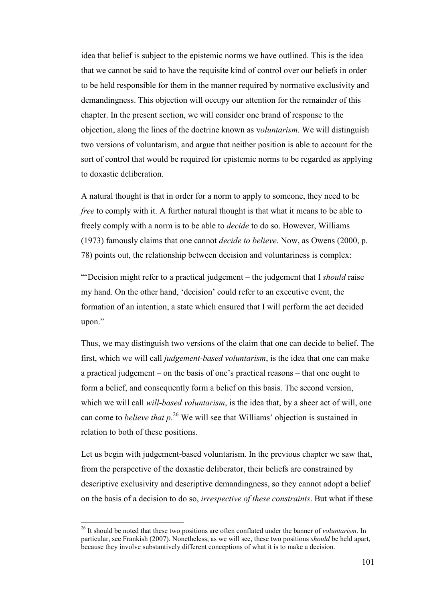idea that belief is subject to the epistemic norms we have outlined. This is the idea that we cannot be said to have the requisite kind of control over our beliefs in order to be held responsible for them in the manner required by normative exclusivity and demandingness. This objection will occupy our attention for the remainder of this chapter. In the present section, we will consider one brand of response to the objection, along the lines of the doctrine known as v*oluntarism*. We will distinguish two versions of voluntarism, and argue that neither position is able to account for the sort of control that would be required for epistemic norms to be regarded as applying to doxastic deliberation.

A natural thought is that in order for a norm to apply to someone, they need to be *free* to comply with it. A further natural thought is that what it means to be able to freely comply with a norm is to be able to *decide* to do so. However, Williams (1973) famously claims that one cannot *decide to believe*. Now, as Owens (2000, p. 78) points out, the relationship between decision and voluntariness is complex:

"'Decision might refer to a practical judgement – the judgement that I *should* raise my hand. On the other hand, 'decision' could refer to an executive event, the formation of an intention, a state which ensured that I will perform the act decided upon."

Thus, we may distinguish two versions of the claim that one can decide to belief. The first, which we will call *judgement-based voluntarism*, is the idea that one can make a practical judgement – on the basis of one's practical reasons – that one ought to form a belief, and consequently form a belief on this basis. The second version, which we will call *will-based voluntarism*, is the idea that, by a sheer act of will, one can come to *believe that p*. <sup>26</sup> We will see that Williams' objection is sustained in relation to both of these positions.

Let us begin with judgement-based voluntarism. In the previous chapter we saw that, from the perspective of the doxastic deliberator, their beliefs are constrained by descriptive exclusivity and descriptive demandingness, so they cannot adopt a belief on the basis of a decision to do so, *irrespective of these constraints*. But what if these

l

<sup>26</sup> It should be noted that these two positions are often conflated under the banner of *voluntarism*. In particular, see Frankish (2007). Nonetheless, as we will see, these two positions *should* be held apart, because they involve substantively different conceptions of what it is to make a decision.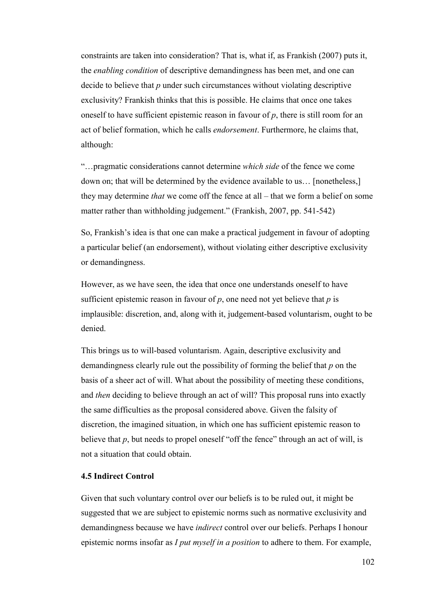constraints are taken into consideration? That is, what if, as Frankish (2007) puts it, the *enabling condition* of descriptive demandingness has been met, and one can decide to believe that *p* under such circumstances without violating descriptive exclusivity? Frankish thinks that this is possible. He claims that once one takes oneself to have sufficient epistemic reason in favour of *p*, there is still room for an act of belief formation, which he calls *endorsement*. Furthermore, he claims that, although:

"…pragmatic considerations cannot determine *which side* of the fence we come down on; that will be determined by the evidence available to us… [nonetheless,] they may determine *that* we come off the fence at all – that we form a belief on some matter rather than withholding judgement." (Frankish, 2007, pp. 541-542)

So, Frankish's idea is that one can make a practical judgement in favour of adopting a particular belief (an endorsement), without violating either descriptive exclusivity or demandingness.

However, as we have seen, the idea that once one understands oneself to have sufficient epistemic reason in favour of  $p$ , one need not yet believe that  $p$  is implausible: discretion, and, along with it, judgement-based voluntarism, ought to be denied.

This brings us to will-based voluntarism. Again, descriptive exclusivity and demandingness clearly rule out the possibility of forming the belief that *p* on the basis of a sheer act of will. What about the possibility of meeting these conditions, and *then* deciding to believe through an act of will? This proposal runs into exactly the same difficulties as the proposal considered above. Given the falsity of discretion, the imagined situation, in which one has sufficient epistemic reason to believe that  $p$ , but needs to propel oneself "off the fence" through an act of will, is not a situation that could obtain.

# **4.5 Indirect Control**

Given that such voluntary control over our beliefs is to be ruled out, it might be suggested that we are subject to epistemic norms such as normative exclusivity and demandingness because we have *indirect* control over our beliefs. Perhaps I honour epistemic norms insofar as *I put myself in a position* to adhere to them. For example,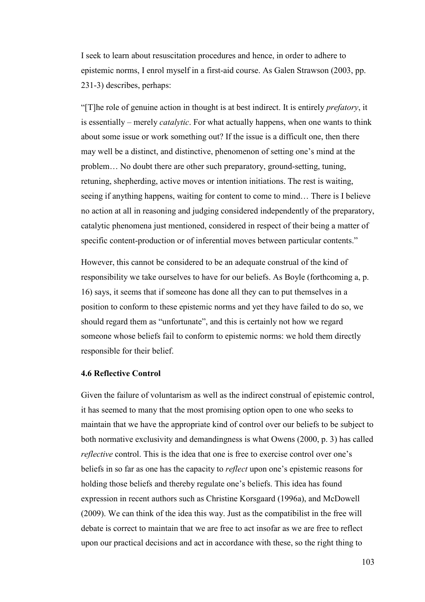I seek to learn about resuscitation procedures and hence, in order to adhere to epistemic norms, I enrol myself in a first-aid course. As Galen Strawson (2003, pp. 231-3) describes, perhaps:

"[T]he role of genuine action in thought is at best indirect. It is entirely *prefatory*, it is essentially – merely *catalytic*. For what actually happens, when one wants to think about some issue or work something out? If the issue is a difficult one, then there may well be a distinct, and distinctive, phenomenon of setting one's mind at the problem… No doubt there are other such preparatory, ground-setting, tuning, retuning, shepherding, active moves or intention initiations. The rest is waiting, seeing if anything happens, waiting for content to come to mind… There is I believe no action at all in reasoning and judging considered independently of the preparatory, catalytic phenomena just mentioned, considered in respect of their being a matter of specific content-production or of inferential moves between particular contents."

However, this cannot be considered to be an adequate construal of the kind of responsibility we take ourselves to have for our beliefs. As Boyle (forthcoming a, p. 16) says, it seems that if someone has done all they can to put themselves in a position to conform to these epistemic norms and yet they have failed to do so, we should regard them as "unfortunate", and this is certainly not how we regard someone whose beliefs fail to conform to epistemic norms: we hold them directly responsible for their belief.

#### **4.6 Reflective Control**

Given the failure of voluntarism as well as the indirect construal of epistemic control, it has seemed to many that the most promising option open to one who seeks to maintain that we have the appropriate kind of control over our beliefs to be subject to both normative exclusivity and demandingness is what Owens (2000, p. 3) has called *reflective* control. This is the idea that one is free to exercise control over one's beliefs in so far as one has the capacity to *reflect* upon one's epistemic reasons for holding those beliefs and thereby regulate one's beliefs. This idea has found expression in recent authors such as Christine Korsgaard (1996a), and McDowell (2009). We can think of the idea this way. Just as the compatibilist in the free will debate is correct to maintain that we are free to act insofar as we are free to reflect upon our practical decisions and act in accordance with these, so the right thing to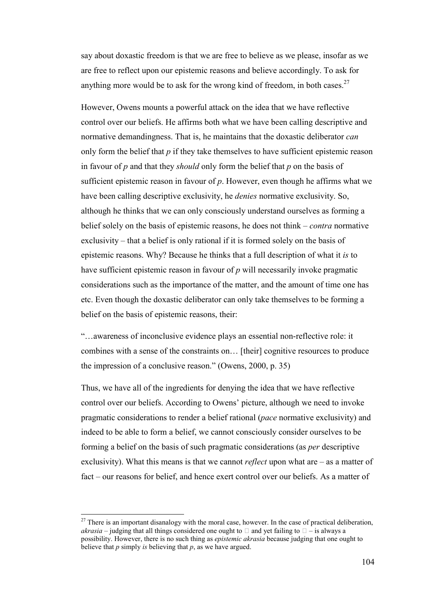say about doxastic freedom is that we are free to believe as we please, insofar as we are free to reflect upon our epistemic reasons and believe accordingly. To ask for anything more would be to ask for the wrong kind of freedom, in both cases.<sup>27</sup>

However, Owens mounts a powerful attack on the idea that we have reflective control over our beliefs. He affirms both what we have been calling descriptive and normative demandingness. That is, he maintains that the doxastic deliberator *can* only form the belief that *p* if they take themselves to have sufficient epistemic reason in favour of *p* and that they *should* only form the belief that *p* on the basis of sufficient epistemic reason in favour of *p*. However, even though he affirms what we have been calling descriptive exclusivity, he *denies* normative exclusivity. So, although he thinks that we can only consciously understand ourselves as forming a belief solely on the basis of epistemic reasons, he does not think – *contra* normative exclusivity – that a belief is only rational if it is formed solely on the basis of epistemic reasons. Why? Because he thinks that a full description of what it *is* to have sufficient epistemic reason in favour of *p* will necessarily invoke pragmatic considerations such as the importance of the matter, and the amount of time one has etc. Even though the doxastic deliberator can only take themselves to be forming a belief on the basis of epistemic reasons, their:

"…awareness of inconclusive evidence plays an essential non-reflective role: it combines with a sense of the constraints on… [their] cognitive resources to produce the impression of a conclusive reason." (Owens, 2000, p. 35)

Thus, we have all of the ingredients for denying the idea that we have reflective control over our beliefs. According to Owens' picture, although we need to invoke pragmatic considerations to render a belief rational (*pace* normative exclusivity) and indeed to be able to form a belief, we cannot consciously consider ourselves to be forming a belief on the basis of such pragmatic considerations (as *per* descriptive exclusivity). What this means is that we cannot *reflect* upon what are – as a matter of fact – our reasons for belief, and hence exert control over our beliefs. As a matter of

 $\overline{a}$ 

 $27$  There is an important disanalogy with the moral case, however. In the case of practical deliberation, *akrasia* – judging that all things considered one ought to U and yet failing to U – is always a possibility. However, there is no such thing as *epistemic akrasia* because judging that one ought to believe that *p* simply *is* believing that *p*, as we have argued.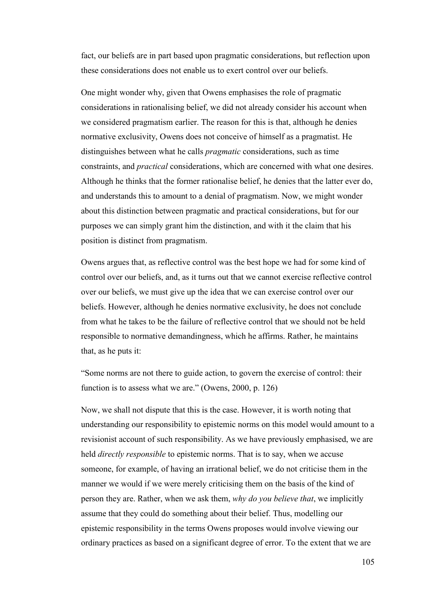fact, our beliefs are in part based upon pragmatic considerations, but reflection upon these considerations does not enable us to exert control over our beliefs.

One might wonder why, given that Owens emphasises the role of pragmatic considerations in rationalising belief, we did not already consider his account when we considered pragmatism earlier. The reason for this is that, although he denies normative exclusivity, Owens does not conceive of himself as a pragmatist. He distinguishes between what he calls *pragmatic* considerations, such as time constraints, and *practical* considerations, which are concerned with what one desires. Although he thinks that the former rationalise belief, he denies that the latter ever do, and understands this to amount to a denial of pragmatism. Now, we might wonder about this distinction between pragmatic and practical considerations, but for our purposes we can simply grant him the distinction, and with it the claim that his position is distinct from pragmatism.

Owens argues that, as reflective control was the best hope we had for some kind of control over our beliefs, and, as it turns out that we cannot exercise reflective control over our beliefs, we must give up the idea that we can exercise control over our beliefs. However, although he denies normative exclusivity, he does not conclude from what he takes to be the failure of reflective control that we should not be held responsible to normative demandingness, which he affirms. Rather, he maintains that, as he puts it:

"Some norms are not there to guide action, to govern the exercise of control: their function is to assess what we are." (Owens, 2000, p. 126)

Now, we shall not dispute that this is the case. However, it is worth noting that understanding our responsibility to epistemic norms on this model would amount to a revisionist account of such responsibility. As we have previously emphasised, we are held *directly responsible* to epistemic norms. That is to say, when we accuse someone, for example, of having an irrational belief, we do not criticise them in the manner we would if we were merely criticising them on the basis of the kind of person they are. Rather, when we ask them, *why do you believe that*, we implicitly assume that they could do something about their belief. Thus, modelling our epistemic responsibility in the terms Owens proposes would involve viewing our ordinary practices as based on a significant degree of error. To the extent that we are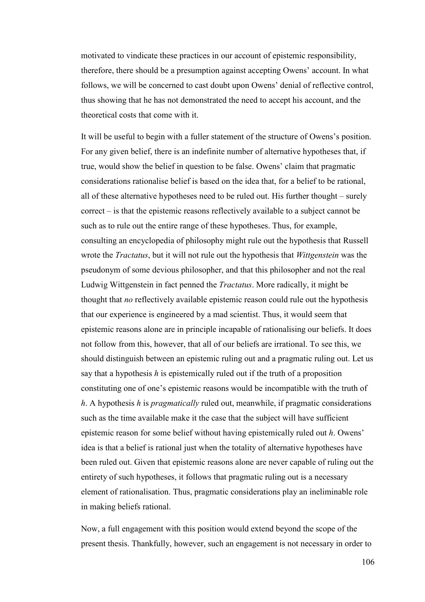motivated to vindicate these practices in our account of epistemic responsibility, therefore, there should be a presumption against accepting Owens' account. In what follows, we will be concerned to cast doubt upon Owens' denial of reflective control, thus showing that he has not demonstrated the need to accept his account, and the theoretical costs that come with it.

It will be useful to begin with a fuller statement of the structure of Owens's position. For any given belief, there is an indefinite number of alternative hypotheses that, if true, would show the belief in question to be false. Owens' claim that pragmatic considerations rationalise belief is based on the idea that, for a belief to be rational, all of these alternative hypotheses need to be ruled out. His further thought – surely correct – is that the epistemic reasons reflectively available to a subject cannot be such as to rule out the entire range of these hypotheses. Thus, for example, consulting an encyclopedia of philosophy might rule out the hypothesis that Russell wrote the *Tractatus*, but it will not rule out the hypothesis that *Wittgenstein* was the pseudonym of some devious philosopher, and that this philosopher and not the real Ludwig Wittgenstein in fact penned the *Tractatus*. More radically, it might be thought that *no* reflectively available epistemic reason could rule out the hypothesis that our experience is engineered by a mad scientist. Thus, it would seem that epistemic reasons alone are in principle incapable of rationalising our beliefs. It does not follow from this, however, that all of our beliefs are irrational. To see this, we should distinguish between an epistemic ruling out and a pragmatic ruling out. Let us say that a hypothesis *h* is epistemically ruled out if the truth of a proposition constituting one of one's epistemic reasons would be incompatible with the truth of *h*. A hypothesis *h* is *pragmatically* ruled out, meanwhile, if pragmatic considerations such as the time available make it the case that the subject will have sufficient epistemic reason for some belief without having epistemically ruled out *h*. Owens' idea is that a belief is rational just when the totality of alternative hypotheses have been ruled out. Given that epistemic reasons alone are never capable of ruling out the entirety of such hypotheses, it follows that pragmatic ruling out is a necessary element of rationalisation. Thus, pragmatic considerations play an ineliminable role in making beliefs rational.

Now, a full engagement with this position would extend beyond the scope of the present thesis. Thankfully, however, such an engagement is not necessary in order to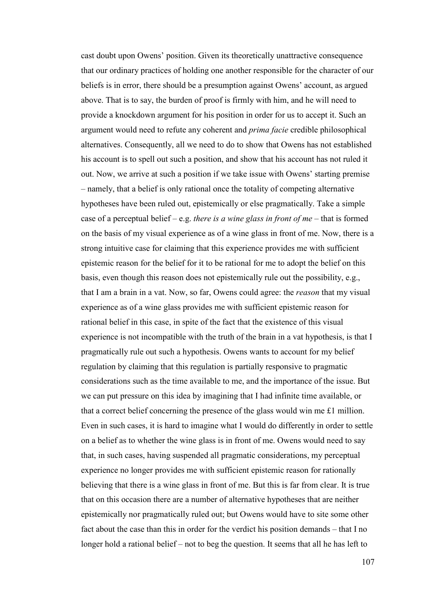cast doubt upon Owens' position. Given its theoretically unattractive consequence that our ordinary practices of holding one another responsible for the character of our beliefs is in error, there should be a presumption against Owens' account, as argued above. That is to say, the burden of proof is firmly with him, and he will need to provide a knockdown argument for his position in order for us to accept it. Such an argument would need to refute any coherent and *prima facie* credible philosophical alternatives. Consequently, all we need to do to show that Owens has not established his account is to spell out such a position, and show that his account has not ruled it out. Now, we arrive at such a position if we take issue with Owens' starting premise – namely, that a belief is only rational once the totality of competing alternative hypotheses have been ruled out, epistemically or else pragmatically. Take a simple case of a perceptual belief – e.g. *there is a wine glass in front of me* – that is formed on the basis of my visual experience as of a wine glass in front of me. Now, there is a strong intuitive case for claiming that this experience provides me with sufficient epistemic reason for the belief for it to be rational for me to adopt the belief on this basis, even though this reason does not epistemically rule out the possibility, e.g., that I am a brain in a vat. Now, so far, Owens could agree: the *reason* that my visual experience as of a wine glass provides me with sufficient epistemic reason for rational belief in this case, in spite of the fact that the existence of this visual experience is not incompatible with the truth of the brain in a vat hypothesis, is that I pragmatically rule out such a hypothesis. Owens wants to account for my belief regulation by claiming that this regulation is partially responsive to pragmatic considerations such as the time available to me, and the importance of the issue. But we can put pressure on this idea by imagining that I had infinite time available, or that a correct belief concerning the presence of the glass would win me £1 million. Even in such cases, it is hard to imagine what I would do differently in order to settle on a belief as to whether the wine glass is in front of me. Owens would need to say that, in such cases, having suspended all pragmatic considerations, my perceptual experience no longer provides me with sufficient epistemic reason for rationally believing that there is a wine glass in front of me. But this is far from clear. It is true that on this occasion there are a number of alternative hypotheses that are neither epistemically nor pragmatically ruled out; but Owens would have to site some other fact about the case than this in order for the verdict his position demands – that I no longer hold a rational belief – not to beg the question. It seems that all he has left to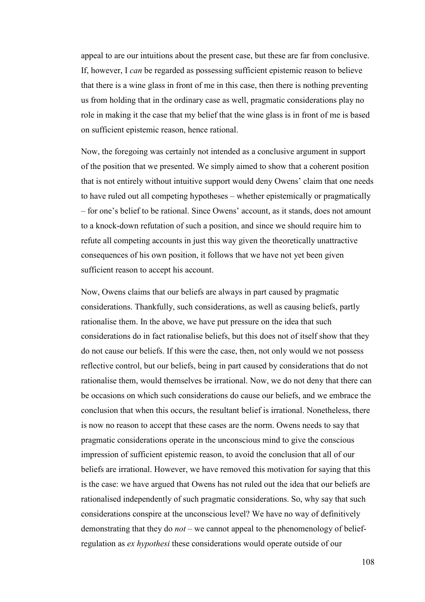appeal to are our intuitions about the present case, but these are far from conclusive. If, however, I *can* be regarded as possessing sufficient epistemic reason to believe that there is a wine glass in front of me in this case, then there is nothing preventing us from holding that in the ordinary case as well, pragmatic considerations play no role in making it the case that my belief that the wine glass is in front of me is based on sufficient epistemic reason, hence rational.

Now, the foregoing was certainly not intended as a conclusive argument in support of the position that we presented. We simply aimed to show that a coherent position that is not entirely without intuitive support would deny Owens' claim that one needs to have ruled out all competing hypotheses – whether epistemically or pragmatically – for one's belief to be rational. Since Owens' account, as it stands, does not amount to a knock-down refutation of such a position, and since we should require him to refute all competing accounts in just this way given the theoretically unattractive consequences of his own position, it follows that we have not yet been given sufficient reason to accept his account.

Now, Owens claims that our beliefs are always in part caused by pragmatic considerations. Thankfully, such considerations, as well as causing beliefs, partly rationalise them. In the above, we have put pressure on the idea that such considerations do in fact rationalise beliefs, but this does not of itself show that they do not cause our beliefs. If this were the case, then, not only would we not possess reflective control, but our beliefs, being in part caused by considerations that do not rationalise them, would themselves be irrational. Now, we do not deny that there can be occasions on which such considerations do cause our beliefs, and we embrace the conclusion that when this occurs, the resultant belief is irrational. Nonetheless, there is now no reason to accept that these cases are the norm. Owens needs to say that pragmatic considerations operate in the unconscious mind to give the conscious impression of sufficient epistemic reason, to avoid the conclusion that all of our beliefs are irrational. However, we have removed this motivation for saying that this is the case: we have argued that Owens has not ruled out the idea that our beliefs are rationalised independently of such pragmatic considerations. So, why say that such considerations conspire at the unconscious level? We have no way of definitively demonstrating that they do *not* – we cannot appeal to the phenomenology of beliefregulation as *ex hypothesi* these considerations would operate outside of our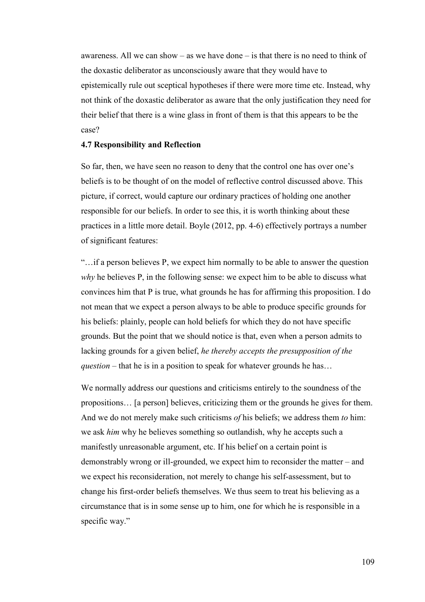awareness. All we can show – as we have done – is that there is no need to think of the doxastic deliberator as unconsciously aware that they would have to epistemically rule out sceptical hypotheses if there were more time etc. Instead, why not think of the doxastic deliberator as aware that the only justification they need for their belief that there is a wine glass in front of them is that this appears to be the case?

### **4.7 Responsibility and Reflection**

So far, then, we have seen no reason to deny that the control one has over one's beliefs is to be thought of on the model of reflective control discussed above. This picture, if correct, would capture our ordinary practices of holding one another responsible for our beliefs. In order to see this, it is worth thinking about these practices in a little more detail. Boyle (2012, pp. 4-6) effectively portrays a number of significant features:

"…if a person believes P, we expect him normally to be able to answer the question *why* he believes P, in the following sense: we expect him to be able to discuss what convinces him that P is true, what grounds he has for affirming this proposition. I do not mean that we expect a person always to be able to produce specific grounds for his beliefs: plainly, people can hold beliefs for which they do not have specific grounds. But the point that we should notice is that, even when a person admits to lacking grounds for a given belief, *he thereby accepts the presupposition of the question* – that he is in a position to speak for whatever grounds he has...

We normally address our questions and criticisms entirely to the soundness of the propositions… [a person] believes, criticizing them or the grounds he gives for them. And we do not merely make such criticisms *of* his beliefs; we address them *to* him: we ask *him* why he believes something so outlandish, why he accepts such a manifestly unreasonable argument, etc. If his belief on a certain point is demonstrably wrong or ill-grounded, we expect him to reconsider the matter – and we expect his reconsideration, not merely to change his self-assessment, but to change his first-order beliefs themselves. We thus seem to treat his believing as a circumstance that is in some sense up to him, one for which he is responsible in a specific way."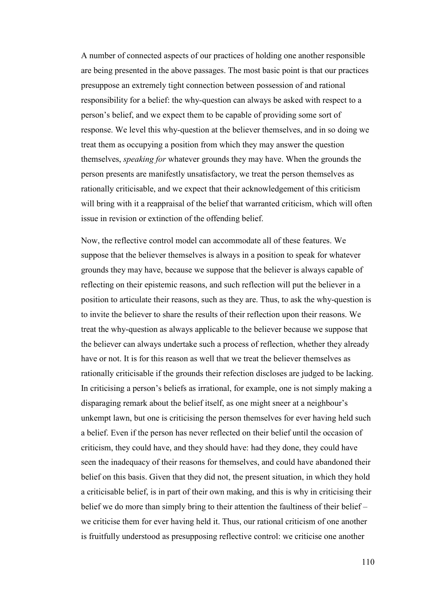A number of connected aspects of our practices of holding one another responsible are being presented in the above passages. The most basic point is that our practices presuppose an extremely tight connection between possession of and rational responsibility for a belief: the why-question can always be asked with respect to a person's belief, and we expect them to be capable of providing some sort of response. We level this why-question at the believer themselves, and in so doing we treat them as occupying a position from which they may answer the question themselves, *speaking for* whatever grounds they may have. When the grounds the person presents are manifestly unsatisfactory, we treat the person themselves as rationally criticisable, and we expect that their acknowledgement of this criticism will bring with it a reappraisal of the belief that warranted criticism, which will often issue in revision or extinction of the offending belief.

Now, the reflective control model can accommodate all of these features. We suppose that the believer themselves is always in a position to speak for whatever grounds they may have, because we suppose that the believer is always capable of reflecting on their epistemic reasons, and such reflection will put the believer in a position to articulate their reasons, such as they are. Thus, to ask the why-question is to invite the believer to share the results of their reflection upon their reasons. We treat the why-question as always applicable to the believer because we suppose that the believer can always undertake such a process of reflection, whether they already have or not. It is for this reason as well that we treat the believer themselves as rationally criticisable if the grounds their refection discloses are judged to be lacking. In criticising a person's beliefs as irrational, for example, one is not simply making a disparaging remark about the belief itself, as one might sneer at a neighbour's unkempt lawn, but one is criticising the person themselves for ever having held such a belief. Even if the person has never reflected on their belief until the occasion of criticism, they could have, and they should have: had they done, they could have seen the inadequacy of their reasons for themselves, and could have abandoned their belief on this basis. Given that they did not, the present situation, in which they hold a criticisable belief, is in part of their own making, and this is why in criticising their belief we do more than simply bring to their attention the faultiness of their belief – we criticise them for ever having held it. Thus, our rational criticism of one another is fruitfully understood as presupposing reflective control: we criticise one another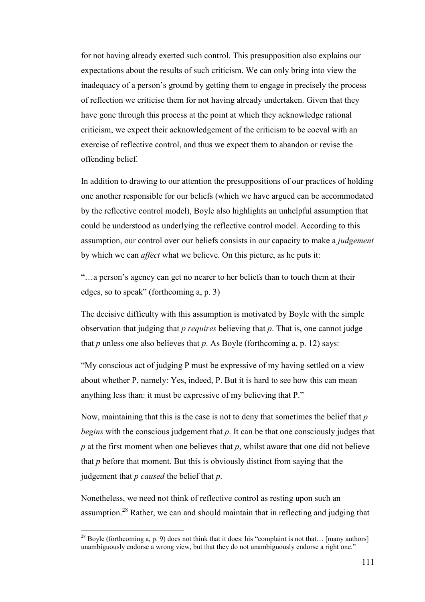for not having already exerted such control. This presupposition also explains our expectations about the results of such criticism. We can only bring into view the inadequacy of a person's ground by getting them to engage in precisely the process of reflection we criticise them for not having already undertaken. Given that they have gone through this process at the point at which they acknowledge rational criticism, we expect their acknowledgement of the criticism to be coeval with an exercise of reflective control, and thus we expect them to abandon or revise the offending belief.

In addition to drawing to our attention the presuppositions of our practices of holding one another responsible for our beliefs (which we have argued can be accommodated by the reflective control model), Boyle also highlights an unhelpful assumption that could be understood as underlying the reflective control model. According to this assumption, our control over our beliefs consists in our capacity to make a *judgement* by which we can *affect* what we believe. On this picture, as he puts it:

"…a person's agency can get no nearer to her beliefs than to touch them at their edges, so to speak" (forthcoming a, p. 3)

The decisive difficulty with this assumption is motivated by Boyle with the simple observation that judging that *p requires* believing that *p*. That is, one cannot judge that  $p$  unless one also believes that  $p$ . As Boyle (forthcoming  $a$ ,  $p$ , 12) says:

"My conscious act of judging P must be expressive of my having settled on a view about whether P, namely: Yes, indeed, P. But it is hard to see how this can mean anything less than: it must be expressive of my believing that P."

Now, maintaining that this is the case is not to deny that sometimes the belief that *p begins* with the conscious judgement that *p*. It can be that one consciously judges that *p* at the first moment when one believes that *p*, whilst aware that one did not believe that *p* before that moment. But this is obviously distinct from saying that the judgement that *p caused* the belief that *p*.

Nonetheless, we need not think of reflective control as resting upon such an assumption.<sup>28</sup> Rather, we can and should maintain that in reflecting and judging that

 $\overline{a}$ 

<sup>&</sup>lt;sup>28</sup> Boyle (forthcoming a, p. 9) does not think that it does: his "complaint is not that... [many authors] unambiguously endorse a wrong view, but that they do not unambiguously endorse a right one."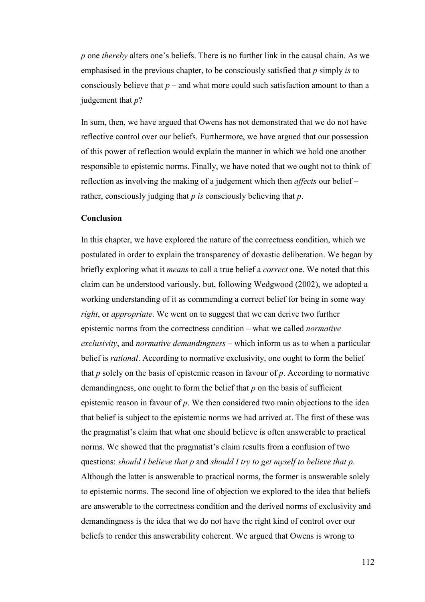*p* one *thereby* alters one's beliefs. There is no further link in the causal chain. As we emphasised in the previous chapter, to be consciously satisfied that *p* simply *is* to consciously believe that  $p$  – and what more could such satisfaction amount to than a judgement that *p*?

In sum, then, we have argued that Owens has not demonstrated that we do not have reflective control over our beliefs. Furthermore, we have argued that our possession of this power of reflection would explain the manner in which we hold one another responsible to epistemic norms. Finally, we have noted that we ought not to think of reflection as involving the making of a judgement which then *affects* our belief – rather, consciously judging that *p is* consciously believing that *p*.

# **Conclusion**

In this chapter, we have explored the nature of the correctness condition, which we postulated in order to explain the transparency of doxastic deliberation. We began by briefly exploring what it *means* to call a true belief a *correct* one. We noted that this claim can be understood variously, but, following Wedgwood (2002), we adopted a working understanding of it as commending a correct belief for being in some way *right*, or *appropriate*. We went on to suggest that we can derive two further epistemic norms from the correctness condition – what we called *normative exclusivity*, and *normative demandingness* – which inform us as to when a particular belief is *rational*. According to normative exclusivity, one ought to form the belief that *p* solely on the basis of epistemic reason in favour of *p*. According to normative demandingness, one ought to form the belief that *p* on the basis of sufficient epistemic reason in favour of *p*. We then considered two main objections to the idea that belief is subject to the epistemic norms we had arrived at. The first of these was the pragmatist's claim that what one should believe is often answerable to practical norms. We showed that the pragmatist's claim results from a confusion of two questions: *should I believe that p* and *should I try to get myself to believe that p*. Although the latter is answerable to practical norms, the former is answerable solely to epistemic norms. The second line of objection we explored to the idea that beliefs are answerable to the correctness condition and the derived norms of exclusivity and demandingness is the idea that we do not have the right kind of control over our beliefs to render this answerability coherent. We argued that Owens is wrong to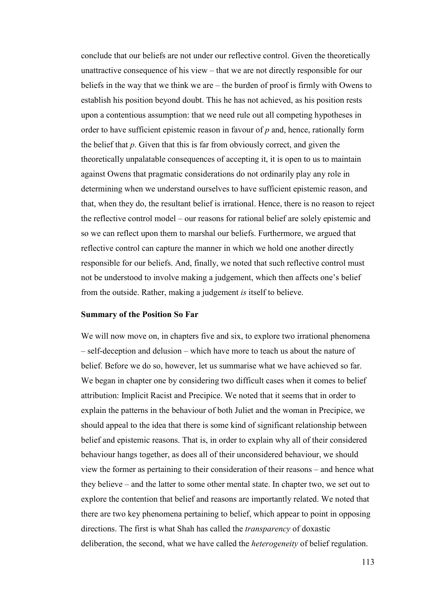conclude that our beliefs are not under our reflective control. Given the theoretically unattractive consequence of his view – that we are not directly responsible for our beliefs in the way that we think we are – the burden of proof is firmly with Owens to establish his position beyond doubt. This he has not achieved, as his position rests upon a contentious assumption: that we need rule out all competing hypotheses in order to have sufficient epistemic reason in favour of *p* and, hence, rationally form the belief that *p*. Given that this is far from obviously correct, and given the theoretically unpalatable consequences of accepting it, it is open to us to maintain against Owens that pragmatic considerations do not ordinarily play any role in determining when we understand ourselves to have sufficient epistemic reason, and that, when they do, the resultant belief is irrational. Hence, there is no reason to reject the reflective control model – our reasons for rational belief are solely epistemic and so we can reflect upon them to marshal our beliefs. Furthermore, we argued that reflective control can capture the manner in which we hold one another directly responsible for our beliefs. And, finally, we noted that such reflective control must not be understood to involve making a judgement, which then affects one's belief from the outside. Rather, making a judgement *is* itself to believe.

#### **Summary of the Position So Far**

We will now move on, in chapters five and six, to explore two irrational phenomena – self-deception and delusion – which have more to teach us about the nature of belief. Before we do so, however, let us summarise what we have achieved so far. We began in chapter one by considering two difficult cases when it comes to belief attribution: Implicit Racist and Precipice. We noted that it seems that in order to explain the patterns in the behaviour of both Juliet and the woman in Precipice, we should appeal to the idea that there is some kind of significant relationship between belief and epistemic reasons. That is, in order to explain why all of their considered behaviour hangs together, as does all of their unconsidered behaviour, we should view the former as pertaining to their consideration of their reasons – and hence what they believe – and the latter to some other mental state. In chapter two, we set out to explore the contention that belief and reasons are importantly related. We noted that there are two key phenomena pertaining to belief, which appear to point in opposing directions. The first is what Shah has called the *transparency* of doxastic deliberation, the second, what we have called the *heterogeneity* of belief regulation.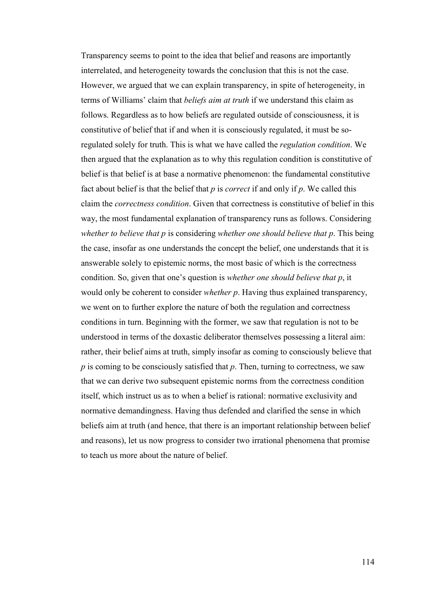Transparency seems to point to the idea that belief and reasons are importantly interrelated, and heterogeneity towards the conclusion that this is not the case. However, we argued that we can explain transparency, in spite of heterogeneity, in terms of Williams' claim that *beliefs aim at truth* if we understand this claim as follows. Regardless as to how beliefs are regulated outside of consciousness, it is constitutive of belief that if and when it is consciously regulated, it must be soregulated solely for truth. This is what we have called the *regulation condition*. We then argued that the explanation as to why this regulation condition is constitutive of belief is that belief is at base a normative phenomenon: the fundamental constitutive fact about belief is that the belief that *p* is *correct* if and only if *p*. We called this claim the *correctness condition*. Given that correctness is constitutive of belief in this way, the most fundamental explanation of transparency runs as follows. Considering *whether to believe that p* is considering *whether one should believe that p*. This being the case, insofar as one understands the concept the belief, one understands that it is answerable solely to epistemic norms, the most basic of which is the correctness condition. So, given that one's question is *whether one should believe that p*, it would only be coherent to consider *whether p*. Having thus explained transparency, we went on to further explore the nature of both the regulation and correctness conditions in turn. Beginning with the former, we saw that regulation is not to be understood in terms of the doxastic deliberator themselves possessing a literal aim: rather, their belief aims at truth, simply insofar as coming to consciously believe that *p* is coming to be consciously satisfied that *p*. Then, turning to correctness, we saw that we can derive two subsequent epistemic norms from the correctness condition itself, which instruct us as to when a belief is rational: normative exclusivity and normative demandingness. Having thus defended and clarified the sense in which beliefs aim at truth (and hence, that there is an important relationship between belief and reasons), let us now progress to consider two irrational phenomena that promise to teach us more about the nature of belief.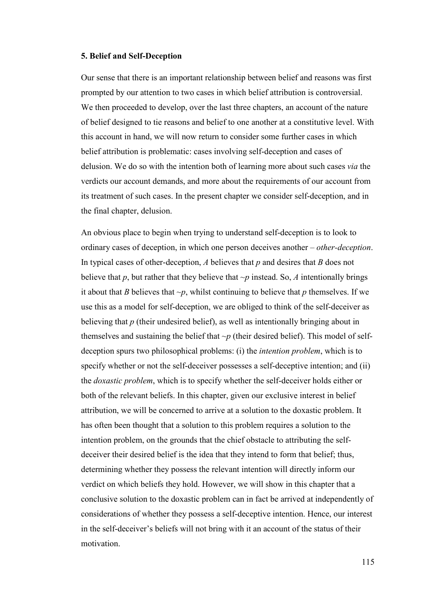#### **5. Belief and Self-Deception**

Our sense that there is an important relationship between belief and reasons was first prompted by our attention to two cases in which belief attribution is controversial. We then proceeded to develop, over the last three chapters, an account of the nature of belief designed to tie reasons and belief to one another at a constitutive level. With this account in hand, we will now return to consider some further cases in which belief attribution is problematic: cases involving self-deception and cases of delusion. We do so with the intention both of learning more about such cases *via* the verdicts our account demands, and more about the requirements of our account from its treatment of such cases. In the present chapter we consider self-deception, and in the final chapter, delusion.

An obvious place to begin when trying to understand self-deception is to look to ordinary cases of deception, in which one person deceives another – *other-deception*. In typical cases of other-deception, *A* believes that *p* and desires that *B* does not believe that  $p$ , but rather that they believe that  $\neg p$  instead. So,  $\vec{A}$  intentionally brings it about that *B* believes that  $\neg p$ , whilst continuing to believe that *p* themselves. If we use this as a model for self-deception, we are obliged to think of the self-deceiver as believing that *p* (their undesired belief), as well as intentionally bringing about in themselves and sustaining the belief that  $\neg p$  (their desired belief). This model of selfdeception spurs two philosophical problems: (i) the *intention problem*, which is to specify whether or not the self-deceiver possesses a self-deceptive intention; and (ii) the *doxastic problem*, which is to specify whether the self-deceiver holds either or both of the relevant beliefs. In this chapter, given our exclusive interest in belief attribution, we will be concerned to arrive at a solution to the doxastic problem. It has often been thought that a solution to this problem requires a solution to the intention problem, on the grounds that the chief obstacle to attributing the selfdeceiver their desired belief is the idea that they intend to form that belief; thus, determining whether they possess the relevant intention will directly inform our verdict on which beliefs they hold. However, we will show in this chapter that a conclusive solution to the doxastic problem can in fact be arrived at independently of considerations of whether they possess a self-deceptive intention. Hence, our interest in the self-deceiver's beliefs will not bring with it an account of the status of their motivation.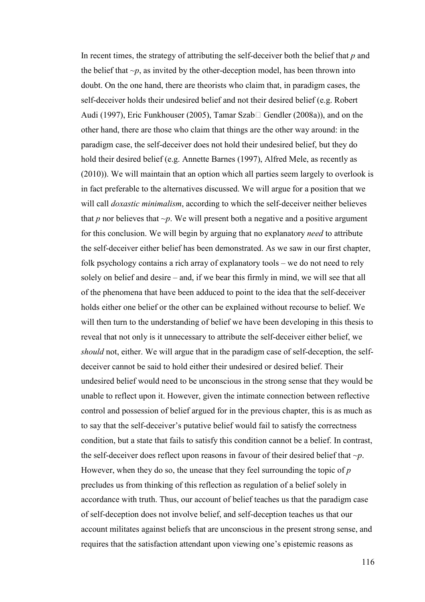In recent times, the strategy of attributing the self-deceiver both the belief that *p* and the belief that  $\neg p$ , as invited by the other-deception model, has been thrown into doubt. On the one hand, there are theorists who claim that, in paradigm cases, the self-deceiver holds their undesired belief and not their desired belief (e.g. Robert Audi (1997), Eric Funkhouser (2005), Tamar SzabU Gendler (2008a)), and on the other hand, there are those who claim that things are the other way around: in the paradigm case, the self-deceiver does not hold their undesired belief, but they do hold their desired belief (e.g. Annette Barnes (1997), Alfred Mele, as recently as (2010)). We will maintain that an option which all parties seem largely to overlook is in fact preferable to the alternatives discussed. We will argue for a position that we will call *doxastic minimalism*, according to which the self-deceiver neither believes that  $p$  nor believes that  $\neg p$ . We will present both a negative and a positive argument for this conclusion. We will begin by arguing that no explanatory *need* to attribute the self-deceiver either belief has been demonstrated. As we saw in our first chapter, folk psychology contains a rich array of explanatory tools – we do not need to rely solely on belief and desire – and, if we bear this firmly in mind, we will see that all of the phenomena that have been adduced to point to the idea that the self-deceiver holds either one belief or the other can be explained without recourse to belief. We will then turn to the understanding of belief we have been developing in this thesis to reveal that not only is it unnecessary to attribute the self-deceiver either belief, we *should* not, either. We will argue that in the paradigm case of self-deception, the selfdeceiver cannot be said to hold either their undesired or desired belief. Their undesired belief would need to be unconscious in the strong sense that they would be unable to reflect upon it. However, given the intimate connection between reflective control and possession of belief argued for in the previous chapter, this is as much as to say that the self-deceiver's putative belief would fail to satisfy the correctness condition, but a state that fails to satisfy this condition cannot be a belief. In contrast, the self-deceiver does reflect upon reasons in favour of their desired belief that *~p*. However, when they do so, the unease that they feel surrounding the topic of *p* precludes us from thinking of this reflection as regulation of a belief solely in accordance with truth. Thus, our account of belief teaches us that the paradigm case of self-deception does not involve belief, and self-deception teaches us that our account militates against beliefs that are unconscious in the present strong sense, and requires that the satisfaction attendant upon viewing one's epistemic reasons as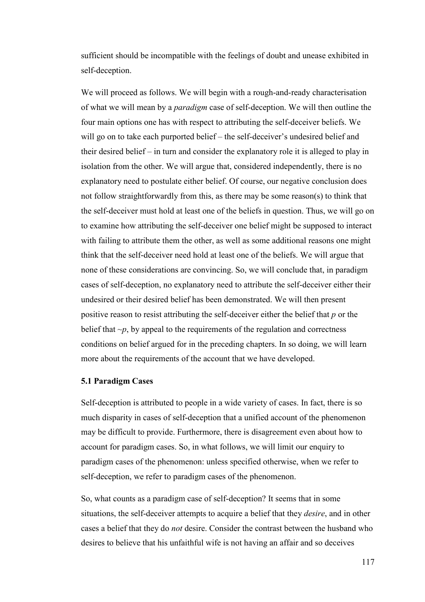sufficient should be incompatible with the feelings of doubt and unease exhibited in self-deception.

We will proceed as follows. We will begin with a rough-and-ready characterisation of what we will mean by a *paradigm* case of self-deception. We will then outline the four main options one has with respect to attributing the self-deceiver beliefs. We will go on to take each purported belief – the self-deceiver's undesired belief and their desired belief – in turn and consider the explanatory role it is alleged to play in isolation from the other. We will argue that, considered independently, there is no explanatory need to postulate either belief. Of course, our negative conclusion does not follow straightforwardly from this, as there may be some reason(s) to think that the self-deceiver must hold at least one of the beliefs in question. Thus, we will go on to examine how attributing the self-deceiver one belief might be supposed to interact with failing to attribute them the other, as well as some additional reasons one might think that the self-deceiver need hold at least one of the beliefs. We will argue that none of these considerations are convincing. So, we will conclude that, in paradigm cases of self-deception, no explanatory need to attribute the self-deceiver either their undesired or their desired belief has been demonstrated. We will then present positive reason to resist attributing the self-deceiver either the belief that *p* or the belief that  $\neg p$ , by appeal to the requirements of the regulation and correctness conditions on belief argued for in the preceding chapters. In so doing, we will learn more about the requirements of the account that we have developed.

## **5.1 Paradigm Cases**

Self-deception is attributed to people in a wide variety of cases. In fact, there is so much disparity in cases of self-deception that a unified account of the phenomenon may be difficult to provide. Furthermore, there is disagreement even about how to account for paradigm cases. So, in what follows, we will limit our enquiry to paradigm cases of the phenomenon: unless specified otherwise, when we refer to self-deception, we refer to paradigm cases of the phenomenon.

So, what counts as a paradigm case of self-deception? It seems that in some situations, the self-deceiver attempts to acquire a belief that they *desire*, and in other cases a belief that they do *not* desire. Consider the contrast between the husband who desires to believe that his unfaithful wife is not having an affair and so deceives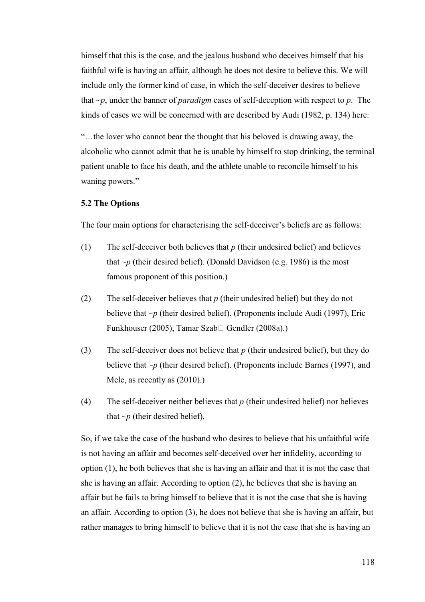himself that this is the case, and the jealous husband who deceives himself that his faithful wife is having an affair, although he does not desire to believe this. We will include only the former kind of case, in which the self-deceiver desires to believe that *~p*, under the banner of *paradigm* cases of self-deception with respect to *p*. The kinds of cases we will be concerned with are described by Audi (1982, p. 134) here:

"…the lover who cannot bear the thought that his beloved is drawing away, the alcoholic who cannot admit that he is unable by himself to stop drinking, the terminal patient unable to face his death, and the athlete unable to reconcile himself to his waning powers."

### **5.2 The Options**

The four main options for characterising the self-deceiver's beliefs are as follows:

- (1) The self-deceiver both believes that *p* (their undesired belief) and believes that  $\neg p$  (their desired belief). (Donald Davidson (e.g. 1986) is the most famous proponent of this position.)
- (2) The self-deceiver believes that *p* (their undesired belief) but they do not believe that  $\neg p$  (their desired belief). (Proponents include Audi (1997), Eric Funkhouser (2005), Tamar SzabU Gendler (2008a).)
- (3) The self-deceiver does not believe that *p* (their undesired belief), but they do believe that *~p* (their desired belief). (Proponents include Barnes (1997), and Mele, as recently as (2010).)
- (4) The self-deceiver neither believes that *p* (their undesired belief) nor believes that  $\neg p$  (their desired belief).

So, if we take the case of the husband who desires to believe that his unfaithful wife is not having an affair and becomes self-deceived over her infidelity, according to option (1), he both believes that she is having an affair and that it is not the case that she is having an affair. According to option (2), he believes that she is having an affair but he fails to bring himself to believe that it is not the case that she is having an affair. According to option (3), he does not believe that she is having an affair, but rather manages to bring himself to believe that it is not the case that she is having an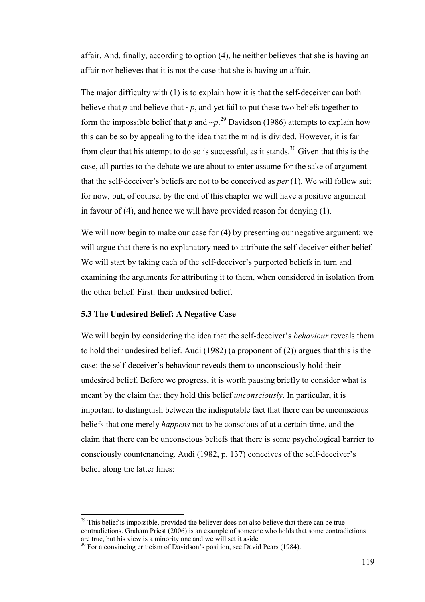affair. And, finally, according to option (4), he neither believes that she is having an affair nor believes that it is not the case that she is having an affair.

The major difficulty with (1) is to explain how it is that the self-deceiver can both believe that *p* and believe that  $\neg p$ , and yet fail to put these two beliefs together to form the impossible belief that *p* and  $\neg p$ <sup>29</sup> Davidson (1986) attempts to explain how this can be so by appealing to the idea that the mind is divided. However, it is far from clear that his attempt to do so is successful, as it stands.<sup>30</sup> Given that this is the case, all parties to the debate we are about to enter assume for the sake of argument that the self-deceiver's beliefs are not to be conceived as *per* (1). We will follow suit for now, but, of course, by the end of this chapter we will have a positive argument in favour of (4), and hence we will have provided reason for denying (1).

We will now begin to make our case for (4) by presenting our negative argument: we will argue that there is no explanatory need to attribute the self-deceiver either belief. We will start by taking each of the self-deceiver's purported beliefs in turn and examining the arguments for attributing it to them, when considered in isolation from the other belief. First: their undesired belief.

## **5.3 The Undesired Belief: A Negative Case**

 $\overline{a}$ 

We will begin by considering the idea that the self-deceiver's *behaviour* reveals them to hold their undesired belief. Audi (1982) (a proponent of (2)) argues that this is the case: the self-deceiver's behaviour reveals them to unconsciously hold their undesired belief. Before we progress, it is worth pausing briefly to consider what is meant by the claim that they hold this belief *unconsciously*. In particular, it is important to distinguish between the indisputable fact that there can be unconscious beliefs that one merely *happens* not to be conscious of at a certain time, and the claim that there can be unconscious beliefs that there is some psychological barrier to consciously countenancing. Audi (1982, p. 137) conceives of the self-deceiver's belief along the latter lines:

 $29$  This belief is impossible, provided the believer does not also believe that there can be true contradictions. Graham Priest (2006) is an example of someone who holds that some contradictions are true, but his view is a minority one and we will set it aside.

 $30$  For a convincing criticism of Davidson's position, see David Pears (1984).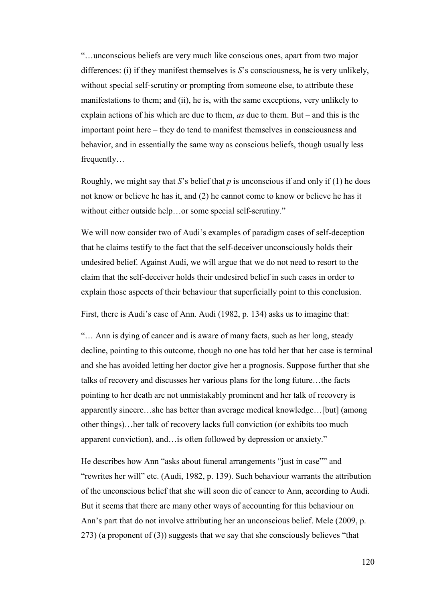"…unconscious beliefs are very much like conscious ones, apart from two major differences: (i) if they manifest themselves is *S*'s consciousness, he is very unlikely, without special self-scrutiny or prompting from someone else, to attribute these manifestations to them; and (ii), he is, with the same exceptions, very unlikely to explain actions of his which are due to them, *as* due to them. But – and this is the important point here – they do tend to manifest themselves in consciousness and behavior, and in essentially the same way as conscious beliefs, though usually less frequently…

Roughly, we might say that *S*'s belief that *p* is unconscious if and only if (1) he does not know or believe he has it, and (2) he cannot come to know or believe he has it without either outside help…or some special self-scrutiny."

We will now consider two of Audi's examples of paradigm cases of self-deception that he claims testify to the fact that the self-deceiver unconsciously holds their undesired belief. Against Audi, we will argue that we do not need to resort to the claim that the self-deceiver holds their undesired belief in such cases in order to explain those aspects of their behaviour that superficially point to this conclusion.

First, there is Audi's case of Ann. Audi (1982, p. 134) asks us to imagine that:

"… Ann is dying of cancer and is aware of many facts, such as her long, steady decline, pointing to this outcome, though no one has told her that her case is terminal and she has avoided letting her doctor give her a prognosis. Suppose further that she talks of recovery and discusses her various plans for the long future…the facts pointing to her death are not unmistakably prominent and her talk of recovery is apparently sincere…she has better than average medical knowledge…[but] (among other things)…her talk of recovery lacks full conviction (or exhibits too much apparent conviction), and…is often followed by depression or anxiety."

He describes how Ann "asks about funeral arrangements "just in case"" and "rewrites her will" etc. (Audi, 1982, p. 139). Such behaviour warrants the attribution of the unconscious belief that she will soon die of cancer to Ann, according to Audi. But it seems that there are many other ways of accounting for this behaviour on Ann's part that do not involve attributing her an unconscious belief. Mele (2009, p. 273) (a proponent of (3)) suggests that we say that she consciously believes "that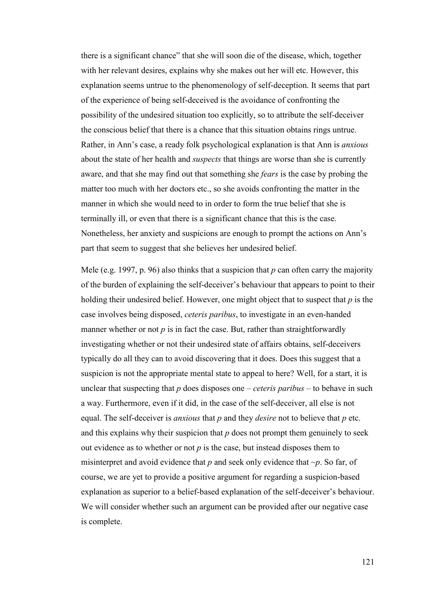there is a significant chance" that she will soon die of the disease, which, together with her relevant desires, explains why she makes out her will etc. However, this explanation seems untrue to the phenomenology of self-deception. It seems that part of the experience of being self-deceived is the avoidance of confronting the possibility of the undesired situation too explicitly, so to attribute the self-deceiver the conscious belief that there is a chance that this situation obtains rings untrue. Rather, in Ann's case, a ready folk psychological explanation is that Ann is *anxious* about the state of her health and *suspects* that things are worse than she is currently aware, and that she may find out that something she *fears* is the case by probing the matter too much with her doctors etc., so she avoids confronting the matter in the manner in which she would need to in order to form the true belief that she is terminally ill, or even that there is a significant chance that this is the case. Nonetheless, her anxiety and suspicions are enough to prompt the actions on Ann's part that seem to suggest that she believes her undesired belief.

Mele (e.g. 1997, p. 96) also thinks that a suspicion that *p* can often carry the majority of the burden of explaining the self-deceiver's behaviour that appears to point to their holding their undesired belief. However, one might object that to suspect that *p* is the case involves being disposed, *ceteris paribus*, to investigate in an even-handed manner whether or not  $p$  is in fact the case. But, rather than straightforwardly investigating whether or not their undesired state of affairs obtains, self-deceivers typically do all they can to avoid discovering that it does. Does this suggest that a suspicion is not the appropriate mental state to appeal to here? Well, for a start, it is unclear that suspecting that *p* does disposes one – *ceteris paribus* – to behave in such a way. Furthermore, even if it did, in the case of the self-deceiver, all else is not equal. The self-deceiver is *anxious* that *p* and they *desire* not to believe that *p* etc. and this explains why their suspicion that *p* does not prompt them genuinely to seek out evidence as to whether or not  $p$  is the case, but instead disposes them to misinterpret and avoid evidence that *p* and seek only evidence that *~p*. So far, of course, we are yet to provide a positive argument for regarding a suspicion-based explanation as superior to a belief-based explanation of the self-deceiver's behaviour. We will consider whether such an argument can be provided after our negative case is complete.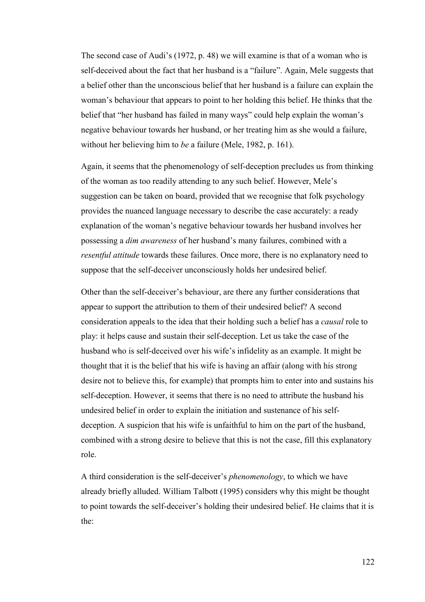The second case of Audi's (1972, p. 48) we will examine is that of a woman who is self-deceived about the fact that her husband is a "failure". Again, Mele suggests that a belief other than the unconscious belief that her husband is a failure can explain the woman's behaviour that appears to point to her holding this belief. He thinks that the belief that "her husband has failed in many ways" could help explain the woman's negative behaviour towards her husband, or her treating him as she would a failure, without her believing him to *be* a failure (Mele, 1982, p. 161).

Again, it seems that the phenomenology of self-deception precludes us from thinking of the woman as too readily attending to any such belief. However, Mele's suggestion can be taken on board, provided that we recognise that folk psychology provides the nuanced language necessary to describe the case accurately: a ready explanation of the woman's negative behaviour towards her husband involves her possessing a *dim awareness* of her husband's many failures, combined with a *resentful attitude* towards these failures. Once more, there is no explanatory need to suppose that the self-deceiver unconsciously holds her undesired belief.

Other than the self-deceiver's behaviour, are there any further considerations that appear to support the attribution to them of their undesired belief? A second consideration appeals to the idea that their holding such a belief has a *causal* role to play: it helps cause and sustain their self-deception. Let us take the case of the husband who is self-deceived over his wife's infidelity as an example. It might be thought that it is the belief that his wife is having an affair (along with his strong desire not to believe this, for example) that prompts him to enter into and sustains his self-deception. However, it seems that there is no need to attribute the husband his undesired belief in order to explain the initiation and sustenance of his selfdeception. A suspicion that his wife is unfaithful to him on the part of the husband, combined with a strong desire to believe that this is not the case, fill this explanatory role.

A third consideration is the self-deceiver's *phenomenology*, to which we have already briefly alluded. William Talbott (1995) considers why this might be thought to point towards the self-deceiver's holding their undesired belief. He claims that it is the: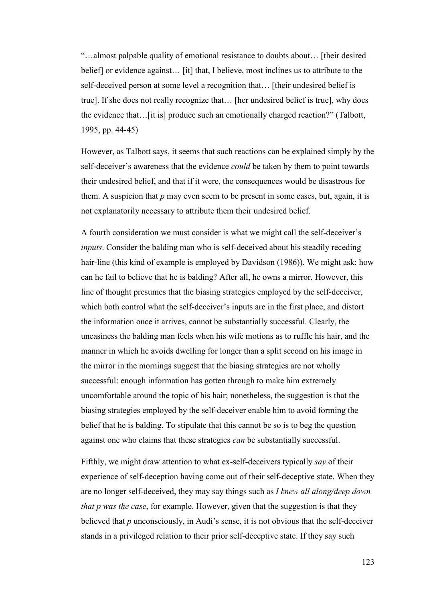"…almost palpable quality of emotional resistance to doubts about… [their desired belief] or evidence against… [it] that, I believe, most inclines us to attribute to the self-deceived person at some level a recognition that… [their undesired belief is true]. If she does not really recognize that… [her undesired belief is true], why does the evidence that…[it is] produce such an emotionally charged reaction?" (Talbott, 1995, pp. 44-45)

However, as Talbott says, it seems that such reactions can be explained simply by the self-deceiver's awareness that the evidence *could* be taken by them to point towards their undesired belief, and that if it were, the consequences would be disastrous for them. A suspicion that *p* may even seem to be present in some cases, but, again, it is not explanatorily necessary to attribute them their undesired belief.

A fourth consideration we must consider is what we might call the self-deceiver's *inputs*. Consider the balding man who is self-deceived about his steadily receding hair-line (this kind of example is employed by Davidson (1986)). We might ask: how can he fail to believe that he is balding? After all, he owns a mirror. However, this line of thought presumes that the biasing strategies employed by the self-deceiver, which both control what the self-deceiver's inputs are in the first place, and distort the information once it arrives, cannot be substantially successful. Clearly, the uneasiness the balding man feels when his wife motions as to ruffle his hair, and the manner in which he avoids dwelling for longer than a split second on his image in the mirror in the mornings suggest that the biasing strategies are not wholly successful: enough information has gotten through to make him extremely uncomfortable around the topic of his hair; nonetheless, the suggestion is that the biasing strategies employed by the self-deceiver enable him to avoid forming the belief that he is balding. To stipulate that this cannot be so is to beg the question against one who claims that these strategies *can* be substantially successful.

Fifthly, we might draw attention to what ex-self-deceivers typically *say* of their experience of self-deception having come out of their self-deceptive state. When they are no longer self-deceived, they may say things such as *I knew all along/deep down that p was the case*, for example. However, given that the suggestion is that they believed that *p* unconsciously, in Audi's sense, it is not obvious that the self-deceiver stands in a privileged relation to their prior self-deceptive state. If they say such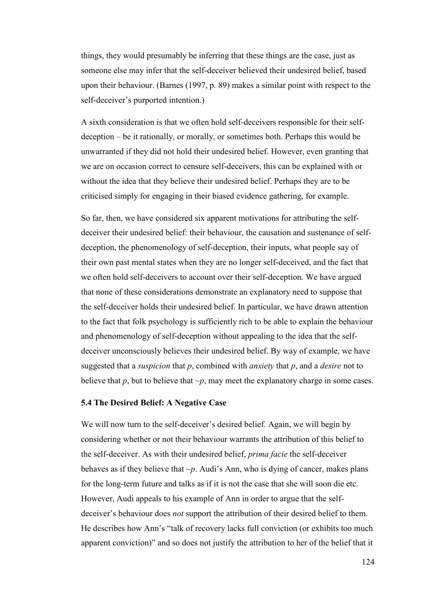things, they would presumably be inferring that these things are the case, just as someone else may infer that the self-deceiver believed their undesired belief, based upon their behaviour. (Barnes (1997, p. 89) makes a similar point with respect to the self-deceiver's purported intention.)

A sixth consideration is that we often hold self-deceivers responsible for their selfdeception – be it rationally, or morally, or sometimes both. Perhaps this would be unwarranted if they did not hold their undesired belief. However, even granting that we are on occasion correct to censure self-deceivers, this can be explained with or without the idea that they believe their undesired belief. Perhaps they are to be criticised simply for engaging in their biased evidence gathering, for example.

So far, then, we have considered six apparent motivations for attributing the selfdeceiver their undesired belief: their behaviour, the causation and sustenance of selfdeception, the phenomenology of self-deception, their inputs, what people say of their own past mental states when they are no longer self-deceived, and the fact that we often hold self-deceivers to account over their self-deception. We have argued that none of these considerations demonstrate an explanatory need to suppose that the self-deceiver holds their undesired belief. In particular, we have drawn attention to the fact that folk psychology is sufficiently rich to be able to explain the behaviour and phenomenology of self-deception without appealing to the idea that the selfdeceiver unconsciously believes their undesired belief. By way of example, we have suggested that a *suspicion* that *p*, combined with *anxiety* that *p*, and a *desire* not to believe that  $p$ , but to believe that  $\neg p$ , may meet the explanatory charge in some cases.

## **5.4 The Desired Belief: A Negative Case**

We will now turn to the self-deceiver's desired belief. Again, we will begin by considering whether or not their behaviour warrants the attribution of this belief to the self-deceiver. As with their undesired belief, *prima facie* the self-deceiver behaves as if they believe that  $\neg p$ . Audi's Ann, who is dying of cancer, makes plans for the long-term future and talks as if it is not the case that she will soon die etc. However, Audi appeals to his example of Ann in order to argue that the selfdeceiver's behaviour does *not* support the attribution of their desired belief to them. He describes how Ann's "talk of recovery lacks full conviction (or exhibits too much apparent conviction)" and so does not justify the attribution to her of the belief that it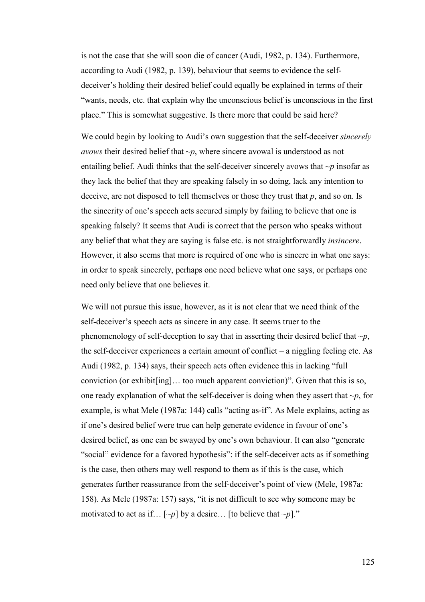is not the case that she will soon die of cancer (Audi, 1982, p. 134). Furthermore, according to Audi (1982, p. 139), behaviour that seems to evidence the selfdeceiver's holding their desired belief could equally be explained in terms of their "wants, needs, etc. that explain why the unconscious belief is unconscious in the first place." This is somewhat suggestive. Is there more that could be said here?

We could begin by looking to Audi's own suggestion that the self-deceiver *sincerely avows* their desired belief that  $\neg p$ , where sincere avowal is understood as not entailing belief. Audi thinks that the self-deceiver sincerely avows that *~p* insofar as they lack the belief that they are speaking falsely in so doing, lack any intention to deceive, are not disposed to tell themselves or those they trust that *p*, and so on. Is the sincerity of one's speech acts secured simply by failing to believe that one is speaking falsely? It seems that Audi is correct that the person who speaks without any belief that what they are saying is false etc. is not straightforwardly *insincere*. However, it also seems that more is required of one who is sincere in what one says: in order to speak sincerely, perhaps one need believe what one says, or perhaps one need only believe that one believes it.

We will not pursue this issue, however, as it is not clear that we need think of the self-deceiver's speech acts as sincere in any case. It seems truer to the phenomenology of self-deception to say that in asserting their desired belief that *~p*, the self-deceiver experiences a certain amount of conflict – a niggling feeling etc. As Audi (1982, p. 134) says, their speech acts often evidence this in lacking "full conviction (or exhibit[ing]… too much apparent conviction)". Given that this is so, one ready explanation of what the self-deceiver is doing when they assert that *~p*, for example, is what Mele (1987a: 144) calls "acting as-if". As Mele explains, acting as if one's desired belief were true can help generate evidence in favour of one's desired belief, as one can be swayed by one's own behaviour. It can also "generate "social" evidence for a favored hypothesis": if the self-deceiver acts as if something is the case, then others may well respond to them as if this is the case, which generates further reassurance from the self-deceiver's point of view (Mele, 1987a: 158). As Mele (1987a: 157) says, "it is not difficult to see why someone may be motivated to act as if...  $[\sim p]$  by a desire... [to believe that  $\sim p$ ]."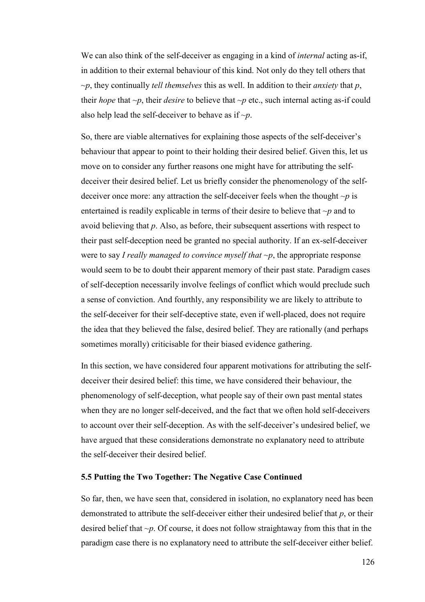We can also think of the self-deceiver as engaging in a kind of *internal* acting as-if, in addition to their external behaviour of this kind. Not only do they tell others that *~p*, they continually *tell themselves* this as well. In addition to their *anxiety* that *p*, their *hope* that  $\neg p$ , their *desire* to believe that  $\neg p$  etc., such internal acting as-if could also help lead the self-deceiver to behave as if *~p*.

So, there are viable alternatives for explaining those aspects of the self-deceiver's behaviour that appear to point to their holding their desired belief. Given this, let us move on to consider any further reasons one might have for attributing the selfdeceiver their desired belief. Let us briefly consider the phenomenology of the selfdeceiver once more: any attraction the self-deceiver feels when the thought *~p* is entertained is readily explicable in terms of their desire to believe that *~p* and to avoid believing that *p*. Also, as before, their subsequent assertions with respect to their past self-deception need be granted no special authority. If an ex-self-deceiver were to say *I really managed to convince myself that ~p*, the appropriate response would seem to be to doubt their apparent memory of their past state. Paradigm cases of self-deception necessarily involve feelings of conflict which would preclude such a sense of conviction. And fourthly, any responsibility we are likely to attribute to the self-deceiver for their self-deceptive state, even if well-placed, does not require the idea that they believed the false, desired belief. They are rationally (and perhaps sometimes morally) criticisable for their biased evidence gathering.

In this section, we have considered four apparent motivations for attributing the selfdeceiver their desired belief: this time, we have considered their behaviour, the phenomenology of self-deception, what people say of their own past mental states when they are no longer self-deceived, and the fact that we often hold self-deceivers to account over their self-deception. As with the self-deceiver's undesired belief, we have argued that these considerations demonstrate no explanatory need to attribute the self-deceiver their desired belief.

### **5.5 Putting the Two Together: The Negative Case Continued**

So far, then, we have seen that, considered in isolation, no explanatory need has been demonstrated to attribute the self-deceiver either their undesired belief that *p*, or their desired belief that *~p*. Of course, it does not follow straightaway from this that in the paradigm case there is no explanatory need to attribute the self-deceiver either belief.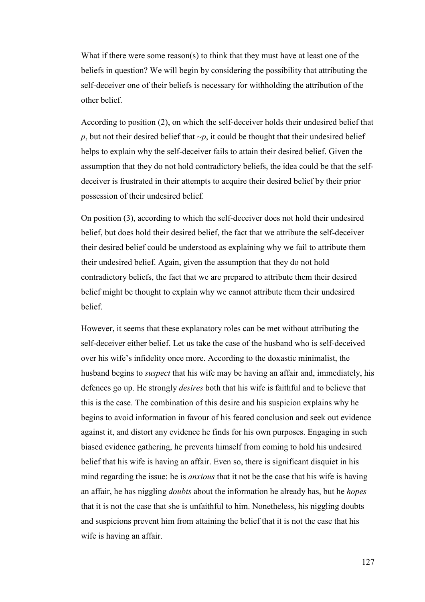What if there were some reason(s) to think that they must have at least one of the beliefs in question? We will begin by considering the possibility that attributing the self-deceiver one of their beliefs is necessary for withholding the attribution of the other belief.

According to position (2), on which the self-deceiver holds their undesired belief that *p*, but not their desired belief that  $\neg p$ , it could be thought that their undesired belief helps to explain why the self-deceiver fails to attain their desired belief. Given the assumption that they do not hold contradictory beliefs, the idea could be that the selfdeceiver is frustrated in their attempts to acquire their desired belief by their prior possession of their undesired belief.

On position (3), according to which the self-deceiver does not hold their undesired belief, but does hold their desired belief, the fact that we attribute the self-deceiver their desired belief could be understood as explaining why we fail to attribute them their undesired belief. Again, given the assumption that they do not hold contradictory beliefs, the fact that we are prepared to attribute them their desired belief might be thought to explain why we cannot attribute them their undesired belief.

However, it seems that these explanatory roles can be met without attributing the self-deceiver either belief. Let us take the case of the husband who is self-deceived over his wife's infidelity once more. According to the doxastic minimalist, the husband begins to *suspect* that his wife may be having an affair and, immediately, his defences go up. He strongly *desires* both that his wife is faithful and to believe that this is the case. The combination of this desire and his suspicion explains why he begins to avoid information in favour of his feared conclusion and seek out evidence against it, and distort any evidence he finds for his own purposes. Engaging in such biased evidence gathering, he prevents himself from coming to hold his undesired belief that his wife is having an affair. Even so, there is significant disquiet in his mind regarding the issue: he is *anxious* that it not be the case that his wife is having an affair, he has niggling *doubts* about the information he already has, but he *hopes* that it is not the case that she is unfaithful to him. Nonetheless, his niggling doubts and suspicions prevent him from attaining the belief that it is not the case that his wife is having an affair.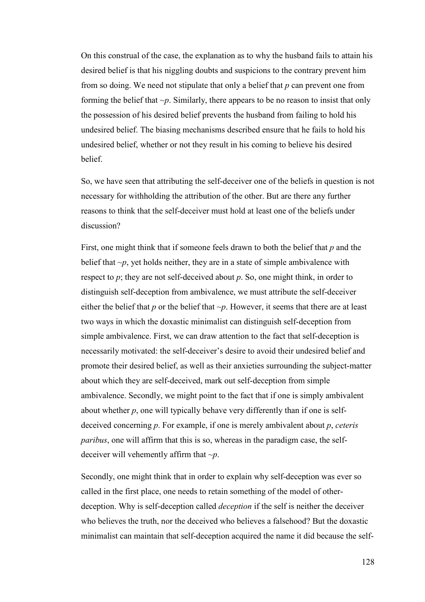On this construal of the case, the explanation as to why the husband fails to attain his desired belief is that his niggling doubts and suspicions to the contrary prevent him from so doing. We need not stipulate that only a belief that *p* can prevent one from forming the belief that *~p*. Similarly, there appears to be no reason to insist that only the possession of his desired belief prevents the husband from failing to hold his undesired belief. The biasing mechanisms described ensure that he fails to hold his undesired belief, whether or not they result in his coming to believe his desired **belief** 

So, we have seen that attributing the self-deceiver one of the beliefs in question is not necessary for withholding the attribution of the other. But are there any further reasons to think that the self-deceiver must hold at least one of the beliefs under discussion?

First, one might think that if someone feels drawn to both the belief that *p* and the belief that  $\neg p$ , yet holds neither, they are in a state of simple ambivalence with respect to *p*; they are not self-deceived about *p*. So, one might think, in order to distinguish self-deception from ambivalence, we must attribute the self-deceiver either the belief that  $p$  or the belief that  $\neg p$ . However, it seems that there are at least two ways in which the doxastic minimalist can distinguish self-deception from simple ambivalence. First, we can draw attention to the fact that self-deception is necessarily motivated: the self-deceiver's desire to avoid their undesired belief and promote their desired belief, as well as their anxieties surrounding the subject-matter about which they are self-deceived, mark out self-deception from simple ambivalence. Secondly, we might point to the fact that if one is simply ambivalent about whether  $p$ , one will typically behave very differently than if one is selfdeceived concerning *p*. For example, if one is merely ambivalent about *p*, *ceteris paribus*, one will affirm that this is so, whereas in the paradigm case, the selfdeceiver will vehemently affirm that *~p*.

Secondly, one might think that in order to explain why self-deception was ever so called in the first place, one needs to retain something of the model of otherdeception. Why is self-deception called *deception* if the self is neither the deceiver who believes the truth, nor the deceived who believes a falsehood? But the doxastic minimalist can maintain that self-deception acquired the name it did because the self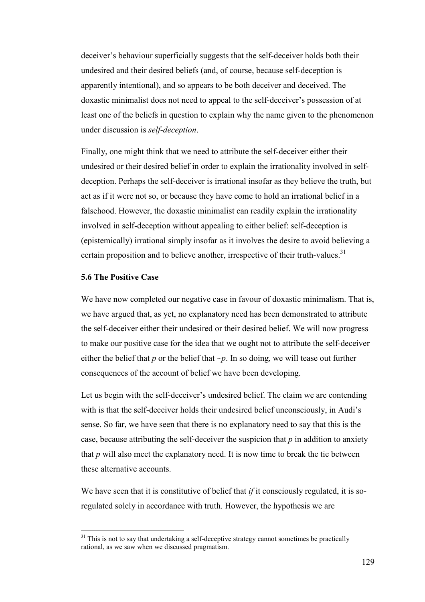deceiver's behaviour superficially suggests that the self-deceiver holds both their undesired and their desired beliefs (and, of course, because self-deception is apparently intentional), and so appears to be both deceiver and deceived. The doxastic minimalist does not need to appeal to the self-deceiver's possession of at least one of the beliefs in question to explain why the name given to the phenomenon under discussion is *self-deception*.

Finally, one might think that we need to attribute the self-deceiver either their undesired or their desired belief in order to explain the irrationality involved in selfdeception. Perhaps the self-deceiver is irrational insofar as they believe the truth, but act as if it were not so, or because they have come to hold an irrational belief in a falsehood. However, the doxastic minimalist can readily explain the irrationality involved in self-deception without appealing to either belief: self-deception is (epistemically) irrational simply insofar as it involves the desire to avoid believing a certain proposition and to believe another, irrespective of their truth-values. $31$ 

# **5.6 The Positive Case**

 $\overline{a}$ 

We have now completed our negative case in favour of doxastic minimalism. That is, we have argued that, as yet, no explanatory need has been demonstrated to attribute the self-deceiver either their undesired or their desired belief. We will now progress to make our positive case for the idea that we ought not to attribute the self-deceiver either the belief that  $p$  or the belief that  $\neg p$ . In so doing, we will tease out further consequences of the account of belief we have been developing.

Let us begin with the self-deceiver's undesired belief. The claim we are contending with is that the self-deceiver holds their undesired belief unconsciously, in Audi's sense. So far, we have seen that there is no explanatory need to say that this is the case, because attributing the self-deceiver the suspicion that *p* in addition to anxiety that  $p$  will also meet the explanatory need. It is now time to break the tie between these alternative accounts.

We have seen that it is constitutive of belief that *if* it consciously regulated, it is soregulated solely in accordance with truth. However, the hypothesis we are

<sup>&</sup>lt;sup>31</sup> This is not to say that undertaking a self-deceptive strategy cannot sometimes be practically rational, as we saw when we discussed pragmatism.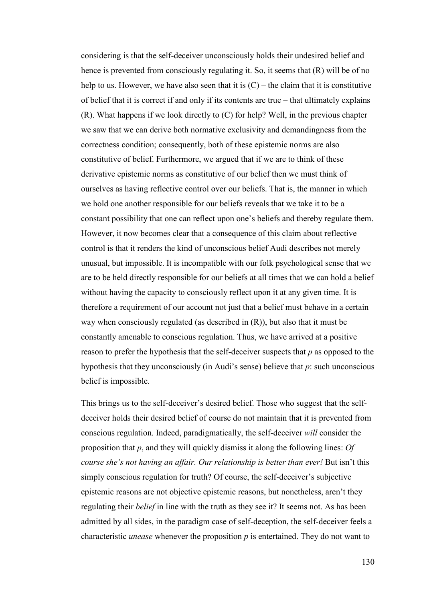considering is that the self-deceiver unconsciously holds their undesired belief and hence is prevented from consciously regulating it. So, it seems that  $(R)$  will be of no help to us. However, we have also seen that it is  $(C)$  – the claim that it is constitutive of belief that it is correct if and only if its contents are true – that ultimately explains (R). What happens if we look directly to (C) for help? Well, in the previous chapter we saw that we can derive both normative exclusivity and demandingness from the correctness condition; consequently, both of these epistemic norms are also constitutive of belief. Furthermore, we argued that if we are to think of these derivative epistemic norms as constitutive of our belief then we must think of ourselves as having reflective control over our beliefs. That is, the manner in which we hold one another responsible for our beliefs reveals that we take it to be a constant possibility that one can reflect upon one's beliefs and thereby regulate them. However, it now becomes clear that a consequence of this claim about reflective control is that it renders the kind of unconscious belief Audi describes not merely unusual, but impossible. It is incompatible with our folk psychological sense that we are to be held directly responsible for our beliefs at all times that we can hold a belief without having the capacity to consciously reflect upon it at any given time. It is therefore a requirement of our account not just that a belief must behave in a certain way when consciously regulated (as described in (R)), but also that it must be constantly amenable to conscious regulation. Thus, we have arrived at a positive reason to prefer the hypothesis that the self-deceiver suspects that *p* as opposed to the hypothesis that they unconsciously (in Audi's sense) believe that *p*: such unconscious belief is impossible.

This brings us to the self-deceiver's desired belief. Those who suggest that the selfdeceiver holds their desired belief of course do not maintain that it is prevented from conscious regulation. Indeed, paradigmatically, the self-deceiver *will* consider the proposition that *p*, and they will quickly dismiss it along the following lines: *Of course she's not having an affair. Our relationship is better than ever!* But isn't this simply conscious regulation for truth? Of course, the self-deceiver's subjective epistemic reasons are not objective epistemic reasons, but nonetheless, aren't they regulating their *belief* in line with the truth as they see it? It seems not. As has been admitted by all sides, in the paradigm case of self-deception, the self-deceiver feels a characteristic *unease* whenever the proposition *p* is entertained. They do not want to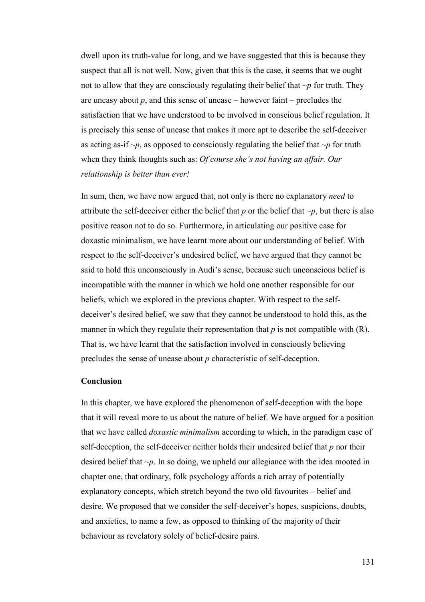dwell upon its truth-value for long, and we have suggested that this is because they suspect that all is not well. Now, given that this is the case, it seems that we ought not to allow that they are consciously regulating their belief that  $\neg p$  for truth. They are uneasy about  $p$ , and this sense of unease – however faint – precludes the satisfaction that we have understood to be involved in conscious belief regulation. It is precisely this sense of unease that makes it more apt to describe the self-deceiver as acting as-if  $\neg p$ , as opposed to consciously regulating the belief that  $\neg p$  for truth when they think thoughts such as: *Of course she's not having an affair. Our relationship is better than ever!* 

In sum, then, we have now argued that, not only is there no explanatory *need* to attribute the self-deceiver either the belief that  $p$  or the belief that  $\neg p$ , but there is also positive reason not to do so. Furthermore, in articulating our positive case for doxastic minimalism, we have learnt more about our understanding of belief. With respect to the self-deceiver's undesired belief, we have argued that they cannot be said to hold this unconsciously in Audi's sense, because such unconscious belief is incompatible with the manner in which we hold one another responsible for our beliefs, which we explored in the previous chapter. With respect to the selfdeceiver's desired belief, we saw that they cannot be understood to hold this, as the manner in which they regulate their representation that  $p$  is not compatible with  $(R)$ . That is, we have learnt that the satisfaction involved in consciously believing precludes the sense of unease about *p* characteristic of self-deception.

# **Conclusion**

In this chapter, we have explored the phenomenon of self-deception with the hope that it will reveal more to us about the nature of belief. We have argued for a position that we have called *doxastic minimalism* according to which, in the paradigm case of self-deception, the self-deceiver neither holds their undesired belief that *p* nor their desired belief that *~p*. In so doing, we upheld our allegiance with the idea mooted in chapter one, that ordinary, folk psychology affords a rich array of potentially explanatory concepts, which stretch beyond the two old favourites – belief and desire. We proposed that we consider the self-deceiver's hopes, suspicions, doubts, and anxieties, to name a few, as opposed to thinking of the majority of their behaviour as revelatory solely of belief-desire pairs.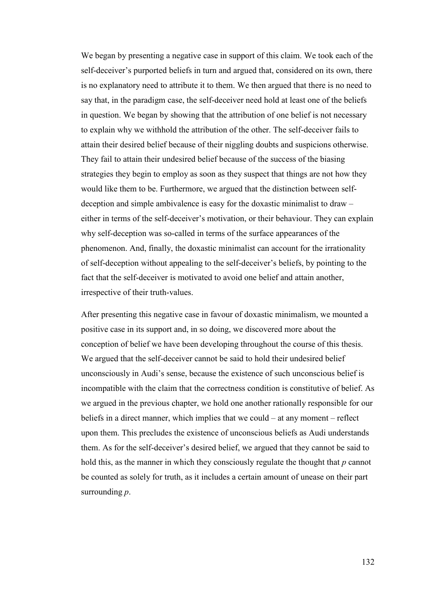We began by presenting a negative case in support of this claim. We took each of the self-deceiver's purported beliefs in turn and argued that, considered on its own, there is no explanatory need to attribute it to them. We then argued that there is no need to say that, in the paradigm case, the self-deceiver need hold at least one of the beliefs in question. We began by showing that the attribution of one belief is not necessary to explain why we withhold the attribution of the other. The self-deceiver fails to attain their desired belief because of their niggling doubts and suspicions otherwise. They fail to attain their undesired belief because of the success of the biasing strategies they begin to employ as soon as they suspect that things are not how they would like them to be. Furthermore, we argued that the distinction between selfdeception and simple ambivalence is easy for the doxastic minimalist to draw – either in terms of the self-deceiver's motivation, or their behaviour. They can explain why self-deception was so-called in terms of the surface appearances of the phenomenon. And, finally, the doxastic minimalist can account for the irrationality of self-deception without appealing to the self-deceiver's beliefs, by pointing to the fact that the self-deceiver is motivated to avoid one belief and attain another, irrespective of their truth-values.

After presenting this negative case in favour of doxastic minimalism, we mounted a positive case in its support and, in so doing, we discovered more about the conception of belief we have been developing throughout the course of this thesis. We argued that the self-deceiver cannot be said to hold their undesired belief unconsciously in Audi's sense, because the existence of such unconscious belief is incompatible with the claim that the correctness condition is constitutive of belief. As we argued in the previous chapter, we hold one another rationally responsible for our beliefs in a direct manner, which implies that we could – at any moment – reflect upon them. This precludes the existence of unconscious beliefs as Audi understands them. As for the self-deceiver's desired belief, we argued that they cannot be said to hold this, as the manner in which they consciously regulate the thought that *p* cannot be counted as solely for truth, as it includes a certain amount of unease on their part surrounding *p*.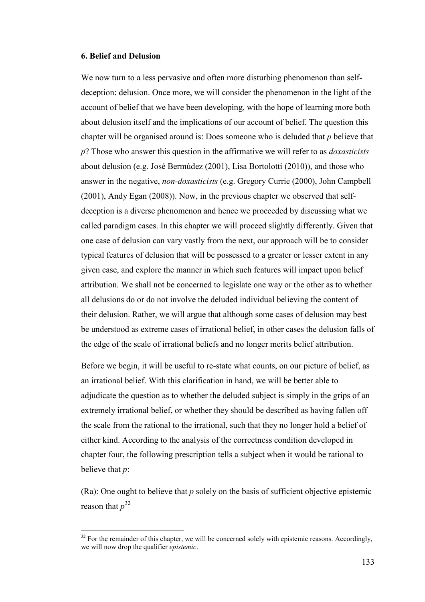# **6. Belief and Delusion**

 $\overline{a}$ 

We now turn to a less pervasive and often more disturbing phenomenon than selfdeception: delusion. Once more, we will consider the phenomenon in the light of the account of belief that we have been developing, with the hope of learning more both about delusion itself and the implications of our account of belief. The question this chapter will be organised around is: Does someone who is deluded that *p* believe that *p*? Those who answer this question in the affirmative we will refer to as *doxasticists* about delusion (e.g. José Bermúdez (2001), Lisa Bortolotti (2010)), and those who answer in the negative, *non-doxasticists* (e.g. Gregory Currie (2000), John Campbell (2001), Andy Egan (2008)). Now, in the previous chapter we observed that selfdeception is a diverse phenomenon and hence we proceeded by discussing what we called paradigm cases. In this chapter we will proceed slightly differently. Given that one case of delusion can vary vastly from the next, our approach will be to consider typical features of delusion that will be possessed to a greater or lesser extent in any given case, and explore the manner in which such features will impact upon belief attribution. We shall not be concerned to legislate one way or the other as to whether all delusions do or do not involve the deluded individual believing the content of their delusion. Rather, we will argue that although some cases of delusion may best be understood as extreme cases of irrational belief, in other cases the delusion falls of the edge of the scale of irrational beliefs and no longer merits belief attribution.

Before we begin, it will be useful to re-state what counts, on our picture of belief, as an irrational belief. With this clarification in hand, we will be better able to adjudicate the question as to whether the deluded subject is simply in the grips of an extremely irrational belief, or whether they should be described as having fallen off the scale from the rational to the irrational, such that they no longer hold a belief of either kind. According to the analysis of the correctness condition developed in chapter four, the following prescription tells a subject when it would be rational to believe that *p*:

(Ra): One ought to believe that *p* solely on the basis of sufficient objective epistemic reason that *p* 32

 $32$  For the remainder of this chapter, we will be concerned solely with epistemic reasons. Accordingly, we will now drop the qualifier *epistemic*.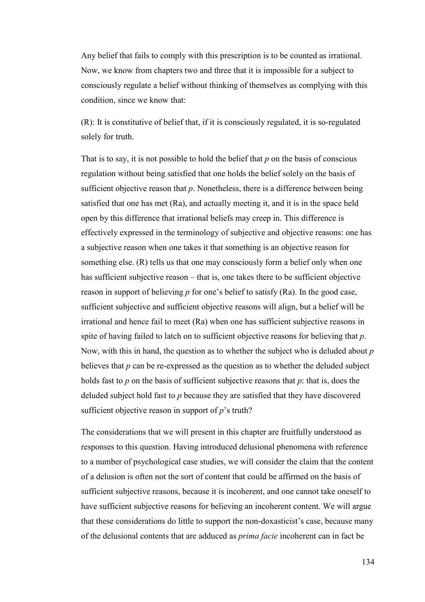Any belief that fails to comply with this prescription is to be counted as irrational. Now, we know from chapters two and three that it is impossible for a subject to consciously regulate a belief without thinking of themselves as complying with this condition, since we know that:

(R): It is constitutive of belief that, if it is consciously regulated, it is so-regulated solely for truth.

That is to say, it is not possible to hold the belief that *p* on the basis of conscious regulation without being satisfied that one holds the belief solely on the basis of sufficient objective reason that *p*. Nonetheless, there is a difference between being satisfied that one has met (Ra), and actually meeting it, and it is in the space held open by this difference that irrational beliefs may creep in. This difference is effectively expressed in the terminology of subjective and objective reasons: one has a subjective reason when one takes it that something is an objective reason for something else. (R) tells us that one may consciously form a belief only when one has sufficient subjective reason – that is, one takes there to be sufficient objective reason in support of believing *p* for one's belief to satisfy (Ra). In the good case, sufficient subjective and sufficient objective reasons will align, but a belief will be irrational and hence fail to meet (Ra) when one has sufficient subjective reasons in spite of having failed to latch on to sufficient objective reasons for believing that *p*. Now, with this in hand, the question as to whether the subject who is deluded about *p* believes that *p* can be re-expressed as the question as to whether the deluded subject holds fast to *p* on the basis of sufficient subjective reasons that *p*: that is, does the deluded subject hold fast to *p* because they are satisfied that they have discovered sufficient objective reason in support of *p*'s truth?

The considerations that we will present in this chapter are fruitfully understood as responses to this question. Having introduced delusional phenomena with reference to a number of psychological case studies, we will consider the claim that the content of a delusion is often not the sort of content that could be affirmed on the basis of sufficient subjective reasons, because it is incoherent, and one cannot take oneself to have sufficient subjective reasons for believing an incoherent content. We will argue that these considerations do little to support the non-doxasticist's case, because many of the delusional contents that are adduced as *prima facie* incoherent can in fact be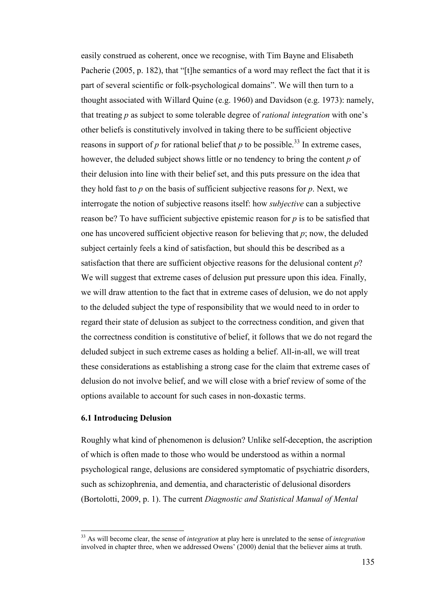easily construed as coherent, once we recognise, with Tim Bayne and Elisabeth Pacherie (2005, p. 182), that "[t]he semantics of a word may reflect the fact that it is part of several scientific or folk-psychological domains". We will then turn to a thought associated with Willard Quine (e.g. 1960) and Davidson (e.g. 1973): namely, that treating *p* as subject to some tolerable degree of *rational integration* with one's other beliefs is constitutively involved in taking there to be sufficient objective reasons in support of  $p$  for rational belief that  $p$  to be possible.<sup>33</sup> In extreme cases, however, the deluded subject shows little or no tendency to bring the content *p* of their delusion into line with their belief set, and this puts pressure on the idea that they hold fast to *p* on the basis of sufficient subjective reasons for *p*. Next, we interrogate the notion of subjective reasons itself: how *subjective* can a subjective reason be? To have sufficient subjective epistemic reason for *p* is to be satisfied that one has uncovered sufficient objective reason for believing that *p*; now, the deluded subject certainly feels a kind of satisfaction, but should this be described as a satisfaction that there are sufficient objective reasons for the delusional content *p*? We will suggest that extreme cases of delusion put pressure upon this idea. Finally, we will draw attention to the fact that in extreme cases of delusion, we do not apply to the deluded subject the type of responsibility that we would need to in order to regard their state of delusion as subject to the correctness condition, and given that the correctness condition is constitutive of belief, it follows that we do not regard the deluded subject in such extreme cases as holding a belief. All-in-all, we will treat these considerations as establishing a strong case for the claim that extreme cases of delusion do not involve belief, and we will close with a brief review of some of the options available to account for such cases in non-doxastic terms.

# **6.1 Introducing Delusion**

 $\overline{a}$ 

Roughly what kind of phenomenon is delusion? Unlike self-deception, the ascription of which is often made to those who would be understood as within a normal psychological range, delusions are considered symptomatic of psychiatric disorders, such as schizophrenia, and dementia, and characteristic of delusional disorders (Bortolotti, 2009, p. 1). The current *Diagnostic and Statistical Manual of Mental* 

<sup>33</sup> As will become clear, the sense of *integration* at play here is unrelated to the sense of *integration* involved in chapter three, when we addressed Owens' (2000) denial that the believer aims at truth.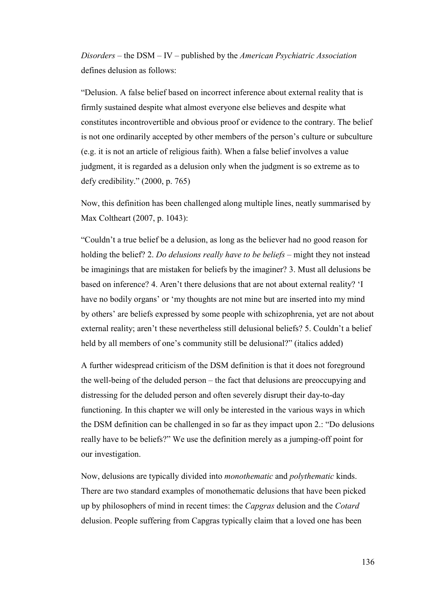*Disorders* – the DSM – IV – published by the *American Psychiatric Association* defines delusion as follows:

"Delusion. A false belief based on incorrect inference about external reality that is firmly sustained despite what almost everyone else believes and despite what constitutes incontrovertible and obvious proof or evidence to the contrary. The belief is not one ordinarily accepted by other members of the person's culture or subculture (e.g. it is not an article of religious faith). When a false belief involves a value judgment, it is regarded as a delusion only when the judgment is so extreme as to defy credibility." (2000, p. 765)

Now, this definition has been challenged along multiple lines, neatly summarised by Max Coltheart (2007, p. 1043):

"Couldn't a true belief be a delusion, as long as the believer had no good reason for holding the belief? 2. *Do delusions really have to be beliefs* – might they not instead be imaginings that are mistaken for beliefs by the imaginer? 3. Must all delusions be based on inference? 4. Aren't there delusions that are not about external reality? 'I have no bodily organs' or 'my thoughts are not mine but are inserted into my mind by others' are beliefs expressed by some people with schizophrenia, yet are not about external reality; aren't these nevertheless still delusional beliefs? 5. Couldn't a belief held by all members of one's community still be delusional?" (italics added)

A further widespread criticism of the DSM definition is that it does not foreground the well-being of the deluded person – the fact that delusions are preoccupying and distressing for the deluded person and often severely disrupt their day-to-day functioning. In this chapter we will only be interested in the various ways in which the DSM definition can be challenged in so far as they impact upon 2.: "Do delusions really have to be beliefs?" We use the definition merely as a jumping-off point for our investigation.

Now, delusions are typically divided into *monothematic* and *polythematic* kinds. There are two standard examples of monothematic delusions that have been picked up by philosophers of mind in recent times: the *Capgras* delusion and the *Cotard* delusion. People suffering from Capgras typically claim that a loved one has been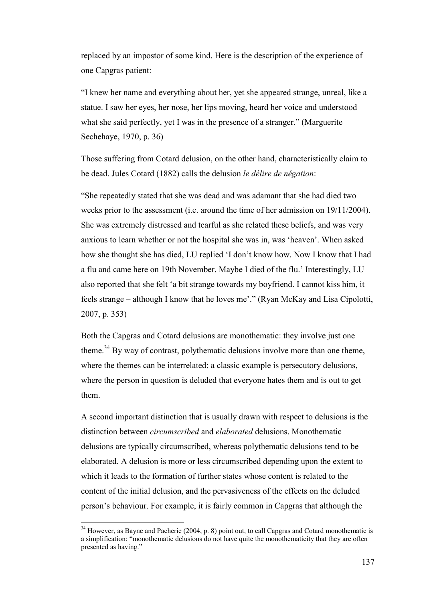replaced by an impostor of some kind. Here is the description of the experience of one Capgras patient:

"I knew her name and everything about her, yet she appeared strange, unreal, like a statue. I saw her eyes, her nose, her lips moving, heard her voice and understood what she said perfectly, yet I was in the presence of a stranger." (Marguerite Sechehaye, 1970, p. 36)

Those suffering from Cotard delusion, on the other hand, characteristically claim to be dead. Jules Cotard (1882) calls the delusion *le délire de négation*:

"She repeatedly stated that she was dead and was adamant that she had died two weeks prior to the assessment (i.e. around the time of her admission on 19/11/2004). She was extremely distressed and tearful as she related these beliefs, and was very anxious to learn whether or not the hospital she was in, was 'heaven'. When asked how she thought she has died, LU replied 'I don't know how. Now I know that I had a flu and came here on 19th November. Maybe I died of the flu.' Interestingly, LU also reported that she felt 'a bit strange towards my boyfriend. I cannot kiss him, it feels strange – although I know that he loves me'." (Ryan McKay and Lisa Cipolotti, 2007, p. 353)

Both the Capgras and Cotard delusions are monothematic: they involve just one theme.<sup>34</sup> By way of contrast, polythematic delusions involve more than one theme, where the themes can be interrelated: a classic example is persecutory delusions, where the person in question is deluded that everyone hates them and is out to get them.

A second important distinction that is usually drawn with respect to delusions is the distinction between *circumscribed* and *elaborated* delusions. Monothematic delusions are typically circumscribed, whereas polythematic delusions tend to be elaborated. A delusion is more or less circumscribed depending upon the extent to which it leads to the formation of further states whose content is related to the content of the initial delusion, and the pervasiveness of the effects on the deluded person's behaviour. For example, it is fairly common in Capgras that although the

l

 $34$  However, as Bayne and Pacherie (2004, p. 8) point out, to call Capgras and Cotard monothematic is a simplification: "monothematic delusions do not have quite the monothematicity that they are often presented as having."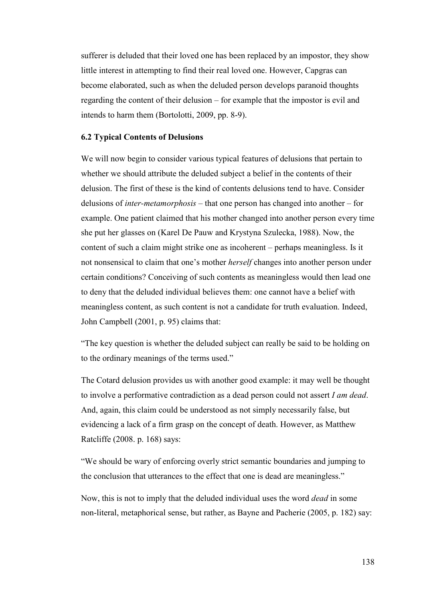sufferer is deluded that their loved one has been replaced by an impostor, they show little interest in attempting to find their real loved one. However, Capgras can become elaborated, such as when the deluded person develops paranoid thoughts regarding the content of their delusion – for example that the impostor is evil and intends to harm them (Bortolotti, 2009, pp. 8-9).

## **6.2 Typical Contents of Delusions**

We will now begin to consider various typical features of delusions that pertain to whether we should attribute the deluded subject a belief in the contents of their delusion. The first of these is the kind of contents delusions tend to have. Consider delusions of *inter-metamorphosis* – that one person has changed into another – for example. One patient claimed that his mother changed into another person every time she put her glasses on (Karel De Pauw and Krystyna Szulecka, 1988). Now, the content of such a claim might strike one as incoherent – perhaps meaningless. Is it not nonsensical to claim that one's mother *herself* changes into another person under certain conditions? Conceiving of such contents as meaningless would then lead one to deny that the deluded individual believes them: one cannot have a belief with meaningless content, as such content is not a candidate for truth evaluation. Indeed, John Campbell (2001, p. 95) claims that:

"The key question is whether the deluded subject can really be said to be holding on to the ordinary meanings of the terms used."

The Cotard delusion provides us with another good example: it may well be thought to involve a performative contradiction as a dead person could not assert *I am dead*. And, again, this claim could be understood as not simply necessarily false, but evidencing a lack of a firm grasp on the concept of death. However, as Matthew Ratcliffe (2008. p. 168) says:

"We should be wary of enforcing overly strict semantic boundaries and jumping to the conclusion that utterances to the effect that one is dead are meaningless."

Now, this is not to imply that the deluded individual uses the word *dead* in some non-literal, metaphorical sense, but rather, as Bayne and Pacherie (2005, p. 182) say: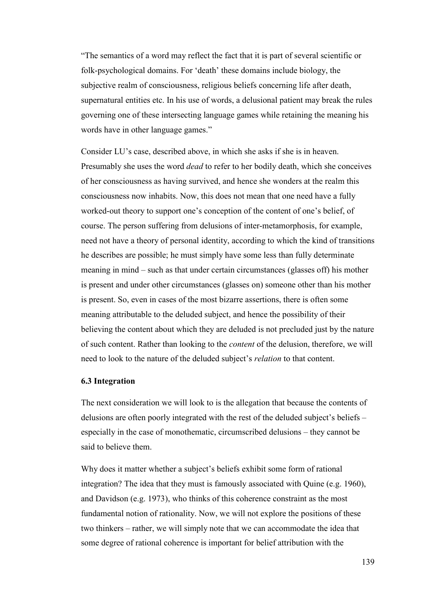"The semantics of a word may reflect the fact that it is part of several scientific or folk-psychological domains. For 'death' these domains include biology, the subjective realm of consciousness, religious beliefs concerning life after death, supernatural entities etc. In his use of words, a delusional patient may break the rules governing one of these intersecting language games while retaining the meaning his words have in other language games."

Consider LU's case, described above, in which she asks if she is in heaven. Presumably she uses the word *dead* to refer to her bodily death, which she conceives of her consciousness as having survived, and hence she wonders at the realm this consciousness now inhabits. Now, this does not mean that one need have a fully worked-out theory to support one's conception of the content of one's belief, of course. The person suffering from delusions of inter-metamorphosis, for example, need not have a theory of personal identity, according to which the kind of transitions he describes are possible; he must simply have some less than fully determinate meaning in mind – such as that under certain circumstances (glasses off) his mother is present and under other circumstances (glasses on) someone other than his mother is present. So, even in cases of the most bizarre assertions, there is often some meaning attributable to the deluded subject, and hence the possibility of their believing the content about which they are deluded is not precluded just by the nature of such content. Rather than looking to the *content* of the delusion, therefore, we will need to look to the nature of the deluded subject's *relation* to that content.

## **6.3 Integration**

The next consideration we will look to is the allegation that because the contents of delusions are often poorly integrated with the rest of the deluded subject's beliefs – especially in the case of monothematic, circumscribed delusions – they cannot be said to believe them.

Why does it matter whether a subject's beliefs exhibit some form of rational integration? The idea that they must is famously associated with Quine (e.g. 1960), and Davidson (e.g. 1973), who thinks of this coherence constraint as the most fundamental notion of rationality. Now, we will not explore the positions of these two thinkers – rather, we will simply note that we can accommodate the idea that some degree of rational coherence is important for belief attribution with the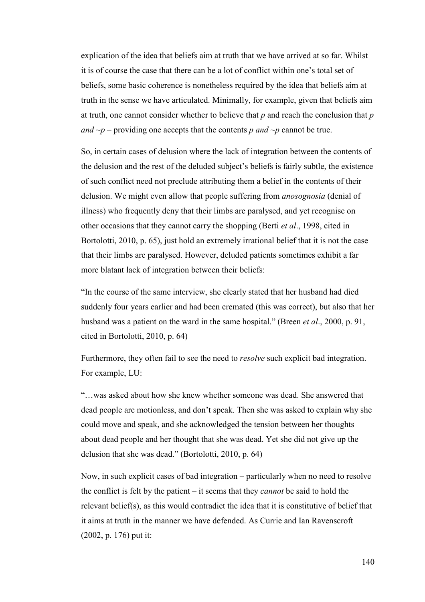explication of the idea that beliefs aim at truth that we have arrived at so far. Whilst it is of course the case that there can be a lot of conflict within one's total set of beliefs, some basic coherence is nonetheless required by the idea that beliefs aim at truth in the sense we have articulated. Minimally, for example, given that beliefs aim at truth, one cannot consider whether to believe that *p* and reach the conclusion that *p and*  $\neg p$  – providing one accepts that the contents *p* and  $\neg p$  cannot be true.

So, in certain cases of delusion where the lack of integration between the contents of the delusion and the rest of the deluded subject's beliefs is fairly subtle, the existence of such conflict need not preclude attributing them a belief in the contents of their delusion. We might even allow that people suffering from *anosognosia* (denial of illness) who frequently deny that their limbs are paralysed, and yet recognise on other occasions that they cannot carry the shopping (Berti *et al*., 1998, cited in Bortolotti, 2010, p. 65), just hold an extremely irrational belief that it is not the case that their limbs are paralysed. However, deluded patients sometimes exhibit a far more blatant lack of integration between their beliefs:

"In the course of the same interview, she clearly stated that her husband had died suddenly four years earlier and had been cremated (this was correct), but also that her husband was a patient on the ward in the same hospital." (Breen *et al*., 2000, p. 91, cited in Bortolotti, 2010, p. 64)

Furthermore, they often fail to see the need to *resolve* such explicit bad integration. For example, LU:

"…was asked about how she knew whether someone was dead. She answered that dead people are motionless, and don't speak. Then she was asked to explain why she could move and speak, and she acknowledged the tension between her thoughts about dead people and her thought that she was dead. Yet she did not give up the delusion that she was dead." (Bortolotti, 2010, p. 64)

Now, in such explicit cases of bad integration – particularly when no need to resolve the conflict is felt by the patient – it seems that they *cannot* be said to hold the relevant belief(s), as this would contradict the idea that it is constitutive of belief that it aims at truth in the manner we have defended. As Currie and Ian Ravenscroft (2002, p. 176) put it: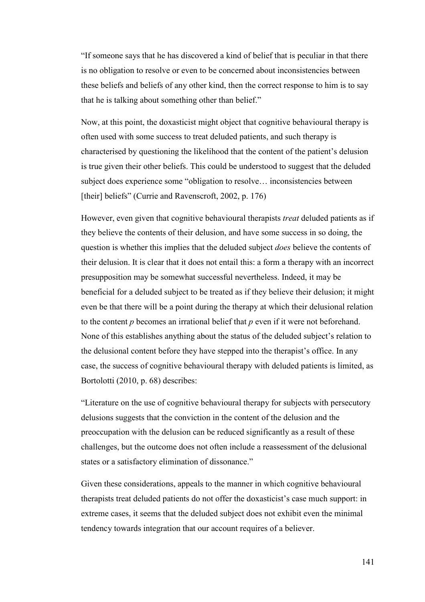"If someone says that he has discovered a kind of belief that is peculiar in that there is no obligation to resolve or even to be concerned about inconsistencies between these beliefs and beliefs of any other kind, then the correct response to him is to say that he is talking about something other than belief."

Now, at this point, the doxasticist might object that cognitive behavioural therapy is often used with some success to treat deluded patients, and such therapy is characterised by questioning the likelihood that the content of the patient's delusion is true given their other beliefs. This could be understood to suggest that the deluded subject does experience some "obligation to resolve… inconsistencies between [their] beliefs" (Currie and Ravenscroft, 2002, p. 176)

However, even given that cognitive behavioural therapists *treat* deluded patients as if they believe the contents of their delusion, and have some success in so doing, the question is whether this implies that the deluded subject *does* believe the contents of their delusion. It is clear that it does not entail this: a form a therapy with an incorrect presupposition may be somewhat successful nevertheless. Indeed, it may be beneficial for a deluded subject to be treated as if they believe their delusion; it might even be that there will be a point during the therapy at which their delusional relation to the content *p* becomes an irrational belief that *p* even if it were not beforehand. None of this establishes anything about the status of the deluded subject's relation to the delusional content before they have stepped into the therapist's office. In any case, the success of cognitive behavioural therapy with deluded patients is limited, as Bortolotti (2010, p. 68) describes:

"Literature on the use of cognitive behavioural therapy for subjects with persecutory delusions suggests that the conviction in the content of the delusion and the preoccupation with the delusion can be reduced significantly as a result of these challenges, but the outcome does not often include a reassessment of the delusional states or a satisfactory elimination of dissonance."

Given these considerations, appeals to the manner in which cognitive behavioural therapists treat deluded patients do not offer the doxasticist's case much support: in extreme cases, it seems that the deluded subject does not exhibit even the minimal tendency towards integration that our account requires of a believer.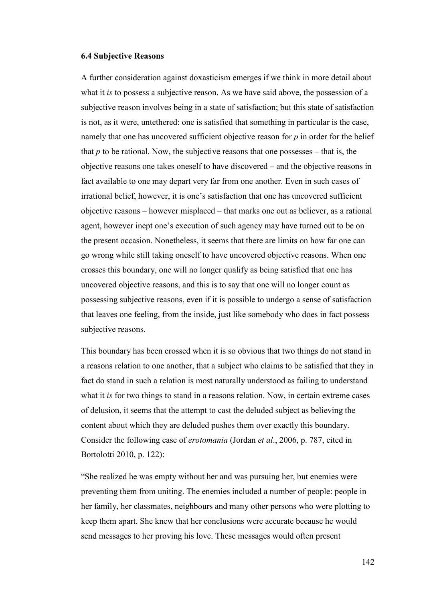#### **6.4 Subjective Reasons**

A further consideration against doxasticism emerges if we think in more detail about what it *is* to possess a subjective reason. As we have said above, the possession of a subjective reason involves being in a state of satisfaction; but this state of satisfaction is not, as it were, untethered: one is satisfied that something in particular is the case, namely that one has uncovered sufficient objective reason for *p* in order for the belief that  $p$  to be rational. Now, the subjective reasons that one possesses – that is, the objective reasons one takes oneself to have discovered – and the objective reasons in fact available to one may depart very far from one another. Even in such cases of irrational belief, however, it is one's satisfaction that one has uncovered sufficient objective reasons – however misplaced – that marks one out as believer, as a rational agent, however inept one's execution of such agency may have turned out to be on the present occasion. Nonetheless, it seems that there are limits on how far one can go wrong while still taking oneself to have uncovered objective reasons. When one crosses this boundary, one will no longer qualify as being satisfied that one has uncovered objective reasons, and this is to say that one will no longer count as possessing subjective reasons, even if it is possible to undergo a sense of satisfaction that leaves one feeling, from the inside, just like somebody who does in fact possess subjective reasons.

This boundary has been crossed when it is so obvious that two things do not stand in a reasons relation to one another, that a subject who claims to be satisfied that they in fact do stand in such a relation is most naturally understood as failing to understand what it *is* for two things to stand in a reasons relation. Now, in certain extreme cases of delusion, it seems that the attempt to cast the deluded subject as believing the content about which they are deluded pushes them over exactly this boundary. Consider the following case of *erotomania* (Jordan *et al*., 2006, p. 787, cited in Bortolotti 2010, p. 122):

"She realized he was empty without her and was pursuing her, but enemies were preventing them from uniting. The enemies included a number of people: people in her family, her classmates, neighbours and many other persons who were plotting to keep them apart. She knew that her conclusions were accurate because he would send messages to her proving his love. These messages would often present

142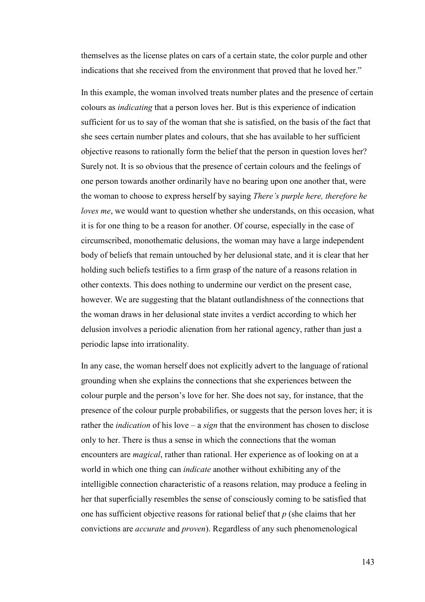themselves as the license plates on cars of a certain state, the color purple and other indications that she received from the environment that proved that he loved her."

In this example, the woman involved treats number plates and the presence of certain colours as *indicating* that a person loves her. But is this experience of indication sufficient for us to say of the woman that she is satisfied, on the basis of the fact that she sees certain number plates and colours, that she has available to her sufficient objective reasons to rationally form the belief that the person in question loves her? Surely not. It is so obvious that the presence of certain colours and the feelings of one person towards another ordinarily have no bearing upon one another that, were the woman to choose to express herself by saying *There's purple here, therefore he loves me*, we would want to question whether she understands, on this occasion, what it is for one thing to be a reason for another. Of course, especially in the case of circumscribed, monothematic delusions, the woman may have a large independent body of beliefs that remain untouched by her delusional state, and it is clear that her holding such beliefs testifies to a firm grasp of the nature of a reasons relation in other contexts. This does nothing to undermine our verdict on the present case, however. We are suggesting that the blatant outlandishness of the connections that the woman draws in her delusional state invites a verdict according to which her delusion involves a periodic alienation from her rational agency, rather than just a periodic lapse into irrationality.

In any case, the woman herself does not explicitly advert to the language of rational grounding when she explains the connections that she experiences between the colour purple and the person's love for her. She does not say, for instance, that the presence of the colour purple probabilifies, or suggests that the person loves her; it is rather the *indication* of his love – a *sign* that the environment has chosen to disclose only to her. There is thus a sense in which the connections that the woman encounters are *magical*, rather than rational. Her experience as of looking on at a world in which one thing can *indicate* another without exhibiting any of the intelligible connection characteristic of a reasons relation, may produce a feeling in her that superficially resembles the sense of consciously coming to be satisfied that one has sufficient objective reasons for rational belief that *p* (she claims that her convictions are *accurate* and *proven*). Regardless of any such phenomenological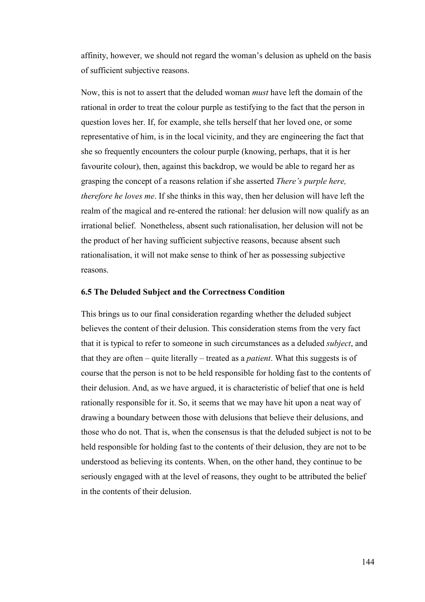affinity, however, we should not regard the woman's delusion as upheld on the basis of sufficient subjective reasons.

Now, this is not to assert that the deluded woman *must* have left the domain of the rational in order to treat the colour purple as testifying to the fact that the person in question loves her. If, for example, she tells herself that her loved one, or some representative of him, is in the local vicinity, and they are engineering the fact that she so frequently encounters the colour purple (knowing, perhaps, that it is her favourite colour), then, against this backdrop, we would be able to regard her as grasping the concept of a reasons relation if she asserted *There's purple here, therefore he loves me*. If she thinks in this way, then her delusion will have left the realm of the magical and re-entered the rational: her delusion will now qualify as an irrational belief. Nonetheless, absent such rationalisation, her delusion will not be the product of her having sufficient subjective reasons, because absent such rationalisation, it will not make sense to think of her as possessing subjective reasons.

#### **6.5 The Deluded Subject and the Correctness Condition**

This brings us to our final consideration regarding whether the deluded subject believes the content of their delusion. This consideration stems from the very fact that it is typical to refer to someone in such circumstances as a deluded *subject*, and that they are often – quite literally – treated as a *patient*. What this suggests is of course that the person is not to be held responsible for holding fast to the contents of their delusion. And, as we have argued, it is characteristic of belief that one is held rationally responsible for it. So, it seems that we may have hit upon a neat way of drawing a boundary between those with delusions that believe their delusions, and those who do not. That is, when the consensus is that the deluded subject is not to be held responsible for holding fast to the contents of their delusion, they are not to be understood as believing its contents. When, on the other hand, they continue to be seriously engaged with at the level of reasons, they ought to be attributed the belief in the contents of their delusion.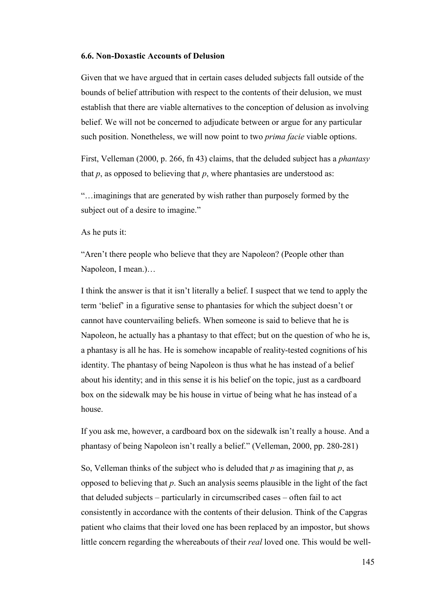## **6.6. Non-Doxastic Accounts of Delusion**

Given that we have argued that in certain cases deluded subjects fall outside of the bounds of belief attribution with respect to the contents of their delusion, we must establish that there are viable alternatives to the conception of delusion as involving belief. We will not be concerned to adjudicate between or argue for any particular such position. Nonetheless, we will now point to two *prima facie* viable options.

First, Velleman (2000, p. 266, fn 43) claims, that the deluded subject has a *phantasy* that  $p$ , as opposed to believing that  $p$ , where phantasies are understood as:

"…imaginings that are generated by wish rather than purposely formed by the subject out of a desire to imagine."

As he puts it:

"Aren't there people who believe that they are Napoleon? (People other than Napoleon, I mean.)…

I think the answer is that it isn't literally a belief. I suspect that we tend to apply the term 'belief' in a figurative sense to phantasies for which the subject doesn't or cannot have countervailing beliefs. When someone is said to believe that he is Napoleon, he actually has a phantasy to that effect; but on the question of who he is, a phantasy is all he has. He is somehow incapable of reality-tested cognitions of his identity. The phantasy of being Napoleon is thus what he has instead of a belief about his identity; and in this sense it is his belief on the topic, just as a cardboard box on the sidewalk may be his house in virtue of being what he has instead of a house.

If you ask me, however, a cardboard box on the sidewalk isn't really a house. And a phantasy of being Napoleon isn't really a belief." (Velleman, 2000, pp. 280-281)

So, Velleman thinks of the subject who is deluded that *p* as imagining that *p*, as opposed to believing that *p*. Such an analysis seems plausible in the light of the fact that deluded subjects – particularly in circumscribed cases – often fail to act consistently in accordance with the contents of their delusion. Think of the Capgras patient who claims that their loved one has been replaced by an impostor, but shows little concern regarding the whereabouts of their *real* loved one. This would be well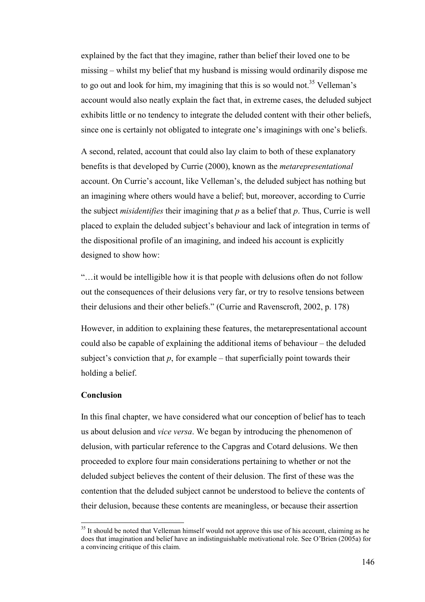explained by the fact that they imagine, rather than belief their loved one to be missing – whilst my belief that my husband is missing would ordinarily dispose me to go out and look for him, my imagining that this is so would not.<sup>35</sup> Velleman's account would also neatly explain the fact that, in extreme cases, the deluded subject exhibits little or no tendency to integrate the deluded content with their other beliefs, since one is certainly not obligated to integrate one's imaginings with one's beliefs.

A second, related, account that could also lay claim to both of these explanatory benefits is that developed by Currie (2000), known as the *metarepresentational* account. On Currie's account, like Velleman's, the deluded subject has nothing but an imagining where others would have a belief; but, moreover, according to Currie the subject *misidentifies* their imagining that *p* as a belief that *p*. Thus, Currie is well placed to explain the deluded subject's behaviour and lack of integration in terms of the dispositional profile of an imagining, and indeed his account is explicitly designed to show how:

"…it would be intelligible how it is that people with delusions often do not follow out the consequences of their delusions very far, or try to resolve tensions between their delusions and their other beliefs." (Currie and Ravenscroft, 2002, p. 178)

However, in addition to explaining these features, the metarepresentational account could also be capable of explaining the additional items of behaviour – the deluded subject's conviction that  $p$ , for example – that superficially point towards their holding a belief.

## **Conclusion**

l

In this final chapter, we have considered what our conception of belief has to teach us about delusion and *vice versa*. We began by introducing the phenomenon of delusion, with particular reference to the Capgras and Cotard delusions. We then proceeded to explore four main considerations pertaining to whether or not the deluded subject believes the content of their delusion. The first of these was the contention that the deluded subject cannot be understood to believe the contents of their delusion, because these contents are meaningless, or because their assertion

 $35$  It should be noted that Velleman himself would not approve this use of his account, claiming as he does that imagination and belief have an indistinguishable motivational role. See O'Brien (2005a) for a convincing critique of this claim.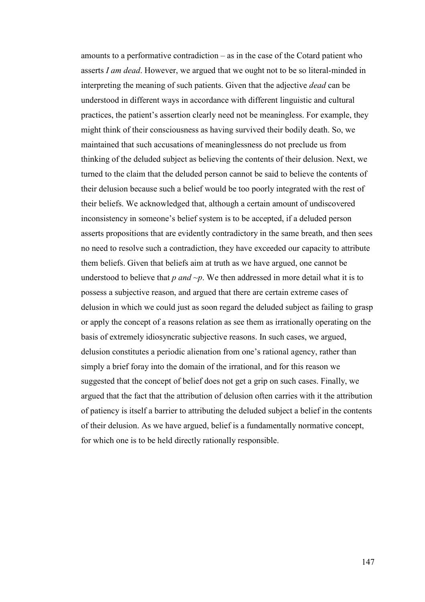amounts to a performative contradiction – as in the case of the Cotard patient who asserts *I am dead*. However, we argued that we ought not to be so literal-minded in interpreting the meaning of such patients. Given that the adjective *dead* can be understood in different ways in accordance with different linguistic and cultural practices, the patient's assertion clearly need not be meaningless. For example, they might think of their consciousness as having survived their bodily death. So, we maintained that such accusations of meaninglessness do not preclude us from thinking of the deluded subject as believing the contents of their delusion. Next, we turned to the claim that the deluded person cannot be said to believe the contents of their delusion because such a belief would be too poorly integrated with the rest of their beliefs. We acknowledged that, although a certain amount of undiscovered inconsistency in someone's belief system is to be accepted, if a deluded person asserts propositions that are evidently contradictory in the same breath, and then sees no need to resolve such a contradiction, they have exceeded our capacity to attribute them beliefs. Given that beliefs aim at truth as we have argued, one cannot be understood to believe that  $p$  *and*  $\neg p$ . We then addressed in more detail what it is to possess a subjective reason, and argued that there are certain extreme cases of delusion in which we could just as soon regard the deluded subject as failing to grasp or apply the concept of a reasons relation as see them as irrationally operating on the basis of extremely idiosyncratic subjective reasons. In such cases, we argued, delusion constitutes a periodic alienation from one's rational agency, rather than simply a brief foray into the domain of the irrational, and for this reason we suggested that the concept of belief does not get a grip on such cases. Finally, we argued that the fact that the attribution of delusion often carries with it the attribution of patiency is itself a barrier to attributing the deluded subject a belief in the contents of their delusion. As we have argued, belief is a fundamentally normative concept, for which one is to be held directly rationally responsible.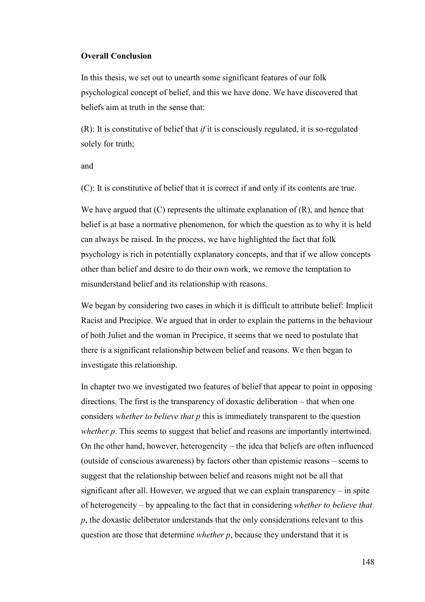## **Overall Conclusion**

In this thesis, we set out to unearth some significant features of our folk psychological concept of belief, and this we have done. We have discovered that beliefs aim at truth in the sense that:

(R): It is constitutive of belief that *if* it is consciously regulated, it is so-regulated solely for truth;

and

(C): It is constitutive of belief that it is correct if and only if its contents are true.

We have argued that  $(C)$  represents the ultimate explanation of  $(R)$ , and hence that belief is at base a normative phenomenon, for which the question as to why it is held can always be raised. In the process, we have highlighted the fact that folk psychology is rich in potentially explanatory concepts, and that if we allow concepts other than belief and desire to do their own work, we remove the temptation to misunderstand belief and its relationship with reasons.

We began by considering two cases in which it is difficult to attribute belief: Implicit Racist and Precipice. We argued that in order to explain the patterns in the behaviour of both Juliet and the woman in Precipice, it seems that we need to postulate that there is a significant relationship between belief and reasons. We then began to investigate this relationship.

In chapter two we investigated two features of belief that appear to point in opposing directions. The first is the transparency of doxastic deliberation – that when one considers *whether to believe that p* this is immediately transparent to the question *whether p*. This seems to suggest that belief and reasons are importantly intertwined. On the other hand, however, heterogeneity – the idea that beliefs are often influenced (outside of conscious awareness) by factors other than epistemic reasons – seems to suggest that the relationship between belief and reasons might not be all that significant after all. However, we argued that we can explain transparency – in spite of heterogeneity – by appealing to the fact that in considering *whether to believe that p*, the doxastic deliberator understands that the only considerations relevant to this question are those that determine *whether p*, because they understand that it is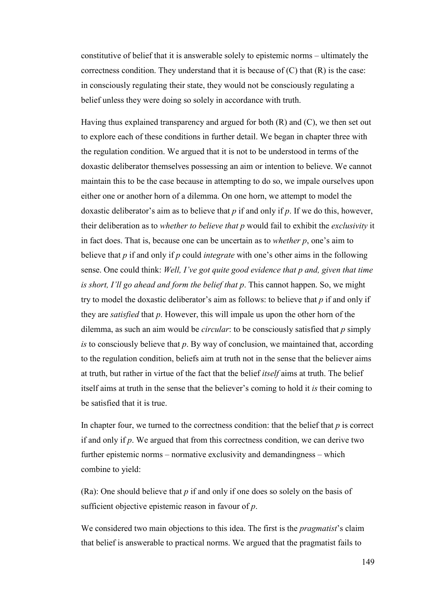constitutive of belief that it is answerable solely to epistemic norms – ultimately the correctness condition. They understand that it is because of  $(C)$  that  $(R)$  is the case: in consciously regulating their state, they would not be consciously regulating a belief unless they were doing so solely in accordance with truth.

Having thus explained transparency and argued for both  $(R)$  and  $(C)$ , we then set out to explore each of these conditions in further detail. We began in chapter three with the regulation condition. We argued that it is not to be understood in terms of the doxastic deliberator themselves possessing an aim or intention to believe. We cannot maintain this to be the case because in attempting to do so, we impale ourselves upon either one or another horn of a dilemma. On one horn, we attempt to model the doxastic deliberator's aim as to believe that *p* if and only if *p*. If we do this, however, their deliberation as to *whether to believe that p* would fail to exhibit the *exclusivity* it in fact does. That is, because one can be uncertain as to *whether p*, one's aim to believe that *p* if and only if *p* could *integrate* with one's other aims in the following sense. One could think: *Well, I've got quite good evidence that p and, given that time is short, I'll go ahead and form the belief that p*. This cannot happen. So, we might try to model the doxastic deliberator's aim as follows: to believe that *p* if and only if they are *satisfied* that *p*. However, this will impale us upon the other horn of the dilemma, as such an aim would be *circular*: to be consciously satisfied that *p* simply *is* to consciously believe that *p*. By way of conclusion, we maintained that, according to the regulation condition, beliefs aim at truth not in the sense that the believer aims at truth, but rather in virtue of the fact that the belief *itself* aims at truth. The belief itself aims at truth in the sense that the believer's coming to hold it *is* their coming to be satisfied that it is true.

In chapter four, we turned to the correctness condition: that the belief that *p* is correct if and only if *p*. We argued that from this correctness condition, we can derive two further epistemic norms – normative exclusivity and demandingness – which combine to yield:

(Ra): One should believe that *p* if and only if one does so solely on the basis of sufficient objective epistemic reason in favour of *p*.

We considered two main objections to this idea. The first is the *pragmatist*'s claim that belief is answerable to practical norms. We argued that the pragmatist fails to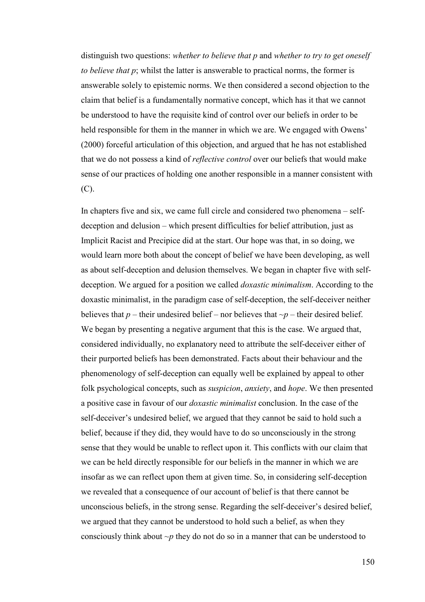distinguish two questions: *whether to believe that p* and *whether to try to get oneself to believe that p*; whilst the latter is answerable to practical norms, the former is answerable solely to epistemic norms. We then considered a second objection to the claim that belief is a fundamentally normative concept, which has it that we cannot be understood to have the requisite kind of control over our beliefs in order to be held responsible for them in the manner in which we are. We engaged with Owens' (2000) forceful articulation of this objection, and argued that he has not established that we do not possess a kind of *reflective control* over our beliefs that would make sense of our practices of holding one another responsible in a manner consistent with (C).

In chapters five and six, we came full circle and considered two phenomena – selfdeception and delusion – which present difficulties for belief attribution, just as Implicit Racist and Precipice did at the start. Our hope was that, in so doing, we would learn more both about the concept of belief we have been developing, as well as about self-deception and delusion themselves. We began in chapter five with selfdeception. We argued for a position we called *doxastic minimalism*. According to the doxastic minimalist, in the paradigm case of self-deception, the self-deceiver neither believes that  $p$  – their undesired belief – nor believes that  $\neg p$  – their desired belief. We began by presenting a negative argument that this is the case. We argued that, considered individually, no explanatory need to attribute the self-deceiver either of their purported beliefs has been demonstrated. Facts about their behaviour and the phenomenology of self-deception can equally well be explained by appeal to other folk psychological concepts, such as *suspicion*, *anxiety*, and *hope*. We then presented a positive case in favour of our *doxastic minimalist* conclusion. In the case of the self-deceiver's undesired belief, we argued that they cannot be said to hold such a belief, because if they did, they would have to do so unconsciously in the strong sense that they would be unable to reflect upon it. This conflicts with our claim that we can be held directly responsible for our beliefs in the manner in which we are insofar as we can reflect upon them at given time. So, in considering self-deception we revealed that a consequence of our account of belief is that there cannot be unconscious beliefs, in the strong sense. Regarding the self-deceiver's desired belief, we argued that they cannot be understood to hold such a belief, as when they consciously think about *~p* they do not do so in a manner that can be understood to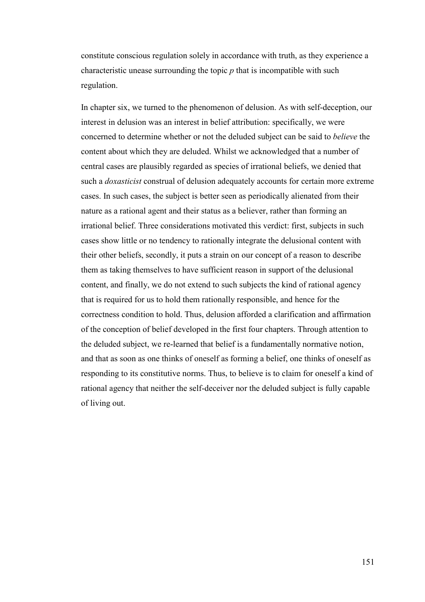constitute conscious regulation solely in accordance with truth, as they experience a characteristic unease surrounding the topic *p* that is incompatible with such regulation.

In chapter six, we turned to the phenomenon of delusion. As with self-deception, our interest in delusion was an interest in belief attribution: specifically, we were concerned to determine whether or not the deluded subject can be said to *believe* the content about which they are deluded. Whilst we acknowledged that a number of central cases are plausibly regarded as species of irrational beliefs, we denied that such a *doxasticist* construal of delusion adequately accounts for certain more extreme cases. In such cases, the subject is better seen as periodically alienated from their nature as a rational agent and their status as a believer, rather than forming an irrational belief. Three considerations motivated this verdict: first, subjects in such cases show little or no tendency to rationally integrate the delusional content with their other beliefs, secondly, it puts a strain on our concept of a reason to describe them as taking themselves to have sufficient reason in support of the delusional content, and finally, we do not extend to such subjects the kind of rational agency that is required for us to hold them rationally responsible, and hence for the correctness condition to hold. Thus, delusion afforded a clarification and affirmation of the conception of belief developed in the first four chapters. Through attention to the deluded subject, we re-learned that belief is a fundamentally normative notion, and that as soon as one thinks of oneself as forming a belief, one thinks of oneself as responding to its constitutive norms. Thus, to believe is to claim for oneself a kind of rational agency that neither the self-deceiver nor the deluded subject is fully capable of living out.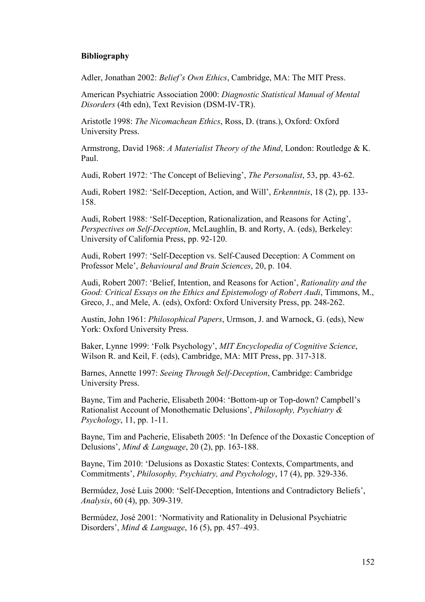## **Bibliography**

Adler, Jonathan 2002: *Belief's Own Ethics*, Cambridge, MA: The MIT Press.

American Psychiatric Association 2000: *Diagnostic Statistical Manual of Mental Disorders* (4th edn), Text Revision (DSM-IV-TR).

Aristotle 1998: *The Nicomachean Ethics*, Ross, D. (trans.), Oxford: Oxford University Press.

Armstrong, David 1968: *A Materialist Theory of the Mind*, London: Routledge & K. Paul.

Audi, Robert 1972: 'The Concept of Believing', *The Personalist*, 53, pp. 43-62.

Audi, Robert 1982: 'Self-Deception, Action, and Will', *Erkenntnis*, 18 (2), pp. 133- 158.

Audi, Robert 1988: 'Self-Deception, Rationalization, and Reasons for Acting', *Perspectives on Self-Deception*, McLaughlin, B. and Rorty, A. (eds), Berkeley: University of California Press, pp. 92-120.

Audi, Robert 1997: 'Self-Deception vs. Self-Caused Deception: A Comment on Professor Mele', *Behavioural and Brain Sciences*, 20, p. 104.

Audi, Robert 2007: 'Belief, Intention, and Reasons for Action', *Rationality and the Good: Critical Essays on the Ethics and Epistemology of Robert Audi*, Timmons, M., Greco, J., and Mele, A. (eds), Oxford: Oxford University Press, pp. 248-262.

Austin, John 1961: *Philosophical Papers*, Urmson, J. and Warnock, G. (eds), New York: Oxford University Press.

Baker, Lynne 1999: 'Folk Psychology', *MIT Encyclopedia of Cognitive Science*, Wilson R. and Keil, F. (eds), Cambridge, MA: MIT Press, pp. 317-318.

Barnes, Annette 1997: *Seeing Through Self-Deception*, Cambridge: Cambridge University Press.

Bayne, Tim and Pacherie, Elisabeth 2004: 'Bottom-up or Top-down? Campbell's Rationalist Account of Monothematic Delusions', *Philosophy, Psychiatry & Psychology*, 11, pp. 1-11.

Bayne, Tim and Pacherie, Elisabeth 2005: 'In Defence of the Doxastic Conception of Delusions', *Mind & Language*, 20 (2), pp. 163-188.

Bayne, Tim 2010: 'Delusions as Doxastic States: Contexts, Compartments, and Commitments', *Philosophy, Psychiatry, and Psychology*, 17 (4), pp. 329-336.

Bermúdez, José Luis 2000: 'Self-Deception, Intentions and Contradictory Beliefs', *Analysis*, 60 (4), pp. 309-319.

Bermúdez, José 2001: 'Normativity and Rationality in Delusional Psychiatric Disorders', *Mind & Language*, 16 (5), pp. 457–493.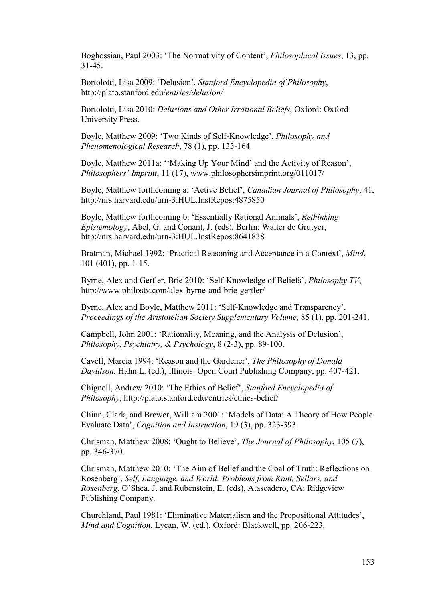Boghossian, Paul 2003: 'The Normativity of Content', *Philosophical Issues*, 13, pp. 31-45.

Bortolotti, Lisa 2009: 'Delusion', *Stanford Encyclopedia of Philosophy*, http://plato.stanford.edu/*entries/delusion/* 

Bortolotti, Lisa 2010: *Delusions and Other Irrational Beliefs*, Oxford: Oxford University Press.

Boyle, Matthew 2009: 'Two Kinds of Self-Knowledge', *Philosophy and Phenomenological Research*, 78 (1), pp. 133-164.

Boyle, Matthew 2011a: ''Making Up Your Mind' and the Activity of Reason', *Philosophers' Imprint*, 11 (17), www.philosophersimprint.org/011017/

Boyle, Matthew forthcoming a: 'Active Belief', *Canadian Journal of Philosophy*, 41, http://nrs.harvard.edu/urn-3:HUL.InstRepos:4875850

Boyle, Matthew forthcoming b: 'Essentially Rational Animals', *Rethinking Epistemology*, Abel, G. and Conant, J. (eds), Berlin: Walter de Grutyer, http://nrs.harvard.edu/urn-3:HUL.InstRepos:8641838

Bratman, Michael 1992: 'Practical Reasoning and Acceptance in a Context', *Mind*, 101 (401), pp. 1-15.

Byrne, Alex and Gertler, Brie 2010: 'Self-Knowledge of Beliefs', *Philosophy TV*, http://www.philostv.com/alex-byrne-and-brie-gertler/

Byrne, Alex and Boyle, Matthew 2011: 'Self-Knowledge and Transparency', *Proceedings of the Aristotelian Society Supplementary Volume*, 85 (1), pp. 201-241.

Campbell, John 2001: 'Rationality, Meaning, and the Analysis of Delusion', *Philosophy, Psychiatry, & Psychology*, 8 (2-3), pp. 89-100.

Cavell, Marcia 1994: 'Reason and the Gardener', *The Philosophy of Donald Davidson*, Hahn L. (ed.), Illinois: Open Court Publishing Company, pp. 407-421.

Chignell, Andrew 2010: 'The Ethics of Belief', *Stanford Encyclopedia of Philosophy*, http://plato.stanford.edu/entries/ethics-belief/

Chinn, Clark, and Brewer, William 2001: 'Models of Data: A Theory of How People Evaluate Data', *Cognition and Instruction*, 19 (3), pp. 323-393.

Chrisman, Matthew 2008: 'Ought to Believe', *The Journal of Philosophy*, 105 (7), pp. 346-370.

Chrisman, Matthew 2010: 'The Aim of Belief and the Goal of Truth: Reflections on Rosenberg', *Self, Language, and World: Problems from Kant, Sellars, and Rosenberg*, O'Shea, J. and Rubenstein, E. (eds), Atascadero, CA: Ridgeview Publishing Company.

Churchland, Paul 1981: 'Eliminative Materialism and the Propositional Attitudes', *Mind and Cognition*, Lycan, W. (ed.), Oxford: Blackwell, pp. 206-223.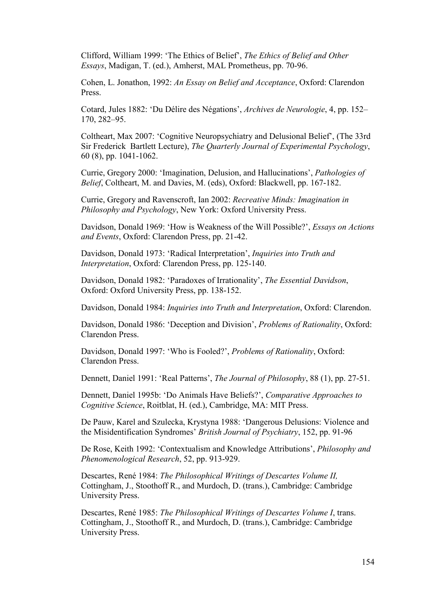Clifford, William 1999: 'The Ethics of Belief', *The Ethics of Belief and Other Essays*, Madigan, T. (ed.), Amherst, MAL Prometheus, pp. 70-96.

Cohen, L. Jonathon, 1992: *An Essay on Belief and Acceptance*, Oxford: Clarendon Press.

Cotard, Jules 1882: 'Du Délire des Négations', *Archives de Neurologie*, 4, pp. 152– 170, 282–95.

Coltheart, Max 2007: 'Cognitive Neuropsychiatry and Delusional Belief', (The 33rd Sir Frederick Bartlett Lecture), *The Quarterly Journal of Experimental Psychology*, 60 (8), pp. 1041-1062.

Currie, Gregory 2000: 'Imagination, Delusion, and Hallucinations', *Pathologies of Belief*, Coltheart, M. and Davies, M. (eds), Oxford: Blackwell, pp. 167-182.

Currie, Gregory and Ravenscroft, Ian 2002: *Recreative Minds: Imagination in Philosophy and Psychology*, New York: Oxford University Press.

Davidson, Donald 1969: 'How is Weakness of the Will Possible?', *Essays on Actions and Events*, Oxford: Clarendon Press, pp. 21-42.

Davidson, Donald 1973: 'Radical Interpretation', *Inquiries into Truth and Interpretation*, Oxford: Clarendon Press, pp. 125-140.

Davidson, Donald 1982: 'Paradoxes of Irrationality', *The Essential Davidson*, Oxford: Oxford University Press, pp. 138-152.

Davidson, Donald 1984: *Inquiries into Truth and Interpretation*, Oxford: Clarendon.

Davidson, Donald 1986: 'Deception and Division', *Problems of Rationality*, Oxford: Clarendon Press.

Davidson, Donald 1997: 'Who is Fooled?', *Problems of Rationality*, Oxford: Clarendon Press.

Dennett, Daniel 1991: 'Real Patterns', *The Journal of Philosophy*, 88 (1), pp. 27-51.

Dennett, Daniel 1995b: 'Do Animals Have Beliefs?', *Comparative Approaches to Cognitive Science*, Roitblat, H. (ed.), Cambridge, MA: MIT Press.

De Pauw, Karel and Szulecka, Krystyna 1988: 'Dangerous Delusions: Violence and the Misidentification Syndromes' *British Journal of Psychiatry*, 152, pp. 91-96

De Rose, Keith 1992: 'Contextualism and Knowledge Attributions', *Philosophy and Phenomenological Research*, 52, pp. 913-929.

Descartes, René 1984: *The Philosophical Writings of Descartes Volume II,* Cottingham, J., Stoothoff R., and Murdoch, D. (trans.), Cambridge: Cambridge University Press.

Descartes, René 1985: *The Philosophical Writings of Descartes Volume I*, trans. Cottingham, J., Stoothoff R., and Murdoch, D. (trans.), Cambridge: Cambridge University Press.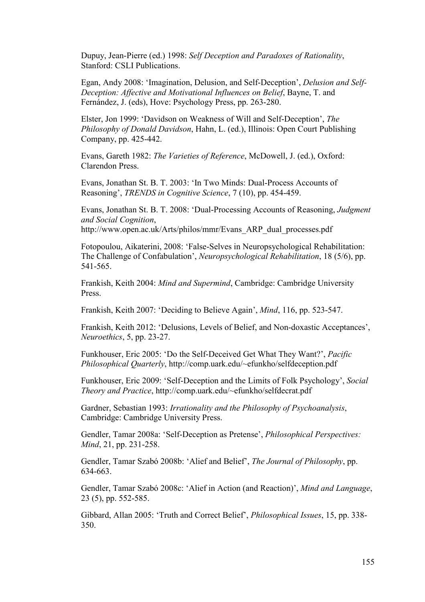Dupuy, Jean-Pierre (ed.) 1998: *Self Deception and Paradoxes of Rationality*, Stanford: CSLI Publications.

Egan, Andy 2008: 'Imagination, Delusion, and Self-Deception', *Delusion and Self-Deception: Affective and Motivational Influences on Belief*, Bayne, T. and Fernández, J. (eds), Hove: Psychology Press, pp. 263-280.

Elster, Jon 1999: 'Davidson on Weakness of Will and Self-Deception', *The Philosophy of Donald Davidson*, Hahn, L. (ed.), Illinois: Open Court Publishing Company, pp. 425-442.

Evans, Gareth 1982: *The Varieties of Reference*, McDowell, J. (ed.), Oxford: Clarendon Press.

Evans, Jonathan St. B. T. 2003: 'In Two Minds: Dual-Process Accounts of Reasoning', *TRENDS in Cognitive Science*, 7 (10), pp. 454-459.

Evans, Jonathan St. B. T. 2008: 'Dual-Processing Accounts of Reasoning, *Judgment and Social Cognition*, http://www.open.ac.uk/Arts/philos/mmr/Evans\_ARP\_dual\_processes.pdf

Fotopoulou, Aikaterini, 2008: 'False-Selves in Neuropsychological Rehabilitation: The Challenge of Confabulation', *Neuropsychological Rehabilitation*, 18 (5/6), pp. 541-565.

Frankish, Keith 2004: *Mind and Supermind*, Cambridge: Cambridge University Press.

Frankish, Keith 2007: 'Deciding to Believe Again', *Mind*, 116, pp. 523-547.

Frankish, Keith 2012: 'Delusions, Levels of Belief, and Non-doxastic Acceptances', *Neuroethics*, 5, pp. 23-27.

Funkhouser, Eric 2005: 'Do the Self-Deceived Get What They Want?', *Pacific Philosophical Quarterly*, http://comp.uark.edu/~efunkho/selfdeception.pdf

Funkhouser, Eric 2009: 'Self-Deception and the Limits of Folk Psychology', *Social Theory and Practice*, http://comp.uark.edu/~efunkho/selfdecrat.pdf

Gardner, Sebastian 1993: *Irrationality and the Philosophy of Psychoanalysis*, Cambridge: Cambridge University Press.

Gendler, Tamar 2008a: 'Self-Deception as Pretense', *Philosophical Perspectives: Mind*, 21, pp. 231-258.

Gendler, Tamar Szabó 2008b: 'Alief and Belief', *The Journal of Philosophy*, pp. 634-663.

Gendler, Tamar Szabó 2008c: 'Alief in Action (and Reaction)', *Mind and Language*, 23 (5), pp. 552-585.

Gibbard, Allan 2005: 'Truth and Correct Belief', *Philosophical Issues*, 15, pp. 338- 350.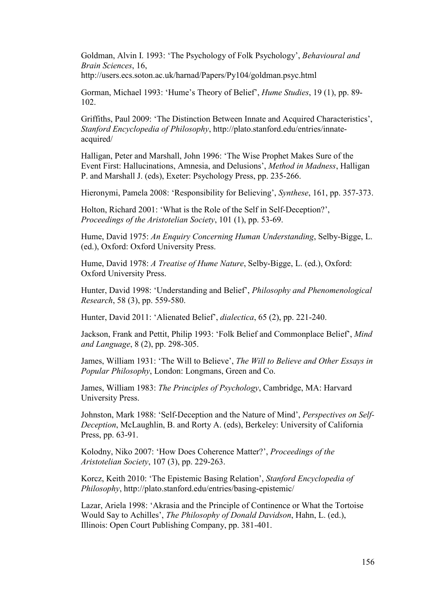Goldman, Alvin I. 1993: 'The Psychology of Folk Psychology', *Behavioural and Brain Sciences*, 16,

http://users.ecs.soton.ac.uk/harnad/Papers/Py104/goldman.psyc.html

Gorman, Michael 1993: 'Hume's Theory of Belief', *Hume Studies*, 19 (1), pp. 89- 102.

Griffiths, Paul 2009: 'The Distinction Between Innate and Acquired Characteristics', *Stanford Encyclopedia of Philosophy*, [http://plato.stanford.edu/entries/innate](http://plato.stanford.edu/entries/innate-acquired/)[acquired/](http://plato.stanford.edu/entries/innate-acquired/) 

Halligan, Peter and Marshall, John 1996: 'The Wise Prophet Makes Sure of the Event First: Hallucinations, Amnesia, and Delusions', *Method in Madness*, Halligan P. and Marshall J. (eds), Exeter: Psychology Press, pp. 235-266.

Hieronymi, Pamela 2008: 'Responsibility for Believing', *Synthese*, 161, pp. 357-373.

Holton, Richard 2001: 'What is the Role of the Self in Self-Deception?', *Proceedings of the Aristotelian Society*, 101 (1), pp. 53-69.

Hume, David 1975: *An Enquiry Concerning Human Understanding*, Selby-Bigge, L. (ed.), Oxford: Oxford University Press.

Hume, David 1978: *A Treatise of Hume Nature*, Selby-Bigge, L. (ed.), Oxford: Oxford University Press.

Hunter, David 1998: 'Understanding and Belief', *Philosophy and Phenomenological Research*, 58 (3), pp. 559-580.

Hunter, David 2011: 'Alienated Belief', *dialectica*, 65 (2), pp. 221-240.

Jackson, Frank and Pettit, Philip 1993: 'Folk Belief and Commonplace Belief', *Mind and Language*, 8 (2), pp. 298-305.

James, William 1931: 'The Will to Believe', *The Will to Believe and Other Essays in Popular Philosophy*, London: Longmans, Green and Co.

James, William 1983: *The Principles of Psychology*, Cambridge, MA: Harvard University Press.

Johnston, Mark 1988: 'Self-Deception and the Nature of Mind', *Perspectives on Self-Deception*, McLaughlin, B. and Rorty A. (eds), Berkeley: University of California Press, pp. 63-91.

Kolodny, Niko 2007: 'How Does Coherence Matter?', *Proceedings of the Aristotelian Society*, 107 (3), pp. 229-263.

Korcz, Keith 2010: 'The Epistemic Basing Relation', *Stanford Encyclopedia of Philosophy*,<http://plato.stanford.edu/entries/basing-epistemic/>

Lazar, Ariela 1998: 'Akrasia and the Principle of Continence or What the Tortoise Would Say to Achilles', *The Philosophy of Donald Davidson*, Hahn, L. (ed.), Illinois: Open Court Publishing Company, pp. 381-401.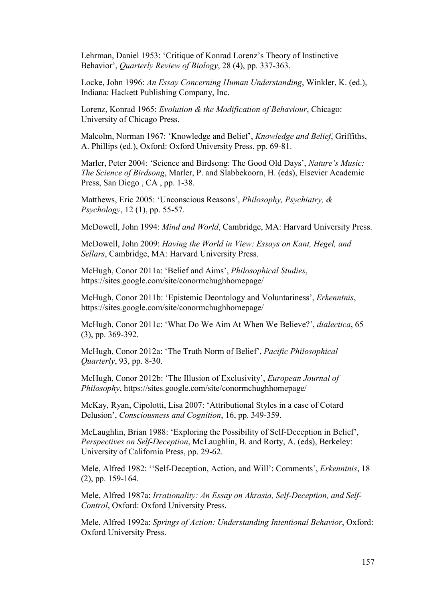Lehrman, Daniel 1953: 'Critique of Konrad Lorenz's Theory of Instinctive Behavior', *Quarterly Review of Biology*, 28 (4), pp. 337-363.

Locke, John 1996: *An Essay Concerning Human Understanding*, Winkler, K. (ed.), Indiana: Hackett Publishing Company, Inc.

Lorenz, Konrad 1965: *Evolution & the Modification of Behaviour*, Chicago: University of Chicago Press.

Malcolm, Norman 1967: 'Knowledge and Belief', *Knowledge and Belief*, Griffiths, A. Phillips (ed.), Oxford: Oxford University Press, pp. 69-81.

Marler, Peter 2004: 'Science and Birdsong: The Good Old Days', *Nature's Music: The Science of Birdsong*, Marler, P. and Slabbekoorn, H. (eds), Elsevier Academic Press, San Diego , CA , pp. 1-38.

Matthews, Eric 2005: 'Unconscious Reasons', *Philosophy, Psychiatry, & Psychology*, 12 (1), pp. 55-57.

McDowell, John 1994: *Mind and World*, Cambridge, MA: Harvard University Press.

McDowell, John 2009: *Having the World in View: Essays on Kant, Hegel, and Sellars*, Cambridge, MA: Harvard University Press.

McHugh, Conor 2011a: 'Belief and Aims', *Philosophical Studies*, https://sites.google.com/site/conormchughhomepage/

McHugh, Conor 2011b: 'Epistemic Deontology and Voluntariness', *Erkenntnis*, https://sites.google.com/site/conormchughhomepage/

McHugh, Conor 2011c: 'What Do We Aim At When We Believe?', *dialectica*, 65 (3), pp. 369-392.

McHugh, Conor 2012a: 'The Truth Norm of Belief', *Pacific Philosophical Quarterly*, 93, pp. 8-30.

McHugh, Conor 2012b: 'The Illusion of Exclusivity', *European Journal of Philosophy*, https://sites.google.com/site/conormchughhomepage/

McKay, Ryan, Cipolotti, Lisa 2007: 'Attributional Styles in a case of Cotard Delusion', *Consciousness and Cognition*, 16, pp. 349-359.

McLaughlin, Brian 1988: 'Exploring the Possibility of Self-Deception in Belief', *Perspectives on Self-Deception*, McLaughlin, B. and Rorty, A. (eds), Berkeley: University of California Press, pp. 29-62.

Mele, Alfred 1982: ''Self-Deception, Action, and Will': Comments', *Erkenntnis*, 18 (2), pp. 159-164.

Mele, Alfred 1987a: *Irrationality: An Essay on Akrasia, Self-Deception, and Self-Control*, Oxford: Oxford University Press.

Mele, Alfred 1992a: *Springs of Action: Understanding Intentional Behavior*, Oxford: Oxford University Press.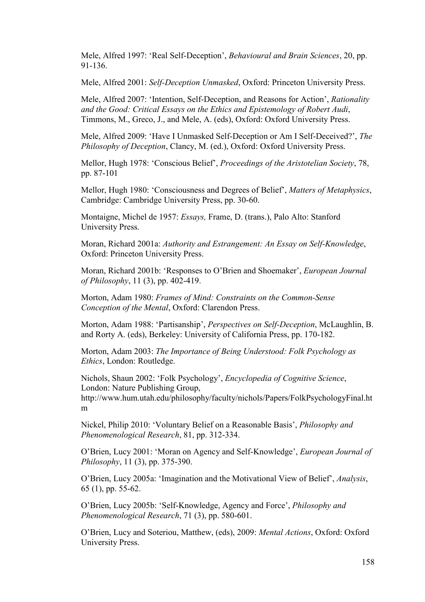Mele, Alfred 1997: 'Real Self-Deception', *Behavioural and Brain Sciences*, 20, pp. 91-136.

Mele, Alfred 2001: *Self-Deception Unmasked*, Oxford: Princeton University Press.

Mele, Alfred 2007: 'Intention, Self-Deception, and Reasons for Action', *Rationality and the Good: Critical Essays on the Ethics and Epistemology of Robert Audi*, Timmons, M., Greco, J., and Mele, A. (eds), Oxford: Oxford University Press.

Mele, Alfred 2009: 'Have I Unmasked Self-Deception or Am I Self-Deceived?', *The Philosophy of Deception*, Clancy, M. (ed.), Oxford: Oxford University Press.

Mellor, Hugh 1978: 'Conscious Belief', *Proceedings of the Aristotelian Society*, 78, pp. 87-101

Mellor, Hugh 1980: 'Consciousness and Degrees of Belief', *Matters of Metaphysics*, Cambridge: Cambridge University Press, pp. 30-60.

Montaigne, Michel de 1957: *Essays,* Frame, D. (trans.), Palo Alto: Stanford University Press.

Moran, Richard 2001a: *Authority and Estrangement: An Essay on Self-Knowledge*, Oxford: Princeton University Press.

Moran, Richard 2001b: 'Responses to O'Brien and Shoemaker', *European Journal of Philosophy*, 11 (3), pp. 402-419.

Morton, Adam 1980: *Frames of Mind: Constraints on the Common-Sense Conception of the Mental*, Oxford: Clarendon Press.

Morton, Adam 1988: 'Partisanship', *Perspectives on Self-Deception*, McLaughlin, B. and Rorty A. (eds), Berkeley: University of California Press, pp. 170-182.

Morton, Adam 2003: *The Importance of Being Understood: Folk Psychology as Ethics*, London: Routledge.

Nichols, Shaun 2002: 'Folk Psychology', *Encyclopedia of Cognitive Science*, London: Nature Publishing Group,

http://www.hum.utah.edu/philosophy/faculty/nichols/Papers/FolkPsychologyFinal.ht m

Nickel, Philip 2010: 'Voluntary Belief on a Reasonable Basis', *Philosophy and Phenomenological Research*, 81, pp. 312-334.

O'Brien, Lucy 2001: 'Moran on Agency and Self-Knowledge', *European Journal of Philosophy*, 11 (3), pp. 375-390.

O'Brien, Lucy 2005a: 'Imagination and the Motivational View of Belief', *Analysis*, 65 (1), pp. 55-62.

O'Brien, Lucy 2005b: 'Self-Knowledge, Agency and Force', *Philosophy and Phenomenological Research*, 71 (3), pp. 580-601.

O'Brien, Lucy and Soteriou, Matthew, (eds), 2009: *Mental Actions*, Oxford: Oxford University Press.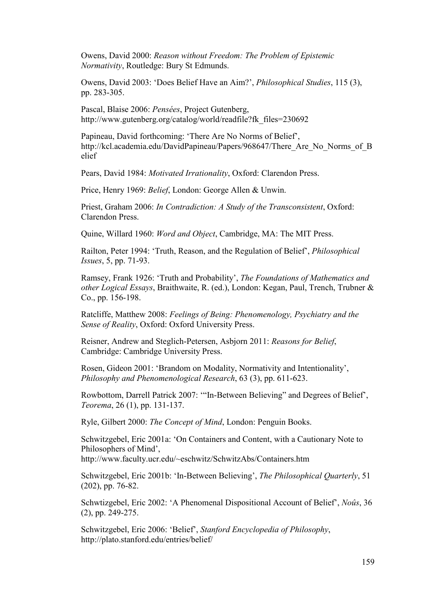Owens, David 2000: *Reason without Freedom: The Problem of Epistemic Normativity*, Routledge: Bury St Edmunds.

Owens, David 2003: 'Does Belief Have an Aim?', *Philosophical Studies*, 115 (3), pp. 283-305.

Pascal, Blaise 2006: *Pensées*, Project Gutenberg, http://www.gutenberg.org/catalog/world/readfile?fk\_files=230692

Papineau, David forthcoming: 'There Are No Norms of Belief', http://kcl.academia.edu/DavidPapineau/Papers/968647/There\_Are\_No\_Norms\_of\_B elief

Pears, David 1984: *Motivated Irrationality*, Oxford: Clarendon Press.

Price, Henry 1969: *Belief*, London: George Allen & Unwin.

Priest, Graham 2006: *In Contradiction: A Study of the Transconsistent*, Oxford: Clarendon Press.

Quine, Willard 1960: *Word and Object*, Cambridge, MA: The MIT Press.

Railton, Peter 1994: 'Truth, Reason, and the Regulation of Belief', *Philosophical Issues*, 5, pp. 71-93.

Ramsey, Frank 1926: 'Truth and Probability', *The Foundations of Mathematics and other Logical Essays*, Braithwaite, R. (ed.), London: Kegan, Paul, Trench, Trubner & Co., pp. 156-198.

Ratcliffe, Matthew 2008: *Feelings of Being: Phenomenology, Psychiatry and the Sense of Reality*, Oxford: Oxford University Press.

Reisner, Andrew and Steglich-Petersen, Asbjorn 2011: *Reasons for Belief*, Cambridge: Cambridge University Press.

Rosen, Gideon 2001: 'Brandom on Modality, Normativity and Intentionality', *Philosophy and Phenomenological Research*, 63 (3), pp. 611-623.

Rowbottom, Darrell Patrick 2007: '"In-Between Believing" and Degrees of Belief', *Teorema*, 26 (1), pp. 131-137.

Ryle, Gilbert 2000: *The Concept of Mind*, London: Penguin Books.

Schwitzgebel, Eric 2001a: 'On Containers and Content, with a Cautionary Note to Philosophers of Mind', http://www.faculty.ucr.edu/~eschwitz/SchwitzAbs/Containers.htm

Schwitzgebel, Eric 2001b: 'In-Between Believing', *The Philosophical Quarterly*, 51 (202), pp. 76-82.

Schwtizgebel, Eric 2002: 'A Phenomenal Dispositional Account of Belief', *Noûs*, 36 (2), pp. 249-275.

Schwitzgebel, Eric 2006: 'Belief', *Stanford Encyclopedia of Philosophy*, http://plato.stanford.edu/entries/belief/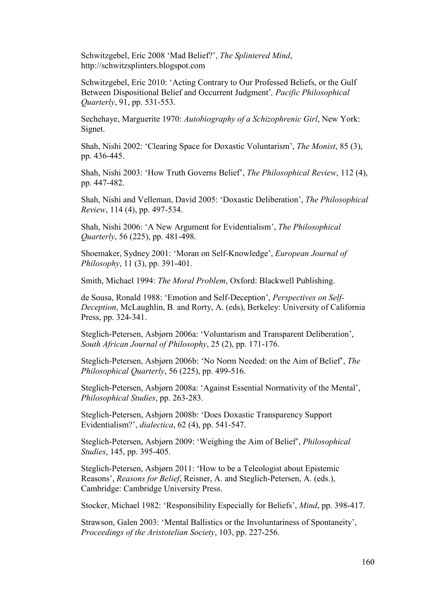Schwitzgebel, Eric 2008 'Mad Belief?', *The Splintered Mind*, http://schwitzsplinters.blogspot.com

Schwitzgebel, Eric 2010: 'Acting Contrary to Our Professed Beliefs, or the Gulf Between Dispositional Belief and Occurrent Judgment'*, Pacific Philosophical Quarterly*, 91, pp. 531-553.

Sechehaye, Marguerite 1970: *Autobiography of a Schizophrenic Girl*, New York: Signet.

Shah, Nishi 2002: 'Clearing Space for Doxastic Voluntarism', *The Monist*, 85 (3), pp. 436-445.

Shah, Nishi 2003: 'How Truth Governs Belief', *The Philosophical Review*, 112 (4), pp. 447-482.

Shah, Nishi and Velleman, David 2005: 'Doxastic Deliberation', *The Philosophical Review*, 114 (4), pp. 497-534.

Shah, Nishi 2006: 'A New Argument for Evidentialism', *The Philosophical Quarterly*, 56 (225), pp. 481-498.

Shoemaker, Sydney 2001: 'Moran on Self-Knowledge', *European Journal of Philosophy*, 11 (3), pp. 391-401.

Smith, Michael 1994: *The Moral Problem*, Oxford: Blackwell Publishing.

de Sousa, Ronald 1988: 'Emotion and Self-Deception', *Perspectives on Self-Deception*, McLaughlin, B. and Rorty, A. (eds), Berkeley: University of California Press, pp. 324-341.

Steglich-Petersen, Asbjørn 2006a: 'Voluntarism and Transparent Deliberation', *South African Journal of Philosophy*, 25 (2), pp. 171-176.

Steglich-Petersen, Asbjørn 2006b: 'No Norm Needed: on the Aim of Belief', *The Philosophical Quarterly*, 56 (225), pp. 499-516.

Steglich-Petersen, Asbjørn 2008a: 'Against Essential Normativity of the Mental', *Philosophical Studies*, pp. 263-283.

Steglich-Petersen, Asbjørn 2008b: 'Does Doxastic Transparency Support Evidentialism?', *dialectica*, 62 (4), pp. 541-547.

Steglich-Petersen, Asbjørn 2009: 'Weighing the Aim of Belief', *Philosophical Studies*, 145, pp. 395-405.

Steglich-Petersen, Asbjørn 2011: 'How to be a Teleologist about Epistemic Reasons', *Reasons for Belief*, Reisner, A. and Steglich-Petersen, A. (eds.), Cambridge: Cambridge University Press.

Stocker, Michael 1982: 'Responsibility Especially for Beliefs', *Mind*, pp. 398-417.

Strawson, Galen 2003: 'Mental Ballistics or the Involuntariness of Spontaneity', *Proceedings of the Aristotelian Society*, 103, pp. 227-256.